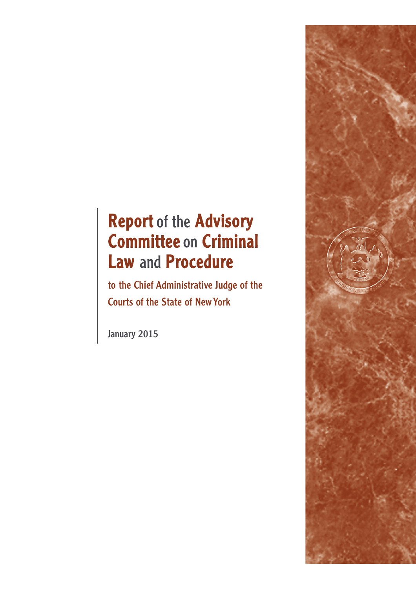# Report of the Advisory Committee on Criminal Law and Procedure

to the Chief Administrative Judge of the Courts of the State of New York

January 2015

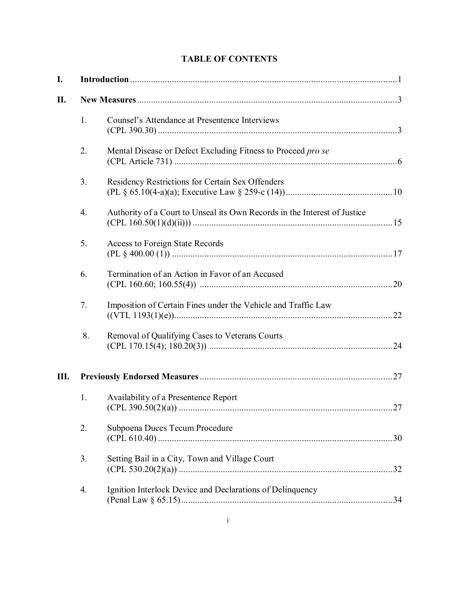# **TABLE OF CONTENTS**

| I. |    |                                                                           |  |
|----|----|---------------------------------------------------------------------------|--|
| П. |    |                                                                           |  |
|    | 1. | Counsel's Attendance at Presentence Interviews                            |  |
|    | 2. | Mental Disease or Defect Excluding Fitness to Proceed pro se              |  |
|    | 3. | Residency Restrictions for Certain Sex Offenders                          |  |
|    | 4. | Authority of a Court to Unseal its Own Records in the Interest of Justice |  |
|    | 5. | Access to Foreign State Records                                           |  |
|    | 6. | Termination of an Action in Favor of an Accused                           |  |
|    | 7. | Imposition of Certain Fines under the Vehicle and Traffic Law             |  |
|    | 8. | Removal of Qualifying Cases to Veterans Courts                            |  |
| Ш. |    |                                                                           |  |
|    | 1. | Availability of a Presentence Report                                      |  |
|    | 2. | Subpoena Duces Tecum Procedure                                            |  |
|    | 3. | Setting Bail in a City, Town and Village Court                            |  |
|    | 4. | Ignition Interlock Device and Declarations of Delinquency                 |  |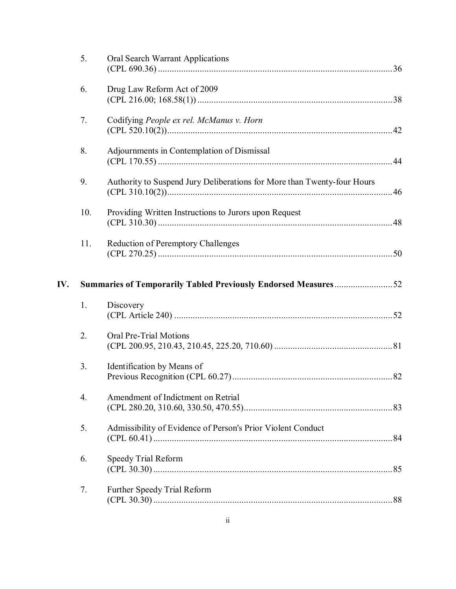|     | 5.               | Oral Search Warrant Applications                                        |  |
|-----|------------------|-------------------------------------------------------------------------|--|
|     | 6.               | Drug Law Reform Act of 2009                                             |  |
|     | 7.               | Codifying People ex rel. McManus v. Horn                                |  |
|     | 8.               | Adjournments in Contemplation of Dismissal                              |  |
|     | 9.               | Authority to Suspend Jury Deliberations for More than Twenty-four Hours |  |
|     | 10.              | Providing Written Instructions to Jurors upon Request                   |  |
|     | 11.              | <b>Reduction of Peremptory Challenges</b>                               |  |
| IV. |                  | Summaries of Temporarily Tabled Previously Endorsed Measures52          |  |
|     | 1.               | Discovery                                                               |  |
|     | 2.               | Oral Pre-Trial Motions                                                  |  |
|     | 3.               | Identification by Means of                                              |  |
|     | $\overline{4}$ . | Amendment of Indictment on Retrial                                      |  |
|     | 5.               | Admissibility of Evidence of Person's Prior Violent Conduct             |  |
|     | 6.               | Speedy Trial Reform                                                     |  |
|     | 7.               | Further Speedy Trial Reform                                             |  |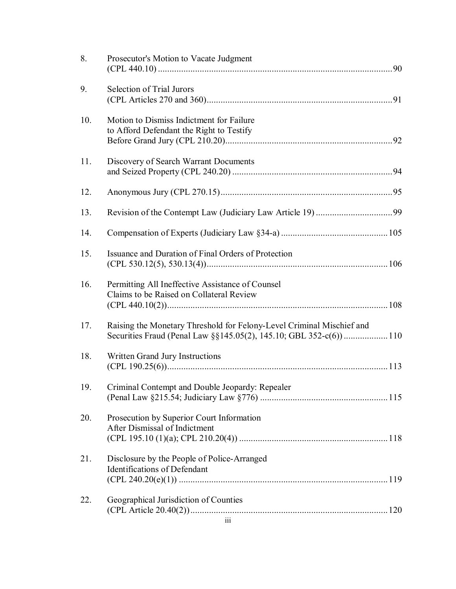| 8.  | Prosecutor's Motion to Vacate Judgment                                                                                                     |  |
|-----|--------------------------------------------------------------------------------------------------------------------------------------------|--|
| 9.  | Selection of Trial Jurors                                                                                                                  |  |
| 10. | Motion to Dismiss Indictment for Failure<br>to Afford Defendant the Right to Testify                                                       |  |
| 11. | Discovery of Search Warrant Documents                                                                                                      |  |
| 12. |                                                                                                                                            |  |
| 13. |                                                                                                                                            |  |
| 14. |                                                                                                                                            |  |
| 15. | Issuance and Duration of Final Orders of Protection                                                                                        |  |
| 16. | Permitting All Ineffective Assistance of Counsel<br>Claims to be Raised on Collateral Review                                               |  |
| 17. | Raising the Monetary Threshold for Felony-Level Criminal Mischief and<br>Securities Fraud (Penal Law §§145.05(2), 145.10; GBL 352-c(6))110 |  |
| 18. | Written Grand Jury Instructions                                                                                                            |  |
| 19. | Criminal Contempt and Double Jeopardy: Repealer                                                                                            |  |
| 20. | Prosecution by Superior Court Information<br>After Dismissal of Indictment                                                                 |  |
| 21. | Disclosure by the People of Police-Arranged<br>Identifications of Defendant                                                                |  |
| 22. | Geographical Jurisdiction of Counties                                                                                                      |  |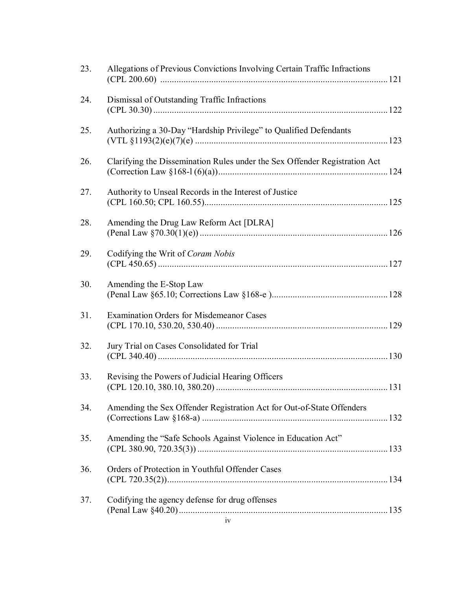| 23. | Allegations of Previous Convictions Involving Certain Traffic Infractions  |  |
|-----|----------------------------------------------------------------------------|--|
| 24. | Dismissal of Outstanding Traffic Infractions                               |  |
| 25. | Authorizing a 30-Day "Hardship Privilege" to Qualified Defendants          |  |
| 26. | Clarifying the Dissemination Rules under the Sex Offender Registration Act |  |
| 27. | Authority to Unseal Records in the Interest of Justice                     |  |
| 28. | Amending the Drug Law Reform Act [DLRA]                                    |  |
| 29. | Codifying the Writ of Coram Nobis                                          |  |
| 30. | Amending the E-Stop Law                                                    |  |
| 31. | <b>Examination Orders for Misdemeanor Cases</b>                            |  |
| 32. | Jury Trial on Cases Consolidated for Trial                                 |  |
| 33. | Revising the Powers of Judicial Hearing Officers                           |  |
| 34. | Amending the Sex Offender Registration Act for Out-of-State Offenders      |  |
| 35. | Amending the "Safe Schools Against Violence in Education Act"              |  |
| 36. | Orders of Protection in Youthful Offender Cases                            |  |
| 37. | Codifying the agency defense for drug offenses                             |  |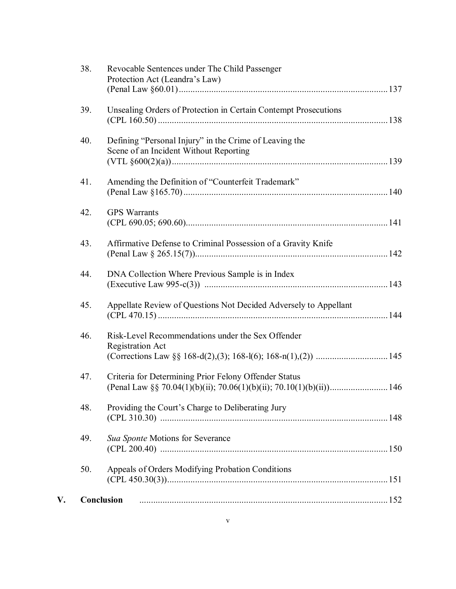|    | 38. | Revocable Sentences under The Child Passenger<br>Protection Act (Leandra's Law)                  |  |
|----|-----|--------------------------------------------------------------------------------------------------|--|
|    |     |                                                                                                  |  |
|    | 39. | Unsealing Orders of Protection in Certain Contempt Prosecutions                                  |  |
|    | 40. | Defining "Personal Injury" in the Crime of Leaving the<br>Scene of an Incident Without Reporting |  |
|    | 41. | Amending the Definition of "Counterfeit Trademark"                                               |  |
|    | 42. | <b>GPS</b> Warrants                                                                              |  |
|    | 43. | Affirmative Defense to Criminal Possession of a Gravity Knife                                    |  |
|    | 44. | DNA Collection Where Previous Sample is in Index                                                 |  |
|    | 45. | Appellate Review of Questions Not Decided Adversely to Appellant                                 |  |
|    | 46. | Risk-Level Recommendations under the Sex Offender<br><b>Registration Act</b>                     |  |
|    | 47. | Criteria for Determining Prior Felony Offender Status                                            |  |
|    | 48. | Providing the Court's Charge to Deliberating Jury                                                |  |
|    | 49. | Sua Sponte Motions for Severance                                                                 |  |
|    | 50. | Appeals of Orders Modifying Probation Conditions                                                 |  |
| V. |     | Conclusion                                                                                       |  |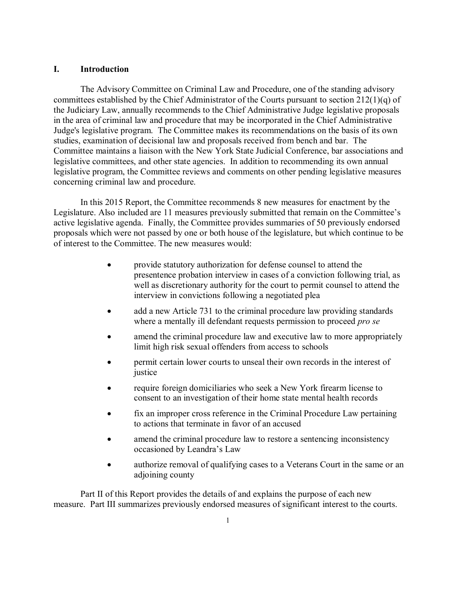## **I. Introduction**

The Advisory Committee on Criminal Law and Procedure, one of the standing advisory committees established by the Chief Administrator of the Courts pursuant to section 212(1)(q) of the Judiciary Law, annually recommends to the Chief Administrative Judge legislative proposals in the area of criminal law and procedure that may be incorporated in the Chief Administrative Judge's legislative program. The Committee makes its recommendations on the basis of its own studies, examination of decisional law and proposals received from bench and bar. The Committee maintains a liaison with the New York State Judicial Conference, bar associations and legislative committees, and other state agencies. In addition to recommending its own annual legislative program, the Committee reviews and comments on other pending legislative measures concerning criminal law and procedure.

In this 2015 Report, the Committee recommends 8 new measures for enactment by the Legislature. Also included are 11 measures previously submitted that remain on the Committee's active legislative agenda. Finally, the Committee provides summaries of 50 previously endorsed proposals which were not passed by one or both house of the legislature, but which continue to be of interest to the Committee. The new measures would:

- provide statutory authorization for defense counsel to attend the presentence probation interview in cases of a conviction following trial, as well as discretionary authority for the court to permit counsel to attend the interview in convictions following a negotiated plea
- add a new Article 731 to the criminal procedure law providing standards where a mentally ill defendant requests permission to proceed *pro se*
- amend the criminal procedure law and executive law to more appropriately limit high risk sexual offenders from access to schools
- permit certain lower courts to unseal their own records in the interest of justice
- require foreign domiciliaries who seek a New York firearm license to consent to an investigation of their home state mental health records
- fix an improper cross reference in the Criminal Procedure Law pertaining to actions that terminate in favor of an accused
- amend the criminal procedure law to restore a sentencing inconsistency occasioned by Leandra's Law
- authorize removal of qualifying cases to a Veterans Court in the same or an adjoining county

Part II of this Report provides the details of and explains the purpose of each new measure. Part III summarizes previously endorsed measures of significant interest to the courts.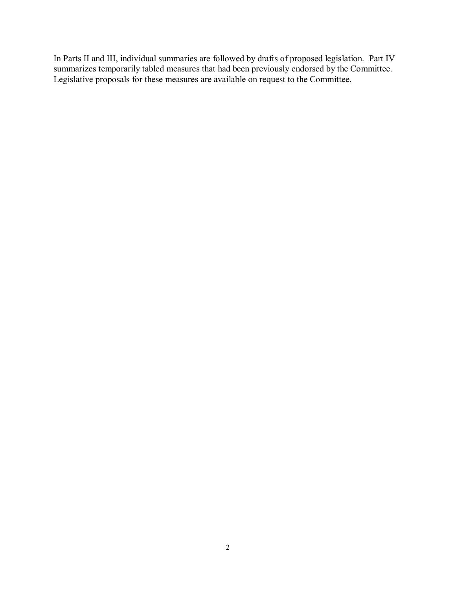In Parts II and III, individual summaries are followed by drafts of proposed legislation. Part IV summarizes temporarily tabled measures that had been previously endorsed by the Committee. Legislative proposals for these measures are available on request to the Committee.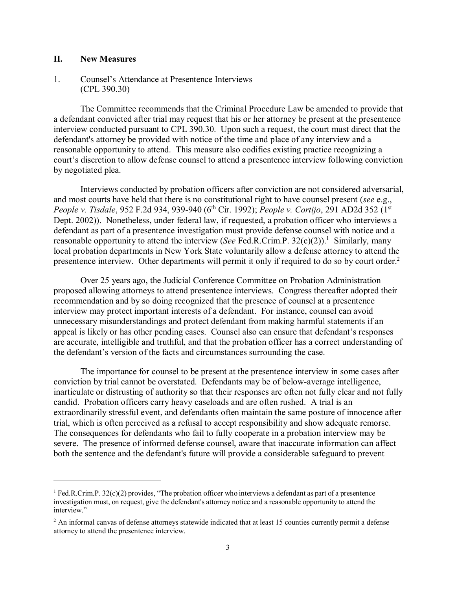## **II. New Measures**

 $\overline{a}$ 

## 1. Counsel's Attendance at Presentence Interviews (CPL 390.30)

The Committee recommends that the Criminal Procedure Law be amended to provide that a defendant convicted after trial may request that his or her attorney be present at the presentence interview conducted pursuant to CPL 390.30. Upon such a request, the court must direct that the defendant's attorney be provided with notice of the time and place of any interview and a reasonable opportunity to attend. This measure also codifies existing practice recognizing a court's discretion to allow defense counsel to attend a presentence interview following conviction by negotiated plea.

Interviews conducted by probation officers after conviction are not considered adversarial, and most courts have held that there is no constitutional right to have counsel present (*see* e.g., *People v. Tisdale*, 952 F.2d 934, 939-940 (6<sup>th</sup> Cir. 1992); *People v. Cortijo*, 291 AD2d 352 (1<sup>st</sup>) Dept. 2002)). Nonetheless, under federal law, if requested, a probation officer who interviews a defendant as part of a presentence investigation must provide defense counsel with notice and a reasonable opportunity to attend the interview (*See* Fed.R.Crim.P. 32(c)(2)). <sup>1</sup> Similarly, many local probation departments in New York State voluntarily allow a defense attorney to attend the presentence interview. Other departments will permit it only if required to do so by court order.<sup>2</sup>

Over 25 years ago, the Judicial Conference Committee on Probation Administration proposed allowing attorneys to attend presentence interviews. Congress thereafter adopted their recommendation and by so doing recognized that the presence of counsel at a presentence interview may protect important interests of a defendant. For instance, counsel can avoid unnecessary misunderstandings and protect defendant from making harmful statements if an appeal is likely or has other pending cases. Counsel also can ensure that defendant's responses are accurate, intelligible and truthful, and that the probation officer has a correct understanding of the defendant's version of the facts and circumstances surrounding the case.

The importance for counsel to be present at the presentence interview in some cases after conviction by trial cannot be overstated. Defendants may be of below-average intelligence, inarticulate or distrusting of authority so that their responses are often not fully clear and not fully candid. Probation officers carry heavy caseloads and are often rushed. A trial is an extraordinarily stressful event, and defendants often maintain the same posture of innocence after trial, which is often perceived as a refusal to accept responsibility and show adequate remorse. The consequences for defendants who fail to fully cooperate in a probation interview may be severe. The presence of informed defense counsel, aware that inaccurate information can affect both the sentence and the defendant's future will provide a considerable safeguard to prevent

<sup>1</sup> Fed.R.Crim.P. 32(c)(2) provides, "The probation officer who interviews a defendant as part of a presentence investigation must, on request, give the defendant's attorney notice and a reasonable opportunity to attend the interview."

<sup>&</sup>lt;sup>2</sup> An informal canvas of defense attorneys statewide indicated that at least 15 counties currently permit a defense attorney to attend the presentence interview.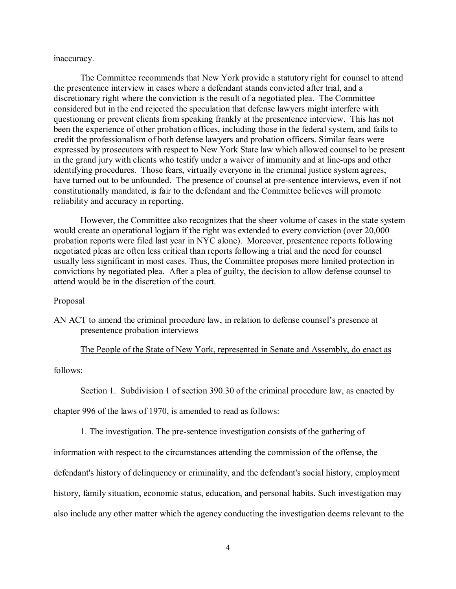#### inaccuracy.

The Committee recommends that New York provide a statutory right for counsel to attend the presentence interview in cases where a defendant stands convicted after trial, and a discretionary right where the conviction is the result of a negotiated plea. The Committee considered but in the end rejected the speculation that defense lawyers might interfere with questioning or prevent clients from speaking frankly at the presentence interview. This has not been the experience of other probation offices, including those in the federal system, and fails to credit the professionalism of both defense lawyers and probation officers. Similar fears were expressed by prosecutors with respect to New York State law which allowed counsel to be present in the grand jury with clients who testify under a waiver of immunity and at line-ups and other identifying procedures. Those fears, virtually everyone in the criminal justice system agrees, have turned out to be unfounded. The presence of counsel at pre-sentence interviews, even if not constitutionally mandated, is fair to the defendant and the Committee believes will promote reliability and accuracy in reporting.

However, the Committee also recognizes that the sheer volume of cases in the state system would create an operational logjam if the right was extended to every conviction (over 20,000 probation reports were filed last year in NYC alone). Moreover, presentence reports following negotiated pleas are often less critical than reports following a trial and the need for counsel usually less significant in most cases. Thus, the Committee proposes more limited protection in convictions by negotiated plea. After a plea of guilty, the decision to allow defense counsel to attend would be in the discretion of the court.

#### **Proposal**

AN ACT to amend the criminal procedure law, in relation to defense counsel's presence at presentence probation interviews

#### The People of the State of New York, represented in Senate and Assembly, do enact as

#### follows:

Section 1. Subdivision 1 of section 390.30 of the criminal procedure law, as enacted by

chapter 996 of the laws of 1970, is amended to read as follows:

1. The investigation. The pre-sentence investigation consists of the gathering of

information with respect to the circumstances attending the commission of the offense, the

defendant's history of delinquency or criminality, and the defendant's social history, employment

history, family situation, economic status, education, and personal habits. Such investigation may

also include any other matter which the agency conducting the investigation deems relevant to the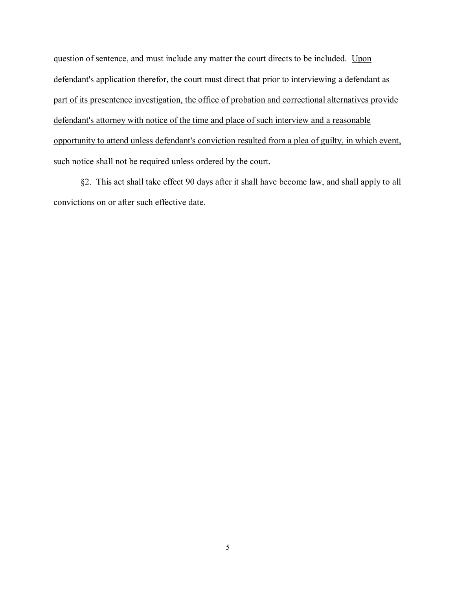question of sentence, and must include any matter the court directs to be included. Upon defendant's application therefor, the court must direct that prior to interviewing a defendant as part of its presentence investigation, the office of probation and correctional alternatives provide defendant's attorney with notice of the time and place of such interview and a reasonable opportunity to attend unless defendant's conviction resulted from a plea of guilty, in which event, such notice shall not be required unless ordered by the court.

§2. This act shall take effect 90 days after it shall have become law, and shall apply to all convictions on or after such effective date.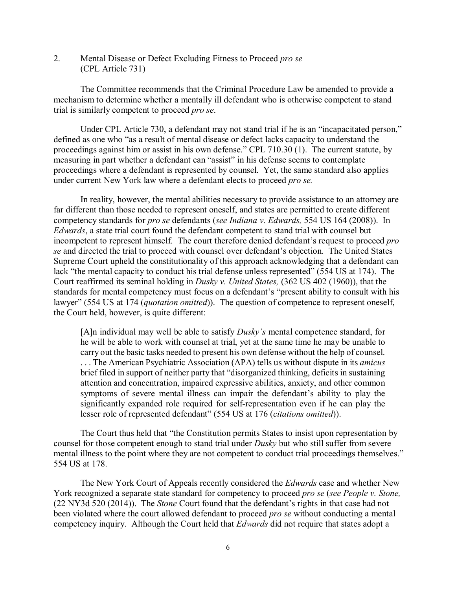2. Mental Disease or Defect Excluding Fitness to Proceed *pro se* (CPL Article 731)

The Committee recommends that the Criminal Procedure Law be amended to provide a mechanism to determine whether a mentally ill defendant who is otherwise competent to stand trial is similarly competent to proceed *pro se*.

Under CPL Article 730, a defendant may not stand trial if he is an "incapacitated person," defined as one who "as a result of mental disease or defect lacks capacity to understand the proceedings against him or assist in his own defense." CPL 710.30 (1). The current statute, by measuring in part whether a defendant can "assist" in his defense seems to contemplate proceedings where a defendant is represented by counsel. Yet, the same standard also applies under current New York law where a defendant elects to proceed *pro se.* 

In reality, however, the mental abilities necessary to provide assistance to an attorney are far different than those needed to represent oneself, and states are permitted to create different competency standards for *pro se* defendants (*see Indiana v. Edwards,* 554 US 164 (2008)). In *Edwards*, a state trial court found the defendant competent to stand trial with counsel but incompetent to represent himself. The court therefore denied defendant's request to proceed *pro se* and directed the trial to proceed with counsel over defendant's objection. The United States Supreme Court upheld the constitutionality of this approach acknowledging that a defendant can lack "the mental capacity to conduct his trial defense unless represented" (554 US at 174). The Court reaffirmed its seminal holding in *Dusky v. United States,* (362 US 402 (1960)), that the standards for mental competency must focus on a defendant's "present ability to consult with his lawyer" (554 US at 174 (*quotation omitted*)). The question of competence to represent oneself, the Court held, however, is quite different:

[A]n individual may well be able to satisfy *Dusky's* mental competence standard, for he will be able to work with counsel at trial, yet at the same time he may be unable to carry out the basic tasks needed to present his own defense without the help of counsel. . . . The American Psychiatric Association (APA) tells us without dispute in its *amicus*  brief filed in support of neither party that "disorganized thinking, deficits in sustaining attention and concentration, impaired expressive abilities, anxiety, and other common symptoms of severe mental illness can impair the defendant's ability to play the significantly expanded role required for self-representation even if he can play the lesser role of represented defendant" (554 US at 176 (*citations omitted*)).

The Court thus held that "the Constitution permits States to insist upon representation by counsel for those competent enough to stand trial under *Dusky* but who still suffer from severe mental illness to the point where they are not competent to conduct trial proceedings themselves." 554 US at 178.

The New York Court of Appeals recently considered the *Edwards* case and whether New York recognized a separate state standard for competency to proceed *pro se* (*see People v. Stone,*  (22 NY3d 520 (2014)). The *Stone* Court found that the defendant's rights in that case had not been violated where the court allowed defendant to proceed *pro se* without conducting a mental competency inquiry. Although the Court held that *Edwards* did not require that states adopt a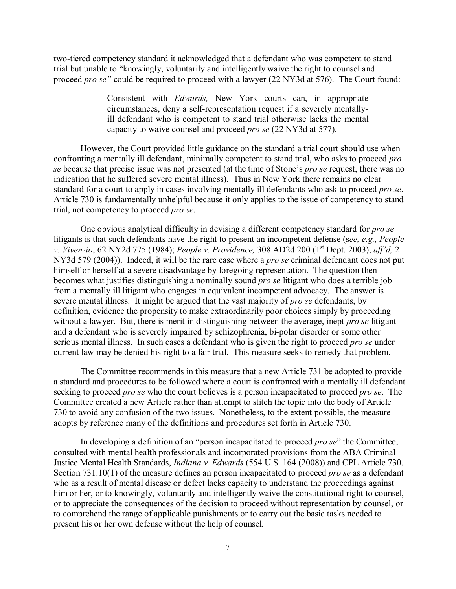two-tiered competency standard it acknowledged that a defendant who was competent to stand trial but unable to "knowingly, voluntarily and intelligently waive the right to counsel and proceed *pro se"* could be required to proceed with a lawyer (22 NY3d at 576). The Court found:

> Consistent with *Edwards,* New York courts can, in appropriate circumstances, deny a self-representation request if a severely mentallyill defendant who is competent to stand trial otherwise lacks the mental capacity to waive counsel and proceed *pro se* (22 NY3d at 577).

However, the Court provided little guidance on the standard a trial court should use when confronting a mentally ill defendant, minimally competent to stand trial, who asks to proceed *pro se* because that precise issue was not presented (at the time of Stone's *pro se* request, there was no indication that he suffered severe mental illness). Thus in New York there remains no clear standard for a court to apply in cases involving mentally ill defendants who ask to proceed *pro se*. Article 730 is fundamentally unhelpful because it only applies to the issue of competency to stand trial, not competency to proceed *pro se*.

One obvious analytical difficulty in devising a different competency standard for *pro se*  litigants is that such defendants have the right to present an incompetent defense (s*ee, e.g., People v. Vivenzio*, 62 NY2d 775 (1984); *People v. Providence,* 308 AD2d 200 (1st Dept. 2003), *aff'd,* 2 NY3d 579 (2004)). Indeed, it will be the rare case where a *pro se* criminal defendant does not put himself or herself at a severe disadvantage by foregoing representation. The question then becomes what justifies distinguishing a nominally sound *pro se* litigant who does a terrible job from a mentally ill litigant who engages in equivalent incompetent advocacy. The answer is severe mental illness. It might be argued that the vast majority of *pro se* defendants, by definition, evidence the propensity to make extraordinarily poor choices simply by proceeding without a lawyer. But, there is merit in distinguishing between the average, inept *pro se* litigant and a defendant who is severely impaired by schizophrenia, bi-polar disorder or some other serious mental illness. In such cases a defendant who is given the right to proceed *pro se* under current law may be denied his right to a fair trial. This measure seeks to remedy that problem.

The Committee recommends in this measure that a new Article 731 be adopted to provide a standard and procedures to be followed where a court is confronted with a mentally ill defendant seeking to proceed *pro se* who the court believes is a person incapacitated to proceed *pro se*. The Committee created a new Article rather than attempt to stitch the topic into the body of Article 730 to avoid any confusion of the two issues. Nonetheless, to the extent possible, the measure adopts by reference many of the definitions and procedures set forth in Article 730.

In developing a definition of an "person incapacitated to proceed *pro se*" the Committee, consulted with mental health professionals and incorporated provisions from the ABA Criminal Justice Mental Health Standards, *Indiana v. Edwards* (554 U.S. 164 (2008)) and CPL Article 730. Section 731.10(1) of the measure defines an person incapacitated to proceed *pro se* as a defendant who as a result of mental disease or defect lacks capacity to understand the proceedings against him or her, or to knowingly, voluntarily and intelligently waive the constitutional right to counsel, or to appreciate the consequences of the decision to proceed without representation by counsel, or to comprehend the range of applicable punishments or to carry out the basic tasks needed to present his or her own defense without the help of counsel.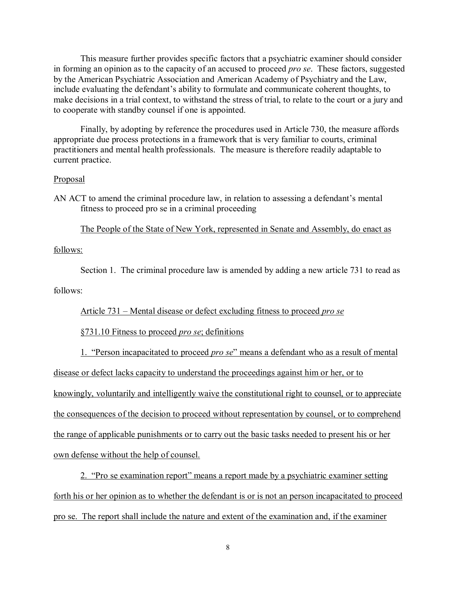This measure further provides specific factors that a psychiatric examiner should consider in forming an opinion as to the capacity of an accused to proceed *pro se*. These factors, suggested by the American Psychiatric Association and American Academy of Psychiatry and the Law, include evaluating the defendant's ability to formulate and communicate coherent thoughts, to make decisions in a trial context, to withstand the stress of trial, to relate to the court or a jury and to cooperate with standby counsel if one is appointed.

Finally, by adopting by reference the procedures used in Article 730, the measure affords appropriate due process protections in a framework that is very familiar to courts, criminal practitioners and mental health professionals. The measure is therefore readily adaptable to current practice.

## Proposal

AN ACT to amend the criminal procedure law, in relation to assessing a defendant's mental fitness to proceed pro se in a criminal proceeding

The People of the State of New York, represented in Senate and Assembly, do enact as

## follows:

Section 1. The criminal procedure law is amended by adding a new article 731 to read as follows:

Article 731 – Mental disease or defect excluding fitness to proceed *pro se*

§731.10 Fitness to proceed *pro se*; definitions

1. "Person incapacitated to proceed *pro se*" means a defendant who as a result of mental disease or defect lacks capacity to understand the proceedings against him or her, or to knowingly, voluntarily and intelligently waive the constitutional right to counsel, or to appreciate the consequences of the decision to proceed without representation by counsel, or to comprehend the range of applicable punishments or to carry out the basic tasks needed to present his or her own defense without the help of counsel.

2. "Pro se examination report" means a report made by a psychiatric examiner setting forth his or her opinion as to whether the defendant is or is not an person incapacitated to proceed pro se. The report shall include the nature and extent of the examination and, if the examiner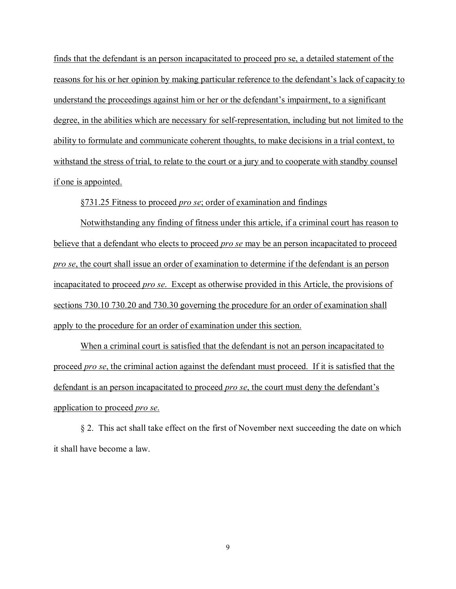finds that the defendant is an person incapacitated to proceed pro se, a detailed statement of the reasons for his or her opinion by making particular reference to the defendant's lack of capacity to understand the proceedings against him or her or the defendant's impairment, to a significant degree, in the abilities which are necessary for self-representation, including but not limited to the ability to formulate and communicate coherent thoughts, to make decisions in a trial context, to withstand the stress of trial, to relate to the court or a jury and to cooperate with standby counsel if one is appointed.

§731.25 Fitness to proceed *pro se*; order of examination and findings

Notwithstanding any finding of fitness under this article, if a criminal court has reason to believe that a defendant who elects to proceed *pro se* may be an person incapacitated to proceed *pro se*, the court shall issue an order of examination to determine if the defendant is an person incapacitated to proceed *pro se*. Except as otherwise provided in this Article, the provisions of sections 730.10 730.20 and 730.30 governing the procedure for an order of examination shall apply to the procedure for an order of examination under this section.

When a criminal court is satisfied that the defendant is not an person incapacitated to proceed *pro se*, the criminal action against the defendant must proceed. If it is satisfied that the defendant is an person incapacitated to proceed *pro se*, the court must deny the defendant's application to proceed *pro se*.

§ 2. This act shall take effect on the first of November next succeeding the date on which it shall have become a law.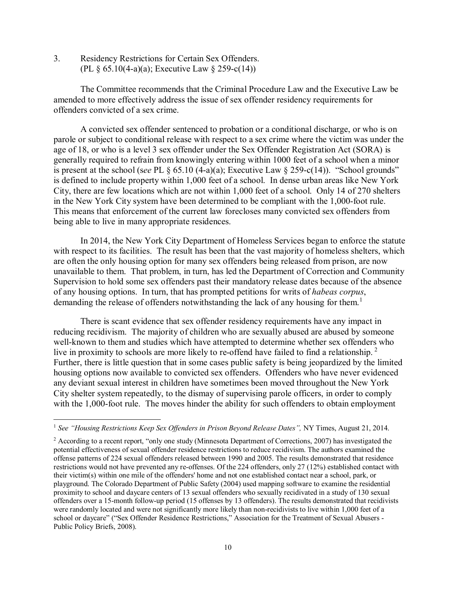3. Residency Restrictions for Certain Sex Offenders. (PL § 65.10(4-a)(a); Executive Law § 259-c(14))

The Committee recommends that the Criminal Procedure Law and the Executive Law be amended to more effectively address the issue of sex offender residency requirements for offenders convicted of a sex crime.

A convicted sex offender sentenced to probation or a conditional discharge, or who is on parole or subject to conditional release with respect to a sex crime where the victim was under the age of 18, or who is a level 3 sex offender under the Sex Offender Registration Act (SORA) is generally required to refrain from knowingly entering within 1000 feet of a school when a minor is present at the school (see PL  $\frac{6}{5}$  65.10 (4-a)(a); Executive Law  $\frac{6}{5}$  259-c(14)). "School grounds" is defined to include property within 1,000 feet of a school. In dense urban areas like New York City, there are few locations which are not within 1,000 feet of a school. Only 14 of 270 shelters in the New York City system have been determined to be compliant with the 1,000-foot rule. This means that enforcement of the current law forecloses many convicted sex offenders from being able to live in many appropriate residences.

In 2014, the New York City Department of Homeless Services began to enforce the statute with respect to its facilities. The result has been that the vast majority of homeless shelters, which are often the only housing option for many sex offenders being released from prison, are now unavailable to them. That problem, in turn, has led the Department of Correction and Community Supervision to hold some sex offenders past their mandatory release dates because of the absence of any housing options. In turn, that has prompted petitions for writs of *habeas corpus*, demanding the release of offenders notwithstanding the lack of any housing for them.<sup>1</sup>

There is scant evidence that sex offender residency requirements have any impact in reducing recidivism. The majority of children who are sexually abused are abused by someone well-known to them and studies which have attempted to determine whether sex offenders who live in proximity to schools are more likely to re-offend have failed to find a relationship.<sup>2</sup> Further, there is little question that in some cases public safety is being jeopardized by the limited housing options now available to convicted sex offenders. Offenders who have never evidenced any deviant sexual interest in children have sometimes been moved throughout the New York City shelter system repeatedly, to the dismay of supervising parole officers, in order to comply with the 1,000-foot rule. The moves hinder the ability for such offenders to obtain employment

 <sup>1</sup> *See "Housing Restrictions Keep Sex Offenders in Prison Beyond Release Dates",* NY Times, August 21, 2014.

<sup>2</sup> According to a recent report, "only one study (Minnesota Department of Corrections, 2007) has investigated the potential effectiveness of sexual offender residence restrictions to reduce recidivism. The authors examined the offense patterns of 224 sexual offenders released between 1990 and 2005. The results demonstrated that residence restrictions would not have prevented any re-offenses. Of the 224 offenders, only 27 (12%) established contact with their victim(s) within one mile of the offenders' home and not one established contact near a school, park, or playground. The Colorado Department of Public Safety (2004) used mapping software to examine the residential proximity to school and daycare centers of 13 sexual offenders who sexually recidivated in a study of 130 sexual offenders over a 15-month follow-up period (15 offenses by 13 offenders). The results demonstrated that recidivists were randomly located and were not significantly more likely than non-recidivists to live within 1,000 feet of a school or daycare" ("Sex Offender Residence Restrictions," Association for the Treatment of Sexual Abusers - Public Policy Briefs, 2008).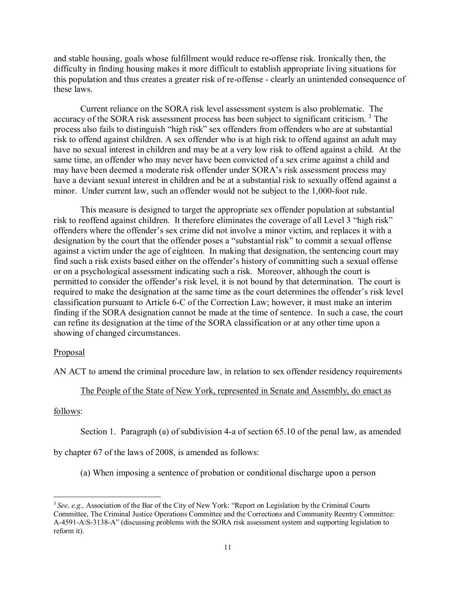and stable housing, goals whose fulfillment would reduce re-offense risk. Ironically then, the difficulty in finding housing makes it more difficult to establish appropriate living situations for this population and thus creates a greater risk of re-offense - clearly an unintended consequence of these laws.

Current reliance on the SORA risk level assessment system is also problematic. The accuracy of the SORA risk assessment process has been subject to significant criticism.<sup>3</sup> The process also fails to distinguish "high risk" sex offenders from offenders who are at substantial risk to offend against children. A sex offender who is at high risk to offend against an adult may have no sexual interest in children and may be at a very low risk to offend against a child. At the same time, an offender who may never have been convicted of a sex crime against a child and may have been deemed a moderate risk offender under SORA's risk assessment process may have a deviant sexual interest in children and be at a substantial risk to sexually offend against a minor. Under current law, such an offender would not be subject to the 1,000-foot rule.

This measure is designed to target the appropriate sex offender population at substantial risk to reoffend against children. It therefore eliminates the coverage of all Level 3 "high risk" offenders where the offender's sex crime did not involve a minor victim, and replaces it with a designation by the court that the offender poses a "substantial risk" to commit a sexual offense against a victim under the age of eighteen. In making that designation, the sentencing court may find such a risk exists based either on the offender's history of committing such a sexual offense or on a psychological assessment indicating such a risk. Moreover, although the court is permitted to consider the offender's risk level, it is not bound by that determination. The court is required to make the designation at the same time as the court determines the offender's risk level classification pursuant to Article 6-C of the Correction Law; however, it must make an interim finding if the SORA designation cannot be made at the time of sentence. In such a case, the court can refine its designation at the time of the SORA classification or at any other time upon a showing of changed circumstances.

# Proposal

AN ACT to amend the criminal procedure law, in relation to sex offender residency requirements

## The People of the State of New York, represented in Senate and Assembly, do enact as

## follows:

Section 1. Paragraph (a) of subdivision 4-a of section 65.10 of the penal law, as amended

by chapter 67 of the laws of 2008, is amended as follows:

(a) When imposing a sentence of probation or conditional discharge upon a person

<sup>&</sup>lt;sup>3</sup> See, e.g., Association of the Bar of the City of New York: "Report on Legislation by the Criminal Courts" Committee, The Criminal Justice Operations Committee and the Corrections and Community Reentry Committee: A-4591-A\S-3138-A" (discussing problems with the SORA risk assessment system and supporting legislation to reform it).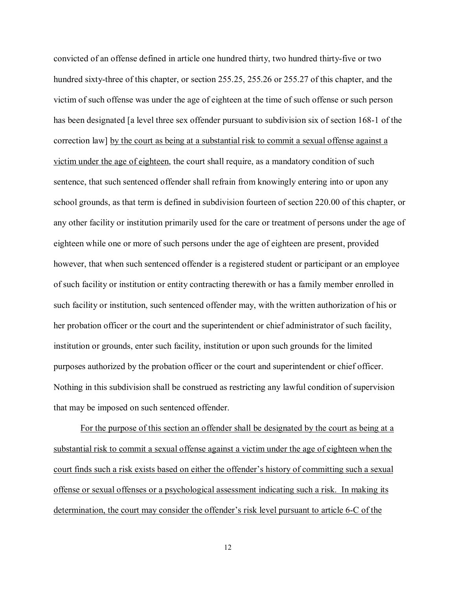convicted of an offense defined in article one hundred thirty, two hundred thirty-five or two hundred sixty-three of this chapter, or section 255.25, 255.26 or 255.27 of this chapter, and the victim of such offense was under the age of eighteen at the time of such offense or such person has been designated [a level three sex offender pursuant to subdivision six of section 168-1 of the correction law] by the court as being at a substantial risk to commit a sexual offense against a victim under the age of eighteen, the court shall require, as a mandatory condition of such sentence, that such sentenced offender shall refrain from knowingly entering into or upon any school grounds, as that term is defined in subdivision fourteen of section 220.00 of this chapter, or any other facility or institution primarily used for the care or treatment of persons under the age of eighteen while one or more of such persons under the age of eighteen are present, provided however, that when such sentenced offender is a registered student or participant or an employee of such facility or institution or entity contracting therewith or has a family member enrolled in such facility or institution, such sentenced offender may, with the written authorization of his or her probation officer or the court and the superintendent or chief administrator of such facility, institution or grounds, enter such facility, institution or upon such grounds for the limited purposes authorized by the probation officer or the court and superintendent or chief officer. Nothing in this subdivision shall be construed as restricting any lawful condition of supervision that may be imposed on such sentenced offender.

For the purpose of this section an offender shall be designated by the court as being at a substantial risk to commit a sexual offense against a victim under the age of eighteen when the court finds such a risk exists based on either the offender's history of committing such a sexual offense or sexual offenses or a psychological assessment indicating such a risk. In making its determination, the court may consider the offender's risk level pursuant to article 6-C of the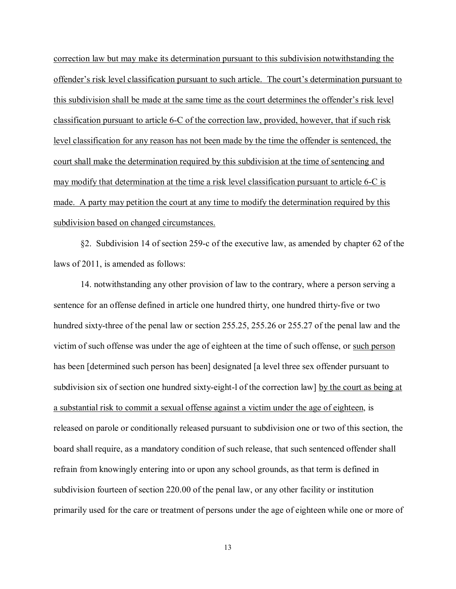correction law but may make its determination pursuant to this subdivision notwithstanding the offender's risk level classification pursuant to such article. The court's determination pursuant to this subdivision shall be made at the same time as the court determines the offender's risk level classification pursuant to article 6-C of the correction law, provided, however, that if such risk level classification for any reason has not been made by the time the offender is sentenced, the court shall make the determination required by this subdivision at the time of sentencing and may modify that determination at the time a risk level classification pursuant to article 6-C is made. A party may petition the court at any time to modify the determination required by this subdivision based on changed circumstances.

§2. Subdivision 14 of section 259-c of the executive law, as amended by chapter 62 of the laws of 2011, is amended as follows:

14. notwithstanding any other provision of law to the contrary, where a person serving a sentence for an offense defined in article one hundred thirty, one hundred thirty-five or two hundred sixty-three of the penal law or section 255.25, 255.26 or 255.27 of the penal law and the victim of such offense was under the age of eighteen at the time of such offense, or such person has been [determined such person has been] designated [a level three sex offender pursuant to subdivision six of section one hundred sixty-eight-l of the correction law] by the court as being at a substantial risk to commit a sexual offense against a victim under the age of eighteen, is released on parole or conditionally released pursuant to subdivision one or two of this section, the board shall require, as a mandatory condition of such release, that such sentenced offender shall refrain from knowingly entering into or upon any school grounds, as that term is defined in subdivision fourteen of section 220.00 of the penal law, or any other facility or institution primarily used for the care or treatment of persons under the age of eighteen while one or more of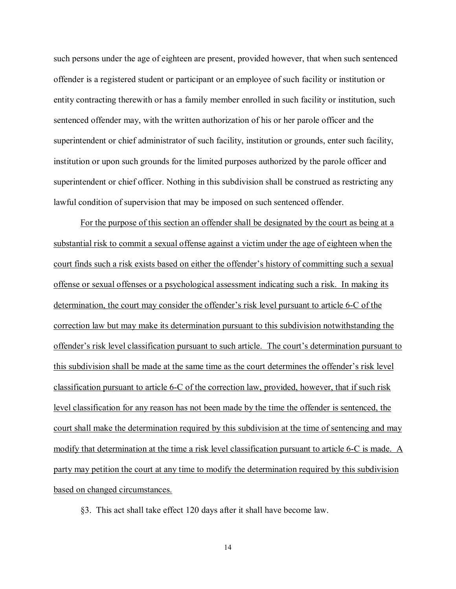such persons under the age of eighteen are present, provided however, that when such sentenced offender is a registered student or participant or an employee of such facility or institution or entity contracting therewith or has a family member enrolled in such facility or institution, such sentenced offender may, with the written authorization of his or her parole officer and the superintendent or chief administrator of such facility, institution or grounds, enter such facility, institution or upon such grounds for the limited purposes authorized by the parole officer and superintendent or chief officer. Nothing in this subdivision shall be construed as restricting any lawful condition of supervision that may be imposed on such sentenced offender.

For the purpose of this section an offender shall be designated by the court as being at a substantial risk to commit a sexual offense against a victim under the age of eighteen when the court finds such a risk exists based on either the offender's history of committing such a sexual offense or sexual offenses or a psychological assessment indicating such a risk. In making its determination, the court may consider the offender's risk level pursuant to article 6-C of the correction law but may make its determination pursuant to this subdivision notwithstanding the offender's risk level classification pursuant to such article. The court's determination pursuant to this subdivision shall be made at the same time as the court determines the offender's risk level classification pursuant to article 6-C of the correction law, provided, however, that if such risk level classification for any reason has not been made by the time the offender is sentenced, the court shall make the determination required by this subdivision at the time of sentencing and may modify that determination at the time a risk level classification pursuant to article 6-C is made. A party may petition the court at any time to modify the determination required by this subdivision based on changed circumstances.

§3. This act shall take effect 120 days after it shall have become law.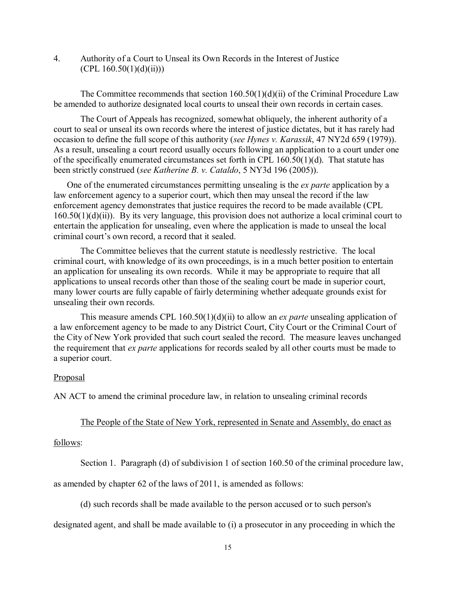4. Authority of a Court to Unseal its Own Records in the Interest of Justice  $(CPL 160.50(1)(d)(ii))$ 

The Committee recommends that section  $160.50(1)(d)(ii)$  of the Criminal Procedure Law be amended to authorize designated local courts to unseal their own records in certain cases.

The Court of Appeals has recognized, somewhat obliquely, the inherent authority of a court to seal or unseal its own records where the interest of justice dictates, but it has rarely had occasion to define the full scope of this authority (*see Hynes v. Karassik*, 47 NY2d 659 (1979)). As a result, unsealing a court record usually occurs following an application to a court under one of the specifically enumerated circumstances set forth in CPL 160.50(1)(d). That statute has been strictly construed (*see Katherine B. v. Cataldo*, 5 NY3d 196 (2005)).

One of the enumerated circumstances permitting unsealing is the *ex parte* application by a law enforcement agency to a superior court, which then may unseal the record if the law enforcement agency demonstrates that justice requires the record to be made available (CPL 160.50(1)(d)(ii)). By its very language, this provision does not authorize a local criminal court to entertain the application for unsealing, even where the application is made to unseal the local criminal court's own record, a record that it sealed.

The Committee believes that the current statute is needlessly restrictive. The local criminal court, with knowledge of its own proceedings, is in a much better position to entertain an application for unsealing its own records. While it may be appropriate to require that all applications to unseal records other than those of the sealing court be made in superior court, many lower courts are fully capable of fairly determining whether adequate grounds exist for unsealing their own records.

This measure amends CPL 160.50(1)(d)(ii) to allow an *ex parte* unsealing application of a law enforcement agency to be made to any District Court, City Court or the Criminal Court of the City of New York provided that such court sealed the record. The measure leaves unchanged the requirement that *ex parte* applications for records sealed by all other courts must be made to a superior court.

#### **Proposal**

AN ACT to amend the criminal procedure law, in relation to unsealing criminal records

# The People of the State of New York, represented in Senate and Assembly, do enact as

## follows:

Section 1. Paragraph (d) of subdivision 1 of section 160.50 of the criminal procedure law,

as amended by chapter 62 of the laws of 2011, is amended as follows:

(d) such records shall be made available to the person accused or to such person's

designated agent, and shall be made available to (i) a prosecutor in any proceeding in which the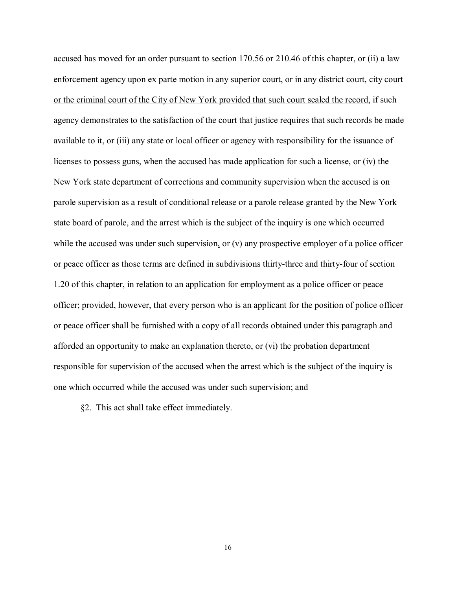accused has moved for an order pursuant to section 170.56 or 210.46 of this chapter, or (ii) a law enforcement agency upon ex parte motion in any superior court, or in any district court, city court or the criminal court of the City of New York provided that such court sealed the record, if such agency demonstrates to the satisfaction of the court that justice requires that such records be made available to it, or (iii) any state or local officer or agency with responsibility for the issuance of licenses to possess guns, when the accused has made application for such a license, or (iv) the New York state department of corrections and community supervision when the accused is on parole supervision as a result of conditional release or a parole release granted by the New York state board of parole, and the arrest which is the subject of the inquiry is one which occurred while the accused was under such supervision, or (v) any prospective employer of a police officer or peace officer as those terms are defined in subdivisions thirty-three and thirty-four of section 1.20 of this chapter, in relation to an application for employment as a police officer or peace officer; provided, however, that every person who is an applicant for the position of police officer or peace officer shall be furnished with a copy of all records obtained under this paragraph and afforded an opportunity to make an explanation thereto, or (vi) the probation department responsible for supervision of the accused when the arrest which is the subject of the inquiry is one which occurred while the accused was under such supervision; and

§2. This act shall take effect immediately.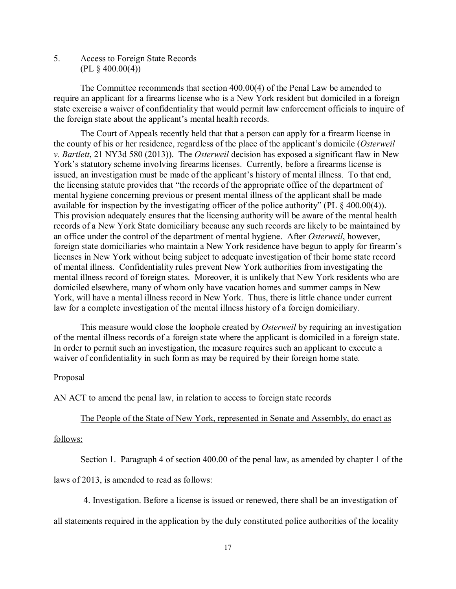5. Access to Foreign State Records  $(PL \S 400.00(4))$ 

The Committee recommends that section 400.00(4) of the Penal Law be amended to require an applicant for a firearms license who is a New York resident but domiciled in a foreign state exercise a waiver of confidentiality that would permit law enforcement officials to inquire of the foreign state about the applicant's mental health records.

The Court of Appeals recently held that that a person can apply for a firearm license in the county of his or her residence, regardless of the place of the applicant's domicile (*Osterweil v. Bartlett*, 21 NY3d 580 (2013)). The *Osterweil* decision has exposed a significant flaw in New York's statutory scheme involving firearms licenses. Currently, before a firearms license is issued, an investigation must be made of the applicant's history of mental illness. To that end, the licensing statute provides that "the records of the appropriate office of the department of mental hygiene concerning previous or present mental illness of the applicant shall be made available for inspection by the investigating officer of the police authority" (PL § 400.00(4)). This provision adequately ensures that the licensing authority will be aware of the mental health records of a New York State domiciliary because any such records are likely to be maintained by an office under the control of the department of mental hygiene. After *Osterweil*, however, foreign state domiciliaries who maintain a New York residence have begun to apply for firearm's licenses in New York without being subject to adequate investigation of their home state record of mental illness. Confidentiality rules prevent New York authorities from investigating the mental illness record of foreign states. Moreover, it is unlikely that New York residents who are domiciled elsewhere, many of whom only have vacation homes and summer camps in New York, will have a mental illness record in New York. Thus, there is little chance under current law for a complete investigation of the mental illness history of a foreign domiciliary.

This measure would close the loophole created by *Osterweil* by requiring an investigation of the mental illness records of a foreign state where the applicant is domiciled in a foreign state. In order to permit such an investigation, the measure requires such an applicant to execute a waiver of confidentiality in such form as may be required by their foreign home state.

## **Proposal**

AN ACT to amend the penal law, in relation to access to foreign state records

#### The People of the State of New York, represented in Senate and Assembly, do enact as

# follows:

Section 1. Paragraph 4 of section 400.00 of the penal law, as amended by chapter 1 of the

laws of 2013, is amended to read as follows:

4. Investigation. Before a license is issued or renewed, there shall be an investigation of

all statements required in the application by the duly constituted police authorities of the locality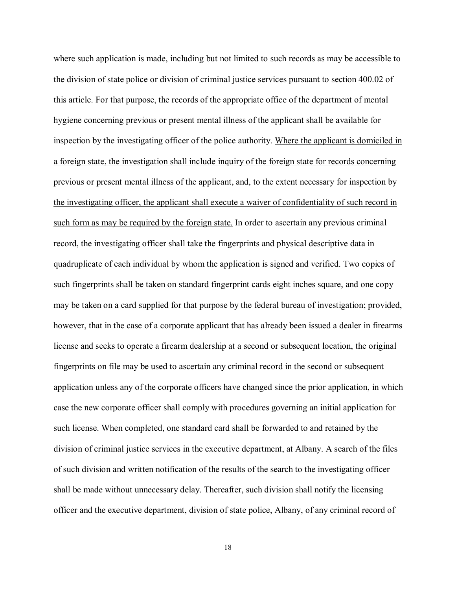where such application is made, including but not limited to such records as may be accessible to the division of state police or division of criminal justice services pursuant to section 400.02 of this article. For that purpose, the records of the appropriate office of the department of mental hygiene concerning previous or present mental illness of the applicant shall be available for inspection by the investigating officer of the police authority. Where the applicant is domiciled in a foreign state, the investigation shall include inquiry of the foreign state for records concerning previous or present mental illness of the applicant, and, to the extent necessary for inspection by the investigating officer, the applicant shall execute a waiver of confidentiality of such record in such form as may be required by the foreign state. In order to ascertain any previous criminal record, the investigating officer shall take the fingerprints and physical descriptive data in quadruplicate of each individual by whom the application is signed and verified. Two copies of such fingerprints shall be taken on standard fingerprint cards eight inches square, and one copy may be taken on a card supplied for that purpose by the federal bureau of investigation; provided, however, that in the case of a corporate applicant that has already been issued a dealer in firearms license and seeks to operate a firearm dealership at a second or subsequent location, the original fingerprints on file may be used to ascertain any criminal record in the second or subsequent application unless any of the corporate officers have changed since the prior application, in which case the new corporate officer shall comply with procedures governing an initial application for such license. When completed, one standard card shall be forwarded to and retained by the division of criminal justice services in the executive department, at Albany. A search of the files of such division and written notification of the results of the search to the investigating officer shall be made without unnecessary delay. Thereafter, such division shall notify the licensing officer and the executive department, division of state police, Albany, of any criminal record of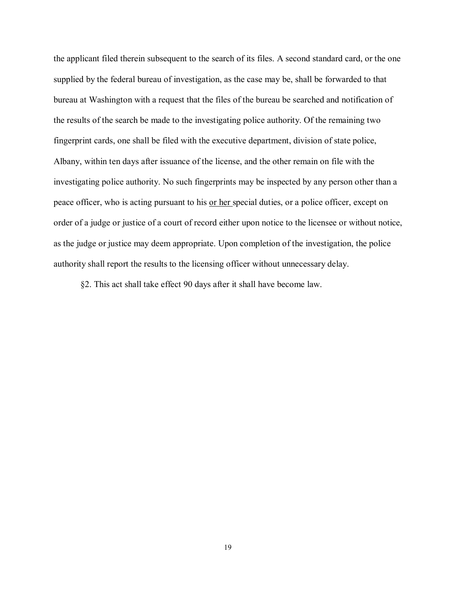the applicant filed therein subsequent to the search of its files. A second standard card, or the one supplied by the federal bureau of investigation, as the case may be, shall be forwarded to that bureau at Washington with a request that the files of the bureau be searched and notification of the results of the search be made to the investigating police authority. Of the remaining two fingerprint cards, one shall be filed with the executive department, division of state police, Albany, within ten days after issuance of the license, and the other remain on file with the investigating police authority. No such fingerprints may be inspected by any person other than a peace officer, who is acting pursuant to his or her special duties, or a police officer, except on order of a judge or justice of a court of record either upon notice to the licensee or without notice, as the judge or justice may deem appropriate. Upon completion of the investigation, the police authority shall report the results to the licensing officer without unnecessary delay.

§2. This act shall take effect 90 days after it shall have become law.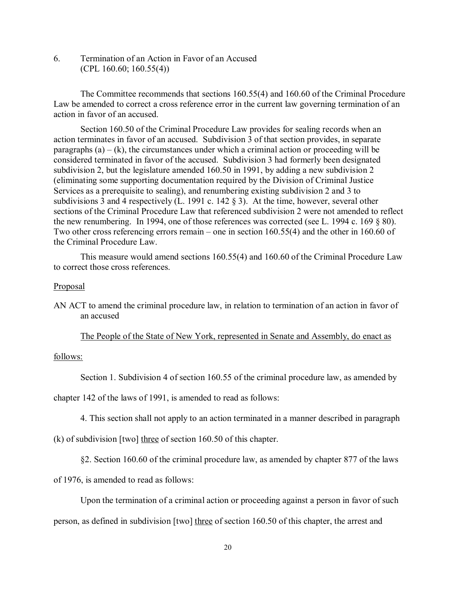6. Termination of an Action in Favor of an Accused  $(CPL 160.60; 160.55(4))$ 

The Committee recommends that sections 160.55(4) and 160.60 of the Criminal Procedure Law be amended to correct a cross reference error in the current law governing termination of an action in favor of an accused.

Section 160.50 of the Criminal Procedure Law provides for sealing records when an action terminates in favor of an accused. Subdivision 3 of that section provides, in separate paragraphs  $(a) - (k)$ , the circumstances under which a criminal action or proceeding will be considered terminated in favor of the accused. Subdivision 3 had formerly been designated subdivision 2, but the legislature amended 160.50 in 1991, by adding a new subdivision 2 (eliminating some supporting documentation required by the Division of Criminal Justice Services as a prerequisite to sealing), and renumbering existing subdivision 2 and 3 to subdivisions 3 and 4 respectively (L. 1991 c. 142 § 3). At the time, however, several other sections of the Criminal Procedure Law that referenced subdivision 2 were not amended to reflect the new renumbering. In 1994, one of those references was corrected (see L. 1994 c. 169 § 80). Two other cross referencing errors remain – one in section 160.55(4) and the other in 160.60 of the Criminal Procedure Law.

This measure would amend sections 160.55(4) and 160.60 of the Criminal Procedure Law to correct those cross references.

## Proposal

AN ACT to amend the criminal procedure law, in relation to termination of an action in favor of an accused

The People of the State of New York, represented in Senate and Assembly, do enact as

## follows:

Section 1. Subdivision 4 of section 160.55 of the criminal procedure law, as amended by

chapter 142 of the laws of 1991, is amended to read as follows:

4. This section shall not apply to an action terminated in a manner described in paragraph

(k) of subdivision [two] three of section 160.50 of this chapter.

§2. Section 160.60 of the criminal procedure law, as amended by chapter 877 of the laws

of 1976, is amended to read as follows:

Upon the termination of a criminal action or proceeding against a person in favor of such

person, as defined in subdivision [two] three of section 160.50 of this chapter, the arrest and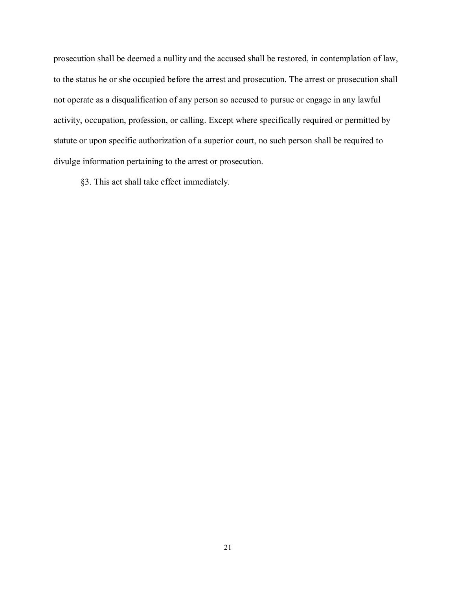prosecution shall be deemed a nullity and the accused shall be restored, in contemplation of law, to the status he or she occupied before the arrest and prosecution. The arrest or prosecution shall not operate as a disqualification of any person so accused to pursue or engage in any lawful activity, occupation, profession, or calling. Except where specifically required or permitted by statute or upon specific authorization of a superior court, no such person shall be required to divulge information pertaining to the arrest or prosecution.

§3. This act shall take effect immediately.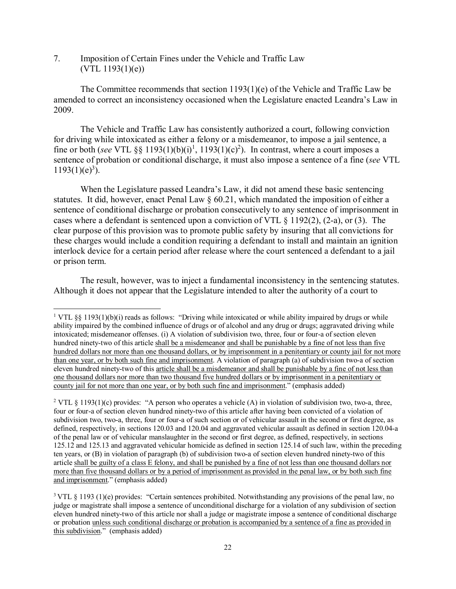7. Imposition of Certain Fines under the Vehicle and Traffic Law  $(VTL 1193(1)(e))$ 

The Committee recommends that section 1193(1)(e) of the Vehicle and Traffic Law be amended to correct an inconsistency occasioned when the Legislature enacted Leandra's Law in 2009.

The Vehicle and Traffic Law has consistently authorized a court, following conviction for driving while intoxicated as either a felony or a misdemeanor, to impose a jail sentence, a fine or both (*see* VTL §§ 1193(1)(b)(i)<sup>1</sup>, 1193(1)(c)<sup>2</sup>). In contrast, where a court imposes a sentence of probation or conditional discharge, it must also impose a sentence of a fine (*see* VTL  $1193(1)(e)<sup>3</sup>$ ).

When the Legislature passed Leandra's Law, it did not amend these basic sentencing statutes. It did, however, enact Penal Law § 60.21, which mandated the imposition of either a sentence of conditional discharge or probation consecutively to any sentence of imprisonment in cases where a defendant is sentenced upon a conviction of VTL § 1192(2), (2-a), or (3). The clear purpose of this provision was to promote public safety by insuring that all convictions for these charges would include a condition requiring a defendant to install and maintain an ignition interlock device for a certain period after release where the court sentenced a defendant to a jail or prison term.

The result, however, was to inject a fundamental inconsistency in the sentencing statutes. Although it does not appear that the Legislature intended to alter the authority of a court to

<sup>&</sup>lt;sup>1</sup> VTL §§ 1193(1)(b)(i) reads as follows: "Driving while intoxicated or while ability impaired by drugs or while ability impaired by the combined influence of drugs or of alcohol and any drug or drugs; aggravated driving while intoxicated; misdemeanor offenses. (i) A violation of subdivision two, three, four or four-a of section eleven hundred ninety-two of this article shall be a misdemeanor and shall be punishable by a fine of not less than five hundred dollars nor more than one thousand dollars, or by imprisonment in a penitentiary or county jail for not more than one year, or by both such fine and imprisonment. A violation of paragraph (a) of subdivision two-a of section eleven hundred ninety-two of this article shall be a misdemeanor and shall be punishable by a fine of not less than one thousand dollars nor more than two thousand five hundred dollars or by imprisonment in a penitentiary or county jail for not more than one year, or by both such fine and imprisonment." (emphasis added)

<sup>&</sup>lt;sup>2</sup> VTL § 1193(1)(c) provides: "A person who operates a vehicle (A) in violation of subdivision two, two-a, three, four or four-a of section eleven hundred ninety-two of this article after having been convicted of a violation of subdivision two, two-a, three, four or four-a of such section or of vehicular assault in the second or first degree, as defined, respectively, in sections 120.03 and 120.04 and aggravated vehicular assault as defined in section 120.04-a of the penal law or of vehicular manslaughter in the second or first degree, as defined, respectively, in sections 125.12 and 125.13 and aggravated vehicular homicide as defined in section 125.14 of such law, within the preceding ten years, or (B) in violation of paragraph (b) of subdivision two-a of section eleven hundred ninety-two of this article shall be guilty of a class E felony, and shall be punished by a fine of not less than one thousand dollars nor more than five thousand dollars or by a period of imprisonment as provided in the penal law, or by both such fine and imprisonment." (emphasis added)

<sup>&</sup>lt;sup>3</sup> VTL § 1193 (1)(e) provides: "Certain sentences prohibited. Notwithstanding any provisions of the penal law, no judge or magistrate shall impose a sentence of unconditional discharge for a violation of any subdivision of section eleven hundred ninety-two of this article nor shall a judge or magistrate impose a sentence of conditional discharge or probation unless such conditional discharge or probation is accompanied by a sentence of a fine as provided in this subdivision." (emphasis added)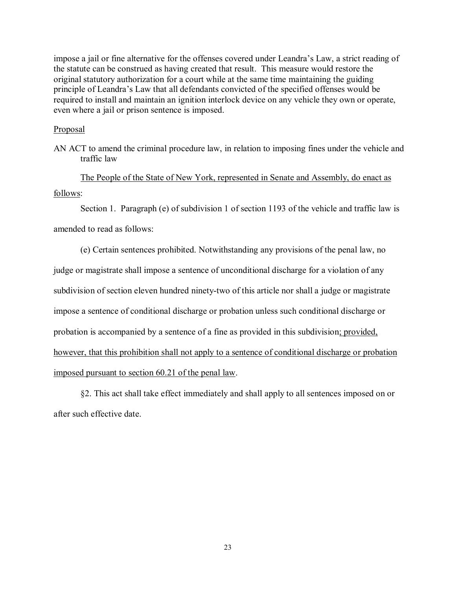impose a jail or fine alternative for the offenses covered under Leandra's Law, a strict reading of the statute can be construed as having created that result. This measure would restore the original statutory authorization for a court while at the same time maintaining the guiding principle of Leandra's Law that all defendants convicted of the specified offenses would be required to install and maintain an ignition interlock device on any vehicle they own or operate, even where a jail or prison sentence is imposed.

#### **Proposal**

AN ACT to amend the criminal procedure law, in relation to imposing fines under the vehicle and traffic law

The People of the State of New York, represented in Senate and Assembly, do enact as follows:

Section 1. Paragraph (e) of subdivision 1 of section 1193 of the vehicle and traffic law is amended to read as follows:

(e) Certain sentences prohibited. Notwithstanding any provisions of the penal law, no

judge or magistrate shall impose a sentence of unconditional discharge for a violation of any subdivision of section eleven hundred ninety-two of this article nor shall a judge or magistrate impose a sentence of conditional discharge or probation unless such conditional discharge or probation is accompanied by a sentence of a fine as provided in this subdivision; provided, however, that this prohibition shall not apply to a sentence of conditional discharge or probation imposed pursuant to section 60.21 of the penal law.

§2. This act shall take effect immediately and shall apply to all sentences imposed on or after such effective date.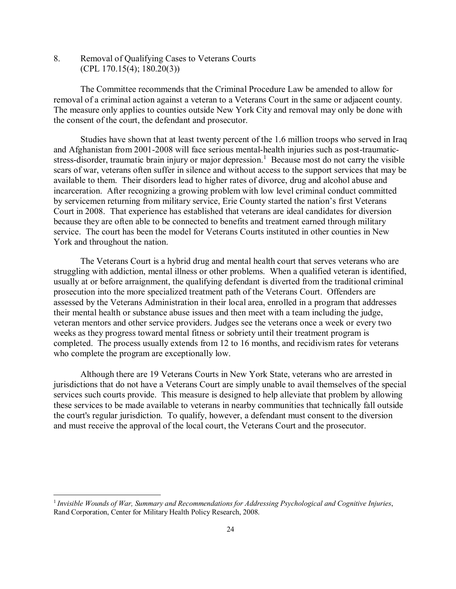8. Removal of Qualifying Cases to Veterans Courts (CPL 170.15(4); 180.20(3))

The Committee recommends that the Criminal Procedure Law be amended to allow for removal of a criminal action against a veteran to a Veterans Court in the same or adjacent county. The measure only applies to counties outside New York City and removal may only be done with the consent of the court, the defendant and prosecutor.

Studies have shown that at least twenty percent of the 1.6 million troops who served in Iraq and Afghanistan from 2001-2008 will face serious mental-health injuries such as post-traumaticstress-disorder, traumatic brain injury or major depression.<sup>1</sup> Because most do not carry the visible scars of war, veterans often suffer in silence and without access to the support services that may be available to them. Their disorders lead to higher rates of divorce, drug and alcohol abuse and incarceration. After recognizing a growing problem with low level criminal conduct committed by servicemen returning from military service, Erie County started the nation's first Veterans Court in 2008. That experience has established that veterans are ideal candidates for diversion because they are often able to be connected to benefits and treatment earned through military service. The court has been the model for Veterans Courts instituted in other counties in New York and throughout the nation.

The Veterans Court is a hybrid drug and mental health court that serves veterans who are struggling with addiction, mental illness or other problems. When a qualified veteran is identified, usually at or before arraignment, the qualifying defendant is diverted from the traditional criminal prosecution into the more specialized treatment path of the Veterans Court. Offenders are assessed by the Veterans Administration in their local area, enrolled in a program that addresses their mental health or substance abuse issues and then meet with a team including the judge, veteran mentors and other service providers. Judges see the veterans once a week or every two weeks as they progress toward mental fitness or sobriety until their treatment program is completed. The process usually extends from 12 to 16 months, and recidivism rates for veterans who complete the program are exceptionally low.

Although there are 19 Veterans Courts in New York State, veterans who are arrested in jurisdictions that do not have a Veterans Court are simply unable to avail themselves of the special services such courts provide. This measure is designed to help alleviate that problem by allowing these services to be made available to veterans in nearby communities that technically fall outside the court's regular jurisdiction. To qualify, however, a defendant must consent to the diversion and must receive the approval of the local court, the Veterans Court and the prosecutor.

 <sup>1</sup> *Invisible Wounds of War, Summary and Recommendations for Addressing Psychological and Cognitive Injuries*, Rand Corporation, Center for Military Health Policy Research, 2008.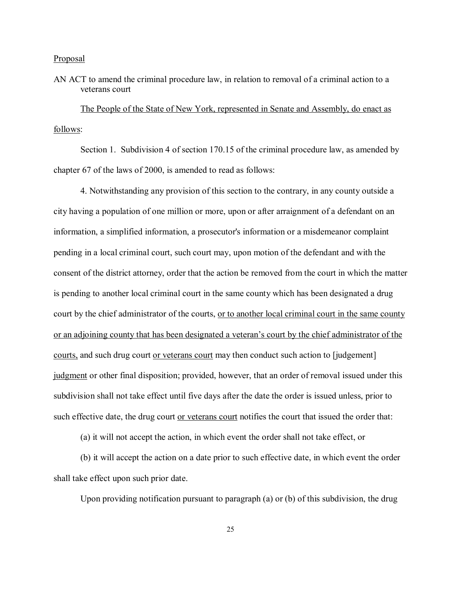#### Proposal

# AN ACT to amend the criminal procedure law, in relation to removal of a criminal action to a veterans court

The People of the State of New York, represented in Senate and Assembly, do enact as follows:

Section 1. Subdivision 4 of section 170.15 of the criminal procedure law, as amended by chapter 67 of the laws of 2000, is amended to read as follows:

4. Notwithstanding any provision of this section to the contrary, in any county outside a city having a population of one million or more, upon or after arraignment of a defendant on an information, a simplified information, a prosecutor's information or a misdemeanor complaint pending in a local criminal court, such court may, upon motion of the defendant and with the consent of the district attorney, order that the action be removed from the court in which the matter is pending to another local criminal court in the same county which has been designated a drug court by the chief administrator of the courts, or to another local criminal court in the same county or an adjoining county that has been designated a veteran's court by the chief administrator of the courts, and such drug court or veterans court may then conduct such action to [judgement] judgment or other final disposition; provided, however, that an order of removal issued under this subdivision shall not take effect until five days after the date the order is issued unless, prior to such effective date, the drug court or veterans court notifies the court that issued the order that:

(a) it will not accept the action, in which event the order shall not take effect, or

(b) it will accept the action on a date prior to such effective date, in which event the order shall take effect upon such prior date.

Upon providing notification pursuant to paragraph (a) or (b) of this subdivision, the drug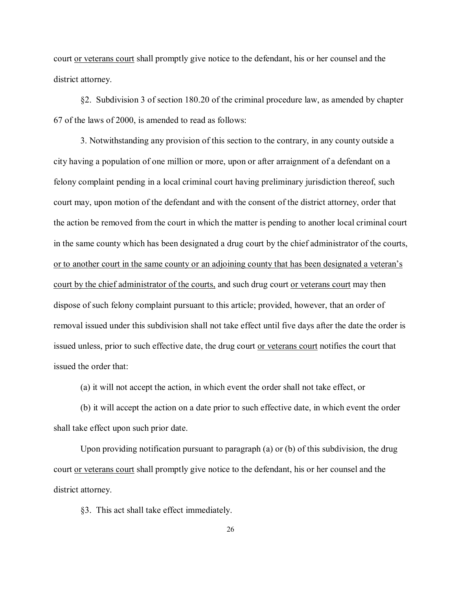court or veterans court shall promptly give notice to the defendant, his or her counsel and the district attorney.

§2. Subdivision 3 of section 180.20 of the criminal procedure law, as amended by chapter 67 of the laws of 2000, is amended to read as follows:

3. Notwithstanding any provision of this section to the contrary, in any county outside a city having a population of one million or more, upon or after arraignment of a defendant on a felony complaint pending in a local criminal court having preliminary jurisdiction thereof, such court may, upon motion of the defendant and with the consent of the district attorney, order that the action be removed from the court in which the matter is pending to another local criminal court in the same county which has been designated a drug court by the chief administrator of the courts, or to another court in the same county or an adjoining county that has been designated a veteran's court by the chief administrator of the courts, and such drug court or veterans court may then dispose of such felony complaint pursuant to this article; provided, however, that an order of removal issued under this subdivision shall not take effect until five days after the date the order is issued unless, prior to such effective date, the drug court or veterans court notifies the court that issued the order that:

(a) it will not accept the action, in which event the order shall not take effect, or

(b) it will accept the action on a date prior to such effective date, in which event the order shall take effect upon such prior date.

Upon providing notification pursuant to paragraph (a) or (b) of this subdivision, the drug court or veterans court shall promptly give notice to the defendant, his or her counsel and the district attorney.

§3. This act shall take effect immediately.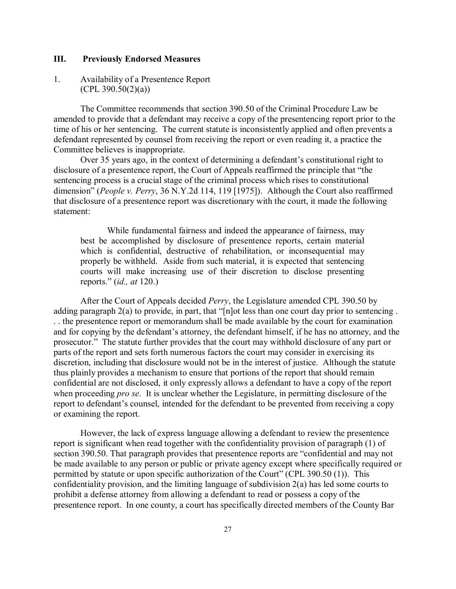## **III. Previously Endorsed Measures**

# 1. Availability of a Presentence Report  $(CPL 390.50(2)(a))$

The Committee recommends that section 390.50 of the Criminal Procedure Law be amended to provide that a defendant may receive a copy of the presentencing report prior to the time of his or her sentencing. The current statute is inconsistently applied and often prevents a defendant represented by counsel from receiving the report or even reading it, a practice the Committee believes is inappropriate.

Over 35 years ago, in the context of determining a defendant's constitutional right to disclosure of a presentence report, the Court of Appeals reaffirmed the principle that "the sentencing process is a crucial stage of the criminal process which rises to constitutional dimension" (*People v. Perry*, 36 N.Y.2d 114, 119 [1975]). Although the Court also reaffirmed that disclosure of a presentence report was discretionary with the court, it made the following statement:

While fundamental fairness and indeed the appearance of fairness, may best be accomplished by disclosure of presentence reports, certain material which is confidential, destructive of rehabilitation, or inconsequential may properly be withheld. Aside from such material, it is expected that sentencing courts will make increasing use of their discretion to disclose presenting reports." (*id., at* 120.)

After the Court of Appeals decided *Perry*, the Legislature amended CPL 390.50 by adding paragraph 2(a) to provide, in part, that "[n]ot less than one court day prior to sentencing . . . the presentence report or memorandum shall be made available by the court for examination and for copying by the defendant's attorney, the defendant himself, if he has no attorney, and the prosecutor." The statute further provides that the court may withhold disclosure of any part or parts of the report and sets forth numerous factors the court may consider in exercising its discretion, including that disclosure would not be in the interest of justice. Although the statute thus plainly provides a mechanism to ensure that portions of the report that should remain confidential are not disclosed, it only expressly allows a defendant to have a copy of the report when proceeding *pro se*. It is unclear whether the Legislature, in permitting disclosure of the report to defendant's counsel, intended for the defendant to be prevented from receiving a copy or examining the report.

However, the lack of express language allowing a defendant to review the presentence report is significant when read together with the confidentiality provision of paragraph (1) of section 390.50. That paragraph provides that presentence reports are "confidential and may not be made available to any person or public or private agency except where specifically required or permitted by statute or upon specific authorization of the Court" (CPL 390.50 (1)). This confidentiality provision, and the limiting language of subdivision 2(a) has led some courts to prohibit a defense attorney from allowing a defendant to read or possess a copy of the presentence report. In one county, a court has specifically directed members of the County Bar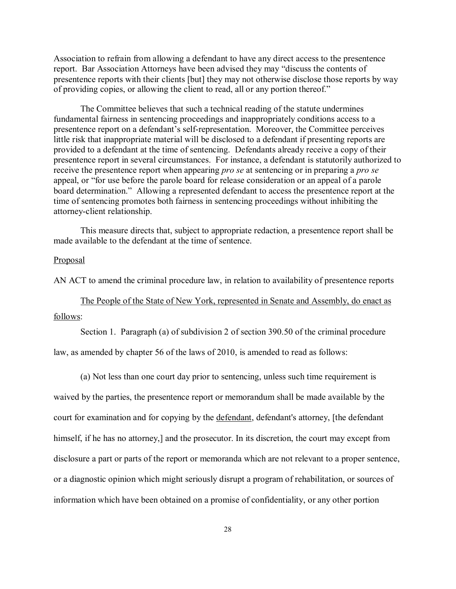Association to refrain from allowing a defendant to have any direct access to the presentence report. Bar Association Attorneys have been advised they may "discuss the contents of presentence reports with their clients [but] they may not otherwise disclose those reports by way of providing copies, or allowing the client to read, all or any portion thereof."

The Committee believes that such a technical reading of the statute undermines fundamental fairness in sentencing proceedings and inappropriately conditions access to a presentence report on a defendant's self-representation. Moreover, the Committee perceives little risk that inappropriate material will be disclosed to a defendant if presenting reports are provided to a defendant at the time of sentencing. Defendants already receive a copy of their presentence report in several circumstances. For instance, a defendant is statutorily authorized to receive the presentence report when appearing *pro se* at sentencing or in preparing a *pro se* appeal, or "for use before the parole board for release consideration or an appeal of a parole board determination." Allowing a represented defendant to access the presentence report at the time of sentencing promotes both fairness in sentencing proceedings without inhibiting the attorney-client relationship.

This measure directs that, subject to appropriate redaction, a presentence report shall be made available to the defendant at the time of sentence.

#### Proposal

AN ACT to amend the criminal procedure law, in relation to availability of presentence reports

The People of the State of New York, represented in Senate and Assembly, do enact as follows:

Section 1. Paragraph (a) of subdivision 2 of section 390.50 of the criminal procedure

law, as amended by chapter 56 of the laws of 2010, is amended to read as follows:

(a) Not less than one court day prior to sentencing, unless such time requirement is waived by the parties, the presentence report or memorandum shall be made available by the court for examination and for copying by the defendant, defendant's attorney, [the defendant himself, if he has no attorney,] and the prosecutor. In its discretion, the court may except from disclosure a part or parts of the report or memoranda which are not relevant to a proper sentence, or a diagnostic opinion which might seriously disrupt a program of rehabilitation, or sources of information which have been obtained on a promise of confidentiality, or any other portion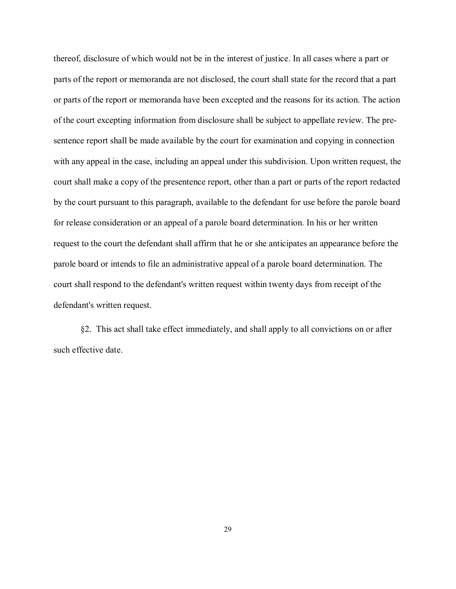thereof, disclosure of which would not be in the interest of justice. In all cases where a part or parts of the report or memoranda are not disclosed, the court shall state for the record that a part or parts of the report or memoranda have been excepted and the reasons for its action. The action of the court excepting information from disclosure shall be subject to appellate review. The presentence report shall be made available by the court for examination and copying in connection with any appeal in the case, including an appeal under this subdivision. Upon written request, the court shall make a copy of the presentence report, other than a part or parts of the report redacted by the court pursuant to this paragraph, available to the defendant for use before the parole board for release consideration or an appeal of a parole board determination. In his or her written request to the court the defendant shall affirm that he or she anticipates an appearance before the parole board or intends to file an administrative appeal of a parole board determination. The court shall respond to the defendant's written request within twenty days from receipt of the defendant's written request.

§2. This act shall take effect immediately, and shall apply to all convictions on or after such effective date.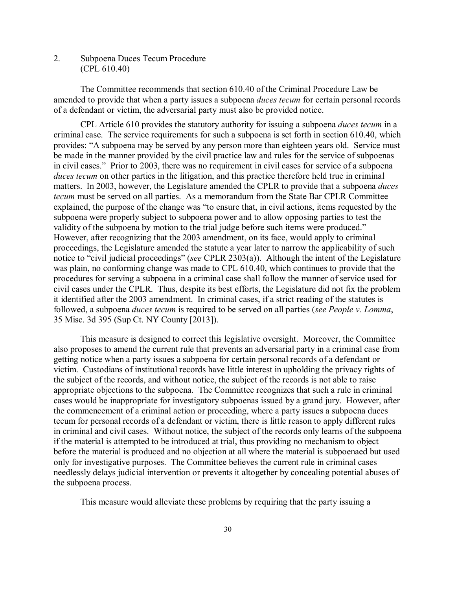# 2. Subpoena Duces Tecum Procedure (CPL 610.40)

The Committee recommends that section 610.40 of the Criminal Procedure Law be amended to provide that when a party issues a subpoena *duces tecum* for certain personal records of a defendant or victim, the adversarial party must also be provided notice.

CPL Article 610 provides the statutory authority for issuing a subpoena *duces tecum* in a criminal case. The service requirements for such a subpoena is set forth in section 610.40, which provides: "A subpoena may be served by any person more than eighteen years old. Service must be made in the manner provided by the civil practice law and rules for the service of subpoenas in civil cases." Prior to 2003, there was no requirement in civil cases for service of a subpoena *duces tecum* on other parties in the litigation, and this practice therefore held true in criminal matters. In 2003, however, the Legislature amended the CPLR to provide that a subpoena *duces tecum* must be served on all parties. As a memorandum from the State Bar CPLR Committee explained, the purpose of the change was "to ensure that, in civil actions, items requested by the subpoena were properly subject to subpoena power and to allow opposing parties to test the validity of the subpoena by motion to the trial judge before such items were produced." However, after recognizing that the 2003 amendment, on its face, would apply to criminal proceedings, the Legislature amended the statute a year later to narrow the applicability of such notice to "civil judicial proceedings" (*see* CPLR 2303(a)). Although the intent of the Legislature was plain, no conforming change was made to CPL 610.40, which continues to provide that the procedures for serving a subpoena in a criminal case shall follow the manner of service used for civil cases under the CPLR. Thus, despite its best efforts, the Legislature did not fix the problem it identified after the 2003 amendment. In criminal cases, if a strict reading of the statutes is followed, a subpoena *duces tecum* is required to be served on all parties (*see People v. Lomma*, 35 Misc. 3d 395 (Sup Ct. NY County [2013]).

This measure is designed to correct this legislative oversight. Moreover, the Committee also proposes to amend the current rule that prevents an adversarial party in a criminal case from getting notice when a party issues a subpoena for certain personal records of a defendant or victim. Custodians of institutional records have little interest in upholding the privacy rights of the subject of the records, and without notice, the subject of the records is not able to raise appropriate objections to the subpoena. The Committee recognizes that such a rule in criminal cases would be inappropriate for investigatory subpoenas issued by a grand jury. However, after the commencement of a criminal action or proceeding, where a party issues a subpoena duces tecum for personal records of a defendant or victim, there is little reason to apply different rules in criminal and civil cases. Without notice, the subject of the records only learns of the subpoena if the material is attempted to be introduced at trial, thus providing no mechanism to object before the material is produced and no objection at all where the material is subpoenaed but used only for investigative purposes. The Committee believes the current rule in criminal cases needlessly delays judicial intervention or prevents it altogether by concealing potential abuses of the subpoena process.

This measure would alleviate these problems by requiring that the party issuing a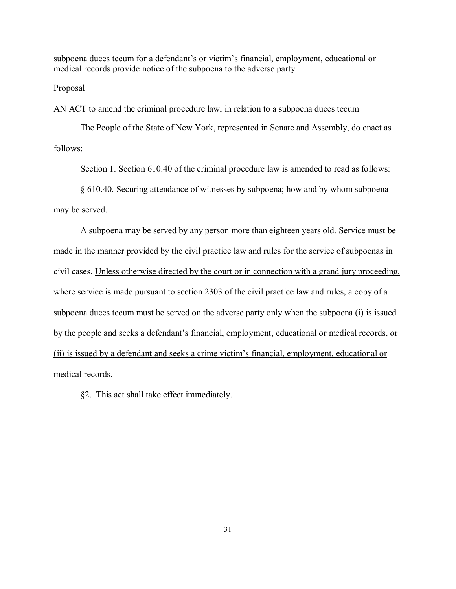subpoena duces tecum for a defendant's or victim's financial, employment, educational or medical records provide notice of the subpoena to the adverse party.

## Proposal

AN ACT to amend the criminal procedure law, in relation to a subpoena duces tecum

The People of the State of New York, represented in Senate and Assembly, do enact as follows:

Section 1. Section 610.40 of the criminal procedure law is amended to read as follows:

§ 610.40. Securing attendance of witnesses by subpoena; how and by whom subpoena

may be served.

A subpoena may be served by any person more than eighteen years old. Service must be made in the manner provided by the civil practice law and rules for the service of subpoenas in civil cases. Unless otherwise directed by the court or in connection with a grand jury proceeding, where service is made pursuant to section 2303 of the civil practice law and rules, a copy of a subpoena duces tecum must be served on the adverse party only when the subpoena (i) is issued by the people and seeks a defendant's financial, employment, educational or medical records, or (ii) is issued by a defendant and seeks a crime victim's financial, employment, educational or medical records.

§2. This act shall take effect immediately.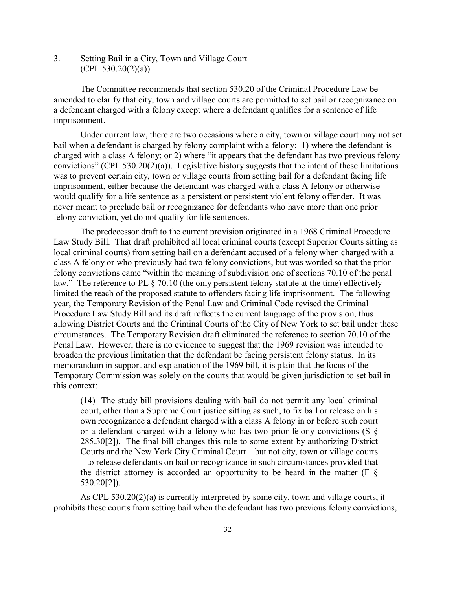3. Setting Bail in a City, Town and Village Court  $(CPL 530.20(2)(a))$ 

The Committee recommends that section 530.20 of the Criminal Procedure Law be amended to clarify that city, town and village courts are permitted to set bail or recognizance on a defendant charged with a felony except where a defendant qualifies for a sentence of life imprisonment.

Under current law, there are two occasions where a city, town or village court may not set bail when a defendant is charged by felony complaint with a felony: 1) where the defendant is charged with a class A felony; or 2) where "it appears that the defendant has two previous felony convictions" (CPL 530.20(2)(a)). Legislative history suggests that the intent of these limitations was to prevent certain city, town or village courts from setting bail for a defendant facing life imprisonment, either because the defendant was charged with a class A felony or otherwise would qualify for a life sentence as a persistent or persistent violent felony offender. It was never meant to preclude bail or recognizance for defendants who have more than one prior felony conviction, yet do not qualify for life sentences.

The predecessor draft to the current provision originated in a 1968 Criminal Procedure Law Study Bill. That draft prohibited all local criminal courts (except Superior Courts sitting as local criminal courts) from setting bail on a defendant accused of a felony when charged with a class A felony or who previously had two felony convictions, but was worded so that the prior felony convictions came "within the meaning of subdivision one of sections 70.10 of the penal law." The reference to PL § 70.10 (the only persistent felony statute at the time) effectively limited the reach of the proposed statute to offenders facing life imprisonment. The following year, the Temporary Revision of the Penal Law and Criminal Code revised the Criminal Procedure Law Study Bill and its draft reflects the current language of the provision, thus allowing District Courts and the Criminal Courts of the City of New York to set bail under these circumstances. The Temporary Revision draft eliminated the reference to section 70.10 of the Penal Law. However, there is no evidence to suggest that the 1969 revision was intended to broaden the previous limitation that the defendant be facing persistent felony status. In its memorandum in support and explanation of the 1969 bill, it is plain that the focus of the Temporary Commission was solely on the courts that would be given jurisdiction to set bail in this context:

(14) The study bill provisions dealing with bail do not permit any local criminal court, other than a Supreme Court justice sitting as such, to fix bail or release on his own recognizance a defendant charged with a class A felony in or before such court or a defendant charged with a felony who has two prior felony convictions (S  $\S$ 285.30[2]). The final bill changes this rule to some extent by authorizing District Courts and the New York City Criminal Court – but not city, town or village courts – to release defendants on bail or recognizance in such circumstances provided that the district attorney is accorded an opportunity to be heard in the matter ( $F \$ 530.20[2]).

As CPL 530.20(2)(a) is currently interpreted by some city, town and village courts, it prohibits these courts from setting bail when the defendant has two previous felony convictions,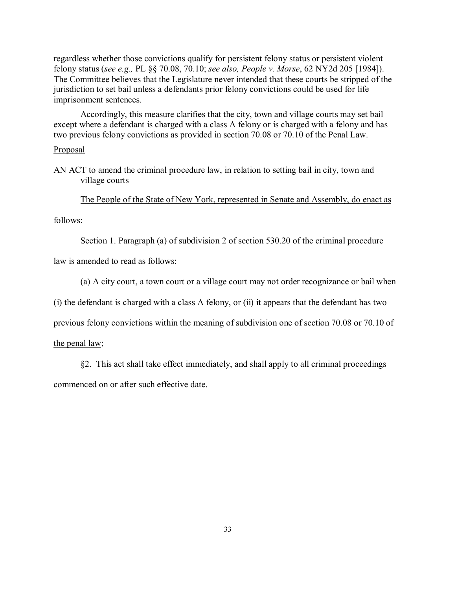regardless whether those convictions qualify for persistent felony status or persistent violent felony status (*see e.g.,* PL §§ 70.08, 70.10; *see also, People v. Morse*, 62 NY2d 205 [1984]). The Committee believes that the Legislature never intended that these courts be stripped of the jurisdiction to set bail unless a defendants prior felony convictions could be used for life imprisonment sentences.

Accordingly, this measure clarifies that the city, town and village courts may set bail except where a defendant is charged with a class A felony or is charged with a felony and has two previous felony convictions as provided in section 70.08 or 70.10 of the Penal Law.

### Proposal

AN ACT to amend the criminal procedure law, in relation to setting bail in city, town and village courts

The People of the State of New York, represented in Senate and Assembly, do enact as

## follows:

Section 1. Paragraph (a) of subdivision 2 of section 530.20 of the criminal procedure

law is amended to read as follows:

(a) A city court, a town court or a village court may not order recognizance or bail when

(i) the defendant is charged with a class A felony, or (ii) it appears that the defendant has two

previous felony convictions within the meaning of subdivision one of section 70.08 or 70.10 of

the penal law;

§2. This act shall take effect immediately, and shall apply to all criminal proceedings commenced on or after such effective date.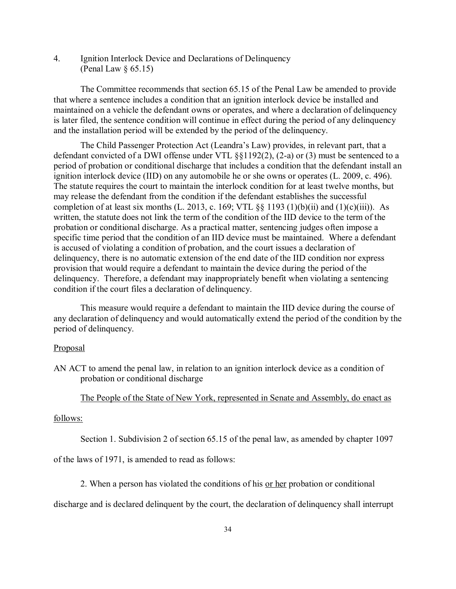4. Ignition Interlock Device and Declarations of Delinquency (Penal Law § 65.15)

The Committee recommends that section 65.15 of the Penal Law be amended to provide that where a sentence includes a condition that an ignition interlock device be installed and maintained on a vehicle the defendant owns or operates, and where a declaration of delinquency is later filed, the sentence condition will continue in effect during the period of any delinquency and the installation period will be extended by the period of the delinquency.

The Child Passenger Protection Act (Leandra's Law) provides, in relevant part, that a defendant convicted of a DWI offense under VTL §§1192(2), (2-a) or (3) must be sentenced to a period of probation or conditional discharge that includes a condition that the defendant install an ignition interlock device (IID) on any automobile he or she owns or operates (L. 2009, c. 496). The statute requires the court to maintain the interlock condition for at least twelve months, but may release the defendant from the condition if the defendant establishes the successful completion of at least six months (L. 2013, c. 169; VTL  $\S$ § 1193 (1)(b)(ii) and (1)(c)(iii)). As written, the statute does not link the term of the condition of the IID device to the term of the probation or conditional discharge. As a practical matter, sentencing judges often impose a specific time period that the condition of an IID device must be maintained. Where a defendant is accused of violating a condition of probation, and the court issues a declaration of delinquency, there is no automatic extension of the end date of the IID condition nor express provision that would require a defendant to maintain the device during the period of the delinquency. Therefore, a defendant may inappropriately benefit when violating a sentencing condition if the court files a declaration of delinquency.

This measure would require a defendant to maintain the IID device during the course of any declaration of delinquency and would automatically extend the period of the condition by the period of delinquency.

### **Proposal**

AN ACT to amend the penal law, in relation to an ignition interlock device as a condition of probation or conditional discharge

# The People of the State of New York, represented in Senate and Assembly, do enact as

#### follows:

Section 1. Subdivision 2 of section 65.15 of the penal law, as amended by chapter 1097

of the laws of 1971, is amended to read as follows:

2. When a person has violated the conditions of his or her probation or conditional

discharge and is declared delinquent by the court, the declaration of delinquency shall interrupt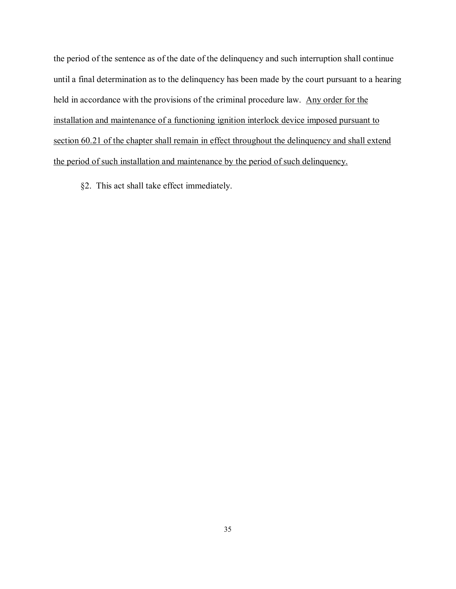the period of the sentence as of the date of the delinquency and such interruption shall continue until a final determination as to the delinquency has been made by the court pursuant to a hearing held in accordance with the provisions of the criminal procedure law. Any order for the installation and maintenance of a functioning ignition interlock device imposed pursuant to section 60.21 of the chapter shall remain in effect throughout the delinquency and shall extend the period of such installation and maintenance by the period of such delinquency.

§2. This act shall take effect immediately.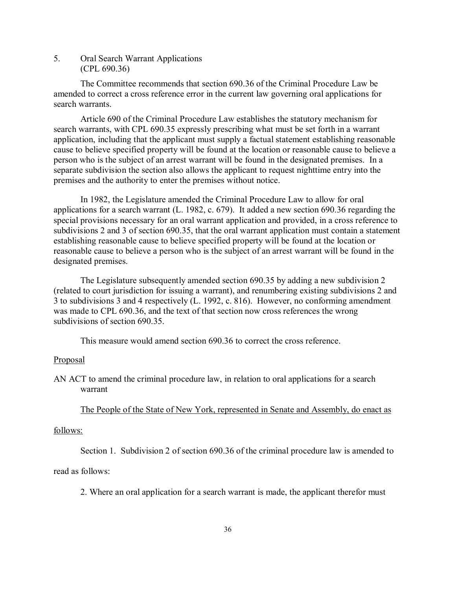# 5. Oral Search Warrant Applications (CPL 690.36)

The Committee recommends that section 690.36 of the Criminal Procedure Law be amended to correct a cross reference error in the current law governing oral applications for search warrants.

Article 690 of the Criminal Procedure Law establishes the statutory mechanism for search warrants, with CPL 690.35 expressly prescribing what must be set forth in a warrant application, including that the applicant must supply a factual statement establishing reasonable cause to believe specified property will be found at the location or reasonable cause to believe a person who is the subject of an arrest warrant will be found in the designated premises. In a separate subdivision the section also allows the applicant to request nighttime entry into the premises and the authority to enter the premises without notice.

In 1982, the Legislature amended the Criminal Procedure Law to allow for oral applications for a search warrant (L. 1982, c. 679). It added a new section 690.36 regarding the special provisions necessary for an oral warrant application and provided, in a cross reference to subdivisions 2 and 3 of section 690.35, that the oral warrant application must contain a statement establishing reasonable cause to believe specified property will be found at the location or reasonable cause to believe a person who is the subject of an arrest warrant will be found in the designated premises.

The Legislature subsequently amended section 690.35 by adding a new subdivision 2 (related to court jurisdiction for issuing a warrant), and renumbering existing subdivisions 2 and 3 to subdivisions 3 and 4 respectively (L. 1992, c. 816). However, no conforming amendment was made to CPL 690.36, and the text of that section now cross references the wrong subdivisions of section 690.35.

This measure would amend section 690.36 to correct the cross reference.

## Proposal

AN ACT to amend the criminal procedure law, in relation to oral applications for a search warrant

The People of the State of New York, represented in Senate and Assembly, do enact as

### follows:

Section 1. Subdivision 2 of section 690.36 of the criminal procedure law is amended to

## read as follows:

2. Where an oral application for a search warrant is made, the applicant therefor must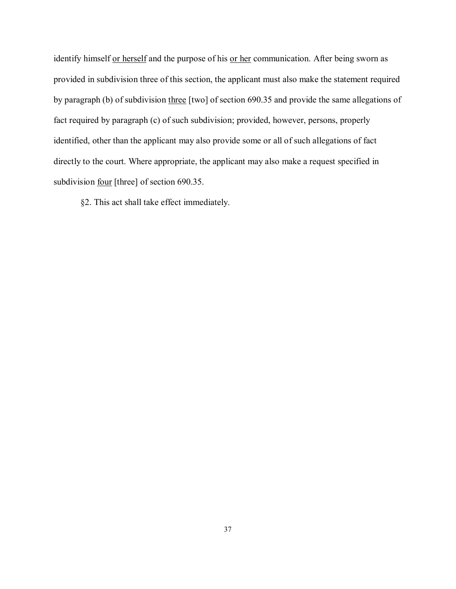identify himself or herself and the purpose of his or her communication. After being sworn as provided in subdivision three of this section, the applicant must also make the statement required by paragraph (b) of subdivision three [two] of section 690.35 and provide the same allegations of fact required by paragraph (c) of such subdivision; provided, however, persons, properly identified, other than the applicant may also provide some or all of such allegations of fact directly to the court. Where appropriate, the applicant may also make a request specified in subdivision <u>four</u> [three] of section 690.35.

§2. This act shall take effect immediately.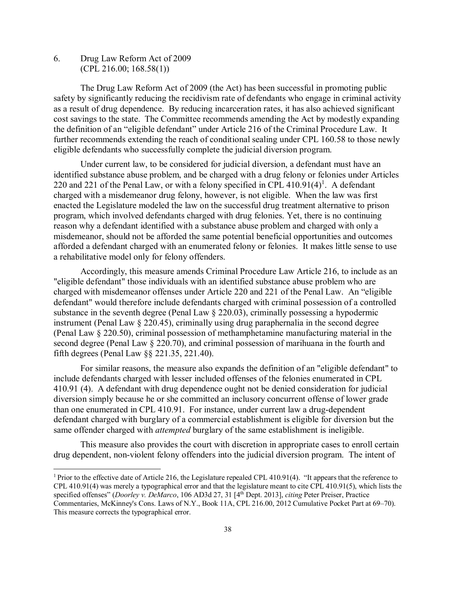6. Drug Law Reform Act of 2009 (CPL 216.00; 168.58(1))

The Drug Law Reform Act of 2009 (the Act) has been successful in promoting public safety by significantly reducing the recidivism rate of defendants who engage in criminal activity as a result of drug dependence. By reducing incarceration rates, it has also achieved significant cost savings to the state. The Committee recommends amending the Act by modestly expanding the definition of an "eligible defendant" under Article 216 of the Criminal Procedure Law. It further recommends extending the reach of conditional sealing under CPL 160.58 to those newly eligible defendants who successfully complete the judicial diversion program.

Under current law, to be considered for judicial diversion, a defendant must have an identified substance abuse problem, and be charged with a drug felony or felonies under Articles 220 and 221 of the Penal Law, or with a felony specified in CPL  $410.91(4)^1$ . A defendant charged with a misdemeanor drug felony, however, is not eligible. When the law was first enacted the Legislature modeled the law on the successful drug treatment alternative to prison program, which involved defendants charged with drug felonies. Yet, there is no continuing reason why a defendant identified with a substance abuse problem and charged with only a misdemeanor, should not be afforded the same potential beneficial opportunities and outcomes afforded a defendant charged with an enumerated felony or felonies. It makes little sense to use a rehabilitative model only for felony offenders.

Accordingly, this measure amends Criminal Procedure Law Article 216, to include as an "eligible defendant" those individuals with an identified substance abuse problem who are charged with misdemeanor offenses under Article 220 and 221 of the Penal Law. An "eligible defendant" would therefore include defendants charged with criminal possession of a controlled substance in the seventh degree (Penal Law § 220.03), criminally possessing a hypodermic instrument (Penal Law § 220.45), criminally using drug paraphernalia in the second degree (Penal Law § 220.50), criminal possession of methamphetamine manufacturing material in the second degree (Penal Law § 220.70), and criminal possession of marihuana in the fourth and fifth degrees (Penal Law §§ 221.35, 221.40).

For similar reasons, the measure also expands the definition of an "eligible defendant" to include defendants charged with lesser included offenses of the felonies enumerated in CPL 410.91 (4). A defendant with drug dependence ought not be denied consideration for judicial diversion simply because he or she committed an inclusory concurrent offense of lower grade than one enumerated in CPL 410.91. For instance, under current law a drug-dependent defendant charged with burglary of a commercial establishment is eligible for diversion but the same offender charged with *attempted* burglary of the same establishment is ineligible.

This measure also provides the court with discretion in appropriate cases to enroll certain drug dependent, non-violent felony offenders into the judicial diversion program. The intent of

<sup>&</sup>lt;sup>1</sup> Prior to the effective date of Article 216, the Legislature repealed CPL 410.91(4). "It appears that the reference to CPL 410.91(4) was merely a typographical error and that the legislature meant to cite CPL 410.91(5), which lists the specified offenses" (*Doorley v. DeMarco*, 106 AD3d 27, 31 [4th Dept. 2013], *citing* Peter Preiser, Practice Commentaries, McKinney's Cons. Laws of N.Y., Book 11A, CPL 216.00, 2012 Cumulative Pocket Part at 69–70). This measure corrects the typographical error.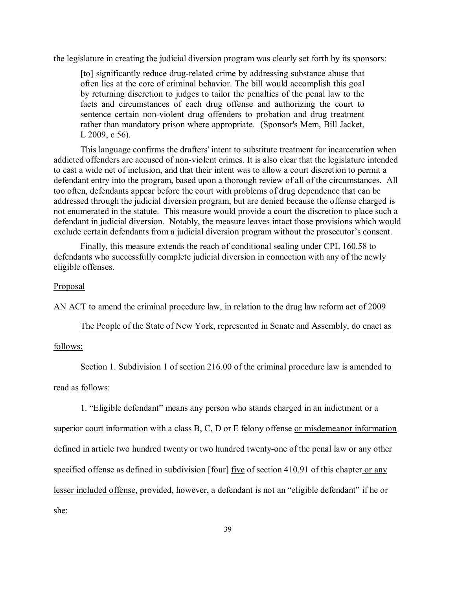the legislature in creating the judicial diversion program was clearly set forth by its sponsors:

[to] significantly reduce drug-related crime by addressing substance abuse that often lies at the core of criminal behavior. The bill would accomplish this goal by returning discretion to judges to tailor the penalties of the penal law to the facts and circumstances of each drug offense and authorizing the court to sentence certain non-violent drug offenders to probation and drug treatment rather than mandatory prison where appropriate. (Sponsor's Mem, Bill Jacket, L 2009, c 56).

This language confirms the drafters' intent to substitute treatment for incarceration when addicted offenders are accused of non-violent crimes. It is also clear that the legislature intended to cast a wide net of inclusion, and that their intent was to allow a court discretion to permit a defendant entry into the program, based upon a thorough review of all of the circumstances. All too often, defendants appear before the court with problems of drug dependence that can be addressed through the judicial diversion program, but are denied because the offense charged is not enumerated in the statute. This measure would provide a court the discretion to place such a defendant in judicial diversion. Notably, the measure leaves intact those provisions which would exclude certain defendants from a judicial diversion program without the prosecutor's consent.

Finally, this measure extends the reach of conditional sealing under CPL 160.58 to defendants who successfully complete judicial diversion in connection with any of the newly eligible offenses.

## Proposal

AN ACT to amend the criminal procedure law, in relation to the drug law reform act of 2009

The People of the State of New York, represented in Senate and Assembly, do enact as

## follows:

Section 1. Subdivision 1 of section 216.00 of the criminal procedure law is amended to

read as follows:

1. "Eligible defendant" means any person who stands charged in an indictment or a

superior court information with a class B, C, D or E felony offense or misdemeanor information defined in article two hundred twenty or two hundred twenty-one of the penal law or any other specified offense as defined in subdivision [four] <u>five</u> of section 410.91 of this chapter or any lesser included offense, provided, however, a defendant is not an "eligible defendant" if he or she: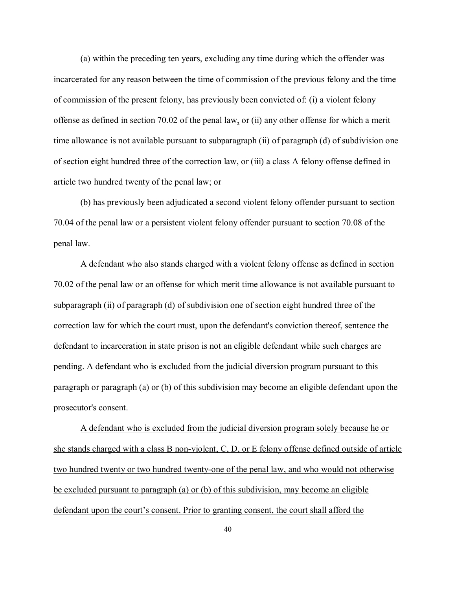(a) within the preceding ten years, excluding any time during which the offender was incarcerated for any reason between the time of commission of the previous felony and the time of commission of the present felony, has previously been convicted of: (i) a violent felony offense as defined in section 70.02 of the penal law, or (ii) any other offense for which a merit time allowance is not available pursuant to subparagraph (ii) of paragraph (d) of subdivision one of section eight hundred three of the correction law, or (iii) a class A felony offense defined in article two hundred twenty of the penal law; or

(b) has previously been adjudicated a second violent felony offender pursuant to section 70.04 of the penal law or a persistent violent felony offender pursuant to section 70.08 of the penal law.

A defendant who also stands charged with a violent felony offense as defined in section 70.02 of the penal law or an offense for which merit time allowance is not available pursuant to subparagraph (ii) of paragraph (d) of subdivision one of section eight hundred three of the correction law for which the court must, upon the defendant's conviction thereof, sentence the defendant to incarceration in state prison is not an eligible defendant while such charges are pending. A defendant who is excluded from the judicial diversion program pursuant to this paragraph or paragraph (a) or (b) of this subdivision may become an eligible defendant upon the prosecutor's consent.

A defendant who is excluded from the judicial diversion program solely because he or she stands charged with a class B non-violent, C, D, or E felony offense defined outside of article two hundred twenty or two hundred twenty-one of the penal law, and who would not otherwise be excluded pursuant to paragraph (a) or (b) of this subdivision, may become an eligible defendant upon the court's consent. Prior to granting consent, the court shall afford the

40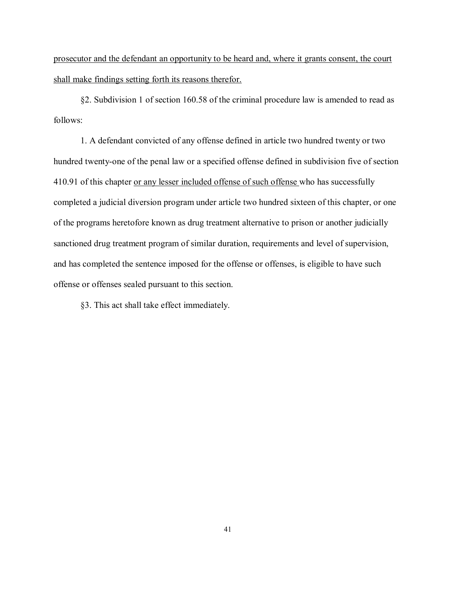prosecutor and the defendant an opportunity to be heard and, where it grants consent, the court shall make findings setting forth its reasons therefor.

§2. Subdivision 1 of section 160.58 of the criminal procedure law is amended to read as follows:

1. A defendant convicted of any offense defined in article two hundred twenty or two hundred twenty-one of the penal law or a specified offense defined in subdivision five of section 410.91 of this chapter or any lesser included offense of such offense who has successfully completed a judicial diversion program under article two hundred sixteen of this chapter, or one of the programs heretofore known as drug treatment alternative to prison or another judicially sanctioned drug treatment program of similar duration, requirements and level of supervision, and has completed the sentence imposed for the offense or offenses, is eligible to have such offense or offenses sealed pursuant to this section.

§3. This act shall take effect immediately.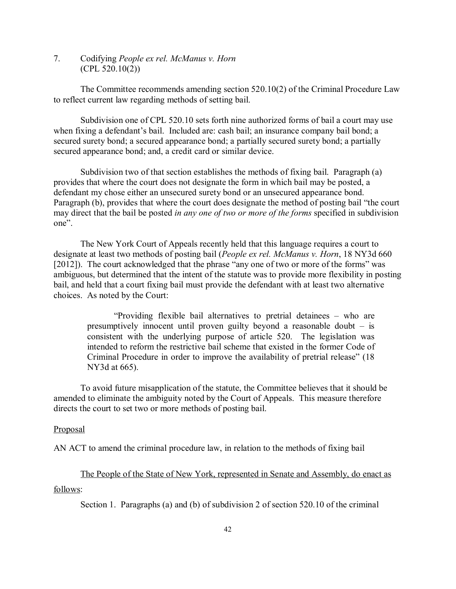7. Codifying *People ex rel. McManus v. Horn* (CPL 520.10(2))

The Committee recommends amending section 520.10(2) of the Criminal Procedure Law to reflect current law regarding methods of setting bail.

Subdivision one of CPL 520.10 sets forth nine authorized forms of bail a court may use when fixing a defendant's bail. Included are: cash bail; an insurance company bail bond; a secured surety bond; a secured appearance bond; a partially secured surety bond; a partially secured appearance bond; and, a credit card or similar device.

Subdivision two of that section establishes the methods of fixing bail. Paragraph (a) provides that where the court does not designate the form in which bail may be posted, a defendant my chose either an unsecured surety bond or an unsecured appearance bond. Paragraph (b), provides that where the court does designate the method of posting bail "the court may direct that the bail be posted *in any one of two or more of the forms* specified in subdivision one".

The New York Court of Appeals recently held that this language requires a court to designate at least two methods of posting bail (*People ex rel. McManus v. Horn*, 18 NY3d 660 [2012]). The court acknowledged that the phrase "any one of two or more of the forms" was ambiguous, but determined that the intent of the statute was to provide more flexibility in posting bail, and held that a court fixing bail must provide the defendant with at least two alternative choices. As noted by the Court:

"Providing flexible bail alternatives to pretrial detainees – who are presumptively innocent until proven guilty beyond a reasonable doubt – is consistent with the underlying purpose of article 520. The legislation was intended to reform the restrictive bail scheme that existed in the former Code of Criminal Procedure in order to improve the availability of pretrial release" (18 NY3d at 665).

To avoid future misapplication of the statute, the Committee believes that it should be amended to eliminate the ambiguity noted by the Court of Appeals. This measure therefore directs the court to set two or more methods of posting bail.

### Proposal

AN ACT to amend the criminal procedure law, in relation to the methods of fixing bail

The People of the State of New York, represented in Senate and Assembly, do enact as follows:

Section 1. Paragraphs (a) and (b) of subdivision 2 of section 520.10 of the criminal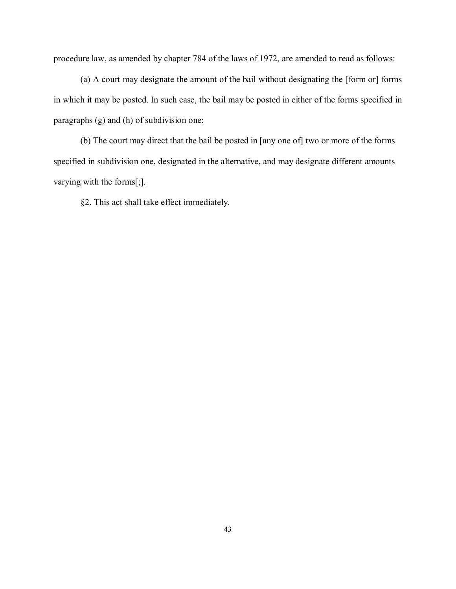procedure law, as amended by chapter 784 of the laws of 1972, are amended to read as follows:

(a) A court may designate the amount of the bail without designating the [form or] forms in which it may be posted. In such case, the bail may be posted in either of the forms specified in paragraphs (g) and (h) of subdivision one;

(b) The court may direct that the bail be posted in [any one of] two or more of the forms specified in subdivision one, designated in the alternative, and may designate different amounts varying with the forms[;].

§2. This act shall take effect immediately.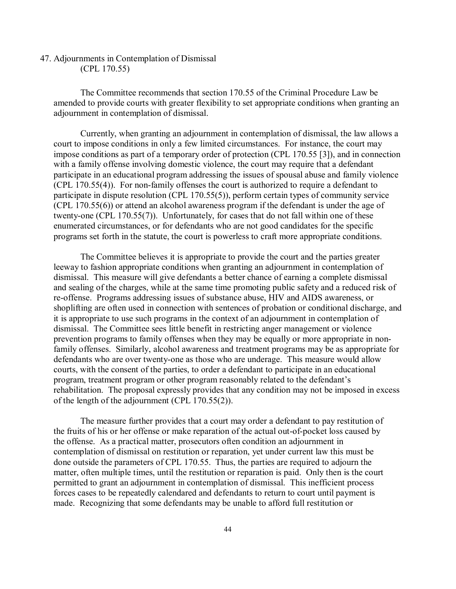## 47. Adjournments in Contemplation of Dismissal (CPL 170.55)

The Committee recommends that section 170.55 of the Criminal Procedure Law be amended to provide courts with greater flexibility to set appropriate conditions when granting an adjournment in contemplation of dismissal.

Currently, when granting an adjournment in contemplation of dismissal, the law allows a court to impose conditions in only a few limited circumstances. For instance, the court may impose conditions as part of a temporary order of protection (CPL 170.55 [3]), and in connection with a family offense involving domestic violence, the court may require that a defendant participate in an educational program addressing the issues of spousal abuse and family violence (CPL 170.55(4)). For non-family offenses the court is authorized to require a defendant to participate in dispute resolution (CPL 170.55(5)), perform certain types of community service (CPL 170.55(6)) or attend an alcohol awareness program if the defendant is under the age of twenty-one (CPL 170.55(7)). Unfortunately, for cases that do not fall within one of these enumerated circumstances, or for defendants who are not good candidates for the specific programs set forth in the statute, the court is powerless to craft more appropriate conditions.

The Committee believes it is appropriate to provide the court and the parties greater leeway to fashion appropriate conditions when granting an adjournment in contemplation of dismissal. This measure will give defendants a better chance of earning a complete dismissal and sealing of the charges, while at the same time promoting public safety and a reduced risk of re-offense. Programs addressing issues of substance abuse, HIV and AIDS awareness, or shoplifting are often used in connection with sentences of probation or conditional discharge, and it is appropriate to use such programs in the context of an adjournment in contemplation of dismissal. The Committee sees little benefit in restricting anger management or violence prevention programs to family offenses when they may be equally or more appropriate in nonfamily offenses. Similarly, alcohol awareness and treatment programs may be as appropriate for defendants who are over twenty-one as those who are underage. This measure would allow courts, with the consent of the parties, to order a defendant to participate in an educational program, treatment program or other program reasonably related to the defendant's rehabilitation. The proposal expressly provides that any condition may not be imposed in excess of the length of the adjournment (CPL 170.55(2)).

The measure further provides that a court may order a defendant to pay restitution of the fruits of his or her offense or make reparation of the actual out-of-pocket loss caused by the offense. As a practical matter, prosecutors often condition an adjournment in contemplation of dismissal on restitution or reparation, yet under current law this must be done outside the parameters of CPL 170.55. Thus, the parties are required to adjourn the matter, often multiple times, until the restitution or reparation is paid. Only then is the court permitted to grant an adjournment in contemplation of dismissal. This inefficient process forces cases to be repeatedly calendared and defendants to return to court until payment is made. Recognizing that some defendants may be unable to afford full restitution or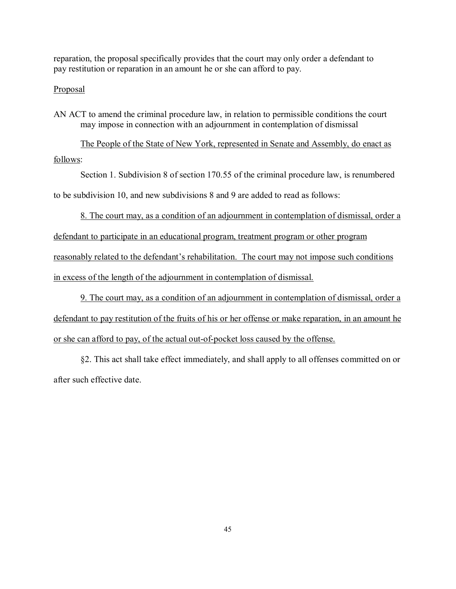reparation, the proposal specifically provides that the court may only order a defendant to pay restitution or reparation in an amount he or she can afford to pay.

## Proposal

AN ACT to amend the criminal procedure law, in relation to permissible conditions the court may impose in connection with an adjournment in contemplation of dismissal

The People of the State of New York, represented in Senate and Assembly, do enact as follows:

Section 1. Subdivision 8 of section 170.55 of the criminal procedure law, is renumbered

to be subdivision 10, and new subdivisions 8 and 9 are added to read as follows:

8. The court may, as a condition of an adjournment in contemplation of dismissal, order a

defendant to participate in an educational program, treatment program or other program reasonably related to the defendant's rehabilitation. The court may not impose such conditions in excess of the length of the adjournment in contemplation of dismissal.

9. The court may, as a condition of an adjournment in contemplation of dismissal, order a defendant to pay restitution of the fruits of his or her offense or make reparation, in an amount he or she can afford to pay, of the actual out-of-pocket loss caused by the offense.

§2. This act shall take effect immediately, and shall apply to all offenses committed on or after such effective date.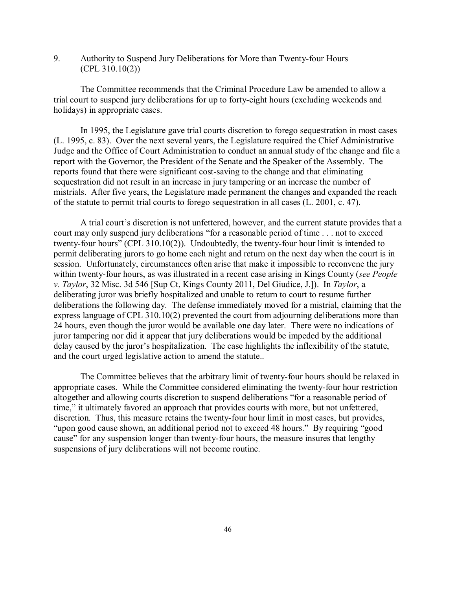9. Authority to Suspend Jury Deliberations for More than Twenty-four Hours (CPL 310.10(2))

The Committee recommends that the Criminal Procedure Law be amended to allow a trial court to suspend jury deliberations for up to forty-eight hours (excluding weekends and holidays) in appropriate cases.

In 1995, the Legislature gave trial courts discretion to forego sequestration in most cases (L. 1995, c. 83). Over the next several years, the Legislature required the Chief Administrative Judge and the Office of Court Administration to conduct an annual study of the change and file a report with the Governor, the President of the Senate and the Speaker of the Assembly. The reports found that there were significant cost-saving to the change and that eliminating sequestration did not result in an increase in jury tampering or an increase the number of mistrials. After five years, the Legislature made permanent the changes and expanded the reach of the statute to permit trial courts to forego sequestration in all cases (L. 2001, c. 47).

A trial court's discretion is not unfettered, however, and the current statute provides that a court may only suspend jury deliberations "for a reasonable period of time . . . not to exceed twenty-four hours" (CPL 310.10(2)). Undoubtedly, the twenty-four hour limit is intended to permit deliberating jurors to go home each night and return on the next day when the court is in session. Unfortunately, circumstances often arise that make it impossible to reconvene the jury within twenty-four hours, as was illustrated in a recent case arising in Kings County (*see People v. Taylor*, 32 Misc. 3d 546 [Sup Ct, Kings County 2011, Del Giudice, J.]). In *Taylor*, a deliberating juror was briefly hospitalized and unable to return to court to resume further deliberations the following day. The defense immediately moved for a mistrial, claiming that the express language of CPL 310.10(2) prevented the court from adjourning deliberations more than 24 hours, even though the juror would be available one day later. There were no indications of juror tampering nor did it appear that jury deliberations would be impeded by the additional delay caused by the juror's hospitalization. The case highlights the inflexibility of the statute, and the court urged legislative action to amend the statute..

The Committee believes that the arbitrary limit of twenty-four hours should be relaxed in appropriate cases. While the Committee considered eliminating the twenty-four hour restriction altogether and allowing courts discretion to suspend deliberations "for a reasonable period of time," it ultimately favored an approach that provides courts with more, but not unfettered, discretion. Thus, this measure retains the twenty-four hour limit in most cases, but provides, "upon good cause shown, an additional period not to exceed 48 hours." By requiring "good cause" for any suspension longer than twenty-four hours, the measure insures that lengthy suspensions of jury deliberations will not become routine.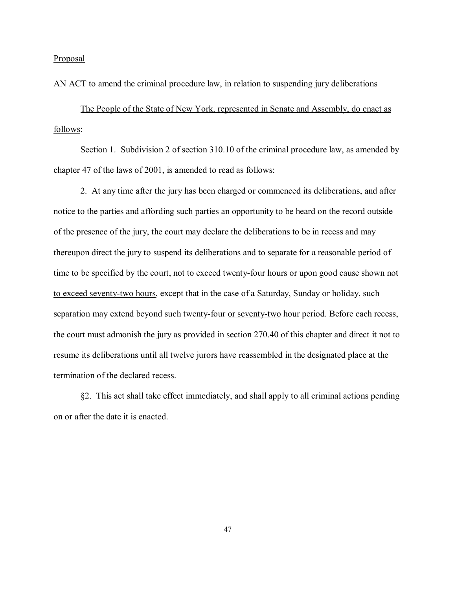Proposal

AN ACT to amend the criminal procedure law, in relation to suspending jury deliberations

The People of the State of New York, represented in Senate and Assembly, do enact as follows:

Section 1. Subdivision 2 of section 310.10 of the criminal procedure law, as amended by chapter 47 of the laws of 2001, is amended to read as follows:

2. At any time after the jury has been charged or commenced its deliberations, and after notice to the parties and affording such parties an opportunity to be heard on the record outside of the presence of the jury, the court may declare the deliberations to be in recess and may thereupon direct the jury to suspend its deliberations and to separate for a reasonable period of time to be specified by the court, not to exceed twenty-four hours or upon good cause shown not to exceed seventy-two hours, except that in the case of a Saturday, Sunday or holiday, such separation may extend beyond such twenty-four <u>or seventy-two</u> hour period. Before each recess, the court must admonish the jury as provided in section 270.40 of this chapter and direct it not to resume its deliberations until all twelve jurors have reassembled in the designated place at the termination of the declared recess.

§2. This act shall take effect immediately, and shall apply to all criminal actions pending on or after the date it is enacted.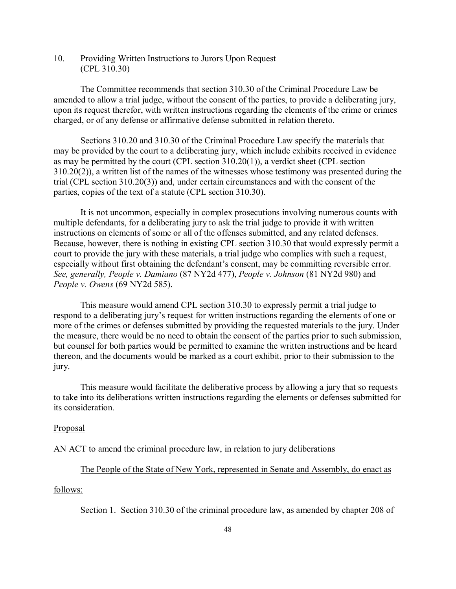10. Providing Written Instructions to Jurors Upon Request (CPL 310.30)

The Committee recommends that section 310.30 of the Criminal Procedure Law be amended to allow a trial judge, without the consent of the parties, to provide a deliberating jury, upon its request therefor, with written instructions regarding the elements of the crime or crimes charged, or of any defense or affirmative defense submitted in relation thereto.

Sections 310.20 and 310.30 of the Criminal Procedure Law specify the materials that may be provided by the court to a deliberating jury, which include exhibits received in evidence as may be permitted by the court (CPL section 310.20(1)), a verdict sheet (CPL section 310.20(2)), a written list of the names of the witnesses whose testimony was presented during the trial (CPL section 310.20(3)) and, under certain circumstances and with the consent of the parties, copies of the text of a statute (CPL section 310.30).

It is not uncommon, especially in complex prosecutions involving numerous counts with multiple defendants, for a deliberating jury to ask the trial judge to provide it with written instructions on elements of some or all of the offenses submitted, and any related defenses. Because, however, there is nothing in existing CPL section 310.30 that would expressly permit a court to provide the jury with these materials, a trial judge who complies with such a request, especially without first obtaining the defendant's consent, may be committing reversible error. *See, generally, People v. Damiano* (87 NY2d 477), *People v. Johnson* (81 NY2d 980) and *People v. Owens* (69 NY2d 585).

This measure would amend CPL section 310.30 to expressly permit a trial judge to respond to a deliberating jury's request for written instructions regarding the elements of one or more of the crimes or defenses submitted by providing the requested materials to the jury. Under the measure, there would be no need to obtain the consent of the parties prior to such submission, but counsel for both parties would be permitted to examine the written instructions and be heard thereon, and the documents would be marked as a court exhibit, prior to their submission to the jury.

This measure would facilitate the deliberative process by allowing a jury that so requests to take into its deliberations written instructions regarding the elements or defenses submitted for its consideration.

#### **Proposal**

AN ACT to amend the criminal procedure law, in relation to jury deliberations

#### The People of the State of New York, represented in Senate and Assembly, do enact as

## follows:

Section 1. Section 310.30 of the criminal procedure law, as amended by chapter 208 of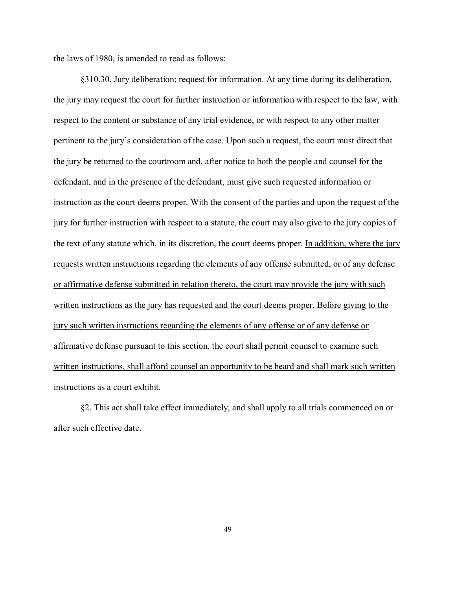the laws of 1980, is amended to read as follows:

§310.30. Jury deliberation; request for information. At any time during its deliberation, the jury may request the court for further instruction or information with respect to the law, with respect to the content or substance of any trial evidence, or with respect to any other matter pertinent to the jury's consideration of the case. Upon such a request, the court must direct that the jury be returned to the courtroom and, after notice to both the people and counsel for the defendant, and in the presence of the defendant, must give such requested information or instruction as the court deems proper. With the consent of the parties and upon the request of the jury for further instruction with respect to a statute, the court may also give to the jury copies of the text of any statute which, in its discretion, the court deems proper. In addition, where the jury requests written instructions regarding the elements of any offense submitted, or of any defense or affirmative defense submitted in relation thereto, the court may provide the jury with such written instructions as the jury has requested and the court deems proper. Before giving to the jury such written instructions regarding the elements of any offense or of any defense or affirmative defense pursuant to this section, the court shall permit counsel to examine such written instructions, shall afford counsel an opportunity to be heard and shall mark such written instructions as a court exhibit.

§2. This act shall take effect immediately, and shall apply to all trials commenced on or after such effective date.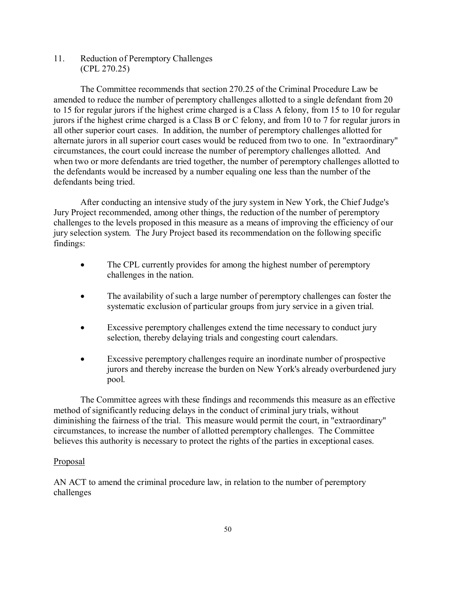11. Reduction of Peremptory Challenges (CPL 270.25)

The Committee recommends that section 270.25 of the Criminal Procedure Law be amended to reduce the number of peremptory challenges allotted to a single defendant from 20 to 15 for regular jurors if the highest crime charged is a Class A felony, from 15 to 10 for regular jurors if the highest crime charged is a Class B or C felony, and from 10 to 7 for regular jurors in all other superior court cases. In addition, the number of peremptory challenges allotted for alternate jurors in all superior court cases would be reduced from two to one. In "extraordinary" circumstances, the court could increase the number of peremptory challenges allotted. And when two or more defendants are tried together, the number of peremptory challenges allotted to the defendants would be increased by a number equaling one less than the number of the defendants being tried.

After conducting an intensive study of the jury system in New York, the Chief Judge's Jury Project recommended, among other things, the reduction of the number of peremptory challenges to the levels proposed in this measure as a means of improving the efficiency of our jury selection system. The Jury Project based its recommendation on the following specific findings:

- The CPL currently provides for among the highest number of peremptory challenges in the nation.
- The availability of such a large number of peremptory challenges can foster the systematic exclusion of particular groups from jury service in a given trial.
- Excessive peremptory challenges extend the time necessary to conduct jury selection, thereby delaying trials and congesting court calendars.
- Excessive peremptory challenges require an inordinate number of prospective jurors and thereby increase the burden on New York's already overburdened jury pool.

The Committee agrees with these findings and recommends this measure as an effective method of significantly reducing delays in the conduct of criminal jury trials, without diminishing the fairness of the trial. This measure would permit the court, in "extraordinary" circumstances, to increase the number of allotted peremptory challenges. The Committee believes this authority is necessary to protect the rights of the parties in exceptional cases.

## **Proposal**

AN ACT to amend the criminal procedure law, in relation to the number of peremptory challenges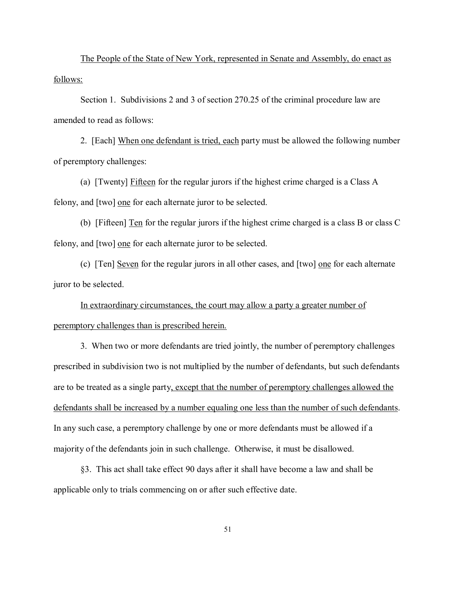The People of the State of New York, represented in Senate and Assembly, do enact as follows:

Section 1. Subdivisions 2 and 3 of section 270.25 of the criminal procedure law are amended to read as follows:

2. [Each] When one defendant is tried, each party must be allowed the following number of peremptory challenges:

(a) [Twenty] Fifteen for the regular jurors if the highest crime charged is a Class A felony, and [two] one for each alternate juror to be selected.

(b) [Fifteen] Ten for the regular jurors if the highest crime charged is a class B or class C felony, and [two] one for each alternate juror to be selected.

(c) [Ten] Seven for the regular jurors in all other cases, and [two] one for each alternate juror to be selected.

In extraordinary circumstances, the court may allow a party a greater number of peremptory challenges than is prescribed herein.

3. When two or more defendants are tried jointly, the number of peremptory challenges prescribed in subdivision two is not multiplied by the number of defendants, but such defendants are to be treated as a single party, except that the number of peremptory challenges allowed the defendants shall be increased by a number equaling one less than the number of such defendants. In any such case, a peremptory challenge by one or more defendants must be allowed if a majority of the defendants join in such challenge. Otherwise, it must be disallowed.

§3. This act shall take effect 90 days after it shall have become a law and shall be applicable only to trials commencing on or after such effective date.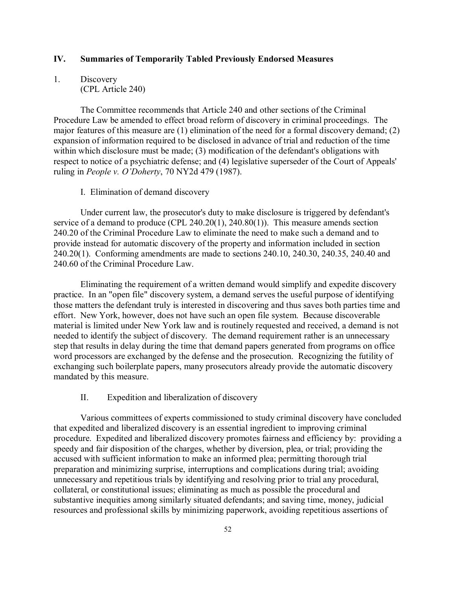## **IV. Summaries of Temporarily Tabled Previously Endorsed Measures**

## 1. Discovery (CPL Article 240)

The Committee recommends that Article 240 and other sections of the Criminal Procedure Law be amended to effect broad reform of discovery in criminal proceedings. The major features of this measure are (1) elimination of the need for a formal discovery demand; (2) expansion of information required to be disclosed in advance of trial and reduction of the time within which disclosure must be made; (3) modification of the defendant's obligations with respect to notice of a psychiatric defense; and (4) legislative superseder of the Court of Appeals' ruling in *People v. O'Doherty*, 70 NY2d 479 (1987).

### I. Elimination of demand discovery

Under current law, the prosecutor's duty to make disclosure is triggered by defendant's service of a demand to produce (CPL 240.20(1), 240.80(1)). This measure amends section 240.20 of the Criminal Procedure Law to eliminate the need to make such a demand and to provide instead for automatic discovery of the property and information included in section 240.20(1). Conforming amendments are made to sections 240.10, 240.30, 240.35, 240.40 and 240.60 of the Criminal Procedure Law.

Eliminating the requirement of a written demand would simplify and expedite discovery practice. In an "open file" discovery system, a demand serves the useful purpose of identifying those matters the defendant truly is interested in discovering and thus saves both parties time and effort. New York, however, does not have such an open file system. Because discoverable material is limited under New York law and is routinely requested and received, a demand is not needed to identify the subject of discovery. The demand requirement rather is an unnecessary step that results in delay during the time that demand papers generated from programs on office word processors are exchanged by the defense and the prosecution. Recognizing the futility of exchanging such boilerplate papers, many prosecutors already provide the automatic discovery mandated by this measure.

## II. Expedition and liberalization of discovery

Various committees of experts commissioned to study criminal discovery have concluded that expedited and liberalized discovery is an essential ingredient to improving criminal procedure. Expedited and liberalized discovery promotes fairness and efficiency by: providing a speedy and fair disposition of the charges, whether by diversion, plea, or trial; providing the accused with sufficient information to make an informed plea; permitting thorough trial preparation and minimizing surprise, interruptions and complications during trial; avoiding unnecessary and repetitious trials by identifying and resolving prior to trial any procedural, collateral, or constitutional issues; eliminating as much as possible the procedural and substantive inequities among similarly situated defendants; and saving time, money, judicial resources and professional skills by minimizing paperwork, avoiding repetitious assertions of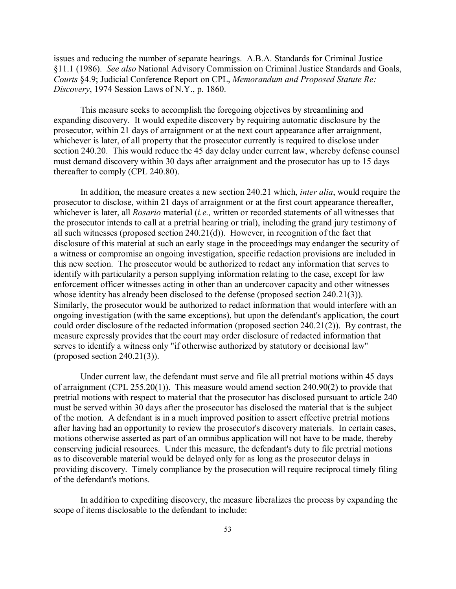issues and reducing the number of separate hearings. A.B.A. Standards for Criminal Justice §11.1 (1986). *See also* National Advisory Commission on Criminal Justice Standards and Goals, *Courts* §4.9; Judicial Conference Report on CPL, *Memorandum and Proposed Statute Re: Discovery*, 1974 Session Laws of N.Y., p. 1860.

This measure seeks to accomplish the foregoing objectives by streamlining and expanding discovery. It would expedite discovery by requiring automatic disclosure by the prosecutor, within 21 days of arraignment or at the next court appearance after arraignment, whichever is later, of all property that the prosecutor currently is required to disclose under section 240.20. This would reduce the 45 day delay under current law, whereby defense counsel must demand discovery within 30 days after arraignment and the prosecutor has up to 15 days thereafter to comply (CPL 240.80).

In addition, the measure creates a new section 240.21 which, *inter alia*, would require the prosecutor to disclose, within 21 days of arraignment or at the first court appearance thereafter, whichever is later, all *Rosario* material (*i.e.,* written or recorded statements of all witnesses that the prosecutor intends to call at a pretrial hearing or trial), including the grand jury testimony of all such witnesses (proposed section 240.21(d)). However, in recognition of the fact that disclosure of this material at such an early stage in the proceedings may endanger the security of a witness or compromise an ongoing investigation, specific redaction provisions are included in this new section. The prosecutor would be authorized to redact any information that serves to identify with particularity a person supplying information relating to the case, except for law enforcement officer witnesses acting in other than an undercover capacity and other witnesses whose identity has already been disclosed to the defense (proposed section 240.21(3)). Similarly, the prosecutor would be authorized to redact information that would interfere with an ongoing investigation (with the same exceptions), but upon the defendant's application, the court could order disclosure of the redacted information (proposed section 240.21(2)). By contrast, the measure expressly provides that the court may order disclosure of redacted information that serves to identify a witness only "if otherwise authorized by statutory or decisional law" (proposed section 240.21(3)).

Under current law, the defendant must serve and file all pretrial motions within 45 days of arraignment (CPL 255.20(1)). This measure would amend section 240.90(2) to provide that pretrial motions with respect to material that the prosecutor has disclosed pursuant to article 240 must be served within 30 days after the prosecutor has disclosed the material that is the subject of the motion. A defendant is in a much improved position to assert effective pretrial motions after having had an opportunity to review the prosecutor's discovery materials. In certain cases, motions otherwise asserted as part of an omnibus application will not have to be made, thereby conserving judicial resources. Under this measure, the defendant's duty to file pretrial motions as to discoverable material would be delayed only for as long as the prosecutor delays in providing discovery. Timely compliance by the prosecution will require reciprocal timely filing of the defendant's motions.

In addition to expediting discovery, the measure liberalizes the process by expanding the scope of items disclosable to the defendant to include: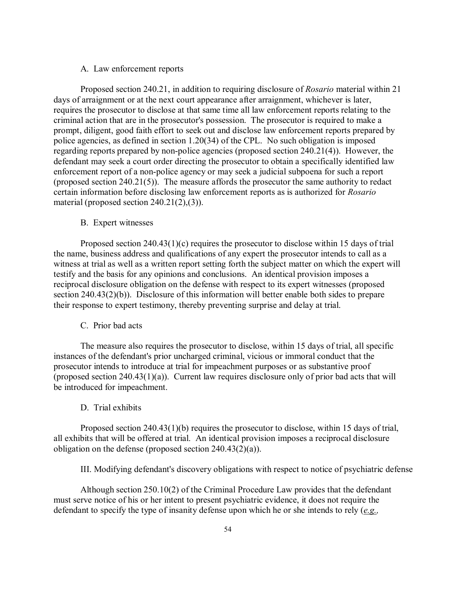## A. Law enforcement reports

Proposed section 240.21, in addition to requiring disclosure of *Rosario* material within 21 days of arraignment or at the next court appearance after arraignment, whichever is later, requires the prosecutor to disclose at that same time all law enforcement reports relating to the criminal action that are in the prosecutor's possession. The prosecutor is required to make a prompt, diligent, good faith effort to seek out and disclose law enforcement reports prepared by police agencies, as defined in section 1.20(34) of the CPL. No such obligation is imposed regarding reports prepared by non-police agencies (proposed section 240.21(4)). However, the defendant may seek a court order directing the prosecutor to obtain a specifically identified law enforcement report of a non-police agency or may seek a judicial subpoena for such a report (proposed section 240.21(5)). The measure affords the prosecutor the same authority to redact certain information before disclosing law enforcement reports as is authorized for *Rosario* material (proposed section 240.21(2),(3)).

## B. Expert witnesses

Proposed section 240.43(1)(c) requires the prosecutor to disclose within 15 days of trial the name, business address and qualifications of any expert the prosecutor intends to call as a witness at trial as well as a written report setting forth the subject matter on which the expert will testify and the basis for any opinions and conclusions. An identical provision imposes a reciprocal disclosure obligation on the defense with respect to its expert witnesses (proposed section 240.43(2)(b)). Disclosure of this information will better enable both sides to prepare their response to expert testimony, thereby preventing surprise and delay at trial.

#### C. Prior bad acts

The measure also requires the prosecutor to disclose, within 15 days of trial, all specific instances of the defendant's prior uncharged criminal, vicious or immoral conduct that the prosecutor intends to introduce at trial for impeachment purposes or as substantive proof (proposed section 240.43(1)(a)). Current law requires disclosure only of prior bad acts that will be introduced for impeachment.

## D. Trial exhibits

Proposed section 240.43(1)(b) requires the prosecutor to disclose, within 15 days of trial, all exhibits that will be offered at trial. An identical provision imposes a reciprocal disclosure obligation on the defense (proposed section 240.43(2)(a)).

III. Modifying defendant's discovery obligations with respect to notice of psychiatric defense

Although section 250.10(2) of the Criminal Procedure Law provides that the defendant must serve notice of his or her intent to present psychiatric evidence, it does not require the defendant to specify the type of insanity defense upon which he or she intends to rely (*e.g.,*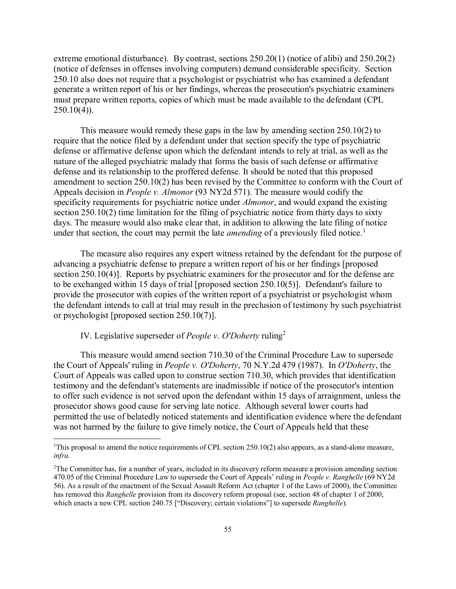extreme emotional disturbance). By contrast, sections 250.20(1) (notice of alibi) and 250.20(2) (notice of defenses in offenses involving computers) demand considerable specificity. Section 250.10 also does not require that a psychologist or psychiatrist who has examined a defendant generate a written report of his or her findings, whereas the prosecution's psychiatric examiners must prepare written reports, copies of which must be made available to the defendant (CPL  $250.10(4)$ ).

This measure would remedy these gaps in the law by amending section 250.10(2) to require that the notice filed by a defendant under that section specify the type of psychiatric defense or affirmative defense upon which the defendant intends to rely at trial, as well as the nature of the alleged psychiatric malady that forms the basis of such defense or affirmative defense and its relationship to the proffered defense. It should be noted that this proposed amendment to section 250.10(2) has been revised by the Committee to conform with the Court of Appeals decision in *People v. Almonor* (93 NY2d 571). The measure would codify the specificity requirements for psychiatric notice under *Almonor*, and would expand the existing section 250.10(2) time limitation for the filing of psychiatric notice from thirty days to sixty days. The measure would also make clear that, in addition to allowing the late filing of notice under that section, the court may permit the late *amending* of a previously filed notice.<sup>1</sup>

The measure also requires any expert witness retained by the defendant for the purpose of advancing a psychiatric defense to prepare a written report of his or her findings [proposed section 250.10(4)]. Reports by psychiatric examiners for the prosecutor and for the defense are to be exchanged within 15 days of trial [proposed section 250.10(5)]. Defendant's failure to provide the prosecutor with copies of the written report of a psychiatrist or psychologist whom the defendant intends to call at trial may result in the preclusion of testimony by such psychiatrist or psychologist [proposed section 250.10(7)].

IV. Legislative superseder of *People v. O'Doherty* ruling<sup>2</sup>

This measure would amend section 710.30 of the Criminal Procedure Law to supersede the Court of Appeals' ruling in *People v. O'Doherty*, 70 N.Y.2d 479 (1987). In *O'Doherty*, the Court of Appeals was called upon to construe section 710.30, which provides that identification testimony and the defendant's statements are inadmissible if notice of the prosecutor's intention to offer such evidence is not served upon the defendant within 15 days of arraignment, unless the prosecutor shows good cause for serving late notice. Although several lower courts had permitted the use of belatedly noticed statements and identification evidence where the defendant was not harmed by the failure to give timely notice, the Court of Appeals held that these

 $\frac{1}{1}$ <sup>1</sup>This proposal to amend the notice requirements of CPL section 250.10(2) also appears, as a stand-alone measure, *infra*.

<sup>&</sup>lt;sup>2</sup>The Committee has, for a number of years, included in its discovery reform measure a provision amending section 470.05 of the Criminal Procedure Law to supersede the Court of Appeals' ruling in *People v. Ranghelle* (69 NY2d 56). As a result of the enactment of the Sexual Assault Reform Act (chapter 1 of the Laws of 2000), the Committee has removed this *Ranghelle* provision from its discovery reform proposal (see, section 48 of chapter 1 of 2000, which enacts a new CPL section 240.75 ["Discovery; certain violations"] to supersede *Ranghelle*).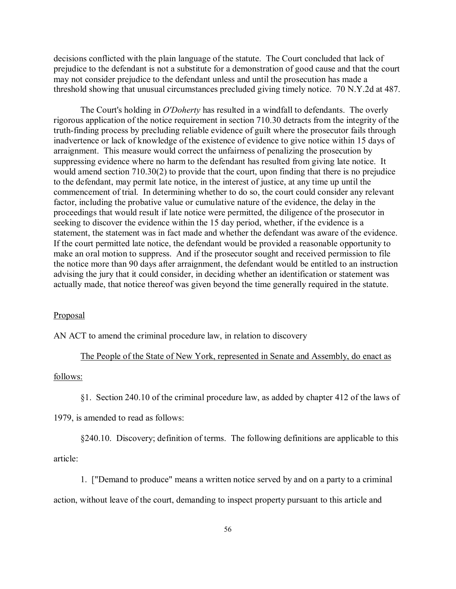decisions conflicted with the plain language of the statute. The Court concluded that lack of prejudice to the defendant is not a substitute for a demonstration of good cause and that the court may not consider prejudice to the defendant unless and until the prosecution has made a threshold showing that unusual circumstances precluded giving timely notice. 70 N.Y.2d at 487.

The Court's holding in *O'Doherty* has resulted in a windfall to defendants. The overly rigorous application of the notice requirement in section 710.30 detracts from the integrity of the truth-finding process by precluding reliable evidence of guilt where the prosecutor fails through inadvertence or lack of knowledge of the existence of evidence to give notice within 15 days of arraignment. This measure would correct the unfairness of penalizing the prosecution by suppressing evidence where no harm to the defendant has resulted from giving late notice. It would amend section 710.30(2) to provide that the court, upon finding that there is no prejudice to the defendant, may permit late notice, in the interest of justice, at any time up until the commencement of trial. In determining whether to do so, the court could consider any relevant factor, including the probative value or cumulative nature of the evidence, the delay in the proceedings that would result if late notice were permitted, the diligence of the prosecutor in seeking to discover the evidence within the 15 day period, whether, if the evidence is a statement, the statement was in fact made and whether the defendant was aware of the evidence. If the court permitted late notice, the defendant would be provided a reasonable opportunity to make an oral motion to suppress. And if the prosecutor sought and received permission to file the notice more than 90 days after arraignment, the defendant would be entitled to an instruction advising the jury that it could consider, in deciding whether an identification or statement was actually made, that notice thereof was given beyond the time generally required in the statute.

## **Proposal**

AN ACT to amend the criminal procedure law, in relation to discovery

## The People of the State of New York, represented in Senate and Assembly, do enact as

#### follows:

§1. Section 240.10 of the criminal procedure law, as added by chapter 412 of the laws of

1979, is amended to read as follows:

§240.10. Discovery; definition of terms. The following definitions are applicable to this

article:

1. ["Demand to produce" means a written notice served by and on a party to a criminal action, without leave of the court, demanding to inspect property pursuant to this article and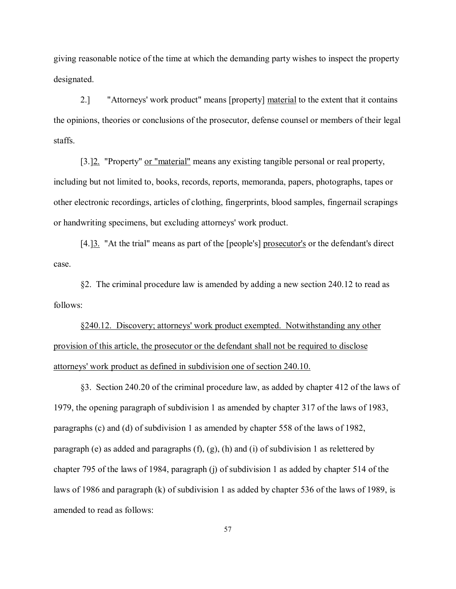giving reasonable notice of the time at which the demanding party wishes to inspect the property designated.

2.] "Attorneys' work product" means [property] material to the extent that it contains the opinions, theories or conclusions of the prosecutor, defense counsel or members of their legal staffs.

[3.]2. "Property" or "material" means any existing tangible personal or real property, including but not limited to, books, records, reports, memoranda, papers, photographs, tapes or other electronic recordings, articles of clothing, fingerprints, blood samples, fingernail scrapings or handwriting specimens, but excluding attorneys' work product.

[4.]<sup>3</sup>. "At the trial" means as part of the [people's] prosecutor's or the defendant's direct case.

§2. The criminal procedure law is amended by adding a new section 240.12 to read as follows:

§240.12. Discovery; attorneys' work product exempted. Notwithstanding any other provision of this article, the prosecutor or the defendant shall not be required to disclose attorneys' work product as defined in subdivision one of section 240.10.

§3. Section 240.20 of the criminal procedure law, as added by chapter 412 of the laws of 1979, the opening paragraph of subdivision 1 as amended by chapter 317 of the laws of 1983, paragraphs (c) and (d) of subdivision 1 as amended by chapter 558 of the laws of 1982, paragraph (e) as added and paragraphs  $(f)$ ,  $(g)$ ,  $(h)$  and  $(i)$  of subdivision 1 as relettered by chapter 795 of the laws of 1984, paragraph (j) of subdivision 1 as added by chapter 514 of the laws of 1986 and paragraph (k) of subdivision 1 as added by chapter 536 of the laws of 1989, is amended to read as follows: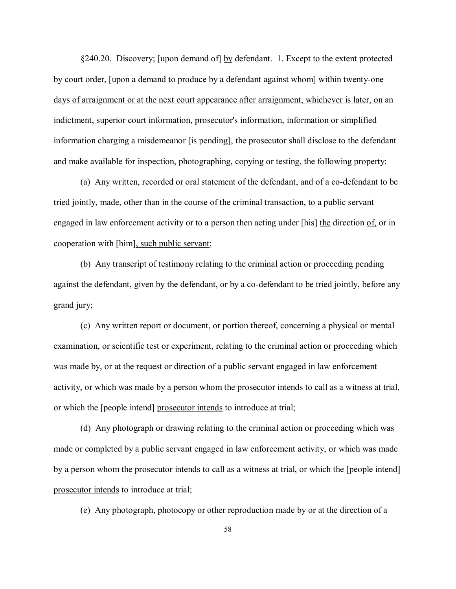§240.20. Discovery; [upon demand of] by defendant. 1. Except to the extent protected by court order, [upon a demand to produce by a defendant against whom] within twenty-one days of arraignment or at the next court appearance after arraignment, whichever is later, on an indictment, superior court information, prosecutor's information, information or simplified information charging a misdemeanor [is pending], the prosecutor shall disclose to the defendant and make available for inspection, photographing, copying or testing, the following property:

(a) Any written, recorded or oral statement of the defendant, and of a co-defendant to be tried jointly, made, other than in the course of the criminal transaction, to a public servant engaged in law enforcement activity or to a person then acting under [his] the direction of, or in cooperation with [him], such public servant;

(b) Any transcript of testimony relating to the criminal action or proceeding pending against the defendant, given by the defendant, or by a co-defendant to be tried jointly, before any grand jury;

(c) Any written report or document, or portion thereof, concerning a physical or mental examination, or scientific test or experiment, relating to the criminal action or proceeding which was made by, or at the request or direction of a public servant engaged in law enforcement activity, or which was made by a person whom the prosecutor intends to call as a witness at trial, or which the [people intend] prosecutor intends to introduce at trial;

(d) Any photograph or drawing relating to the criminal action or proceeding which was made or completed by a public servant engaged in law enforcement activity, or which was made by a person whom the prosecutor intends to call as a witness at trial, or which the [people intend] prosecutor intends to introduce at trial;

(e) Any photograph, photocopy or other reproduction made by or at the direction of a

58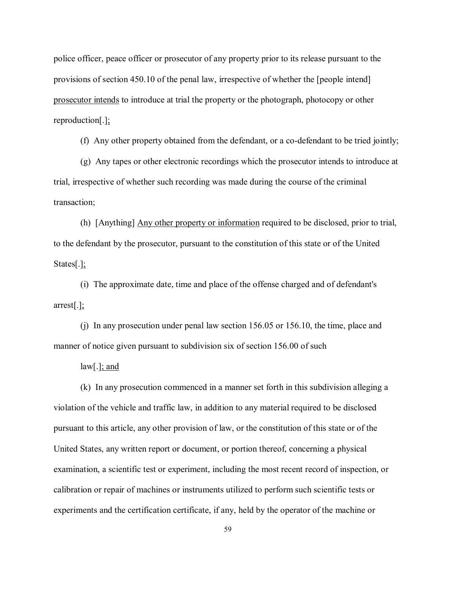police officer, peace officer or prosecutor of any property prior to its release pursuant to the provisions of section 450.10 of the penal law, irrespective of whether the [people intend] prosecutor intends to introduce at trial the property or the photograph, photocopy or other reproduction[.];

(f) Any other property obtained from the defendant, or a co-defendant to be tried jointly;

(g) Any tapes or other electronic recordings which the prosecutor intends to introduce at trial, irrespective of whether such recording was made during the course of the criminal transaction;

(h) [Anything] Any other property or information required to be disclosed, prior to trial, to the defendant by the prosecutor, pursuant to the constitution of this state or of the United States[.];

(i) The approximate date, time and place of the offense charged and of defendant's arrest[.];

(j) In any prosecution under penal law section 156.05 or 156.10, the time, place and manner of notice given pursuant to subdivision six of section 156.00 of such

law[.]; and

(k) In any prosecution commenced in a manner set forth in this subdivision alleging a violation of the vehicle and traffic law, in addition to any material required to be disclosed pursuant to this article, any other provision of law, or the constitution of this state or of the United States, any written report or document, or portion thereof, concerning a physical examination, a scientific test or experiment, including the most recent record of inspection, or calibration or repair of machines or instruments utilized to perform such scientific tests or experiments and the certification certificate, if any, held by the operator of the machine or

59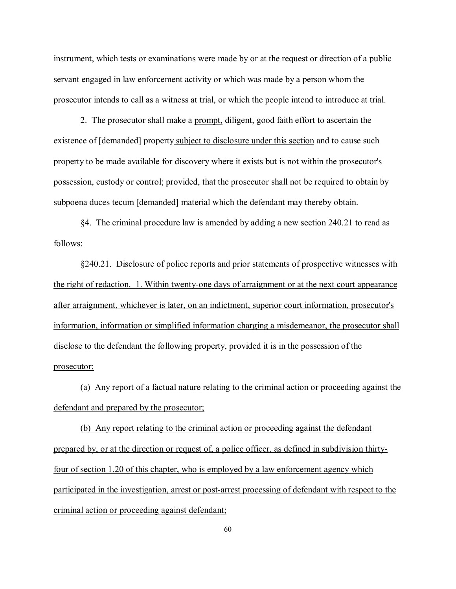instrument, which tests or examinations were made by or at the request or direction of a public servant engaged in law enforcement activity or which was made by a person whom the prosecutor intends to call as a witness at trial, or which the people intend to introduce at trial.

2. The prosecutor shall make a prompt, diligent, good faith effort to ascertain the existence of [demanded] property subject to disclosure under this section and to cause such property to be made available for discovery where it exists but is not within the prosecutor's possession, custody or control; provided, that the prosecutor shall not be required to obtain by subpoena duces tecum [demanded] material which the defendant may thereby obtain.

§4. The criminal procedure law is amended by adding a new section 240.21 to read as follows:

§240.21. Disclosure of police reports and prior statements of prospective witnesses with the right of redaction. 1. Within twenty-one days of arraignment or at the next court appearance after arraignment, whichever is later, on an indictment, superior court information, prosecutor's information, information or simplified information charging a misdemeanor, the prosecutor shall disclose to the defendant the following property, provided it is in the possession of the prosecutor:

(a) Any report of a factual nature relating to the criminal action or proceeding against the defendant and prepared by the prosecutor;

(b) Any report relating to the criminal action or proceeding against the defendant prepared by, or at the direction or request of, a police officer, as defined in subdivision thirtyfour of section 1.20 of this chapter, who is employed by a law enforcement agency which participated in the investigation, arrest or post-arrest processing of defendant with respect to the criminal action or proceeding against defendant;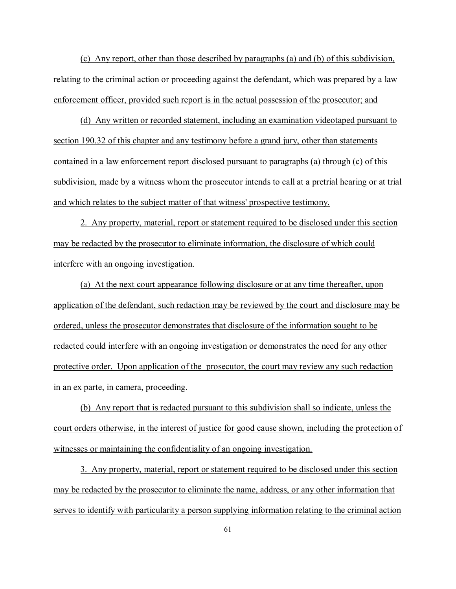(c) Any report, other than those described by paragraphs (a) and (b) of this subdivision, relating to the criminal action or proceeding against the defendant, which was prepared by a law enforcement officer, provided such report is in the actual possession of the prosecutor; and

(d) Any written or recorded statement, including an examination videotaped pursuant to section 190.32 of this chapter and any testimony before a grand jury, other than statements contained in a law enforcement report disclosed pursuant to paragraphs (a) through (c) of this subdivision, made by a witness whom the prosecutor intends to call at a pretrial hearing or at trial and which relates to the subject matter of that witness' prospective testimony.

2. Any property, material, report or statement required to be disclosed under this section may be redacted by the prosecutor to eliminate information, the disclosure of which could interfere with an ongoing investigation.

(a) At the next court appearance following disclosure or at any time thereafter, upon application of the defendant, such redaction may be reviewed by the court and disclosure may be ordered, unless the prosecutor demonstrates that disclosure of the information sought to be redacted could interfere with an ongoing investigation or demonstrates the need for any other protective order. Upon application of the prosecutor, the court may review any such redaction in an ex parte, in camera, proceeding.

(b) Any report that is redacted pursuant to this subdivision shall so indicate, unless the court orders otherwise, in the interest of justice for good cause shown, including the protection of witnesses or maintaining the confidentiality of an ongoing investigation.

3. Any property, material, report or statement required to be disclosed under this section may be redacted by the prosecutor to eliminate the name, address, or any other information that serves to identify with particularity a person supplying information relating to the criminal action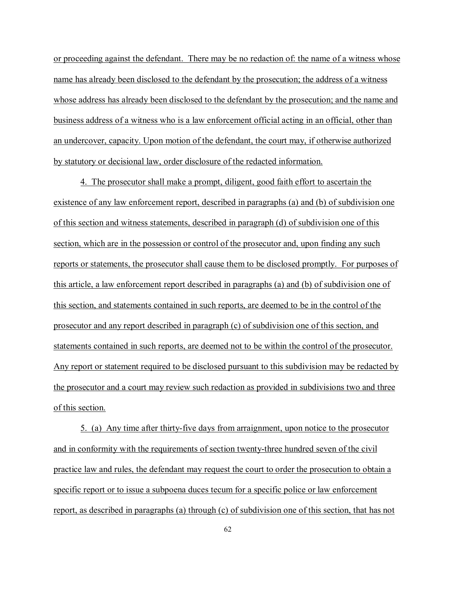or proceeding against the defendant. There may be no redaction of: the name of a witness whose name has already been disclosed to the defendant by the prosecution; the address of a witness whose address has already been disclosed to the defendant by the prosecution; and the name and business address of a witness who is a law enforcement official acting in an official, other than an undercover, capacity. Upon motion of the defendant, the court may, if otherwise authorized by statutory or decisional law, order disclosure of the redacted information.

4. The prosecutor shall make a prompt, diligent, good faith effort to ascertain the existence of any law enforcement report, described in paragraphs (a) and (b) of subdivision one of this section and witness statements, described in paragraph (d) of subdivision one of this section, which are in the possession or control of the prosecutor and, upon finding any such reports or statements, the prosecutor shall cause them to be disclosed promptly. For purposes of this article, a law enforcement report described in paragraphs (a) and (b) of subdivision one of this section, and statements contained in such reports, are deemed to be in the control of the prosecutor and any report described in paragraph (c) of subdivision one of this section, and statements contained in such reports, are deemed not to be within the control of the prosecutor. Any report or statement required to be disclosed pursuant to this subdivision may be redacted by the prosecutor and a court may review such redaction as provided in subdivisions two and three of this section.

5. (a) Any time after thirty-five days from arraignment, upon notice to the prosecutor and in conformity with the requirements of section twenty-three hundred seven of the civil practice law and rules, the defendant may request the court to order the prosecution to obtain a specific report or to issue a subpoena duces tecum for a specific police or law enforcement report, as described in paragraphs (a) through (c) of subdivision one of this section, that has not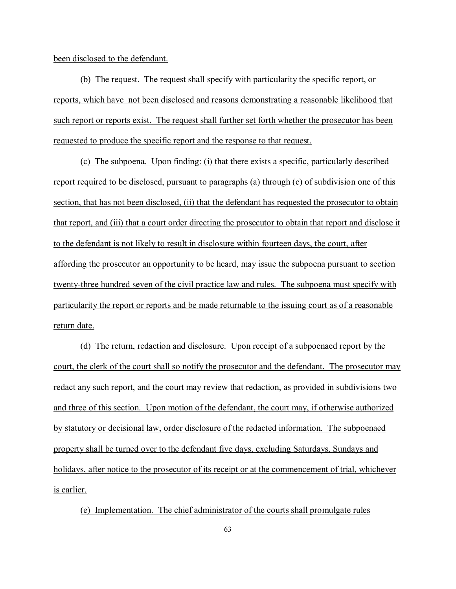been disclosed to the defendant.

(b) The request. The request shall specify with particularity the specific report, or reports, which have not been disclosed and reasons demonstrating a reasonable likelihood that such report or reports exist. The request shall further set forth whether the prosecutor has been requested to produce the specific report and the response to that request.

(c) The subpoena. Upon finding: (i) that there exists a specific, particularly described report required to be disclosed, pursuant to paragraphs (a) through (c) of subdivision one of this section, that has not been disclosed, (ii) that the defendant has requested the prosecutor to obtain that report, and (iii) that a court order directing the prosecutor to obtain that report and disclose it to the defendant is not likely to result in disclosure within fourteen days, the court, after affording the prosecutor an opportunity to be heard, may issue the subpoena pursuant to section twenty-three hundred seven of the civil practice law and rules. The subpoena must specify with particularity the report or reports and be made returnable to the issuing court as of a reasonable return date.

(d) The return, redaction and disclosure. Upon receipt of a subpoenaed report by the court, the clerk of the court shall so notify the prosecutor and the defendant. The prosecutor may redact any such report, and the court may review that redaction, as provided in subdivisions two and three of this section. Upon motion of the defendant, the court may, if otherwise authorized by statutory or decisional law, order disclosure of the redacted information. The subpoenaed property shall be turned over to the defendant five days, excluding Saturdays, Sundays and holidays, after notice to the prosecutor of its receipt or at the commencement of trial, whichever is earlier.

(e) Implementation. The chief administrator of the courts shall promulgate rules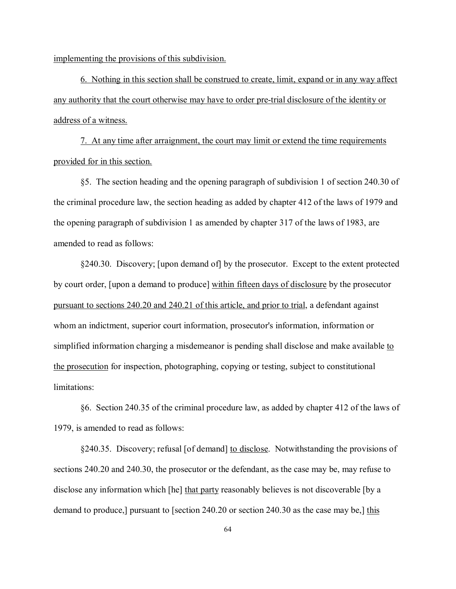implementing the provisions of this subdivision.

6. Nothing in this section shall be construed to create, limit, expand or in any way affect any authority that the court otherwise may have to order pre-trial disclosure of the identity or address of a witness.

7. At any time after arraignment, the court may limit or extend the time requirements provided for in this section.

§5. The section heading and the opening paragraph of subdivision 1 of section 240.30 of the criminal procedure law, the section heading as added by chapter 412 of the laws of 1979 and the opening paragraph of subdivision 1 as amended by chapter 317 of the laws of 1983, are amended to read as follows:

§240.30. Discovery; [upon demand of] by the prosecutor. Except to the extent protected by court order, [upon a demand to produce] within fifteen days of disclosure by the prosecutor pursuant to sections 240.20 and 240.21 of this article, and prior to trial, a defendant against whom an indictment, superior court information, prosecutor's information, information or simplified information charging a misdemeanor is pending shall disclose and make available to the prosecution for inspection, photographing, copying or testing, subject to constitutional limitations:

§6. Section 240.35 of the criminal procedure law, as added by chapter 412 of the laws of 1979, is amended to read as follows:

§240.35. Discovery; refusal [of demand] to disclose. Notwithstanding the provisions of sections 240.20 and 240.30, the prosecutor or the defendant, as the case may be, may refuse to disclose any information which [he] that party reasonably believes is not discoverable [by a demand to produce,] pursuant to [section 240.20 or section 240.30 as the case may be,] this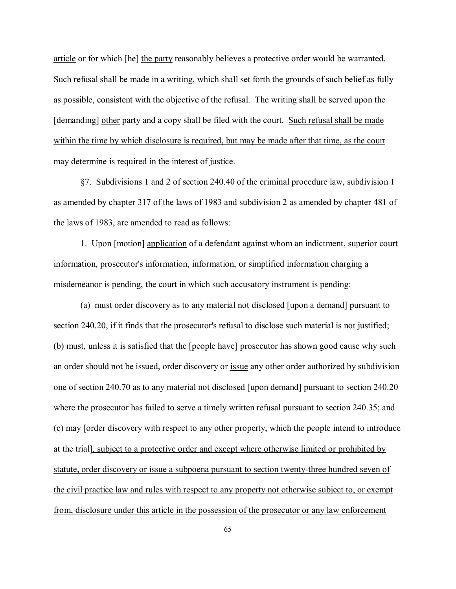article or for which [he] the party reasonably believes a protective order would be warranted. Such refusal shall be made in a writing, which shall set forth the grounds of such belief as fully as possible, consistent with the objective of the refusal. The writing shall be served upon the [demanding] other party and a copy shall be filed with the court. Such refusal shall be made within the time by which disclosure is required, but may be made after that time, as the court may determine is required in the interest of justice.

§7. Subdivisions 1 and 2 of section 240.40 of the criminal procedure law, subdivision 1 as amended by chapter 317 of the laws of 1983 and subdivision 2 as amended by chapter 481 of the laws of 1983, are amended to read as follows:

1. Upon [motion] application of a defendant against whom an indictment, superior court information, prosecutor's information, information, or simplified information charging a misdemeanor is pending, the court in which such accusatory instrument is pending:

(a) must order discovery as to any material not disclosed [upon a demand] pursuant to section 240.20, if it finds that the prosecutor's refusal to disclose such material is not justified; (b) must, unless it is satisfied that the [people have] prosecutor has shown good cause why such an order should not be issued, order discovery or issue any other order authorized by subdivision one of section 240.70 as to any material not disclosed [upon demand] pursuant to section 240.20 where the prosecutor has failed to serve a timely written refusal pursuant to section 240.35; and (c) may [order discovery with respect to any other property, which the people intend to introduce at the trial], subject to a protective order and except where otherwise limited or prohibited by statute, order discovery or issue a subpoena pursuant to section twenty-three hundred seven of the civil practice law and rules with respect to any property not otherwise subject to, or exempt from, disclosure under this article in the possession of the prosecutor or any law enforcement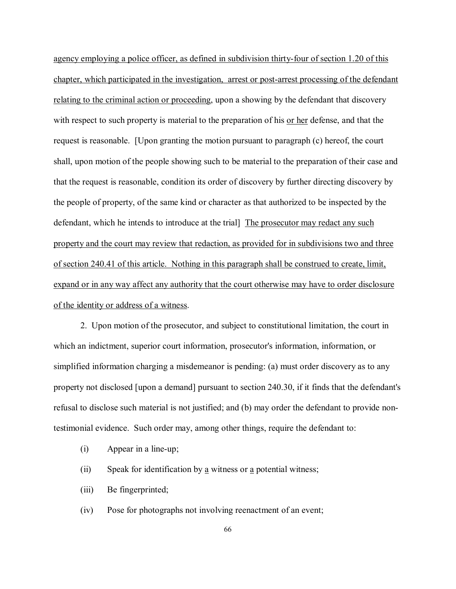agency employing a police officer, as defined in subdivision thirty-four of section 1.20 of this chapter, which participated in the investigation, arrest or post-arrest processing of the defendant relating to the criminal action or proceeding, upon a showing by the defendant that discovery with respect to such property is material to the preparation of his or her defense, and that the request is reasonable. [Upon granting the motion pursuant to paragraph (c) hereof, the court shall, upon motion of the people showing such to be material to the preparation of their case and that the request is reasonable, condition its order of discovery by further directing discovery by the people of property, of the same kind or character as that authorized to be inspected by the defendant, which he intends to introduce at the trial] The prosecutor may redact any such property and the court may review that redaction, as provided for in subdivisions two and three of section 240.41 of this article. Nothing in this paragraph shall be construed to create, limit, expand or in any way affect any authority that the court otherwise may have to order disclosure of the identity or address of a witness.

2. Upon motion of the prosecutor, and subject to constitutional limitation, the court in which an indictment, superior court information, prosecutor's information, information, or simplified information charging a misdemeanor is pending: (a) must order discovery as to any property not disclosed [upon a demand] pursuant to section 240.30, if it finds that the defendant's refusal to disclose such material is not justified; and (b) may order the defendant to provide nontestimonial evidence. Such order may, among other things, require the defendant to:

- (i) Appear in a line-up;
- (ii) Speak for identification by a witness or a potential witness;
- (iii) Be fingerprinted;
- (iv) Pose for photographs not involving reenactment of an event;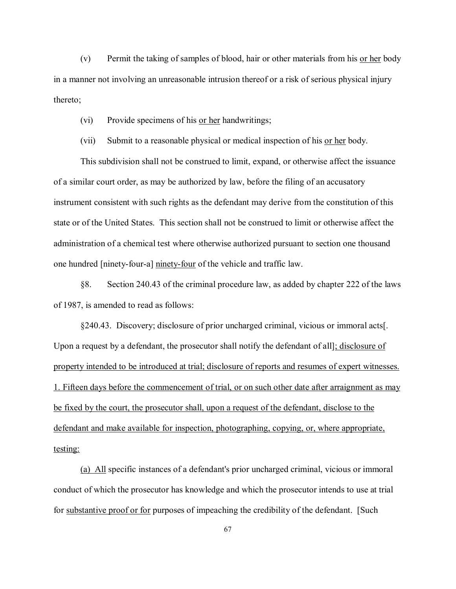(v) Permit the taking of samples of blood, hair or other materials from his or her body in a manner not involving an unreasonable intrusion thereof or a risk of serious physical injury thereto;

(vi) Provide specimens of his or her handwritings;

(vii) Submit to a reasonable physical or medical inspection of his or her body.

This subdivision shall not be construed to limit, expand, or otherwise affect the issuance of a similar court order, as may be authorized by law, before the filing of an accusatory instrument consistent with such rights as the defendant may derive from the constitution of this state or of the United States. This section shall not be construed to limit or otherwise affect the administration of a chemical test where otherwise authorized pursuant to section one thousand one hundred [ninety-four-a] ninety-four of the vehicle and traffic law.

§8. Section 240.43 of the criminal procedure law, as added by chapter 222 of the laws of 1987, is amended to read as follows:

§240.43. Discovery; disclosure of prior uncharged criminal, vicious or immoral acts[. Upon a request by a defendant, the prosecutor shall notify the defendant of all]; disclosure of property intended to be introduced at trial; disclosure of reports and resumes of expert witnesses. 1. Fifteen days before the commencement of trial, or on such other date after arraignment as may be fixed by the court, the prosecutor shall, upon a request of the defendant, disclose to the defendant and make available for inspection, photographing, copying, or, where appropriate, testing:

(a) All specific instances of a defendant's prior uncharged criminal, vicious or immoral conduct of which the prosecutor has knowledge and which the prosecutor intends to use at trial for substantive proof or for purposes of impeaching the credibility of the defendant. [Such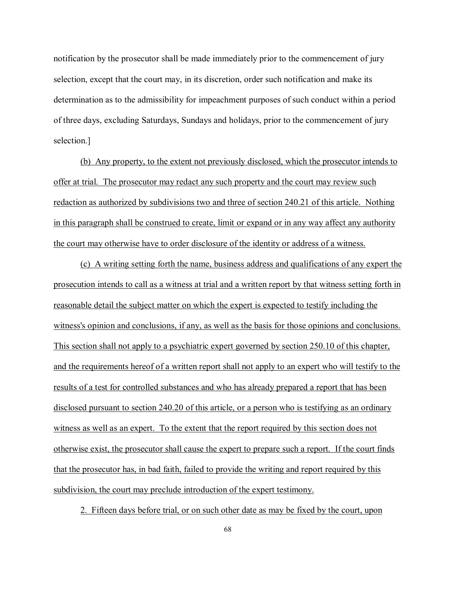notification by the prosecutor shall be made immediately prior to the commencement of jury selection, except that the court may, in its discretion, order such notification and make its determination as to the admissibility for impeachment purposes of such conduct within a period of three days, excluding Saturdays, Sundays and holidays, prior to the commencement of jury selection.]

(b) Any property, to the extent not previously disclosed, which the prosecutor intends to offer at trial. The prosecutor may redact any such property and the court may review such redaction as authorized by subdivisions two and three of section 240.21 of this article. Nothing in this paragraph shall be construed to create, limit or expand or in any way affect any authority the court may otherwise have to order disclosure of the identity or address of a witness.

(c) A writing setting forth the name, business address and qualifications of any expert the prosecution intends to call as a witness at trial and a written report by that witness setting forth in reasonable detail the subject matter on which the expert is expected to testify including the witness's opinion and conclusions, if any, as well as the basis for those opinions and conclusions. This section shall not apply to a psychiatric expert governed by section 250.10 of this chapter, and the requirements hereof of a written report shall not apply to an expert who will testify to the results of a test for controlled substances and who has already prepared a report that has been disclosed pursuant to section 240.20 of this article, or a person who is testifying as an ordinary witness as well as an expert. To the extent that the report required by this section does not otherwise exist, the prosecutor shall cause the expert to prepare such a report. If the court finds that the prosecutor has, in bad faith, failed to provide the writing and report required by this subdivision, the court may preclude introduction of the expert testimony.

2. Fifteen days before trial, or on such other date as may be fixed by the court, upon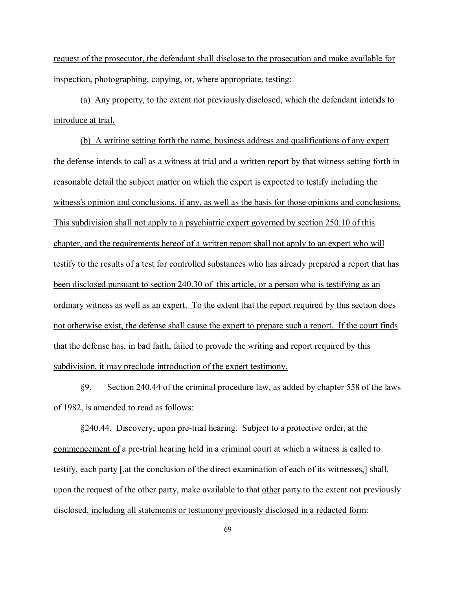request of the prosecutor, the defendant shall disclose to the prosecution and make available for inspection, photographing, copying, or, where appropriate, testing:

(a) Any property, to the extent not previously disclosed, which the defendant intends to introduce at trial.

(b) A writing setting forth the name, business address and qualifications of any expert the defense intends to call as a witness at trial and a written report by that witness setting forth in reasonable detail the subject matter on which the expert is expected to testify including the witness's opinion and conclusions, if any, as well as the basis for those opinions and conclusions. This subdivision shall not apply to a psychiatric expert governed by section 250.10 of this chapter, and the requirements hereof of a written report shall not apply to an expert who will testify to the results of a test for controlled substances who has already prepared a report that has been disclosed pursuant to section 240.30 of this article, or a person who is testifying as an ordinary witness as well as an expert. To the extent that the report required by this section does not otherwise exist, the defense shall cause the expert to prepare such a report. If the court finds that the defense has, in bad faith, failed to provide the writing and report required by this subdivision, it may preclude introduction of the expert testimony.

§9. Section 240.44 of the criminal procedure law, as added by chapter 558 of the laws of 1982, is amended to read as follows:

§240.44. Discovery; upon pre-trial hearing. Subject to a protective order, at the commencement of a pre-trial hearing held in a criminal court at which a witness is called to testify, each party [,at the conclusion of the direct examination of each of its witnesses,] shall, upon the request of the other party, make available to that other party to the extent not previously disclosed, including all statements or testimony previously disclosed in a redacted form: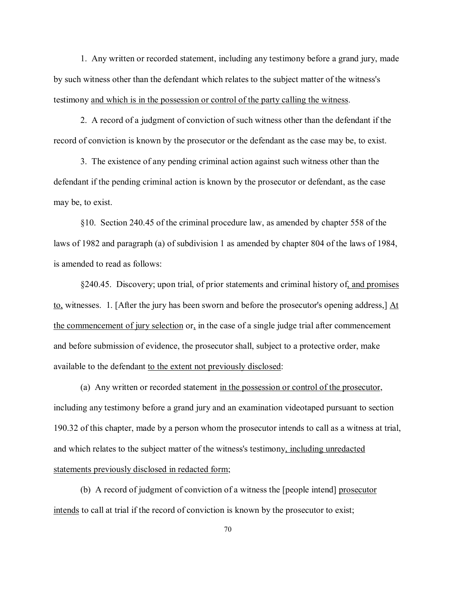1. Any written or recorded statement, including any testimony before a grand jury, made by such witness other than the defendant which relates to the subject matter of the witness's testimony and which is in the possession or control of the party calling the witness.

2. A record of a judgment of conviction of such witness other than the defendant if the record of conviction is known by the prosecutor or the defendant as the case may be, to exist.

3. The existence of any pending criminal action against such witness other than the defendant if the pending criminal action is known by the prosecutor or defendant, as the case may be, to exist.

§10. Section 240.45 of the criminal procedure law, as amended by chapter 558 of the laws of 1982 and paragraph (a) of subdivision 1 as amended by chapter 804 of the laws of 1984, is amended to read as follows:

§240.45. Discovery; upon trial, of prior statements and criminal history of, and promises to, witnesses. 1. [After the jury has been sworn and before the prosecutor's opening address,]  $\underline{At}$ the commencement of jury selection or, in the case of a single judge trial after commencement and before submission of evidence, the prosecutor shall, subject to a protective order, make available to the defendant to the extent not previously disclosed:

(a) Any written or recorded statement in the possession or control of the prosecutor, including any testimony before a grand jury and an examination videotaped pursuant to section 190.32 of this chapter, made by a person whom the prosecutor intends to call as a witness at trial, and which relates to the subject matter of the witness's testimony, including unredacted statements previously disclosed in redacted form;

(b) A record of judgment of conviction of a witness the [people intend] prosecutor intends to call at trial if the record of conviction is known by the prosecutor to exist;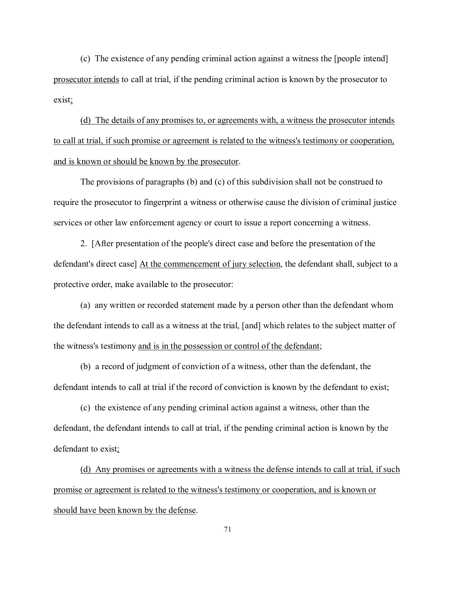(c) The existence of any pending criminal action against a witness the [people intend] prosecutor intends to call at trial, if the pending criminal action is known by the prosecutor to exist;

(d) The details of any promises to, or agreements with, a witness the prosecutor intends to call at trial, if such promise or agreement is related to the witness's testimony or cooperation, and is known or should be known by the prosecutor.

The provisions of paragraphs (b) and (c) of this subdivision shall not be construed to require the prosecutor to fingerprint a witness or otherwise cause the division of criminal justice services or other law enforcement agency or court to issue a report concerning a witness.

2. [After presentation of the people's direct case and before the presentation of the defendant's direct case] At the commencement of jury selection, the defendant shall, subject to a protective order, make available to the prosecutor:

(a) any written or recorded statement made by a person other than the defendant whom the defendant intends to call as a witness at the trial, [and] which relates to the subject matter of the witness's testimony and is in the possession or control of the defendant;

(b) a record of judgment of conviction of a witness, other than the defendant, the defendant intends to call at trial if the record of conviction is known by the defendant to exist;

(c) the existence of any pending criminal action against a witness, other than the defendant, the defendant intends to call at trial, if the pending criminal action is known by the defendant to exist;

(d) Any promises or agreements with a witness the defense intends to call at trial, if such promise or agreement is related to the witness's testimony or cooperation, and is known or should have been known by the defense.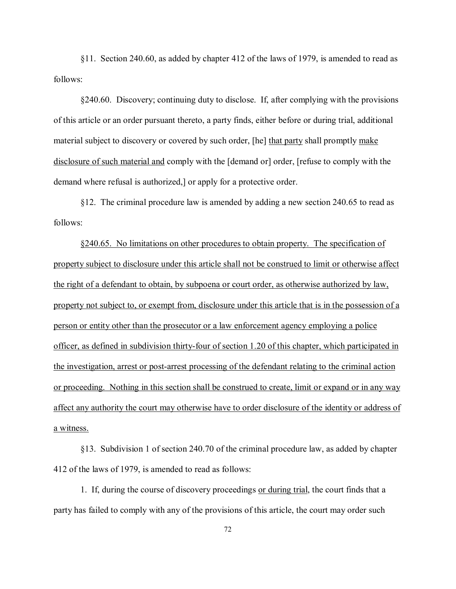§11. Section 240.60, as added by chapter 412 of the laws of 1979, is amended to read as follows:

§240.60. Discovery; continuing duty to disclose. If, after complying with the provisions of this article or an order pursuant thereto, a party finds, either before or during trial, additional material subject to discovery or covered by such order, [he] that party shall promptly make disclosure of such material and comply with the [demand or] order, [refuse to comply with the demand where refusal is authorized,] or apply for a protective order.

§12. The criminal procedure law is amended by adding a new section 240.65 to read as follows:

§240.65. No limitations on other procedures to obtain property. The specification of property subject to disclosure under this article shall not be construed to limit or otherwise affect the right of a defendant to obtain, by subpoena or court order, as otherwise authorized by law, property not subject to, or exempt from, disclosure under this article that is in the possession of a person or entity other than the prosecutor or a law enforcement agency employing a police officer, as defined in subdivision thirty-four of section 1.20 of this chapter, which participated in the investigation, arrest or post-arrest processing of the defendant relating to the criminal action or proceeding. Nothing in this section shall be construed to create, limit or expand or in any way affect any authority the court may otherwise have to order disclosure of the identity or address of a witness.

§13. Subdivision 1 of section 240.70 of the criminal procedure law, as added by chapter 412 of the laws of 1979, is amended to read as follows:

1. If, during the course of discovery proceedings or during trial, the court finds that a party has failed to comply with any of the provisions of this article, the court may order such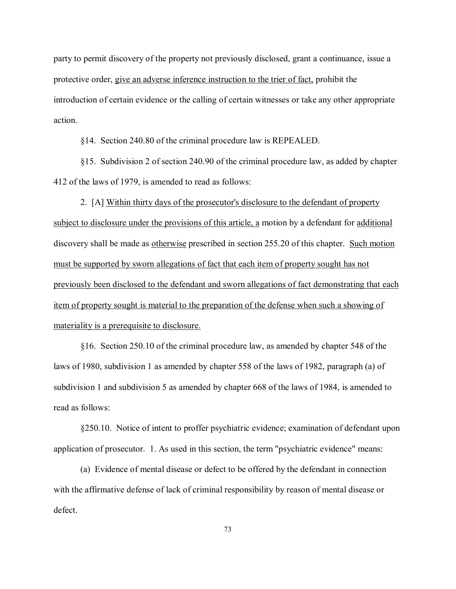party to permit discovery of the property not previously disclosed, grant a continuance, issue a protective order, give an adverse inference instruction to the trier of fact, prohibit the introduction of certain evidence or the calling of certain witnesses or take any other appropriate action.

§14. Section 240.80 of the criminal procedure law is REPEALED.

§15. Subdivision 2 of section 240.90 of the criminal procedure law, as added by chapter 412 of the laws of 1979, is amended to read as follows:

2. [A] Within thirty days of the prosecutor's disclosure to the defendant of property subject to disclosure under the provisions of this article, a motion by a defendant for additional discovery shall be made as otherwise prescribed in section 255.20 of this chapter. Such motion must be supported by sworn allegations of fact that each item of property sought has not previously been disclosed to the defendant and sworn allegations of fact demonstrating that each item of property sought is material to the preparation of the defense when such a showing of materiality is a prerequisite to disclosure.

§16. Section 250.10 of the criminal procedure law, as amended by chapter 548 of the laws of 1980, subdivision 1 as amended by chapter 558 of the laws of 1982, paragraph (a) of subdivision 1 and subdivision 5 as amended by chapter 668 of the laws of 1984, is amended to read as follows:

§250.10. Notice of intent to proffer psychiatric evidence; examination of defendant upon application of prosecutor. 1. As used in this section, the term "psychiatric evidence" means:

(a) Evidence of mental disease or defect to be offered by the defendant in connection with the affirmative defense of lack of criminal responsibility by reason of mental disease or defect.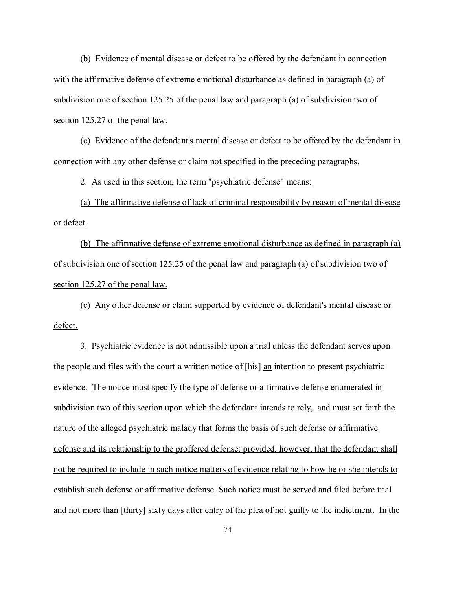(b) Evidence of mental disease or defect to be offered by the defendant in connection with the affirmative defense of extreme emotional disturbance as defined in paragraph (a) of subdivision one of section 125.25 of the penal law and paragraph (a) of subdivision two of section 125.27 of the penal law.

(c) Evidence of the defendant's mental disease or defect to be offered by the defendant in connection with any other defense or claim not specified in the preceding paragraphs.

2. As used in this section, the term "psychiatric defense" means:

(a) The affirmative defense of lack of criminal responsibility by reason of mental disease or defect.

(b) The affirmative defense of extreme emotional disturbance as defined in paragraph (a) of subdivision one of section 125.25 of the penal law and paragraph (a) of subdivision two of section 125.27 of the penal law.

(c) Any other defense or claim supported by evidence of defendant's mental disease or defect.

3. Psychiatric evidence is not admissible upon a trial unless the defendant serves upon the people and files with the court a written notice of [his] an intention to present psychiatric evidence. The notice must specify the type of defense or affirmative defense enumerated in subdivision two of this section upon which the defendant intends to rely, and must set forth the nature of the alleged psychiatric malady that forms the basis of such defense or affirmative defense and its relationship to the proffered defense; provided, however, that the defendant shall not be required to include in such notice matters of evidence relating to how he or she intends to establish such defense or affirmative defense. Such notice must be served and filed before trial and not more than [thirty] sixty days after entry of the plea of not guilty to the indictment. In the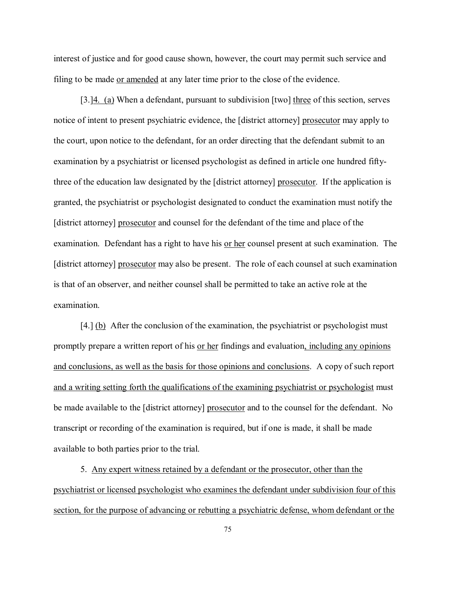interest of justice and for good cause shown, however, the court may permit such service and filing to be made or amended at any later time prior to the close of the evidence.

[3.]4. (a) When a defendant, pursuant to subdivision [two] three of this section, serves notice of intent to present psychiatric evidence, the [district attorney] prosecutor may apply to the court, upon notice to the defendant, for an order directing that the defendant submit to an examination by a psychiatrist or licensed psychologist as defined in article one hundred fiftythree of the education law designated by the [district attorney] prosecutor. If the application is granted, the psychiatrist or psychologist designated to conduct the examination must notify the [district attorney] prosecutor and counsel for the defendant of the time and place of the examination. Defendant has a right to have his or her counsel present at such examination. The [district attorney] prosecutor may also be present. The role of each counsel at such examination is that of an observer, and neither counsel shall be permitted to take an active role at the examination.

[4.] (b) After the conclusion of the examination, the psychiatrist or psychologist must promptly prepare a written report of his or her findings and evaluation, including any opinions and conclusions, as well as the basis for those opinions and conclusions. A copy of such report and a writing setting forth the qualifications of the examining psychiatrist or psychologist must be made available to the [district attorney] prosecutor and to the counsel for the defendant. No transcript or recording of the examination is required, but if one is made, it shall be made available to both parties prior to the trial.

5. Any expert witness retained by a defendant or the prosecutor, other than the psychiatrist or licensed psychologist who examines the defendant under subdivision four of this section, for the purpose of advancing or rebutting a psychiatric defense, whom defendant or the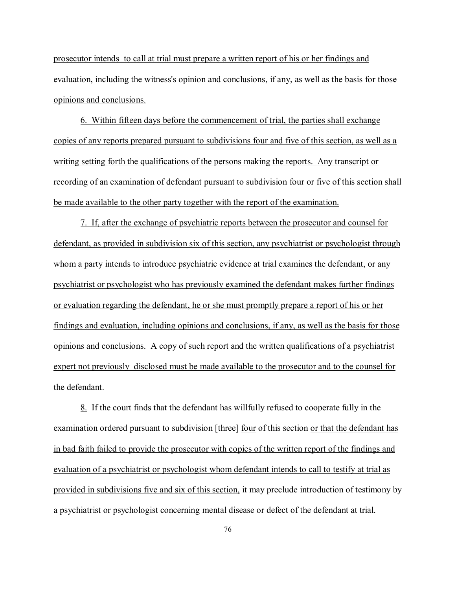prosecutor intends to call at trial must prepare a written report of his or her findings and evaluation, including the witness's opinion and conclusions, if any, as well as the basis for those opinions and conclusions.

6. Within fifteen days before the commencement of trial, the parties shall exchange copies of any reports prepared pursuant to subdivisions four and five of this section, as well as a writing setting forth the qualifications of the persons making the reports. Any transcript or recording of an examination of defendant pursuant to subdivision four or five of this section shall be made available to the other party together with the report of the examination.

7. If, after the exchange of psychiatric reports between the prosecutor and counsel for defendant, as provided in subdivision six of this section, any psychiatrist or psychologist through whom a party intends to introduce psychiatric evidence at trial examines the defendant, or any psychiatrist or psychologist who has previously examined the defendant makes further findings or evaluation regarding the defendant, he or she must promptly prepare a report of his or her findings and evaluation, including opinions and conclusions, if any, as well as the basis for those opinions and conclusions. A copy of such report and the written qualifications of a psychiatrist expert not previously disclosed must be made available to the prosecutor and to the counsel for the defendant.

8. If the court finds that the defendant has willfully refused to cooperate fully in the examination ordered pursuant to subdivision [three] <u>four</u> of this section <u>or that the defendant has</u> in bad faith failed to provide the prosecutor with copies of the written report of the findings and evaluation of a psychiatrist or psychologist whom defendant intends to call to testify at trial as provided in subdivisions five and six of this section, it may preclude introduction of testimony by a psychiatrist or psychologist concerning mental disease or defect of the defendant at trial.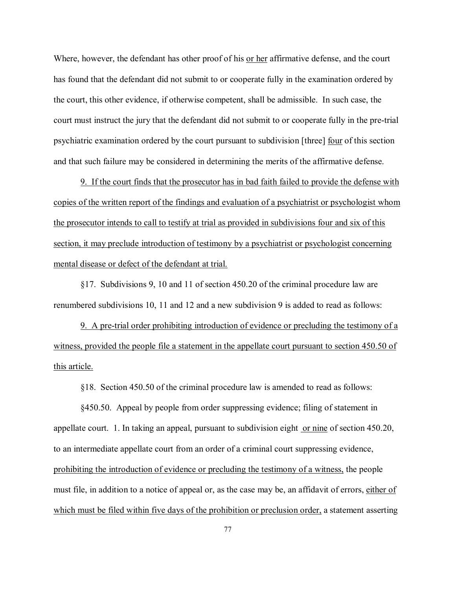Where, however, the defendant has other proof of his or her affirmative defense, and the court has found that the defendant did not submit to or cooperate fully in the examination ordered by the court, this other evidence, if otherwise competent, shall be admissible. In such case, the court must instruct the jury that the defendant did not submit to or cooperate fully in the pre-trial psychiatric examination ordered by the court pursuant to subdivision [three] four of this section and that such failure may be considered in determining the merits of the affirmative defense.

9. If the court finds that the prosecutor has in bad faith failed to provide the defense with copies of the written report of the findings and evaluation of a psychiatrist or psychologist whom the prosecutor intends to call to testify at trial as provided in subdivisions four and six of this section, it may preclude introduction of testimony by a psychiatrist or psychologist concerning mental disease or defect of the defendant at trial.

§17. Subdivisions 9, 10 and 11 of section 450.20 of the criminal procedure law are renumbered subdivisions 10, 11 and 12 and a new subdivision 9 is added to read as follows:

9. A pre-trial order prohibiting introduction of evidence or precluding the testimony of a witness, provided the people file a statement in the appellate court pursuant to section 450.50 of this article.

§18. Section 450.50 of the criminal procedure law is amended to read as follows:

§450.50. Appeal by people from order suppressing evidence; filing of statement in appellate court. 1. In taking an appeal, pursuant to subdivision eight or nine of section 450.20, to an intermediate appellate court from an order of a criminal court suppressing evidence, prohibiting the introduction of evidence or precluding the testimony of a witness, the people must file, in addition to a notice of appeal or, as the case may be, an affidavit of errors, either of which must be filed within five days of the prohibition or preclusion order, a statement asserting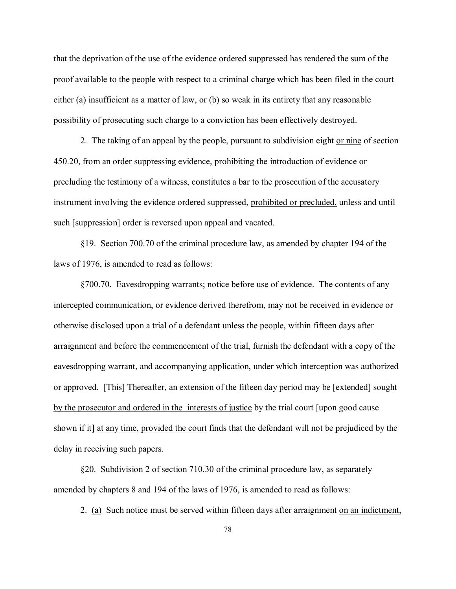that the deprivation of the use of the evidence ordered suppressed has rendered the sum of the proof available to the people with respect to a criminal charge which has been filed in the court either (a) insufficient as a matter of law, or (b) so weak in its entirety that any reasonable possibility of prosecuting such charge to a conviction has been effectively destroyed.

2. The taking of an appeal by the people, pursuant to subdivision eight or nine of section 450.20, from an order suppressing evidence, prohibiting the introduction of evidence or precluding the testimony of a witness, constitutes a bar to the prosecution of the accusatory instrument involving the evidence ordered suppressed, prohibited or precluded, unless and until such [suppression] order is reversed upon appeal and vacated.

§19. Section 700.70 of the criminal procedure law, as amended by chapter 194 of the laws of 1976, is amended to read as follows:

§700.70. Eavesdropping warrants; notice before use of evidence. The contents of any intercepted communication, or evidence derived therefrom, may not be received in evidence or otherwise disclosed upon a trial of a defendant unless the people, within fifteen days after arraignment and before the commencement of the trial, furnish the defendant with a copy of the eavesdropping warrant, and accompanying application, under which interception was authorized or approved. [This] Thereafter, an extension of the fifteen day period may be [extended] sought by the prosecutor and ordered in the interests of justice by the trial court [upon good cause shown if it] at any time, provided the court finds that the defendant will not be prejudiced by the delay in receiving such papers.

§20. Subdivision 2 of section 710.30 of the criminal procedure law, as separately amended by chapters 8 and 194 of the laws of 1976, is amended to read as follows:

2. (a) Such notice must be served within fifteen days after arraignment on an indictment,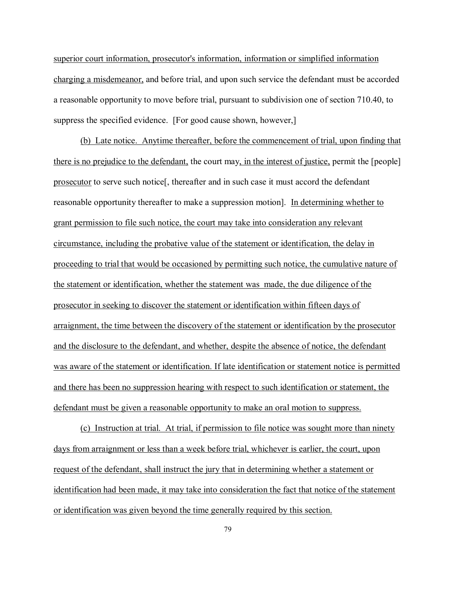superior court information, prosecutor's information, information or simplified information charging a misdemeanor, and before trial, and upon such service the defendant must be accorded a reasonable opportunity to move before trial, pursuant to subdivision one of section 710.40, to suppress the specified evidence. [For good cause shown, however,]

(b) Late notice. Anytime thereafter, before the commencement of trial, upon finding that there is no prejudice to the defendant, the court may, in the interest of justice, permit the [people] prosecutor to serve such notice[, thereafter and in such case it must accord the defendant reasonable opportunity thereafter to make a suppression motion]. In determining whether to grant permission to file such notice, the court may take into consideration any relevant circumstance, including the probative value of the statement or identification, the delay in proceeding to trial that would be occasioned by permitting such notice, the cumulative nature of the statement or identification, whether the statement was made, the due diligence of the prosecutor in seeking to discover the statement or identification within fifteen days of arraignment, the time between the discovery of the statement or identification by the prosecutor and the disclosure to the defendant, and whether, despite the absence of notice, the defendant was aware of the statement or identification. If late identification or statement notice is permitted and there has been no suppression hearing with respect to such identification or statement, the defendant must be given a reasonable opportunity to make an oral motion to suppress.

(c) Instruction at trial. At trial, if permission to file notice was sought more than ninety days from arraignment or less than a week before trial, whichever is earlier, the court, upon request of the defendant, shall instruct the jury that in determining whether a statement or identification had been made, it may take into consideration the fact that notice of the statement or identification was given beyond the time generally required by this section.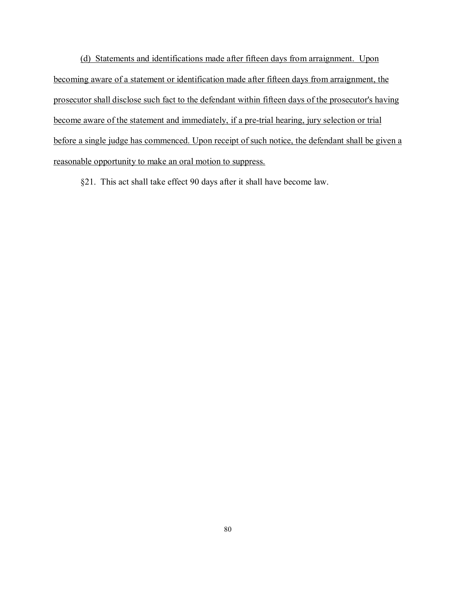(d) Statements and identifications made after fifteen days from arraignment. Upon becoming aware of a statement or identification made after fifteen days from arraignment, the prosecutor shall disclose such fact to the defendant within fifteen days of the prosecutor's having become aware of the statement and immediately, if a pre-trial hearing, jury selection or trial before a single judge has commenced. Upon receipt of such notice, the defendant shall be given a reasonable opportunity to make an oral motion to suppress.

§21. This act shall take effect 90 days after it shall have become law.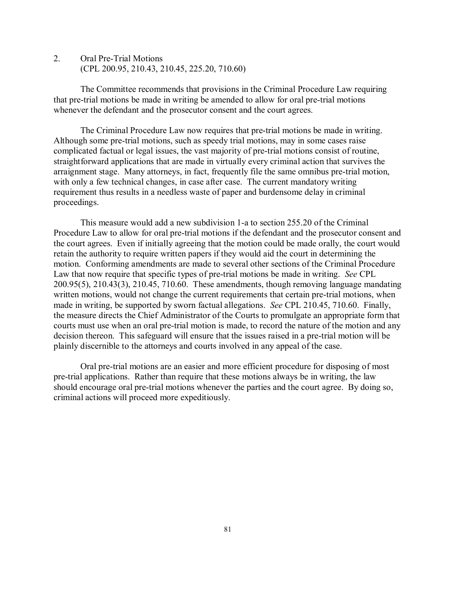2. Oral Pre-Trial Motions (CPL 200.95, 210.43, 210.45, 225.20, 710.60)

The Committee recommends that provisions in the Criminal Procedure Law requiring that pre-trial motions be made in writing be amended to allow for oral pre-trial motions whenever the defendant and the prosecutor consent and the court agrees.

The Criminal Procedure Law now requires that pre-trial motions be made in writing. Although some pre-trial motions, such as speedy trial motions, may in some cases raise complicated factual or legal issues, the vast majority of pre-trial motions consist of routine, straightforward applications that are made in virtually every criminal action that survives the arraignment stage. Many attorneys, in fact, frequently file the same omnibus pre-trial motion, with only a few technical changes, in case after case. The current mandatory writing requirement thus results in a needless waste of paper and burdensome delay in criminal proceedings.

This measure would add a new subdivision 1-a to section 255.20 of the Criminal Procedure Law to allow for oral pre-trial motions if the defendant and the prosecutor consent and the court agrees. Even if initially agreeing that the motion could be made orally, the court would retain the authority to require written papers if they would aid the court in determining the motion. Conforming amendments are made to several other sections of the Criminal Procedure Law that now require that specific types of pre-trial motions be made in writing. *See* CPL 200.95(5), 210.43(3), 210.45, 710.60. These amendments, though removing language mandating written motions, would not change the current requirements that certain pre-trial motions, when made in writing, be supported by sworn factual allegations. *See* CPL 210.45, 710.60. Finally, the measure directs the Chief Administrator of the Courts to promulgate an appropriate form that courts must use when an oral pre-trial motion is made, to record the nature of the motion and any decision thereon. This safeguard will ensure that the issues raised in a pre-trial motion will be plainly discernible to the attorneys and courts involved in any appeal of the case.

Oral pre-trial motions are an easier and more efficient procedure for disposing of most pre-trial applications. Rather than require that these motions always be in writing, the law should encourage oral pre-trial motions whenever the parties and the court agree. By doing so, criminal actions will proceed more expeditiously.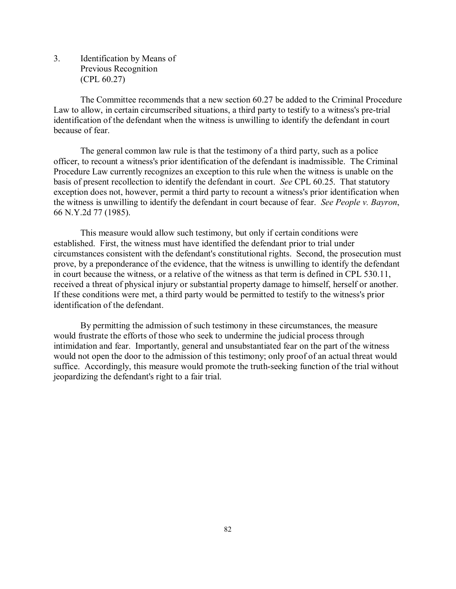3. Identification by Means of Previous Recognition (CPL 60.27)

The Committee recommends that a new section 60.27 be added to the Criminal Procedure Law to allow, in certain circumscribed situations, a third party to testify to a witness's pre-trial identification of the defendant when the witness is unwilling to identify the defendant in court because of fear.

The general common law rule is that the testimony of a third party, such as a police officer, to recount a witness's prior identification of the defendant is inadmissible. The Criminal Procedure Law currently recognizes an exception to this rule when the witness is unable on the basis of present recollection to identify the defendant in court. *See* CPL 60.25. That statutory exception does not, however, permit a third party to recount a witness's prior identification when the witness is unwilling to identify the defendant in court because of fear. *See People v. Bayron*, 66 N.Y.2d 77 (1985).

This measure would allow such testimony, but only if certain conditions were established. First, the witness must have identified the defendant prior to trial under circumstances consistent with the defendant's constitutional rights. Second, the prosecution must prove, by a preponderance of the evidence, that the witness is unwilling to identify the defendant in court because the witness, or a relative of the witness as that term is defined in CPL 530.11, received a threat of physical injury or substantial property damage to himself, herself or another. If these conditions were met, a third party would be permitted to testify to the witness's prior identification of the defendant.

By permitting the admission of such testimony in these circumstances, the measure would frustrate the efforts of those who seek to undermine the judicial process through intimidation and fear. Importantly, general and unsubstantiated fear on the part of the witness would not open the door to the admission of this testimony; only proof of an actual threat would suffice. Accordingly, this measure would promote the truth-seeking function of the trial without jeopardizing the defendant's right to a fair trial.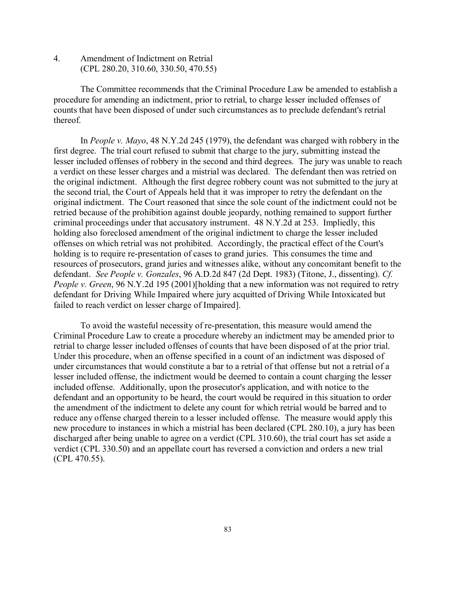4. Amendment of Indictment on Retrial (CPL 280.20, 310.60, 330.50, 470.55)

The Committee recommends that the Criminal Procedure Law be amended to establish a procedure for amending an indictment, prior to retrial, to charge lesser included offenses of counts that have been disposed of under such circumstances as to preclude defendant's retrial thereof.

In *People v. Mayo*, 48 N.Y.2d 245 (1979), the defendant was charged with robbery in the first degree. The trial court refused to submit that charge to the jury, submitting instead the lesser included offenses of robbery in the second and third degrees. The jury was unable to reach a verdict on these lesser charges and a mistrial was declared. The defendant then was retried on the original indictment. Although the first degree robbery count was not submitted to the jury at the second trial, the Court of Appeals held that it was improper to retry the defendant on the original indictment. The Court reasoned that since the sole count of the indictment could not be retried because of the prohibition against double jeopardy, nothing remained to support further criminal proceedings under that accusatory instrument. 48 N.Y.2d at 253. Impliedly, this holding also foreclosed amendment of the original indictment to charge the lesser included offenses on which retrial was not prohibited. Accordingly, the practical effect of the Court's holding is to require re-presentation of cases to grand juries. This consumes the time and resources of prosecutors, grand juries and witnesses alike, without any concomitant benefit to the defendant. *See People v. Gonzales*, 96 A.D.2d 847 (2d Dept. 1983) (Titone, J., dissenting). *Cf. People v. Green*, 96 N.Y.2d 195 (2001)[holding that a new information was not required to retry defendant for Driving While Impaired where jury acquitted of Driving While Intoxicated but failed to reach verdict on lesser charge of Impaired].

To avoid the wasteful necessity of re-presentation, this measure would amend the Criminal Procedure Law to create a procedure whereby an indictment may be amended prior to retrial to charge lesser included offenses of counts that have been disposed of at the prior trial. Under this procedure, when an offense specified in a count of an indictment was disposed of under circumstances that would constitute a bar to a retrial of that offense but not a retrial of a lesser included offense, the indictment would be deemed to contain a count charging the lesser included offense. Additionally, upon the prosecutor's application, and with notice to the defendant and an opportunity to be heard, the court would be required in this situation to order the amendment of the indictment to delete any count for which retrial would be barred and to reduce any offense charged therein to a lesser included offense. The measure would apply this new procedure to instances in which a mistrial has been declared (CPL 280.10), a jury has been discharged after being unable to agree on a verdict (CPL 310.60), the trial court has set aside a verdict (CPL 330.50) and an appellate court has reversed a conviction and orders a new trial (CPL 470.55).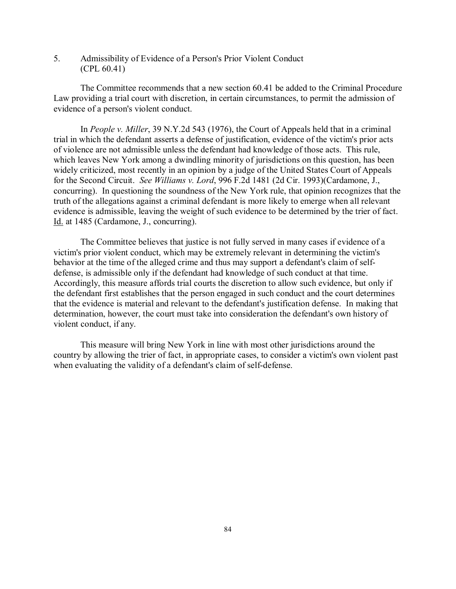5. Admissibility of Evidence of a Person's Prior Violent Conduct (CPL 60.41)

The Committee recommends that a new section 60.41 be added to the Criminal Procedure Law providing a trial court with discretion, in certain circumstances, to permit the admission of evidence of a person's violent conduct.

In *People v. Miller*, 39 N.Y.2d 543 (1976), the Court of Appeals held that in a criminal trial in which the defendant asserts a defense of justification, evidence of the victim's prior acts of violence are not admissible unless the defendant had knowledge of those acts. This rule, which leaves New York among a dwindling minority of jurisdictions on this question, has been widely criticized, most recently in an opinion by a judge of the United States Court of Appeals for the Second Circuit. *See Williams v. Lord*, 996 F.2d 1481 (2d Cir. 1993)(Cardamone, J., concurring). In questioning the soundness of the New York rule, that opinion recognizes that the truth of the allegations against a criminal defendant is more likely to emerge when all relevant evidence is admissible, leaving the weight of such evidence to be determined by the trier of fact. Id. at 1485 (Cardamone, J., concurring).

The Committee believes that justice is not fully served in many cases if evidence of a victim's prior violent conduct, which may be extremely relevant in determining the victim's behavior at the time of the alleged crime and thus may support a defendant's claim of selfdefense, is admissible only if the defendant had knowledge of such conduct at that time. Accordingly, this measure affords trial courts the discretion to allow such evidence, but only if the defendant first establishes that the person engaged in such conduct and the court determines that the evidence is material and relevant to the defendant's justification defense. In making that determination, however, the court must take into consideration the defendant's own history of violent conduct, if any.

This measure will bring New York in line with most other jurisdictions around the country by allowing the trier of fact, in appropriate cases, to consider a victim's own violent past when evaluating the validity of a defendant's claim of self-defense.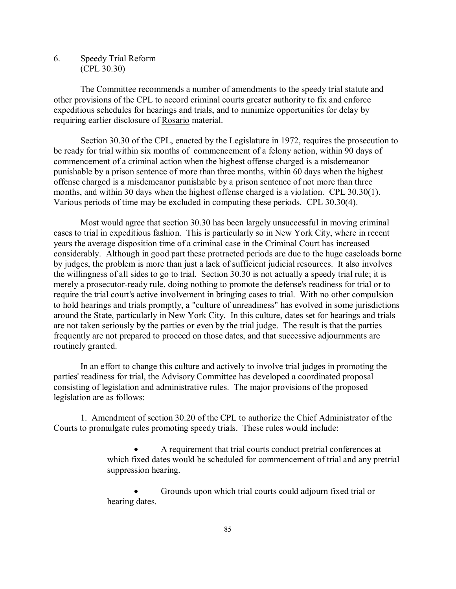6. Speedy Trial Reform (CPL 30.30)

The Committee recommends a number of amendments to the speedy trial statute and other provisions of the CPL to accord criminal courts greater authority to fix and enforce expeditious schedules for hearings and trials, and to minimize opportunities for delay by requiring earlier disclosure of Rosario material.

Section 30.30 of the CPL, enacted by the Legislature in 1972, requires the prosecution to be ready for trial within six months of commencement of a felony action, within 90 days of commencement of a criminal action when the highest offense charged is a misdemeanor punishable by a prison sentence of more than three months, within 60 days when the highest offense charged is a misdemeanor punishable by a prison sentence of not more than three months, and within 30 days when the highest offense charged is a violation. CPL 30.30(1). Various periods of time may be excluded in computing these periods. CPL 30.30(4).

Most would agree that section 30.30 has been largely unsuccessful in moving criminal cases to trial in expeditious fashion. This is particularly so in New York City, where in recent years the average disposition time of a criminal case in the Criminal Court has increased considerably. Although in good part these protracted periods are due to the huge caseloads borne by judges, the problem is more than just a lack of sufficient judicial resources. It also involves the willingness of all sides to go to trial. Section 30.30 is not actually a speedy trial rule; it is merely a prosecutor-ready rule, doing nothing to promote the defense's readiness for trial or to require the trial court's active involvement in bringing cases to trial. With no other compulsion to hold hearings and trials promptly, a "culture of unreadiness" has evolved in some jurisdictions around the State, particularly in New York City. In this culture, dates set for hearings and trials are not taken seriously by the parties or even by the trial judge. The result is that the parties frequently are not prepared to proceed on those dates, and that successive adjournments are routinely granted.

In an effort to change this culture and actively to involve trial judges in promoting the parties' readiness for trial, the Advisory Committee has developed a coordinated proposal consisting of legislation and administrative rules. The major provisions of the proposed legislation are as follows:

1. Amendment of section 30.20 of the CPL to authorize the Chief Administrator of the Courts to promulgate rules promoting speedy trials. These rules would include:

> A requirement that trial courts conduct pretrial conferences at which fixed dates would be scheduled for commencement of trial and any pretrial suppression hearing.

 Grounds upon which trial courts could adjourn fixed trial or hearing dates.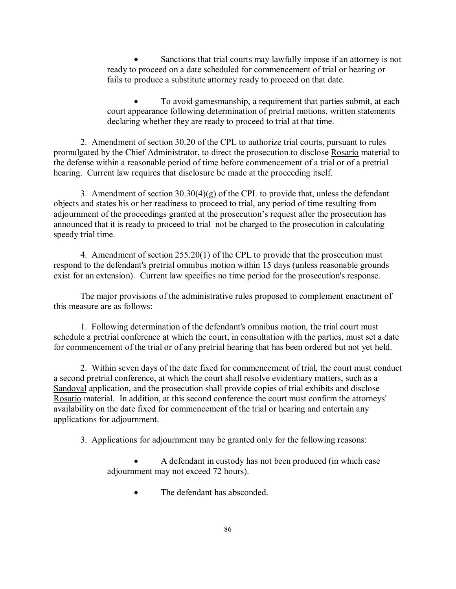Sanctions that trial courts may lawfully impose if an attorney is not ready to proceed on a date scheduled for commencement of trial or hearing or fails to produce a substitute attorney ready to proceed on that date.

• To avoid gamesmanship, a requirement that parties submit, at each court appearance following determination of pretrial motions, written statements declaring whether they are ready to proceed to trial at that time.

2. Amendment of section 30.20 of the CPL to authorize trial courts, pursuant to rules promulgated by the Chief Administrator, to direct the prosecution to disclose Rosario material to the defense within a reasonable period of time before commencement of a trial or of a pretrial hearing. Current law requires that disclosure be made at the proceeding itself.

3. Amendment of section  $30.30(4)(g)$  of the CPL to provide that, unless the defendant objects and states his or her readiness to proceed to trial, any period of time resulting from adjournment of the proceedings granted at the prosecution's request after the prosecution has announced that it is ready to proceed to trial not be charged to the prosecution in calculating speedy trial time.

4. Amendment of section 255.20(1) of the CPL to provide that the prosecution must respond to the defendant's pretrial omnibus motion within 15 days (unless reasonable grounds exist for an extension). Current law specifies no time period for the prosecution's response.

The major provisions of the administrative rules proposed to complement enactment of this measure are as follows:

1. Following determination of the defendant's omnibus motion, the trial court must schedule a pretrial conference at which the court, in consultation with the parties, must set a date for commencement of the trial or of any pretrial hearing that has been ordered but not yet held.

2. Within seven days of the date fixed for commencement of trial, the court must conduct a second pretrial conference, at which the court shall resolve evidentiary matters, such as a Sandoval application, and the prosecution shall provide copies of trial exhibits and disclose Rosario material. In addition, at this second conference the court must confirm the attorneys' availability on the date fixed for commencement of the trial or hearing and entertain any applications for adjournment.

3. Applications for adjournment may be granted only for the following reasons:

 A defendant in custody has not been produced (in which case adjournment may not exceed 72 hours).

• The defendant has absconded.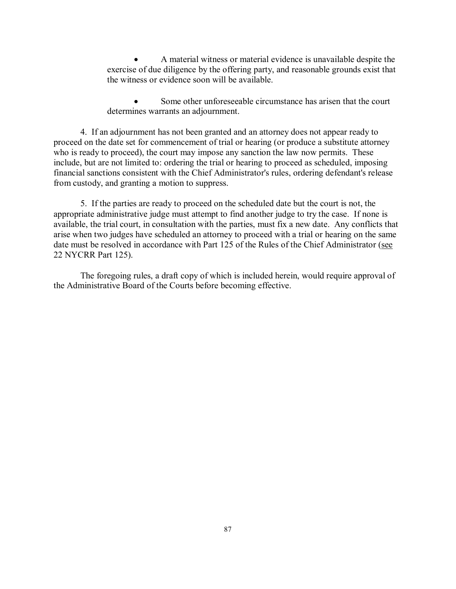A material witness or material evidence is unavailable despite the exercise of due diligence by the offering party, and reasonable grounds exist that the witness or evidence soon will be available.

 Some other unforeseeable circumstance has arisen that the court determines warrants an adjournment.

4. If an adjournment has not been granted and an attorney does not appear ready to proceed on the date set for commencement of trial or hearing (or produce a substitute attorney who is ready to proceed), the court may impose any sanction the law now permits. These include, but are not limited to: ordering the trial or hearing to proceed as scheduled, imposing financial sanctions consistent with the Chief Administrator's rules, ordering defendant's release from custody, and granting a motion to suppress.

5. If the parties are ready to proceed on the scheduled date but the court is not, the appropriate administrative judge must attempt to find another judge to try the case. If none is available, the trial court, in consultation with the parties, must fix a new date. Any conflicts that arise when two judges have scheduled an attorney to proceed with a trial or hearing on the same date must be resolved in accordance with Part 125 of the Rules of the Chief Administrator (see 22 NYCRR Part 125).

The foregoing rules, a draft copy of which is included herein, would require approval of the Administrative Board of the Courts before becoming effective.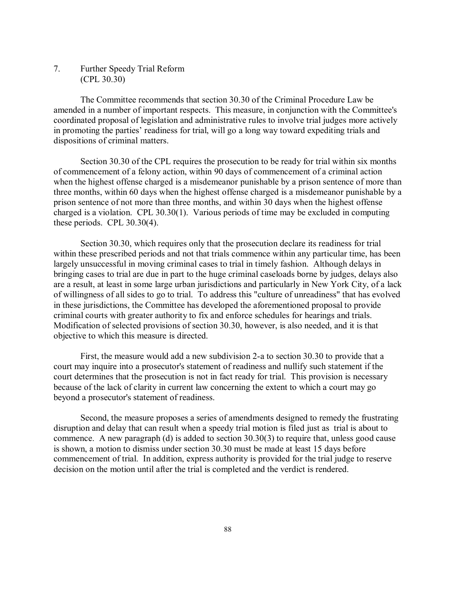7. Further Speedy Trial Reform (CPL 30.30)

The Committee recommends that section 30.30 of the Criminal Procedure Law be amended in a number of important respects. This measure, in conjunction with the Committee's coordinated proposal of legislation and administrative rules to involve trial judges more actively in promoting the parties' readiness for trial, will go a long way toward expediting trials and dispositions of criminal matters.

Section 30.30 of the CPL requires the prosecution to be ready for trial within six months of commencement of a felony action, within 90 days of commencement of a criminal action when the highest offense charged is a misdemeanor punishable by a prison sentence of more than three months, within 60 days when the highest offense charged is a misdemeanor punishable by a prison sentence of not more than three months, and within 30 days when the highest offense charged is a violation. CPL 30.30(1). Various periods of time may be excluded in computing these periods. CPL 30.30(4).

Section 30.30, which requires only that the prosecution declare its readiness for trial within these prescribed periods and not that trials commence within any particular time, has been largely unsuccessful in moving criminal cases to trial in timely fashion. Although delays in bringing cases to trial are due in part to the huge criminal caseloads borne by judges, delays also are a result, at least in some large urban jurisdictions and particularly in New York City, of a lack of willingness of all sides to go to trial. To address this "culture of unreadiness" that has evolved in these jurisdictions, the Committee has developed the aforementioned proposal to provide criminal courts with greater authority to fix and enforce schedules for hearings and trials. Modification of selected provisions of section 30.30, however, is also needed, and it is that objective to which this measure is directed.

First, the measure would add a new subdivision 2-a to section 30.30 to provide that a court may inquire into a prosecutor's statement of readiness and nullify such statement if the court determines that the prosecution is not in fact ready for trial. This provision is necessary because of the lack of clarity in current law concerning the extent to which a court may go beyond a prosecutor's statement of readiness.

Second, the measure proposes a series of amendments designed to remedy the frustrating disruption and delay that can result when a speedy trial motion is filed just as trial is about to commence. A new paragraph (d) is added to section 30.30(3) to require that, unless good cause is shown, a motion to dismiss under section 30.30 must be made at least 15 days before commencement of trial. In addition, express authority is provided for the trial judge to reserve decision on the motion until after the trial is completed and the verdict is rendered.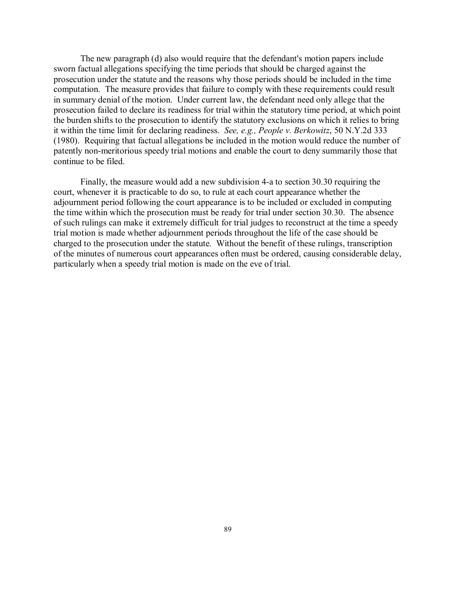The new paragraph (d) also would require that the defendant's motion papers include sworn factual allegations specifying the time periods that should be charged against the prosecution under the statute and the reasons why those periods should be included in the time computation. The measure provides that failure to comply with these requirements could result in summary denial of the motion. Under current law, the defendant need only allege that the prosecution failed to declare its readiness for trial within the statutory time period, at which point the burden shifts to the prosecution to identify the statutory exclusions on which it relies to bring it within the time limit for declaring readiness. *See, e.g., People v. Berkowitz*, 50 N.Y.2d 333 (1980). Requiring that factual allegations be included in the motion would reduce the number of patently non-meritorious speedy trial motions and enable the court to deny summarily those that continue to be filed.

Finally, the measure would add a new subdivision 4-a to section 30.30 requiring the court, whenever it is practicable to do so, to rule at each court appearance whether the adjournment period following the court appearance is to be included or excluded in computing the time within which the prosecution must be ready for trial under section 30.30. The absence of such rulings can make it extremely difficult for trial judges to reconstruct at the time a speedy trial motion is made whether adjournment periods throughout the life of the case should be charged to the prosecution under the statute. Without the benefit of these rulings, transcription of the minutes of numerous court appearances often must be ordered, causing considerable delay, particularly when a speedy trial motion is made on the eve of trial.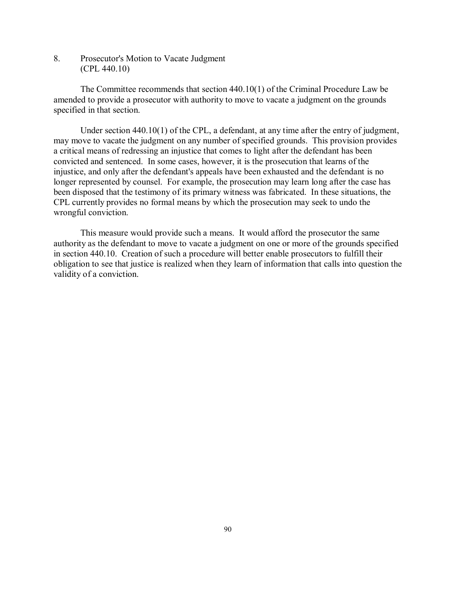8. Prosecutor's Motion to Vacate Judgment (CPL 440.10)

The Committee recommends that section 440.10(1) of the Criminal Procedure Law be amended to provide a prosecutor with authority to move to vacate a judgment on the grounds specified in that section.

Under section 440.10(1) of the CPL, a defendant, at any time after the entry of judgment, may move to vacate the judgment on any number of specified grounds. This provision provides a critical means of redressing an injustice that comes to light after the defendant has been convicted and sentenced. In some cases, however, it is the prosecution that learns of the injustice, and only after the defendant's appeals have been exhausted and the defendant is no longer represented by counsel. For example, the prosecution may learn long after the case has been disposed that the testimony of its primary witness was fabricated. In these situations, the CPL currently provides no formal means by which the prosecution may seek to undo the wrongful conviction.

This measure would provide such a means. It would afford the prosecutor the same authority as the defendant to move to vacate a judgment on one or more of the grounds specified in section 440.10. Creation of such a procedure will better enable prosecutors to fulfill their obligation to see that justice is realized when they learn of information that calls into question the validity of a conviction.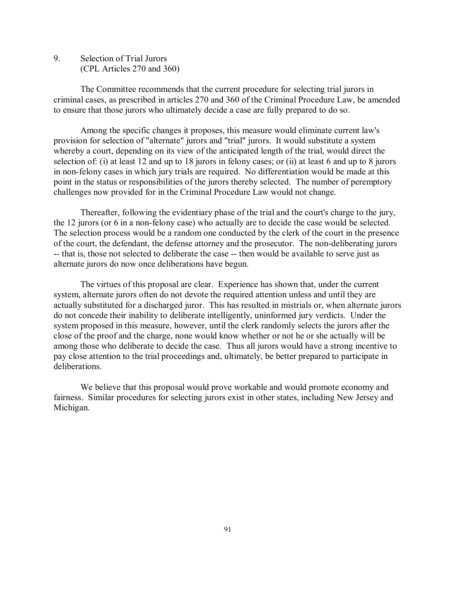9. Selection of Trial Jurors (CPL Articles 270 and 360)

The Committee recommends that the current procedure for selecting trial jurors in criminal cases, as prescribed in articles 270 and 360 of the Criminal Procedure Law, be amended to ensure that those jurors who ultimately decide a case are fully prepared to do so.

Among the specific changes it proposes, this measure would eliminate current law's provision for selection of "alternate" jurors and "trial" jurors. It would substitute a system whereby a court, depending on its view of the anticipated length of the trial, would direct the selection of: (i) at least 12 and up to 18 jurors in felony cases; or (ii) at least 6 and up to 8 jurors in non-felony cases in which jury trials are required. No differentiation would be made at this point in the status or responsibilities of the jurors thereby selected. The number of peremptory challenges now provided for in the Criminal Procedure Law would not change.

Thereafter, following the evidentiary phase of the trial and the court's charge to the jury, the 12 jurors (or 6 in a non-felony case) who actually are to decide the case would be selected. The selection process would be a random one conducted by the clerk of the court in the presence of the court, the defendant, the defense attorney and the prosecutor. The non-deliberating jurors -- that is, those not selected to deliberate the case -- then would be available to serve just as alternate jurors do now once deliberations have begun.

The virtues of this proposal are clear. Experience has shown that, under the current system, alternate jurors often do not devote the required attention unless and until they are actually substituted for a discharged juror. This has resulted in mistrials or, when alternate jurors do not concede their inability to deliberate intelligently, uninformed jury verdicts. Under the system proposed in this measure, however, until the clerk randomly selects the jurors after the close of the proof and the charge, none would know whether or not he or she actually will be among those who deliberate to decide the case. Thus all jurors would have a strong incentive to pay close attention to the trial proceedings and, ultimately, be better prepared to participate in deliberations.

We believe that this proposal would prove workable and would promote economy and fairness. Similar procedures for selecting jurors exist in other states, including New Jersey and Michigan.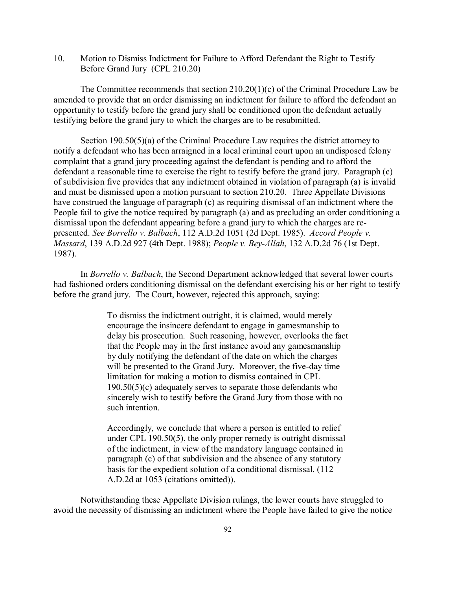10. Motion to Dismiss Indictment for Failure to Afford Defendant the Right to Testify Before Grand Jury (CPL 210.20)

The Committee recommends that section 210.20(1)(c) of the Criminal Procedure Law be amended to provide that an order dismissing an indictment for failure to afford the defendant an opportunity to testify before the grand jury shall be conditioned upon the defendant actually testifying before the grand jury to which the charges are to be resubmitted.

Section 190.50(5)(a) of the Criminal Procedure Law requires the district attorney to notify a defendant who has been arraigned in a local criminal court upon an undisposed felony complaint that a grand jury proceeding against the defendant is pending and to afford the defendant a reasonable time to exercise the right to testify before the grand jury. Paragraph (c) of subdivision five provides that any indictment obtained in violation of paragraph (a) is invalid and must be dismissed upon a motion pursuant to section 210.20. Three Appellate Divisions have construed the language of paragraph (c) as requiring dismissal of an indictment where the People fail to give the notice required by paragraph (a) and as precluding an order conditioning a dismissal upon the defendant appearing before a grand jury to which the charges are represented. *See Borrello v. Balbach*, 112 A.D.2d 1051 (2d Dept. 1985). *Accord People v. Massard*, 139 A.D.2d 927 (4th Dept. 1988); *People v. Bey-Allah*, 132 A.D.2d 76 (1st Dept. 1987).

In *Borrello v. Balbach*, the Second Department acknowledged that several lower courts had fashioned orders conditioning dismissal on the defendant exercising his or her right to testify before the grand jury. The Court, however, rejected this approach, saying:

> To dismiss the indictment outright, it is claimed, would merely encourage the insincere defendant to engage in gamesmanship to delay his prosecution. Such reasoning, however, overlooks the fact that the People may in the first instance avoid any gamesmanship by duly notifying the defendant of the date on which the charges will be presented to the Grand Jury. Moreover, the five-day time limitation for making a motion to dismiss contained in CPL 190.50(5)(c) adequately serves to separate those defendants who sincerely wish to testify before the Grand Jury from those with no such intention.

Accordingly, we conclude that where a person is entitled to relief under CPL 190.50(5), the only proper remedy is outright dismissal of the indictment, in view of the mandatory language contained in paragraph (c) of that subdivision and the absence of any statutory basis for the expedient solution of a conditional dismissal. (112 A.D.2d at 1053 (citations omitted)).

Notwithstanding these Appellate Division rulings, the lower courts have struggled to avoid the necessity of dismissing an indictment where the People have failed to give the notice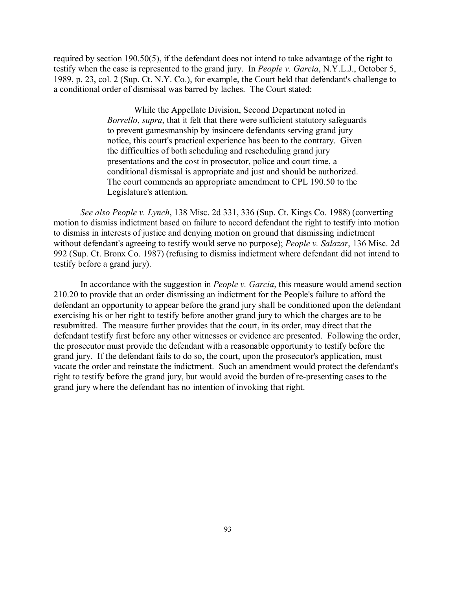required by section 190.50(5), if the defendant does not intend to take advantage of the right to testify when the case is represented to the grand jury. In *People v. Garcia*, N.Y.L.J., October 5, 1989, p. 23, col. 2 (Sup. Ct. N.Y. Co.), for example, the Court held that defendant's challenge to a conditional order of dismissal was barred by laches. The Court stated:

> While the Appellate Division, Second Department noted in *Borrello*, *supra*, that it felt that there were sufficient statutory safeguards to prevent gamesmanship by insincere defendants serving grand jury notice, this court's practical experience has been to the contrary. Given the difficulties of both scheduling and rescheduling grand jury presentations and the cost in prosecutor, police and court time, a conditional dismissal is appropriate and just and should be authorized. The court commends an appropriate amendment to CPL 190.50 to the Legislature's attention.

*See also People v. Lynch*, 138 Misc. 2d 331, 336 (Sup. Ct. Kings Co. 1988) (converting motion to dismiss indictment based on failure to accord defendant the right to testify into motion to dismiss in interests of justice and denying motion on ground that dismissing indictment without defendant's agreeing to testify would serve no purpose); *People v. Salazar*, 136 Misc. 2d 992 (Sup. Ct. Bronx Co. 1987) (refusing to dismiss indictment where defendant did not intend to testify before a grand jury).

In accordance with the suggestion in *People v. Garcia*, this measure would amend section 210.20 to provide that an order dismissing an indictment for the People's failure to afford the defendant an opportunity to appear before the grand jury shall be conditioned upon the defendant exercising his or her right to testify before another grand jury to which the charges are to be resubmitted. The measure further provides that the court, in its order, may direct that the defendant testify first before any other witnesses or evidence are presented. Following the order, the prosecutor must provide the defendant with a reasonable opportunity to testify before the grand jury. If the defendant fails to do so, the court, upon the prosecutor's application, must vacate the order and reinstate the indictment. Such an amendment would protect the defendant's right to testify before the grand jury, but would avoid the burden of re-presenting cases to the grand jury where the defendant has no intention of invoking that right.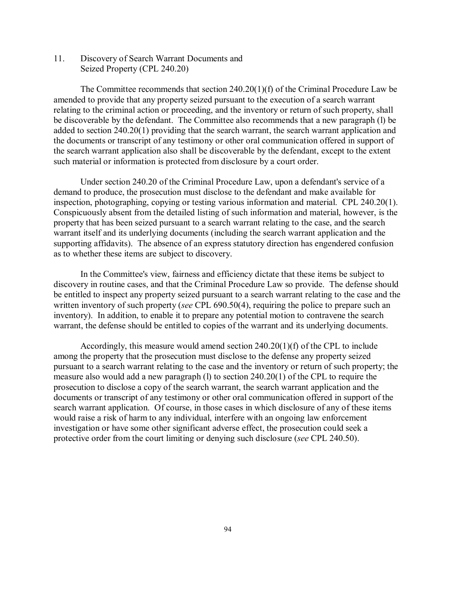11. Discovery of Search Warrant Documents and Seized Property (CPL 240.20)

The Committee recommends that section 240.20(1)(f) of the Criminal Procedure Law be amended to provide that any property seized pursuant to the execution of a search warrant relating to the criminal action or proceeding, and the inventory or return of such property, shall be discoverable by the defendant. The Committee also recommends that a new paragraph (l) be added to section 240.20(1) providing that the search warrant, the search warrant application and the documents or transcript of any testimony or other oral communication offered in support of the search warrant application also shall be discoverable by the defendant, except to the extent such material or information is protected from disclosure by a court order.

Under section 240.20 of the Criminal Procedure Law, upon a defendant's service of a demand to produce, the prosecution must disclose to the defendant and make available for inspection, photographing, copying or testing various information and material. CPL 240.20(1). Conspicuously absent from the detailed listing of such information and material, however, is the property that has been seized pursuant to a search warrant relating to the case, and the search warrant itself and its underlying documents (including the search warrant application and the supporting affidavits). The absence of an express statutory direction has engendered confusion as to whether these items are subject to discovery.

In the Committee's view, fairness and efficiency dictate that these items be subject to discovery in routine cases, and that the Criminal Procedure Law so provide. The defense should be entitled to inspect any property seized pursuant to a search warrant relating to the case and the written inventory of such property (*see* CPL 690.50(4), requiring the police to prepare such an inventory). In addition, to enable it to prepare any potential motion to contravene the search warrant, the defense should be entitled to copies of the warrant and its underlying documents.

Accordingly, this measure would amend section  $240.20(1)(f)$  of the CPL to include among the property that the prosecution must disclose to the defense any property seized pursuant to a search warrant relating to the case and the inventory or return of such property; the measure also would add a new paragraph (l) to section 240.20(1) of the CPL to require the prosecution to disclose a copy of the search warrant, the search warrant application and the documents or transcript of any testimony or other oral communication offered in support of the search warrant application. Of course, in those cases in which disclosure of any of these items would raise a risk of harm to any individual, interfere with an ongoing law enforcement investigation or have some other significant adverse effect, the prosecution could seek a protective order from the court limiting or denying such disclosure (*see* CPL 240.50).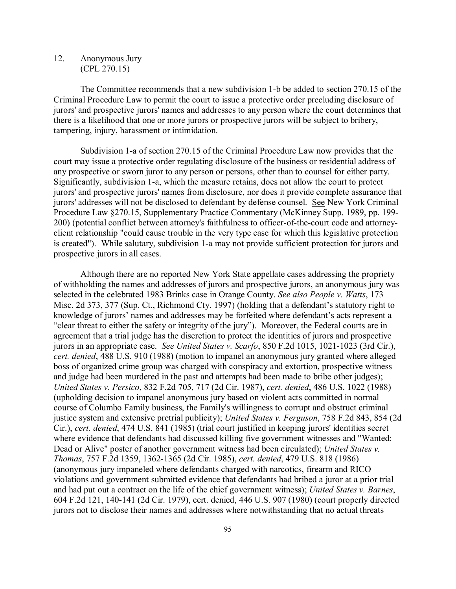12. Anonymous Jury (CPL 270.15)

The Committee recommends that a new subdivision 1-b be added to section 270.15 of the Criminal Procedure Law to permit the court to issue a protective order precluding disclosure of jurors' and prospective jurors' names and addresses to any person where the court determines that there is a likelihood that one or more jurors or prospective jurors will be subject to bribery, tampering, injury, harassment or intimidation.

Subdivision 1-a of section 270.15 of the Criminal Procedure Law now provides that the court may issue a protective order regulating disclosure of the business or residential address of any prospective or sworn juror to any person or persons, other than to counsel for either party. Significantly, subdivision 1-a, which the measure retains, does not allow the court to protect jurors' and prospective jurors' names from disclosure, nor does it provide complete assurance that jurors' addresses will not be disclosed to defendant by defense counsel. See New York Criminal Procedure Law §270.15, Supplementary Practice Commentary (McKinney Supp. 1989, pp. 199- 200) (potential conflict between attorney's faithfulness to officer-of-the-court code and attorneyclient relationship "could cause trouble in the very type case for which this legislative protection is created"). While salutary, subdivision 1-a may not provide sufficient protection for jurors and prospective jurors in all cases.

Although there are no reported New York State appellate cases addressing the propriety of withholding the names and addresses of jurors and prospective jurors, an anonymous jury was selected in the celebrated 1983 Brinks case in Orange County. *See also People v. Watts*, 173 Misc. 2d 373, 377 (Sup. Ct., Richmond Cty. 1997) (holding that a defendant's statutory right to knowledge of jurors' names and addresses may be forfeited where defendant's acts represent a "clear threat to either the safety or integrity of the jury"). Moreover, the Federal courts are in agreement that a trial judge has the discretion to protect the identities of jurors and prospective jurors in an appropriate case. *See United States v. Scarfo*, 850 F.2d 1015, 1021-1023 (3rd Cir.), *cert. denied*, 488 U.S. 910 (1988) (motion to impanel an anonymous jury granted where alleged boss of organized crime group was charged with conspiracy and extortion, prospective witness and judge had been murdered in the past and attempts had been made to bribe other judges); *United States v. Persico*, 832 F.2d 705, 717 (2d Cir. 1987), *cert. denied*, 486 U.S. 1022 (1988) (upholding decision to impanel anonymous jury based on violent acts committed in normal course of Columbo Family business, the Family's willingness to corrupt and obstruct criminal justice system and extensive pretrial publicity); *United States v. Ferguson*, 758 F.2d 843, 854 (2d Cir.), *cert. denied*, 474 U.S. 841 (1985) (trial court justified in keeping jurors' identities secret where evidence that defendants had discussed killing five government witnesses and "Wanted: Dead or Alive" poster of another government witness had been circulated); *United States v. Thomas*, 757 F.2d 1359, 1362-1365 (2d Cir. 1985), *cert. denied*, 479 U.S. 818 (1986) (anonymous jury impaneled where defendants charged with narcotics, firearm and RICO violations and government submitted evidence that defendants had bribed a juror at a prior trial and had put out a contract on the life of the chief government witness); *United States v. Barnes*, 604 F.2d 121, 140-141 (2d Cir. 1979), cert. denied, 446 U.S. 907 (1980) (court properly directed jurors not to disclose their names and addresses where notwithstanding that no actual threats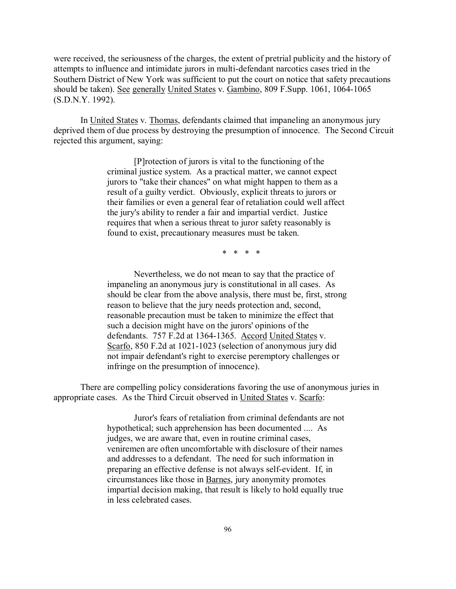were received, the seriousness of the charges, the extent of pretrial publicity and the history of attempts to influence and intimidate jurors in multi-defendant narcotics cases tried in the Southern District of New York was sufficient to put the court on notice that safety precautions should be taken). See generally United States v. Gambino, 809 F.Supp. 1061, 1064-1065 (S.D.N.Y. 1992).

In United States v. Thomas, defendants claimed that impaneling an anonymous jury deprived them of due process by destroying the presumption of innocence. The Second Circuit rejected this argument, saying:

> [P]rotection of jurors is vital to the functioning of the criminal justice system. As a practical matter, we cannot expect jurors to "take their chances" on what might happen to them as a result of a guilty verdict. Obviously, explicit threats to jurors or their families or even a general fear of retaliation could well affect the jury's ability to render a fair and impartial verdict. Justice requires that when a serious threat to juror safety reasonably is found to exist, precautionary measures must be taken.

> > \* \* \* \*

Nevertheless, we do not mean to say that the practice of impaneling an anonymous jury is constitutional in all cases. As should be clear from the above analysis, there must be, first, strong reason to believe that the jury needs protection and, second, reasonable precaution must be taken to minimize the effect that such a decision might have on the jurors' opinions of the defendants. 757 F.2d at 1364-1365. Accord United States v. Scarfo, 850 F.2d at 1021-1023 (selection of anonymous jury did not impair defendant's right to exercise peremptory challenges or infringe on the presumption of innocence).

There are compelling policy considerations favoring the use of anonymous juries in appropriate cases. As the Third Circuit observed in United States v. Scarfo:

> Juror's fears of retaliation from criminal defendants are not hypothetical; such apprehension has been documented .... As judges, we are aware that, even in routine criminal cases, veniremen are often uncomfortable with disclosure of their names and addresses to a defendant. The need for such information in preparing an effective defense is not always self-evident. If, in circumstances like those in Barnes, jury anonymity promotes impartial decision making, that result is likely to hold equally true in less celebrated cases.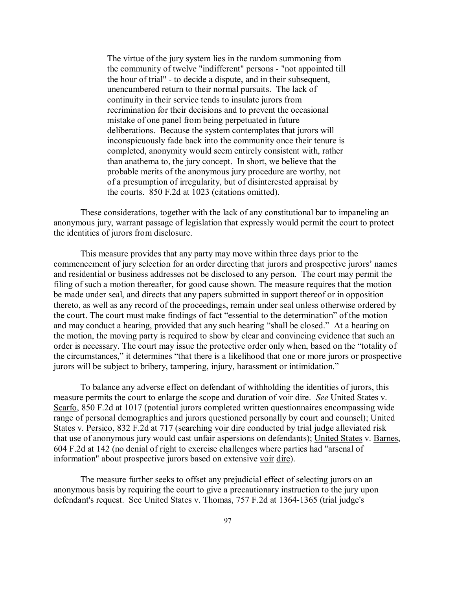The virtue of the jury system lies in the random summoning from the community of twelve "indifferent" persons - "not appointed till the hour of trial" - to decide a dispute, and in their subsequent, unencumbered return to their normal pursuits. The lack of continuity in their service tends to insulate jurors from recrimination for their decisions and to prevent the occasional mistake of one panel from being perpetuated in future deliberations. Because the system contemplates that jurors will inconspicuously fade back into the community once their tenure is completed, anonymity would seem entirely consistent with, rather than anathema to, the jury concept. In short, we believe that the probable merits of the anonymous jury procedure are worthy, not of a presumption of irregularity, but of disinterested appraisal by the courts. 850 F.2d at 1023 (citations omitted).

These considerations, together with the lack of any constitutional bar to impaneling an anonymous jury, warrant passage of legislation that expressly would permit the court to protect the identities of jurors from disclosure.

This measure provides that any party may move within three days prior to the commencement of jury selection for an order directing that jurors and prospective jurors' names and residential or business addresses not be disclosed to any person. The court may permit the filing of such a motion thereafter, for good cause shown. The measure requires that the motion be made under seal, and directs that any papers submitted in support thereof or in opposition thereto, as well as any record of the proceedings, remain under seal unless otherwise ordered by the court. The court must make findings of fact "essential to the determination" of the motion and may conduct a hearing, provided that any such hearing "shall be closed." At a hearing on the motion, the moving party is required to show by clear and convincing evidence that such an order is necessary. The court may issue the protective order only when, based on the "totality of the circumstances," it determines "that there is a likelihood that one or more jurors or prospective jurors will be subject to bribery, tampering, injury, harassment or intimidation."

To balance any adverse effect on defendant of withholding the identities of jurors, this measure permits the court to enlarge the scope and duration of voir dire. *See* United States v. Scarfo, 850 F.2d at 1017 (potential jurors completed written questionnaires encompassing wide range of personal demographics and jurors questioned personally by court and counsel); United States v. Persico, 832 F.2d at 717 (searching voir dire conducted by trial judge alleviated risk that use of anonymous jury would cast unfair aspersions on defendants); United States v. Barnes, 604 F.2d at 142 (no denial of right to exercise challenges where parties had "arsenal of information" about prospective jurors based on extensive voir dire).

The measure further seeks to offset any prejudicial effect of selecting jurors on an anonymous basis by requiring the court to give a precautionary instruction to the jury upon defendant's request. See United States v. Thomas, 757 F.2d at 1364-1365 (trial judge's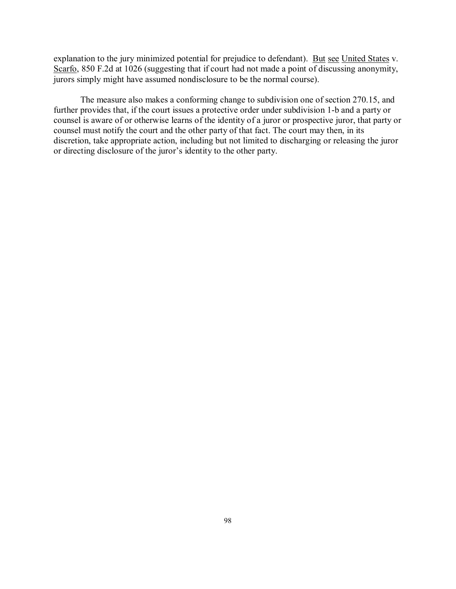explanation to the jury minimized potential for prejudice to defendant). But see United States v. Scarfo, 850 F.2d at 1026 (suggesting that if court had not made a point of discussing anonymity, jurors simply might have assumed nondisclosure to be the normal course).

The measure also makes a conforming change to subdivision one of section 270.15, and further provides that, if the court issues a protective order under subdivision 1-b and a party or counsel is aware of or otherwise learns of the identity of a juror or prospective juror, that party or counsel must notify the court and the other party of that fact. The court may then, in its discretion, take appropriate action, including but not limited to discharging or releasing the juror or directing disclosure of the juror's identity to the other party.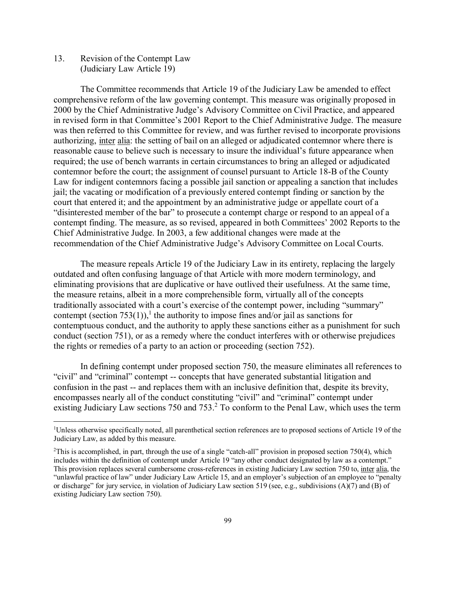13. Revision of the Contempt Law (Judiciary Law Article 19)

The Committee recommends that Article 19 of the Judiciary Law be amended to effect comprehensive reform of the law governing contempt. This measure was originally proposed in 2000 by the Chief Administrative Judge's Advisory Committee on Civil Practice, and appeared in revised form in that Committee's 2001 Report to the Chief Administrative Judge. The measure was then referred to this Committee for review, and was further revised to incorporate provisions authorizing, inter alia: the setting of bail on an alleged or adjudicated contemnor where there is reasonable cause to believe such is necessary to insure the individual's future appearance when required; the use of bench warrants in certain circumstances to bring an alleged or adjudicated contemnor before the court; the assignment of counsel pursuant to Article 18-B of the County Law for indigent contemnors facing a possible jail sanction or appealing a sanction that includes jail; the vacating or modification of a previously entered contempt finding or sanction by the court that entered it; and the appointment by an administrative judge or appellate court of a "disinterested member of the bar" to prosecute a contempt charge or respond to an appeal of a contempt finding. The measure, as so revised, appeared in both Committees' 2002 Reports to the Chief Administrative Judge. In 2003, a few additional changes were made at the recommendation of the Chief Administrative Judge's Advisory Committee on Local Courts.

The measure repeals Article 19 of the Judiciary Law in its entirety, replacing the largely outdated and often confusing language of that Article with more modern terminology, and eliminating provisions that are duplicative or have outlived their usefulness. At the same time, the measure retains, albeit in a more comprehensible form, virtually all of the concepts traditionally associated with a court's exercise of the contempt power, including "summary" contempt (section 753(1)),<sup>1</sup> the authority to impose fines and/or jail as sanctions for contemptuous conduct, and the authority to apply these sanctions either as a punishment for such conduct (section 751), or as a remedy where the conduct interferes with or otherwise prejudices the rights or remedies of a party to an action or proceeding (section 752).

In defining contempt under proposed section 750, the measure eliminates all references to "civil" and "criminal" contempt -- concepts that have generated substantial litigation and confusion in the past -- and replaces them with an inclusive definition that, despite its brevity, encompasses nearly all of the conduct constituting "civil" and "criminal" contempt under existing Judiciary Law sections 750 and 753.<sup>2</sup> To conform to the Penal Law, which uses the term

 $\frac{1}{1}$ Unless otherwise specifically noted, all parenthetical section references are to proposed sections of Article 19 of the Judiciary Law, as added by this measure.

<sup>&</sup>lt;sup>2</sup>This is accomplished, in part, through the use of a single "catch-all" provision in proposed section 750(4), which includes within the definition of contempt under Article 19 "any other conduct designated by law as a contempt." This provision replaces several cumbersome cross-references in existing Judiciary Law section 750 to, inter alia, the "unlawful practice of law" under Judiciary Law Article 15, and an employer's subjection of an employee to "penalty or discharge" for jury service, in violation of Judiciary Law section 519 (see, e.g., subdivisions (A)(7) and (B) of existing Judiciary Law section 750).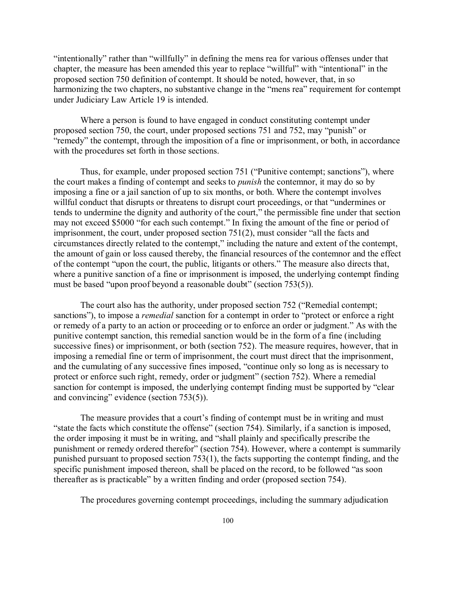"intentionally" rather than "willfully" in defining the mens rea for various offenses under that chapter, the measure has been amended this year to replace "willful" with "intentional" in the proposed section 750 definition of contempt. It should be noted, however, that, in so harmonizing the two chapters, no substantive change in the "mens rea" requirement for contempt under Judiciary Law Article 19 is intended.

Where a person is found to have engaged in conduct constituting contempt under proposed section 750, the court, under proposed sections 751 and 752, may "punish" or "remedy" the contempt, through the imposition of a fine or imprisonment, or both, in accordance with the procedures set forth in those sections.

Thus, for example, under proposed section 751 ("Punitive contempt; sanctions"), where the court makes a finding of contempt and seeks to *punish* the contemnor, it may do so by imposing a fine or a jail sanction of up to six months, or both. Where the contempt involves willful conduct that disrupts or threatens to disrupt court proceedings, or that "undermines or tends to undermine the dignity and authority of the court," the permissible fine under that section may not exceed \$5000 "for each such contempt." In fixing the amount of the fine or period of imprisonment, the court, under proposed section 751(2), must consider "all the facts and circumstances directly related to the contempt," including the nature and extent of the contempt, the amount of gain or loss caused thereby, the financial resources of the contemnor and the effect of the contempt "upon the court, the public, litigants or others." The measure also directs that, where a punitive sanction of a fine or imprisonment is imposed, the underlying contempt finding must be based "upon proof beyond a reasonable doubt" (section 753(5)).

The court also has the authority, under proposed section 752 ("Remedial contempt; sanctions"), to impose a *remedial* sanction for a contempt in order to "protect or enforce a right or remedy of a party to an action or proceeding or to enforce an order or judgment." As with the punitive contempt sanction, this remedial sanction would be in the form of a fine (including successive fines) or imprisonment, or both (section 752). The measure requires, however, that in imposing a remedial fine or term of imprisonment, the court must direct that the imprisonment, and the cumulating of any successive fines imposed, "continue only so long as is necessary to protect or enforce such right, remedy, order or judgment" (section 752). Where a remedial sanction for contempt is imposed, the underlying contempt finding must be supported by "clear and convincing" evidence (section 753(5)).

The measure provides that a court's finding of contempt must be in writing and must "state the facts which constitute the offense" (section 754). Similarly, if a sanction is imposed, the order imposing it must be in writing, and "shall plainly and specifically prescribe the punishment or remedy ordered therefor" (section 754). However, where a contempt is summarily punished pursuant to proposed section 753(1), the facts supporting the contempt finding, and the specific punishment imposed thereon, shall be placed on the record, to be followed "as soon thereafter as is practicable" by a written finding and order (proposed section 754).

The procedures governing contempt proceedings, including the summary adjudication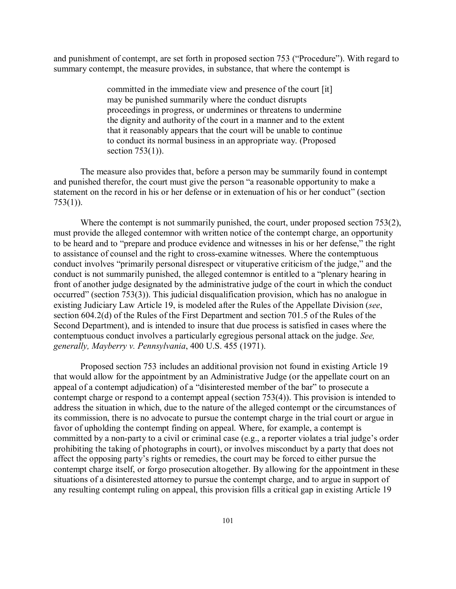and punishment of contempt, are set forth in proposed section 753 ("Procedure"). With regard to summary contempt, the measure provides, in substance, that where the contempt is

> committed in the immediate view and presence of the court [it] may be punished summarily where the conduct disrupts proceedings in progress, or undermines or threatens to undermine the dignity and authority of the court in a manner and to the extent that it reasonably appears that the court will be unable to continue to conduct its normal business in an appropriate way. (Proposed section  $753(1)$ ).

The measure also provides that, before a person may be summarily found in contempt and punished therefor, the court must give the person "a reasonable opportunity to make a statement on the record in his or her defense or in extenuation of his or her conduct" (section 753(1)).

Where the contempt is not summarily punished, the court, under proposed section 753(2), must provide the alleged contemnor with written notice of the contempt charge, an opportunity to be heard and to "prepare and produce evidence and witnesses in his or her defense," the right to assistance of counsel and the right to cross-examine witnesses. Where the contemptuous conduct involves "primarily personal disrespect or vituperative criticism of the judge," and the conduct is not summarily punished, the alleged contemnor is entitled to a "plenary hearing in front of another judge designated by the administrative judge of the court in which the conduct occurred" (section 753(3)). This judicial disqualification provision, which has no analogue in existing Judiciary Law Article 19, is modeled after the Rules of the Appellate Division (*see*, section 604.2(d) of the Rules of the First Department and section 701.5 of the Rules of the Second Department), and is intended to insure that due process is satisfied in cases where the contemptuous conduct involves a particularly egregious personal attack on the judge. *See, generally, Mayberry v. Pennsylvania*, 400 U.S. 455 (1971).

Proposed section 753 includes an additional provision not found in existing Article 19 that would allow for the appointment by an Administrative Judge (or the appellate court on an appeal of a contempt adjudication) of a "disinterested member of the bar" to prosecute a contempt charge or respond to a contempt appeal (section 753(4)). This provision is intended to address the situation in which, due to the nature of the alleged contempt or the circumstances of its commission, there is no advocate to pursue the contempt charge in the trial court or argue in favor of upholding the contempt finding on appeal. Where, for example, a contempt is committed by a non-party to a civil or criminal case (e.g., a reporter violates a trial judge's order prohibiting the taking of photographs in court), or involves misconduct by a party that does not affect the opposing party's rights or remedies, the court may be forced to either pursue the contempt charge itself, or forgo prosecution altogether. By allowing for the appointment in these situations of a disinterested attorney to pursue the contempt charge, and to argue in support of any resulting contempt ruling on appeal, this provision fills a critical gap in existing Article 19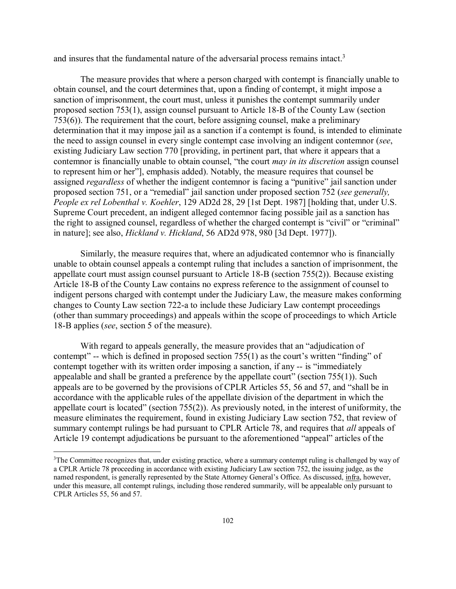and insures that the fundamental nature of the adversarial process remains intact.<sup>3</sup>

The measure provides that where a person charged with contempt is financially unable to obtain counsel, and the court determines that, upon a finding of contempt, it might impose a sanction of imprisonment, the court must, unless it punishes the contempt summarily under proposed section 753(1), assign counsel pursuant to Article 18-B of the County Law (section 753(6)). The requirement that the court, before assigning counsel, make a preliminary determination that it may impose jail as a sanction if a contempt is found, is intended to eliminate the need to assign counsel in every single contempt case involving an indigent contemnor (*see*, existing Judiciary Law section 770 [providing, in pertinent part, that where it appears that a contemnor is financially unable to obtain counsel, "the court *may in its discretion* assign counsel to represent him or her"], emphasis added). Notably, the measure requires that counsel be assigned *regardless* of whether the indigent contemnor is facing a "punitive" jail sanction under proposed section 751, or a "remedial" jail sanction under proposed section 752 (*see generally, People ex rel Lobenthal v. Koehler*, 129 AD2d 28, 29 [1st Dept. 1987] [holding that, under U.S. Supreme Court precedent, an indigent alleged contemnor facing possible jail as a sanction has the right to assigned counsel, regardless of whether the charged contempt is "civil" or "criminal" in nature]; see also, *Hickland v. Hickland*, 56 AD2d 978, 980 [3d Dept. 1977]).

Similarly, the measure requires that, where an adjudicated contemnor who is financially unable to obtain counsel appeals a contempt ruling that includes a sanction of imprisonment, the appellate court must assign counsel pursuant to Article 18-B (section 755(2)). Because existing Article 18-B of the County Law contains no express reference to the assignment of counsel to indigent persons charged with contempt under the Judiciary Law, the measure makes conforming changes to County Law section 722-a to include these Judiciary Law contempt proceedings (other than summary proceedings) and appeals within the scope of proceedings to which Article 18-B applies (*see*, section 5 of the measure).

With regard to appeals generally, the measure provides that an "adjudication of contempt" -- which is defined in proposed section 755(1) as the court's written "finding" of contempt together with its written order imposing a sanction, if any -- is "immediately appealable and shall be granted a preference by the appellate court" (section 755(1)). Such appeals are to be governed by the provisions of CPLR Articles 55, 56 and 57, and "shall be in accordance with the applicable rules of the appellate division of the department in which the appellate court is located" (section 755(2)). As previously noted, in the interest of uniformity, the measure eliminates the requirement, found in existing Judiciary Law section 752, that review of summary contempt rulings be had pursuant to CPLR Article 78, and requires that *all* appeals of Article 19 contempt adjudications be pursuant to the aforementioned "appeal" articles of the

 $\frac{1}{3}$ <sup>3</sup>The Committee recognizes that, under existing practice, where a summary contempt ruling is challenged by way of a CPLR Article 78 proceeding in accordance with existing Judiciary Law section 752, the issuing judge, as the named respondent, is generally represented by the State Attorney General's Office. As discussed, infra, however, under this measure, all contempt rulings, including those rendered summarily, will be appealable only pursuant to CPLR Articles 55, 56 and 57.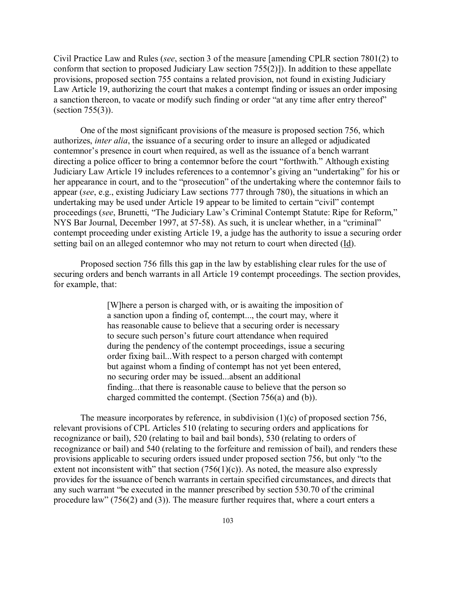Civil Practice Law and Rules (*see*, section 3 of the measure [amending CPLR section 7801(2) to conform that section to proposed Judiciary Law section 755(2)]). In addition to these appellate provisions, proposed section 755 contains a related provision, not found in existing Judiciary Law Article 19, authorizing the court that makes a contempt finding or issues an order imposing a sanction thereon, to vacate or modify such finding or order "at any time after entry thereof" (section 755(3)).

One of the most significant provisions of the measure is proposed section 756, which authorizes, *inter alia*, the issuance of a securing order to insure an alleged or adjudicated contemnor's presence in court when required, as well as the issuance of a bench warrant directing a police officer to bring a contemnor before the court "forthwith." Although existing Judiciary Law Article 19 includes references to a contemnor's giving an "undertaking" for his or her appearance in court, and to the "prosecution" of the undertaking where the contemnor fails to appear (*see*, e.g., existing Judiciary Law sections 777 through 780), the situations in which an undertaking may be used under Article 19 appear to be limited to certain "civil" contempt proceedings (*see*, Brunetti, "The Judiciary Law's Criminal Contempt Statute: Ripe for Reform," NYS Bar Journal, December 1997, at 57-58). As such, it is unclear whether, in a "criminal" contempt proceeding under existing Article 19, a judge has the authority to issue a securing order setting bail on an alleged contemnor who may not return to court when directed (Id).

Proposed section 756 fills this gap in the law by establishing clear rules for the use of securing orders and bench warrants in all Article 19 contempt proceedings. The section provides, for example, that:

> [W]here a person is charged with, or is awaiting the imposition of a sanction upon a finding of, contempt..., the court may, where it has reasonable cause to believe that a securing order is necessary to secure such person's future court attendance when required during the pendency of the contempt proceedings, issue a securing order fixing bail...With respect to a person charged with contempt but against whom a finding of contempt has not yet been entered, no securing order may be issued...absent an additional finding...that there is reasonable cause to believe that the person so charged committed the contempt. (Section 756(a) and (b)).

The measure incorporates by reference, in subdivision  $(1)(c)$  of proposed section 756, relevant provisions of CPL Articles 510 (relating to securing orders and applications for recognizance or bail), 520 (relating to bail and bail bonds), 530 (relating to orders of recognizance or bail) and 540 (relating to the forfeiture and remission of bail), and renders these provisions applicable to securing orders issued under proposed section 756, but only "to the extent not inconsistent with" that section  $(756(1)(c))$ . As noted, the measure also expressly provides for the issuance of bench warrants in certain specified circumstances, and directs that any such warrant "be executed in the manner prescribed by section 530.70 of the criminal procedure law" (756(2) and (3)). The measure further requires that, where a court enters a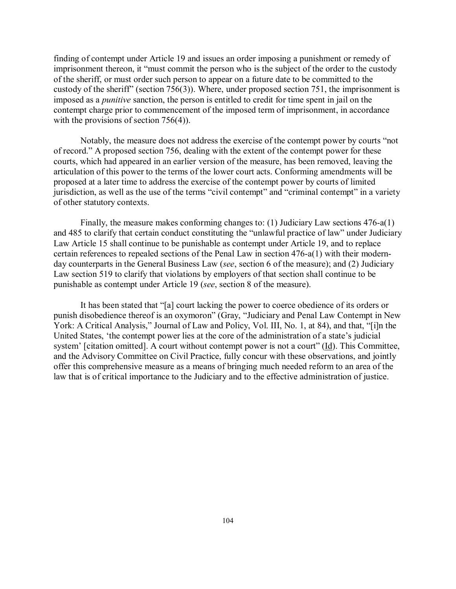finding of contempt under Article 19 and issues an order imposing a punishment or remedy of imprisonment thereon, it "must commit the person who is the subject of the order to the custody of the sheriff, or must order such person to appear on a future date to be committed to the custody of the sheriff" (section 756(3)). Where, under proposed section 751, the imprisonment is imposed as a *punitive* sanction, the person is entitled to credit for time spent in jail on the contempt charge prior to commencement of the imposed term of imprisonment, in accordance with the provisions of section 756(4)).

Notably, the measure does not address the exercise of the contempt power by courts "not of record." A proposed section 756, dealing with the extent of the contempt power for these courts, which had appeared in an earlier version of the measure, has been removed, leaving the articulation of this power to the terms of the lower court acts. Conforming amendments will be proposed at a later time to address the exercise of the contempt power by courts of limited jurisdiction, as well as the use of the terms "civil contempt" and "criminal contempt" in a variety of other statutory contexts.

Finally, the measure makes conforming changes to: (1) Judiciary Law sections 476-a(1) and 485 to clarify that certain conduct constituting the "unlawful practice of law" under Judiciary Law Article 15 shall continue to be punishable as contempt under Article 19, and to replace certain references to repealed sections of the Penal Law in section 476-a(1) with their modernday counterparts in the General Business Law (*see*, section 6 of the measure); and (2) Judiciary Law section 519 to clarify that violations by employers of that section shall continue to be punishable as contempt under Article 19 (*see*, section 8 of the measure).

It has been stated that "[a] court lacking the power to coerce obedience of its orders or punish disobedience thereof is an oxymoron" (Gray, "Judiciary and Penal Law Contempt in New York: A Critical Analysis," Journal of Law and Policy, Vol. III, No. 1, at 84), and that, "[i]n the United States, 'the contempt power lies at the core of the administration of a state's judicial system' [citation omitted]. A court without contempt power is not a court" (Id). This Committee, and the Advisory Committee on Civil Practice, fully concur with these observations, and jointly offer this comprehensive measure as a means of bringing much needed reform to an area of the law that is of critical importance to the Judiciary and to the effective administration of justice.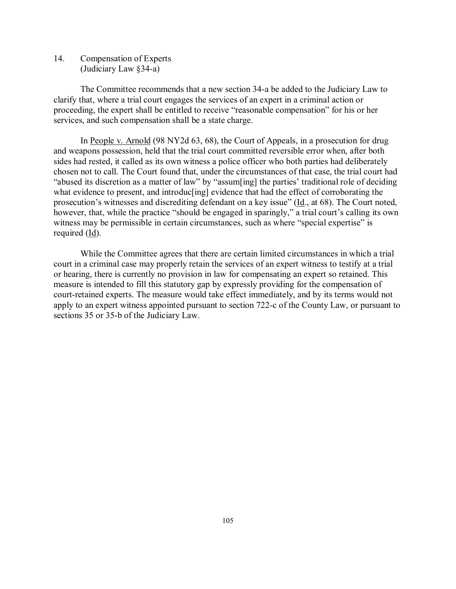14. Compensation of Experts (Judiciary Law §34-a)

The Committee recommends that a new section 34-a be added to the Judiciary Law to clarify that, where a trial court engages the services of an expert in a criminal action or proceeding, the expert shall be entitled to receive "reasonable compensation" for his or her services, and such compensation shall be a state charge.

In People v. Arnold (98 NY2d 63, 68), the Court of Appeals, in a prosecution for drug and weapons possession, held that the trial court committed reversible error when, after both sides had rested, it called as its own witness a police officer who both parties had deliberately chosen not to call. The Court found that, under the circumstances of that case, the trial court had "abused its discretion as a matter of law" by "assum[ing] the parties' traditional role of deciding what evidence to present, and introduc [ing] evidence that had the effect of corroborating the prosecution's witnesses and discrediting defendant on a key issue" (Id., at 68). The Court noted, however, that, while the practice "should be engaged in sparingly," a trial court's calling its own witness may be permissible in certain circumstances, such as where "special expertise" is required  $(\underline{Id})$ .

While the Committee agrees that there are certain limited circumstances in which a trial court in a criminal case may properly retain the services of an expert witness to testify at a trial or hearing, there is currently no provision in law for compensating an expert so retained. This measure is intended to fill this statutory gap by expressly providing for the compensation of court-retained experts. The measure would take effect immediately, and by its terms would not apply to an expert witness appointed pursuant to section 722-c of the County Law, or pursuant to sections 35 or 35-b of the Judiciary Law.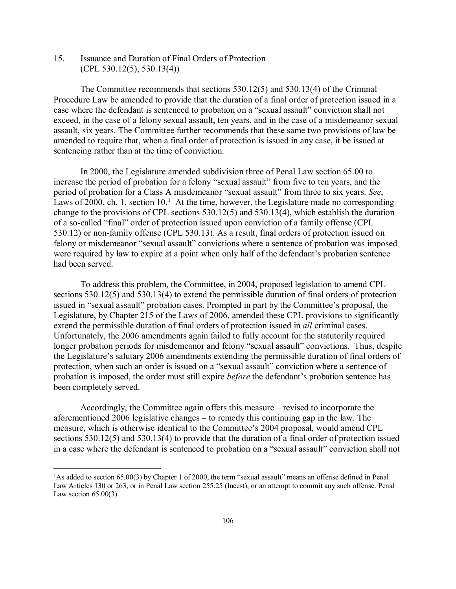15. Issuance and Duration of Final Orders of Protection  $(CPL 530.12(5), 530.13(4))$ 

The Committee recommends that sections 530.12(5) and 530.13(4) of the Criminal Procedure Law be amended to provide that the duration of a final order of protection issued in a case where the defendant is sentenced to probation on a "sexual assault" conviction shall not exceed, in the case of a felony sexual assault, ten years, and in the case of a misdemeanor sexual assault, six years. The Committee further recommends that these same two provisions of law be amended to require that, when a final order of protection is issued in any case, it be issued at sentencing rather than at the time of conviction.

In 2000, the Legislature amended subdivision three of Penal Law section 65.00 to increase the period of probation for a felony "sexual assault" from five to ten years, and the period of probation for a Class A misdemeanor "sexual assault" from three to six years. *See*, Laws of 2000, ch. 1, section  $10<sup>1</sup>$  At the time, however, the Legislature made no corresponding change to the provisions of CPL sections 530.12(5) and 530.13(4), which establish the duration of a so-called "final" order of protection issued upon conviction of a family offense (CPL 530.12) or non-family offense (CPL 530.13). As a result, final orders of protection issued on felony or misdemeanor "sexual assault" convictions where a sentence of probation was imposed were required by law to expire at a point when only half of the defendant's probation sentence had been served.

To address this problem, the Committee, in 2004, proposed legislation to amend CPL sections 530.12(5) and 530.13(4) to extend the permissible duration of final orders of protection issued in "sexual assault" probation cases. Prompted in part by the Committee's proposal, the Legislature, by Chapter 215 of the Laws of 2006, amended these CPL provisions to significantly extend the permissible duration of final orders of protection issued in *all* criminal cases. Unfortunately, the 2006 amendments again failed to fully account for the statutorily required longer probation periods for misdemeanor and felony "sexual assault" convictions. Thus, despite the Legislature's salutary 2006 amendments extending the permissible duration of final orders of protection, when such an order is issued on a "sexual assault" conviction where a sentence of probation is imposed, the order must still expire *before* the defendant's probation sentence has been completely served.

Accordingly, the Committee again offers this measure – revised to incorporate the aforementioned 2006 legislative changes – to remedy this continuing gap in the law. The measure, which is otherwise identical to the Committee's 2004 proposal, would amend CPL sections 530.12(5) and 530.13(4) to provide that the duration of a final order of protection issued in a case where the defendant is sentenced to probation on a "sexual assault" conviction shall not

 $\frac{1}{1}$ <sup>1</sup>As added to section 65.00(3) by Chapter 1 of 2000, the term "sexual assault" means an offense defined in Penal Law Articles 130 or 263, or in Penal Law section 255.25 (Incest), or an attempt to commit any such offense. Penal Law section 65.00(3).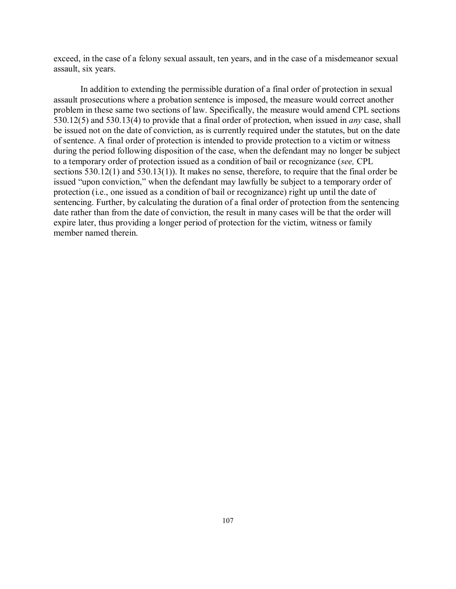exceed, in the case of a felony sexual assault, ten years, and in the case of a misdemeanor sexual assault, six years.

In addition to extending the permissible duration of a final order of protection in sexual assault prosecutions where a probation sentence is imposed, the measure would correct another problem in these same two sections of law. Specifically, the measure would amend CPL sections 530.12(5) and 530.13(4) to provide that a final order of protection, when issued in *any* case, shall be issued not on the date of conviction, as is currently required under the statutes, but on the date of sentence. A final order of protection is intended to provide protection to a victim or witness during the period following disposition of the case, when the defendant may no longer be subject to a temporary order of protection issued as a condition of bail or recognizance (*see,* CPL sections 530.12(1) and 530.13(1)). It makes no sense, therefore, to require that the final order be issued "upon conviction," when the defendant may lawfully be subject to a temporary order of protection (i.e., one issued as a condition of bail or recognizance) right up until the date of sentencing. Further, by calculating the duration of a final order of protection from the sentencing date rather than from the date of conviction, the result in many cases will be that the order will expire later, thus providing a longer period of protection for the victim, witness or family member named therein.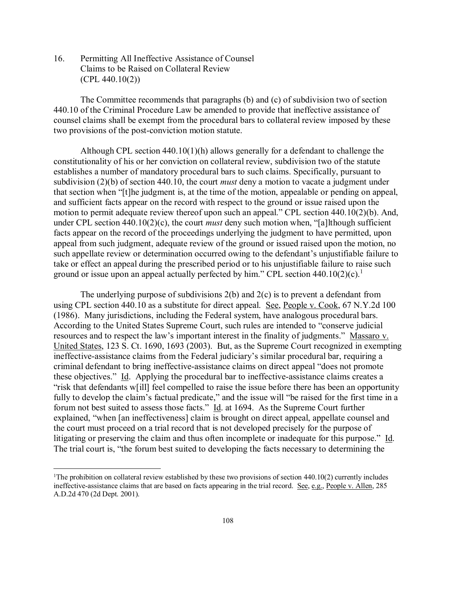16. Permitting All Ineffective Assistance of Counsel Claims to be Raised on Collateral Review (CPL 440.10(2))

The Committee recommends that paragraphs (b) and (c) of subdivision two of section 440.10 of the Criminal Procedure Law be amended to provide that ineffective assistance of counsel claims shall be exempt from the procedural bars to collateral review imposed by these two provisions of the post-conviction motion statute.

Although CPL section  $440.10(1)(h)$  allows generally for a defendant to challenge the constitutionality of his or her conviction on collateral review, subdivision two of the statute establishes a number of mandatory procedural bars to such claims. Specifically, pursuant to subdivision (2)(b) of section 440.10, the court *must* deny a motion to vacate a judgment under that section when "[t]he judgment is, at the time of the motion, appealable or pending on appeal, and sufficient facts appear on the record with respect to the ground or issue raised upon the motion to permit adequate review thereof upon such an appeal." CPL section 440.10(2)(b). And, under CPL section 440.10(2)(c), the court *must* deny such motion when, "[a]lthough sufficient facts appear on the record of the proceedings underlying the judgment to have permitted, upon appeal from such judgment, adequate review of the ground or issued raised upon the motion, no such appellate review or determination occurred owing to the defendant's unjustifiable failure to take or effect an appeal during the prescribed period or to his unjustifiable failure to raise such ground or issue upon an appeal actually perfected by him." CPL section  $440.10(2)(c)$ .<sup>1</sup>

The underlying purpose of subdivisions 2(b) and 2(c) is to prevent a defendant from using CPL section 440.10 as a substitute for direct appeal. See, People v. Cook, 67 N.Y.2d 100 (1986). Many jurisdictions, including the Federal system, have analogous procedural bars. According to the United States Supreme Court, such rules are intended to "conserve judicial resources and to respect the law's important interest in the finality of judgments." Massaro v. United States, 123 S. Ct. 1690, 1693 (2003). But, as the Supreme Court recognized in exempting ineffective-assistance claims from the Federal judiciary's similar procedural bar, requiring a criminal defendant to bring ineffective-assistance claims on direct appeal "does not promote these objectives." Id. Applying the procedural bar to ineffective-assistance claims creates a "risk that defendants w[ill] feel compelled to raise the issue before there has been an opportunity fully to develop the claim's factual predicate," and the issue will "be raised for the first time in a forum not best suited to assess those facts." Id. at 1694. As the Supreme Court further explained, "when [an ineffectiveness] claim is brought on direct appeal, appellate counsel and the court must proceed on a trial record that is not developed precisely for the purpose of litigating or preserving the claim and thus often incomplete or inadequate for this purpose." Id. The trial court is, "the forum best suited to developing the facts necessary to determining the

 $\frac{1}{1}$ <sup>1</sup>The prohibition on collateral review established by these two provisions of section  $440.10(2)$  currently includes ineffective-assistance claims that are based on facts appearing in the trial record. See, e.g., People v. Allen, 285 A.D.2d 470 (2d Dept. 2001).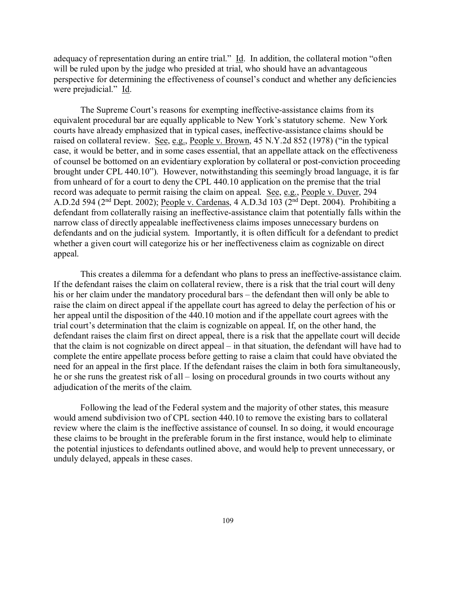adequacy of representation during an entire trial." Id. In addition, the collateral motion "often will be ruled upon by the judge who presided at trial, who should have an advantageous perspective for determining the effectiveness of counsel's conduct and whether any deficiencies were prejudicial." Id.

The Supreme Court's reasons for exempting ineffective-assistance claims from its equivalent procedural bar are equally applicable to New York's statutory scheme. New York courts have already emphasized that in typical cases, ineffective-assistance claims should be raised on collateral review. See, e.g., People v. Brown, 45 N.Y.2d 852 (1978) ("in the typical case, it would be better, and in some cases essential, that an appellate attack on the effectiveness of counsel be bottomed on an evidentiary exploration by collateral or post-conviction proceeding brought under CPL 440.10"). However, notwithstanding this seemingly broad language, it is far from unheard of for a court to deny the CPL 440.10 application on the premise that the trial record was adequate to permit raising the claim on appeal. See, e.g., People v. Duver, 294 A.D.2d 594 ( $2<sup>nd</sup>$  Dept. 2002); People v. Cardenas, 4 A.D.3d 103 ( $2<sup>nd</sup>$  Dept. 2004). Prohibiting a defendant from collaterally raising an ineffective-assistance claim that potentially falls within the narrow class of directly appealable ineffectiveness claims imposes unnecessary burdens on defendants and on the judicial system. Importantly, it is often difficult for a defendant to predict whether a given court will categorize his or her ineffectiveness claim as cognizable on direct appeal.

This creates a dilemma for a defendant who plans to press an ineffective-assistance claim. If the defendant raises the claim on collateral review, there is a risk that the trial court will deny his or her claim under the mandatory procedural bars – the defendant then will only be able to raise the claim on direct appeal if the appellate court has agreed to delay the perfection of his or her appeal until the disposition of the 440.10 motion and if the appellate court agrees with the trial court's determination that the claim is cognizable on appeal. If, on the other hand, the defendant raises the claim first on direct appeal, there is a risk that the appellate court will decide that the claim is not cognizable on direct appeal – in that situation, the defendant will have had to complete the entire appellate process before getting to raise a claim that could have obviated the need for an appeal in the first place. If the defendant raises the claim in both fora simultaneously, he or she runs the greatest risk of all – losing on procedural grounds in two courts without any adjudication of the merits of the claim.

Following the lead of the Federal system and the majority of other states, this measure would amend subdivision two of CPL section 440.10 to remove the existing bars to collateral review where the claim is the ineffective assistance of counsel. In so doing, it would encourage these claims to be brought in the preferable forum in the first instance, would help to eliminate the potential injustices to defendants outlined above, and would help to prevent unnecessary, or unduly delayed, appeals in these cases.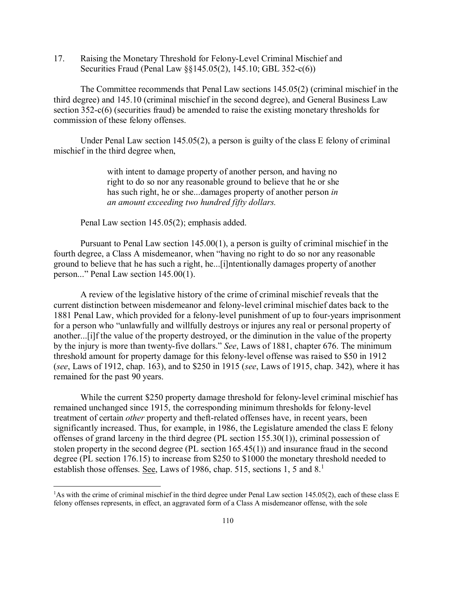17. Raising the Monetary Threshold for Felony-Level Criminal Mischief and Securities Fraud (Penal Law §§145.05(2), 145.10; GBL 352-c(6))

The Committee recommends that Penal Law sections 145.05(2) (criminal mischief in the third degree) and 145.10 (criminal mischief in the second degree), and General Business Law section  $352-c(6)$  (securities fraud) be amended to raise the existing monetary thresholds for commission of these felony offenses.

Under Penal Law section 145.05(2), a person is guilty of the class  $E$  felony of criminal mischief in the third degree when,

> with intent to damage property of another person, and having no right to do so nor any reasonable ground to believe that he or she has such right, he or she...damages property of another person *in an amount exceeding two hundred fifty dollars.*

Penal Law section 145.05(2); emphasis added.

Pursuant to Penal Law section 145.00(1), a person is guilty of criminal mischief in the fourth degree, a Class A misdemeanor, when "having no right to do so nor any reasonable ground to believe that he has such a right, he...[i]ntentionally damages property of another person..." Penal Law section 145.00(1).

A review of the legislative history of the crime of criminal mischief reveals that the current distinction between misdemeanor and felony-level criminal mischief dates back to the 1881 Penal Law, which provided for a felony-level punishment of up to four-years imprisonment for a person who "unlawfully and willfully destroys or injures any real or personal property of another...[i]f the value of the property destroyed, or the diminution in the value of the property by the injury is more than twenty-five dollars." *See*, Laws of 1881, chapter 676. The minimum threshold amount for property damage for this felony-level offense was raised to \$50 in 1912 (*see*, Laws of 1912, chap. 163), and to \$250 in 1915 (*see*, Laws of 1915, chap. 342), where it has remained for the past 90 years.

While the current \$250 property damage threshold for felony-level criminal mischief has remained unchanged since 1915, the corresponding minimum thresholds for felony-level treatment of certain *other* property and theft-related offenses have, in recent years, been significantly increased. Thus, for example, in 1986, the Legislature amended the class E felony offenses of grand larceny in the third degree (PL section 155.30(1)), criminal possession of stolen property in the second degree (PL section 165.45(1)) and insurance fraud in the second degree (PL section 176.15) to increase from \$250 to \$1000 the monetary threshold needed to establish those offenses. See, Laws of 1986, chap. 515, sections 1, 5 and 8.<sup>1</sup>

 $\frac{1}{1}$ <sup>1</sup>As with the crime of criminal mischief in the third degree under Penal Law section 145.05(2), each of these class E felony offenses represents, in effect, an aggravated form of a Class A misdemeanor offense, with the sole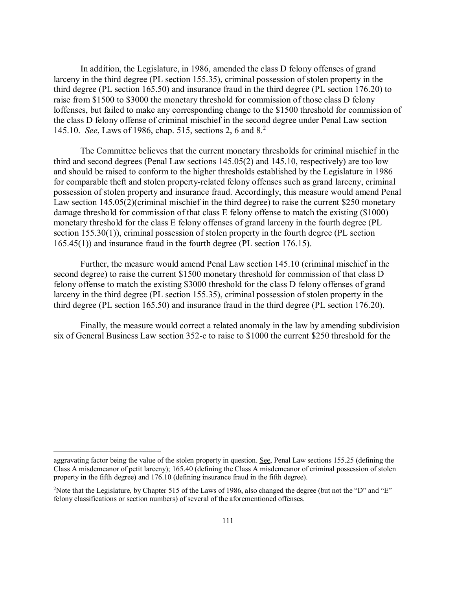In addition, the Legislature, in 1986, amended the class D felony offenses of grand larceny in the third degree (PL section 155.35), criminal possession of stolen property in the third degree (PL section 165.50) and insurance fraud in the third degree (PL section 176.20) to raise from \$1500 to \$3000 the monetary threshold for commission of those class D felony loffenses, but failed to make any corresponding change to the \$1500 threshold for commission of the class D felony offense of criminal mischief in the second degree under Penal Law section 145.10. *See*, Laws of 1986, chap. 515, sections 2, 6 and 8.<sup>2</sup>

The Committee believes that the current monetary thresholds for criminal mischief in the third and second degrees (Penal Law sections 145.05(2) and 145.10, respectively) are too low and should be raised to conform to the higher thresholds established by the Legislature in 1986 for comparable theft and stolen property-related felony offenses such as grand larceny, criminal possession of stolen property and insurance fraud. Accordingly, this measure would amend Penal Law section 145.05(2)(criminal mischief in the third degree) to raise the current \$250 monetary damage threshold for commission of that class E felony offense to match the existing (\$1000) monetary threshold for the class E felony offenses of grand larceny in the fourth degree (PL section 155.30(1)), criminal possession of stolen property in the fourth degree (PL section 165.45(1)) and insurance fraud in the fourth degree (PL section 176.15).

Further, the measure would amend Penal Law section 145.10 (criminal mischief in the second degree) to raise the current \$1500 monetary threshold for commission of that class D felony offense to match the existing \$3000 threshold for the class D felony offenses of grand larceny in the third degree (PL section 155.35), criminal possession of stolen property in the third degree (PL section 165.50) and insurance fraud in the third degree (PL section 176.20).

Finally, the measure would correct a related anomaly in the law by amending subdivision six of General Business Law section 352-c to raise to \$1000 the current \$250 threshold for the

 $\overline{a}$ 

aggravating factor being the value of the stolen property in question. See, Penal Law sections 155.25 (defining the Class A misdemeanor of petit larceny); 165.40 (defining the Class A misdemeanor of criminal possession of stolen property in the fifth degree) and 176.10 (defining insurance fraud in the fifth degree).

<sup>&</sup>lt;sup>2</sup>Note that the Legislature, by Chapter 515 of the Laws of 1986, also changed the degree (but not the "D" and "E" felony classifications or section numbers) of several of the aforementioned offenses.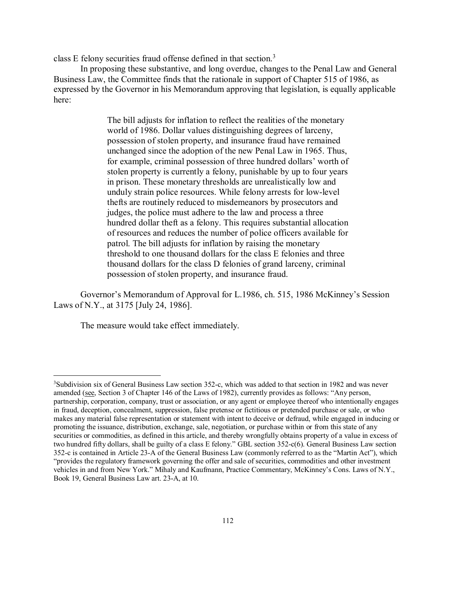class E felony securities fraud offense defined in that section.<sup>3</sup>

In proposing these substantive, and long overdue, changes to the Penal Law and General Business Law, the Committee finds that the rationale in support of Chapter 515 of 1986, as expressed by the Governor in his Memorandum approving that legislation, is equally applicable here:

> The bill adjusts for inflation to reflect the realities of the monetary world of 1986. Dollar values distinguishing degrees of larceny, possession of stolen property, and insurance fraud have remained unchanged since the adoption of the new Penal Law in 1965. Thus, for example, criminal possession of three hundred dollars' worth of stolen property is currently a felony, punishable by up to four years in prison. These monetary thresholds are unrealistically low and unduly strain police resources. While felony arrests for low-level thefts are routinely reduced to misdemeanors by prosecutors and judges, the police must adhere to the law and process a three hundred dollar theft as a felony. This requires substantial allocation of resources and reduces the number of police officers available for patrol. The bill adjusts for inflation by raising the monetary threshold to one thousand dollars for the class E felonies and three thousand dollars for the class D felonies of grand larceny, criminal possession of stolen property, and insurance fraud.

Governor's Memorandum of Approval for L.1986, ch. 515, 1986 McKinney's Session Laws of N.Y., at 3175 [July 24, 1986].

The measure would take effect immediately.

 $\frac{1}{3}$ <sup>3</sup>Subdivision six of General Business Law section 352-c, which was added to that section in 1982 and was never amended (see, Section 3 of Chapter 146 of the Laws of 1982), currently provides as follows: "Any person, partnership, corporation, company, trust or association, or any agent or employee thereof who intentionally engages in fraud, deception, concealment, suppression, false pretense or fictitious or pretended purchase or sale, or who makes any material false representation or statement with intent to deceive or defraud, while engaged in inducing or promoting the issuance, distribution, exchange, sale, negotiation, or purchase within or from this state of any securities or commodities, as defined in this article, and thereby wrongfully obtains property of a value in excess of two hundred fifty dollars, shall be guilty of a class E felony." GBL section 352-c(6). General Business Law section 352-c is contained in Article 23-A of the General Business Law (commonly referred to as the "Martin Act"), which "provides the regulatory framework governing the offer and sale of securities, commodities and other investment vehicles in and from New York." Mihaly and Kaufmann, Practice Commentary, McKinney's Cons. Laws of N.Y., Book 19, General Business Law art. 23-A, at 10.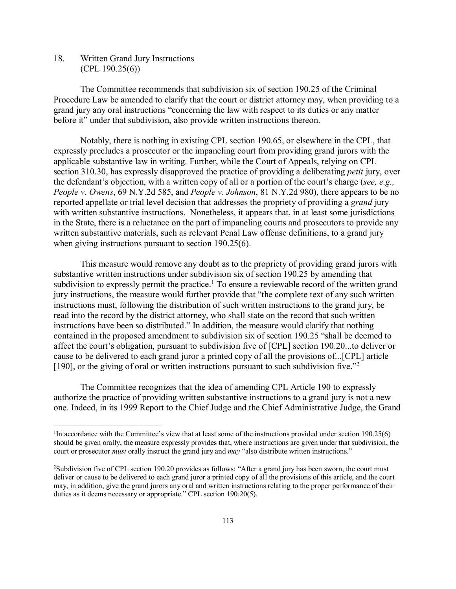18. Written Grand Jury Instructions  $(CPL 190.25(6))$ 

The Committee recommends that subdivision six of section 190.25 of the Criminal Procedure Law be amended to clarify that the court or district attorney may, when providing to a grand jury any oral instructions "concerning the law with respect to its duties or any matter before it" under that subdivision, also provide written instructions thereon.

Notably, there is nothing in existing CPL section 190.65, or elsewhere in the CPL, that expressly precludes a prosecutor or the impaneling court from providing grand jurors with the applicable substantive law in writing. Further, while the Court of Appeals, relying on CPL section 310.30, has expressly disapproved the practice of providing a deliberating *petit* jury, over the defendant's objection, with a written copy of all or a portion of the court's charge (*see, e.g., People v. Owens*, 69 N.Y.2d 585, and *People v. Johnson*, 81 N.Y.2d 980), there appears to be no reported appellate or trial level decision that addresses the propriety of providing a *grand* jury with written substantive instructions. Nonetheless, it appears that, in at least some jurisdictions in the State, there is a reluctance on the part of impaneling courts and prosecutors to provide any written substantive materials, such as relevant Penal Law offense definitions, to a grand jury when giving instructions pursuant to section 190.25(6).

This measure would remove any doubt as to the propriety of providing grand jurors with substantive written instructions under subdivision six of section 190.25 by amending that subdivision to expressly permit the practice.<sup>1</sup> To ensure a reviewable record of the written grand jury instructions, the measure would further provide that "the complete text of any such written instructions must, following the distribution of such written instructions to the grand jury, be read into the record by the district attorney, who shall state on the record that such written instructions have been so distributed." In addition, the measure would clarify that nothing contained in the proposed amendment to subdivision six of section 190.25 "shall be deemed to affect the court's obligation, pursuant to subdivision five of [CPL] section 190.20...to deliver or cause to be delivered to each grand juror a printed copy of all the provisions of...[CPL] article [190], or the giving of oral or written instructions pursuant to such subdivision five."<sup>2</sup>

The Committee recognizes that the idea of amending CPL Article 190 to expressly authorize the practice of providing written substantive instructions to a grand jury is not a new one. Indeed, in its 1999 Report to the Chief Judge and the Chief Administrative Judge, the Grand

 $\frac{1}{1}$ <sup>1</sup>In accordance with the Committee's view that at least some of the instructions provided under section 190.25(6) should be given orally, the measure expressly provides that, where instructions are given under that subdivision, the court or prosecutor *must* orally instruct the grand jury and *may* "also distribute written instructions."

<sup>&</sup>lt;sup>2</sup>Subdivision five of CPL section 190.20 provides as follows: "After a grand jury has been sworn, the court must deliver or cause to be delivered to each grand juror a printed copy of all the provisions of this article, and the court may, in addition, give the grand jurors any oral and written instructions relating to the proper performance of their duties as it deems necessary or appropriate." CPL section 190.20(5).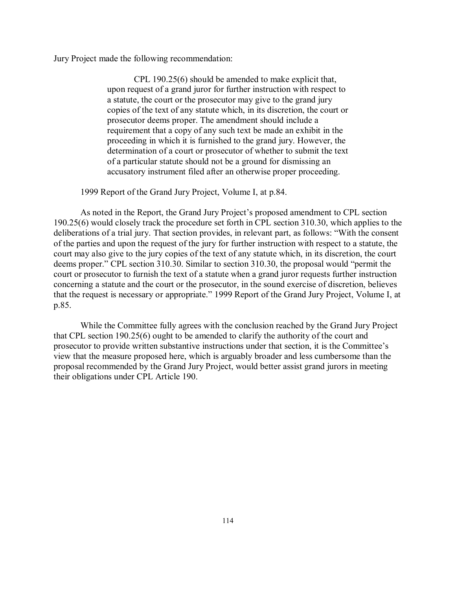Jury Project made the following recommendation:

CPL 190.25(6) should be amended to make explicit that, upon request of a grand juror for further instruction with respect to a statute, the court or the prosecutor may give to the grand jury copies of the text of any statute which, in its discretion, the court or prosecutor deems proper. The amendment should include a requirement that a copy of any such text be made an exhibit in the proceeding in which it is furnished to the grand jury. However, the determination of a court or prosecutor of whether to submit the text of a particular statute should not be a ground for dismissing an accusatory instrument filed after an otherwise proper proceeding.

1999 Report of the Grand Jury Project, Volume I, at p.84.

As noted in the Report, the Grand Jury Project's proposed amendment to CPL section 190.25(6) would closely track the procedure set forth in CPL section 310.30, which applies to the deliberations of a trial jury. That section provides, in relevant part, as follows: "With the consent of the parties and upon the request of the jury for further instruction with respect to a statute, the court may also give to the jury copies of the text of any statute which, in its discretion, the court deems proper." CPL section 310.30. Similar to section 310.30, the proposal would "permit the court or prosecutor to furnish the text of a statute when a grand juror requests further instruction concerning a statute and the court or the prosecutor, in the sound exercise of discretion, believes that the request is necessary or appropriate." 1999 Report of the Grand Jury Project, Volume I, at p.85.

While the Committee fully agrees with the conclusion reached by the Grand Jury Project that CPL section 190.25(6) ought to be amended to clarify the authority of the court and prosecutor to provide written substantive instructions under that section, it is the Committee's view that the measure proposed here, which is arguably broader and less cumbersome than the proposal recommended by the Grand Jury Project, would better assist grand jurors in meeting their obligations under CPL Article 190.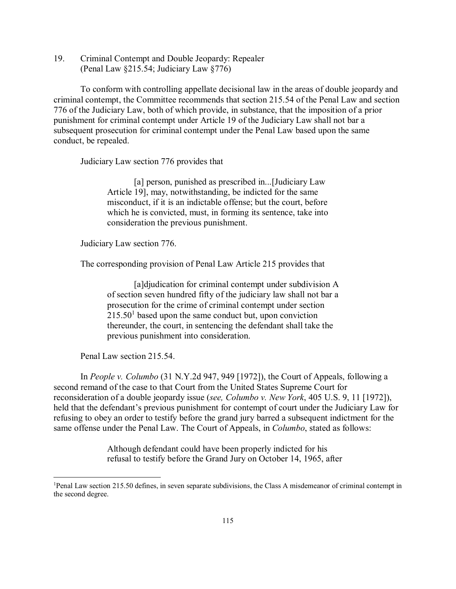19. Criminal Contempt and Double Jeopardy: Repealer (Penal Law §215.54; Judiciary Law §776)

To conform with controlling appellate decisional law in the areas of double jeopardy and criminal contempt, the Committee recommends that section 215.54 of the Penal Law and section 776 of the Judiciary Law, both of which provide, in substance, that the imposition of a prior punishment for criminal contempt under Article 19 of the Judiciary Law shall not bar a subsequent prosecution for criminal contempt under the Penal Law based upon the same conduct, be repealed.

Judiciary Law section 776 provides that

[a] person, punished as prescribed in...[Judiciary Law Article 19], may, notwithstanding, be indicted for the same misconduct, if it is an indictable offense; but the court, before which he is convicted, must, in forming its sentence, take into consideration the previous punishment.

Judiciary Law section 776.

The corresponding provision of Penal Law Article 215 provides that

[a]djudication for criminal contempt under subdivision A of section seven hundred fifty of the judiciary law shall not bar a prosecution for the crime of criminal contempt under section  $215.50<sup>1</sup>$  based upon the same conduct but, upon conviction thereunder, the court, in sentencing the defendant shall take the previous punishment into consideration.

Penal Law section 215.54.

In *People v. Columbo* (31 N.Y.2d 947, 949 [1972]), the Court of Appeals, following a second remand of the case to that Court from the United States Supreme Court for reconsideration of a double jeopardy issue (*see, Columbo v. New York*, 405 U.S. 9, 11 [1972]), held that the defendant's previous punishment for contempt of court under the Judiciary Law for refusing to obey an order to testify before the grand jury barred a subsequent indictment for the same offense under the Penal Law. The Court of Appeals, in *Columbo*, stated as follows:

> Although defendant could have been properly indicted for his refusal to testify before the Grand Jury on October 14, 1965, after

 $\frac{1}{1}$ Penal Law section 215.50 defines, in seven separate subdivisions, the Class A misdemeanor of criminal contempt in the second degree.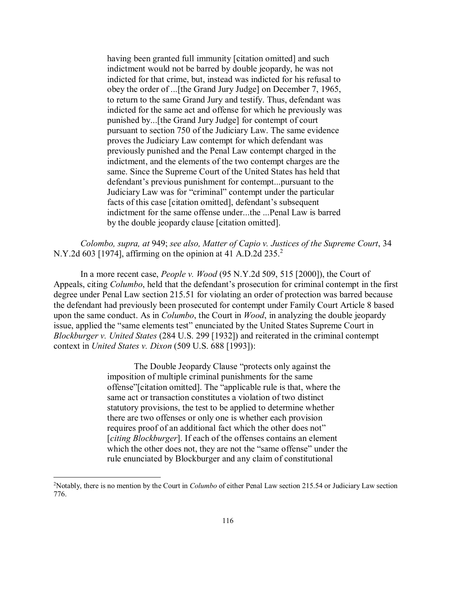having been granted full immunity [citation omitted] and such indictment would not be barred by double jeopardy, he was not indicted for that crime, but, instead was indicted for his refusal to obey the order of ...[the Grand Jury Judge] on December 7, 1965, to return to the same Grand Jury and testify. Thus, defendant was indicted for the same act and offense for which he previously was punished by...[the Grand Jury Judge] for contempt of court pursuant to section 750 of the Judiciary Law. The same evidence proves the Judiciary Law contempt for which defendant was previously punished and the Penal Law contempt charged in the indictment, and the elements of the two contempt charges are the same. Since the Supreme Court of the United States has held that defendant's previous punishment for contempt...pursuant to the Judiciary Law was for "criminal" contempt under the particular facts of this case [citation omitted], defendant's subsequent indictment for the same offense under...the ...Penal Law is barred by the double jeopardy clause [citation omitted].

*Colombo, supra, at* 949; *see also, Matter of Capio v. Justices of the Supreme Court*, 34 N.Y.2d 603 [1974], affirming on the opinion at 41 A.D.2d 235.<sup>2</sup>

In a more recent case, *People v. Wood* (95 N.Y.2d 509, 515 [2000]), the Court of Appeals, citing *Columbo*, held that the defendant's prosecution for criminal contempt in the first degree under Penal Law section 215.51 for violating an order of protection was barred because the defendant had previously been prosecuted for contempt under Family Court Article 8 based upon the same conduct. As in *Columbo*, the Court in *Wood*, in analyzing the double jeopardy issue, applied the "same elements test" enunciated by the United States Supreme Court in *Blockburger v. United States* (284 U.S. 299 [1932]) and reiterated in the criminal contempt context in *United States v. Dixon* (509 U.S. 688 [1993]):

> The Double Jeopardy Clause "protects only against the imposition of multiple criminal punishments for the same offense"[citation omitted]. The "applicable rule is that, where the same act or transaction constitutes a violation of two distinct statutory provisions, the test to be applied to determine whether there are two offenses or only one is whether each provision requires proof of an additional fact which the other does not" [*citing Blockburger*]. If each of the offenses contains an element which the other does not, they are not the "same offense" under the rule enunciated by Blockburger and any claim of constitutional

 $\frac{1}{2}$ <sup>2</sup> Notably, there is no mention by the Court in *Columbo* of either Penal Law section 215.54 or Judiciary Law section 776.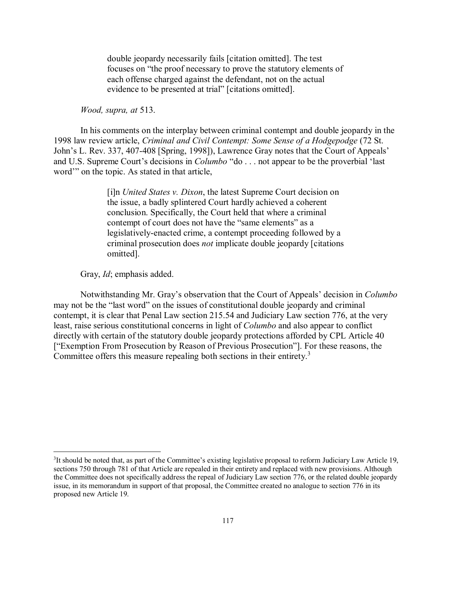double jeopardy necessarily fails [citation omitted]. The test focuses on "the proof necessary to prove the statutory elements of each offense charged against the defendant, not on the actual evidence to be presented at trial" [citations omitted].

## *Wood, supra, at* 513.

In his comments on the interplay between criminal contempt and double jeopardy in the 1998 law review article, *Criminal and Civil Contempt: Some Sense of a Hodgepodge* (72 St. John's L. Rev. 337, 407-408 [Spring, 1998]), Lawrence Gray notes that the Court of Appeals' and U.S. Supreme Court's decisions in *Columbo* "do . . . not appear to be the proverbial 'last word'" on the topic. As stated in that article,

> [i]n *United States v. Dixon*, the latest Supreme Court decision on the issue, a badly splintered Court hardly achieved a coherent conclusion. Specifically, the Court held that where a criminal contempt of court does not have the "same elements" as a legislatively-enacted crime, a contempt proceeding followed by a criminal prosecution does *not* implicate double jeopardy [citations omitted].

Gray, *Id*; emphasis added.

Notwithstanding Mr. Gray's observation that the Court of Appeals' decision in *Columbo* may not be the "last word" on the issues of constitutional double jeopardy and criminal contempt, it is clear that Penal Law section 215.54 and Judiciary Law section 776, at the very least, raise serious constitutional concerns in light of *Columbo* and also appear to conflict directly with certain of the statutory double jeopardy protections afforded by CPL Article 40 ["Exemption From Prosecution by Reason of Previous Prosecution"]. For these reasons, the Committee offers this measure repealing both sections in their entirety.<sup>3</sup>

 $\frac{1}{3}$ <sup>3</sup>It should be noted that, as part of the Committee's existing legislative proposal to reform Judiciary Law Article 19, sections 750 through 781 of that Article are repealed in their entirety and replaced with new provisions. Although the Committee does not specifically address the repeal of Judiciary Law section 776, or the related double jeopardy issue, in its memorandum in support of that proposal, the Committee created no analogue to section 776 in its proposed new Article 19.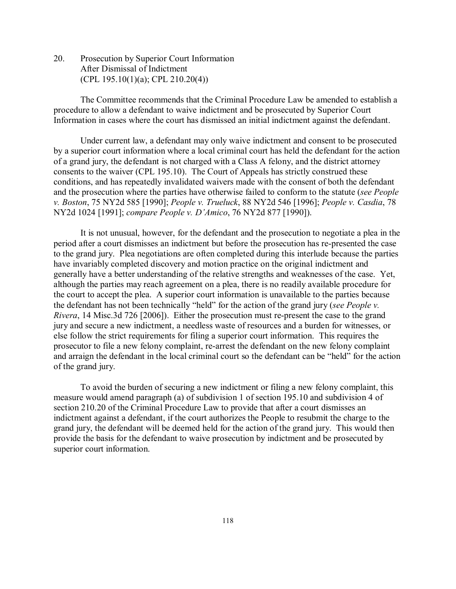20. Prosecution by Superior Court Information After Dismissal of Indictment (CPL 195.10(1)(a); CPL 210.20(4))

The Committee recommends that the Criminal Procedure Law be amended to establish a procedure to allow a defendant to waive indictment and be prosecuted by Superior Court Information in cases where the court has dismissed an initial indictment against the defendant.

Under current law, a defendant may only waive indictment and consent to be prosecuted by a superior court information where a local criminal court has held the defendant for the action of a grand jury, the defendant is not charged with a Class A felony, and the district attorney consents to the waiver (CPL 195.10). The Court of Appeals has strictly construed these conditions, and has repeatedly invalidated waivers made with the consent of both the defendant and the prosecution where the parties have otherwise failed to conform to the statute (*see People v. Boston*, 75 NY2d 585 [1990]; *People v. Trueluck*, 88 NY2d 546 [1996]; *People v. Casdia*, 78 NY2d 1024 [1991]; *compare People v. D'Amico*, 76 NY2d 877 [1990]).

It is not unusual, however, for the defendant and the prosecution to negotiate a plea in the period after a court dismisses an indictment but before the prosecution has re-presented the case to the grand jury. Plea negotiations are often completed during this interlude because the parties have invariably completed discovery and motion practice on the original indictment and generally have a better understanding of the relative strengths and weaknesses of the case. Yet, although the parties may reach agreement on a plea, there is no readily available procedure for the court to accept the plea. A superior court information is unavailable to the parties because the defendant has not been technically "held" for the action of the grand jury (*see People v. Rivera*, 14 Misc.3d 726 [2006]). Either the prosecution must re-present the case to the grand jury and secure a new indictment, a needless waste of resources and a burden for witnesses, or else follow the strict requirements for filing a superior court information. This requires the prosecutor to file a new felony complaint, re-arrest the defendant on the new felony complaint and arraign the defendant in the local criminal court so the defendant can be "held" for the action of the grand jury.

To avoid the burden of securing a new indictment or filing a new felony complaint, this measure would amend paragraph (a) of subdivision 1 of section 195.10 and subdivision 4 of section 210.20 of the Criminal Procedure Law to provide that after a court dismisses an indictment against a defendant, if the court authorizes the People to resubmit the charge to the grand jury, the defendant will be deemed held for the action of the grand jury. This would then provide the basis for the defendant to waive prosecution by indictment and be prosecuted by superior court information.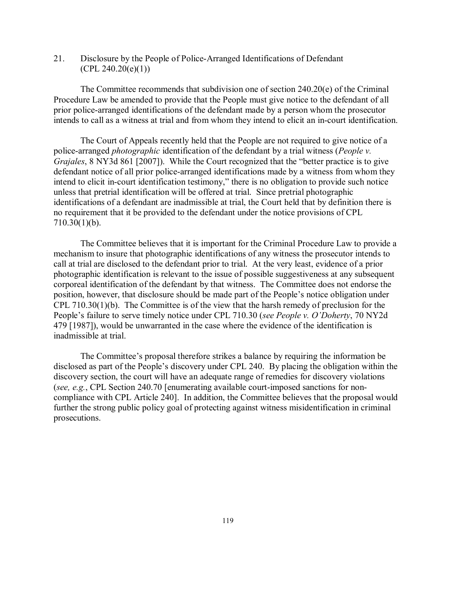21. Disclosure by the People of Police-Arranged Identifications of Defendant  $(CPL 240.20(e)(1))$ 

The Committee recommends that subdivision one of section 240.20(e) of the Criminal Procedure Law be amended to provide that the People must give notice to the defendant of all prior police-arranged identifications of the defendant made by a person whom the prosecutor intends to call as a witness at trial and from whom they intend to elicit an in-court identification.

The Court of Appeals recently held that the People are not required to give notice of a police-arranged *photographic* identification of the defendant by a trial witness (*People v. Grajales*, 8 NY3d 861 [2007]). While the Court recognized that the "better practice is to give defendant notice of all prior police-arranged identifications made by a witness from whom they intend to elicit in-court identification testimony," there is no obligation to provide such notice unless that pretrial identification will be offered at trial. Since pretrial photographic identifications of a defendant are inadmissible at trial, the Court held that by definition there is no requirement that it be provided to the defendant under the notice provisions of CPL 710.30(1)(b).

The Committee believes that it is important for the Criminal Procedure Law to provide a mechanism to insure that photographic identifications of any witness the prosecutor intends to call at trial are disclosed to the defendant prior to trial. At the very least, evidence of a prior photographic identification is relevant to the issue of possible suggestiveness at any subsequent corporeal identification of the defendant by that witness. The Committee does not endorse the position, however, that disclosure should be made part of the People's notice obligation under CPL 710.30(1)(b). The Committee is of the view that the harsh remedy of preclusion for the People's failure to serve timely notice under CPL 710.30 (*see People v. O'Doherty*, 70 NY2d 479 [1987]), would be unwarranted in the case where the evidence of the identification is inadmissible at trial.

The Committee's proposal therefore strikes a balance by requiring the information be disclosed as part of the People's discovery under CPL 240. By placing the obligation within the discovery section, the court will have an adequate range of remedies for discovery violations (*see, e.g.*, CPL Section 240.70 [enumerating available court-imposed sanctions for noncompliance with CPL Article 240]. In addition, the Committee believes that the proposal would further the strong public policy goal of protecting against witness misidentification in criminal prosecutions.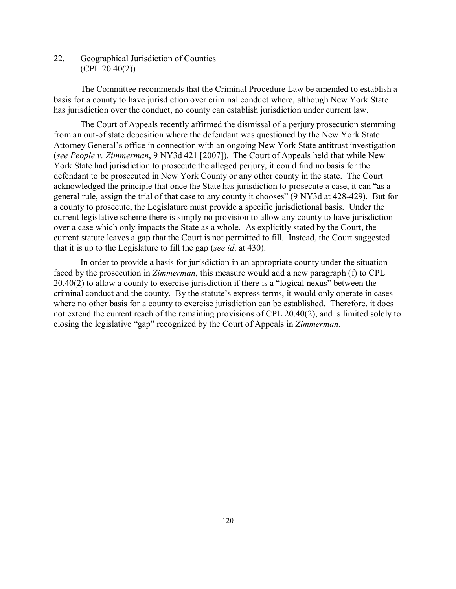22. Geographical Jurisdiction of Counties (CPL 20.40(2))

The Committee recommends that the Criminal Procedure Law be amended to establish a basis for a county to have jurisdiction over criminal conduct where, although New York State has jurisdiction over the conduct, no county can establish jurisdiction under current law.

The Court of Appeals recently affirmed the dismissal of a perjury prosecution stemming from an out-of state deposition where the defendant was questioned by the New York State Attorney General's office in connection with an ongoing New York State antitrust investigation (*see People v. Zimmerman*, 9 NY3d 421 [2007]). The Court of Appeals held that while New York State had jurisdiction to prosecute the alleged perjury, it could find no basis for the defendant to be prosecuted in New York County or any other county in the state. The Court acknowledged the principle that once the State has jurisdiction to prosecute a case, it can "as a general rule, assign the trial of that case to any county it chooses" (9 NY3d at 428-429). But for a county to prosecute, the Legislature must provide a specific jurisdictional basis. Under the current legislative scheme there is simply no provision to allow any county to have jurisdiction over a case which only impacts the State as a whole. As explicitly stated by the Court, the current statute leaves a gap that the Court is not permitted to fill. Instead, the Court suggested that it is up to the Legislature to fill the gap (*see id*. at 430).

In order to provide a basis for jurisdiction in an appropriate county under the situation faced by the prosecution in *Zimmerman*, this measure would add a new paragraph (f) to CPL 20.40(2) to allow a county to exercise jurisdiction if there is a "logical nexus" between the criminal conduct and the county. By the statute's express terms, it would only operate in cases where no other basis for a county to exercise jurisdiction can be established. Therefore, it does not extend the current reach of the remaining provisions of CPL 20.40(2), and is limited solely to closing the legislative "gap" recognized by the Court of Appeals in *Zimmerman*.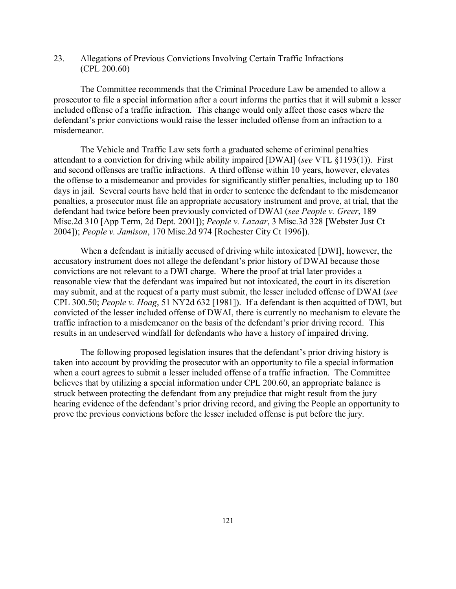23. Allegations of Previous Convictions Involving Certain Traffic Infractions (CPL 200.60)

The Committee recommends that the Criminal Procedure Law be amended to allow a prosecutor to file a special information after a court informs the parties that it will submit a lesser included offense of a traffic infraction. This change would only affect those cases where the defendant's prior convictions would raise the lesser included offense from an infraction to a misdemeanor.

The Vehicle and Traffic Law sets forth a graduated scheme of criminal penalties attendant to a conviction for driving while ability impaired [DWAI] (*see* VTL §1193(1)). First and second offenses are traffic infractions. A third offense within 10 years, however, elevates the offense to a misdemeanor and provides for significantly stiffer penalties, including up to 180 days in jail. Several courts have held that in order to sentence the defendant to the misdemeanor penalties, a prosecutor must file an appropriate accusatory instrument and prove, at trial, that the defendant had twice before been previously convicted of DWAI (*see People v. Greer*, 189 Misc.2d 310 [App Term, 2d Dept. 2001]); *People v. Lazaar*, 3 Misc.3d 328 [Webster Just Ct 2004]); *People v. Jamison*, 170 Misc.2d 974 [Rochester City Ct 1996]).

When a defendant is initially accused of driving while intoxicated [DWI], however, the accusatory instrument does not allege the defendant's prior history of DWAI because those convictions are not relevant to a DWI charge. Where the proof at trial later provides a reasonable view that the defendant was impaired but not intoxicated, the court in its discretion may submit, and at the request of a party must submit, the lesser included offense of DWAI (*see* CPL 300.50; *People v. Hoag*, 51 NY2d 632 [1981]). If a defendant is then acquitted of DWI, but convicted of the lesser included offense of DWAI, there is currently no mechanism to elevate the traffic infraction to a misdemeanor on the basis of the defendant's prior driving record. This results in an undeserved windfall for defendants who have a history of impaired driving.

The following proposed legislation insures that the defendant's prior driving history is taken into account by providing the prosecutor with an opportunity to file a special information when a court agrees to submit a lesser included offense of a traffic infraction. The Committee believes that by utilizing a special information under CPL 200.60, an appropriate balance is struck between protecting the defendant from any prejudice that might result from the jury hearing evidence of the defendant's prior driving record, and giving the People an opportunity to prove the previous convictions before the lesser included offense is put before the jury.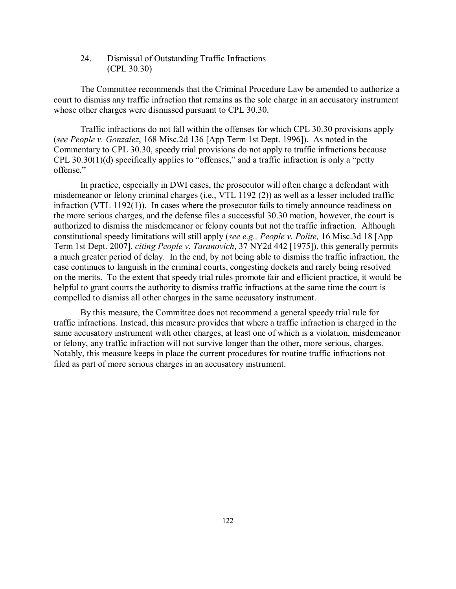24. Dismissal of Outstanding Traffic Infractions (CPL 30.30)

The Committee recommends that the Criminal Procedure Law be amended to authorize a court to dismiss any traffic infraction that remains as the sole charge in an accusatory instrument whose other charges were dismissed pursuant to CPL 30.30.

Traffic infractions do not fall within the offenses for which CPL 30.30 provisions apply (*see People v. Gonzalez*, 168 Misc.2d 136 [App Term 1st Dept. 1996]). As noted in the Commentary to CPL 30.30, speedy trial provisions do not apply to traffic infractions because CPL 30.30(1)(d) specifically applies to "offenses," and a traffic infraction is only a "petty offense."

In practice, especially in DWI cases, the prosecutor will often charge a defendant with misdemeanor or felony criminal charges (i.e., VTL 1192 (2)) as well as a lesser included traffic infraction (VTL 1192(1)). In cases where the prosecutor fails to timely announce readiness on the more serious charges, and the defense files a successful 30.30 motion, however, the court is authorized to dismiss the misdemeanor or felony counts but not the traffic infraction. Although constitutional speedy limitations will still apply (*see e.g., People v. Polite,* 16 Misc.3d 18 [App Term 1st Dept. 2007], *citing People v. Taranovich*, 37 NY2d 442 [1975]), this generally permits a much greater period of delay. In the end, by not being able to dismiss the traffic infraction, the case continues to languish in the criminal courts, congesting dockets and rarely being resolved on the merits. To the extent that speedy trial rules promote fair and efficient practice, it would be helpful to grant courts the authority to dismiss traffic infractions at the same time the court is compelled to dismiss all other charges in the same accusatory instrument.

By this measure, the Committee does not recommend a general speedy trial rule for traffic infractions. Instead, this measure provides that where a traffic infraction is charged in the same accusatory instrument with other charges, at least one of which is a violation, misdemeanor or felony, any traffic infraction will not survive longer than the other, more serious, charges. Notably, this measure keeps in place the current procedures for routine traffic infractions not filed as part of more serious charges in an accusatory instrument.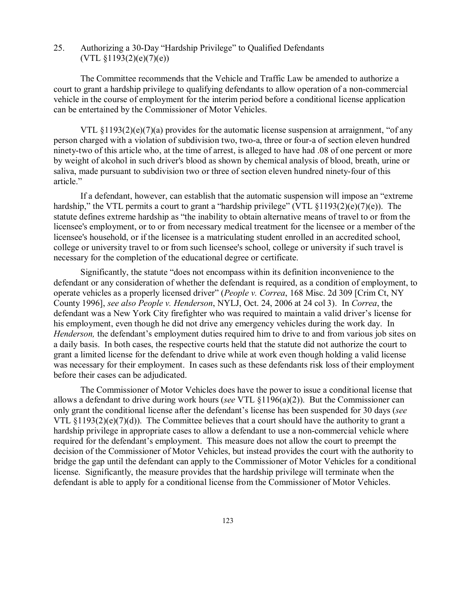25. Authorizing a 30-Day "Hardship Privilege" to Qualified Defendants  $(VTL \& 1193(2)(e)(7)(e))$ 

The Committee recommends that the Vehicle and Traffic Law be amended to authorize a court to grant a hardship privilege to qualifying defendants to allow operation of a non-commercial vehicle in the course of employment for the interim period before a conditional license application can be entertained by the Commissioner of Motor Vehicles.

VTL  $\S1193(2)(e)(7)(a)$  provides for the automatic license suspension at arraignment, "of any person charged with a violation of subdivision two, two-a, three or four-a of section eleven hundred ninety-two of this article who, at the time of arrest, is alleged to have had .08 of one percent or more by weight of alcohol in such driver's blood as shown by chemical analysis of blood, breath, urine or saliva, made pursuant to subdivision two or three of section eleven hundred ninety-four of this article."

If a defendant, however, can establish that the automatic suspension will impose an "extreme hardship," the VTL permits a court to grant a "hardship privilege" (VTL §1193(2)(e)(7)(e)). The statute defines extreme hardship as "the inability to obtain alternative means of travel to or from the licensee's employment, or to or from necessary medical treatment for the licensee or a member of the licensee's household, or if the licensee is a matriculating student enrolled in an accredited school, college or university travel to or from such licensee's school, college or university if such travel is necessary for the completion of the educational degree or certificate.

Significantly, the statute "does not encompass within its definition inconvenience to the defendant or any consideration of whether the defendant is required, as a condition of employment, to operate vehicles as a properly licensed driver" (*People v. Correa*, 168 Misc. 2d 309 [Crim Ct, NY County 1996], *see also People v. Henderson*, NYLJ, Oct. 24, 2006 at 24 col 3). In *Correa*, the defendant was a New York City firefighter who was required to maintain a valid driver's license for his employment, even though he did not drive any emergency vehicles during the work day. In *Henderson,* the defendant's employment duties required him to drive to and from various job sites on a daily basis. In both cases, the respective courts held that the statute did not authorize the court to grant a limited license for the defendant to drive while at work even though holding a valid license was necessary for their employment. In cases such as these defendants risk loss of their employment before their cases can be adjudicated.

The Commissioner of Motor Vehicles does have the power to issue a conditional license that allows a defendant to drive during work hours (*see* VTL §1196(a)(2)). But the Commissioner can only grant the conditional license after the defendant's license has been suspended for 30 days (*see* VTL  $\S1193(2)(e)(7)(d)$ ). The Committee believes that a court should have the authority to grant a hardship privilege in appropriate cases to allow a defendant to use a non-commercial vehicle where required for the defendant's employment. This measure does not allow the court to preempt the decision of the Commissioner of Motor Vehicles, but instead provides the court with the authority to bridge the gap until the defendant can apply to the Commissioner of Motor Vehicles for a conditional license. Significantly, the measure provides that the hardship privilege will terminate when the defendant is able to apply for a conditional license from the Commissioner of Motor Vehicles.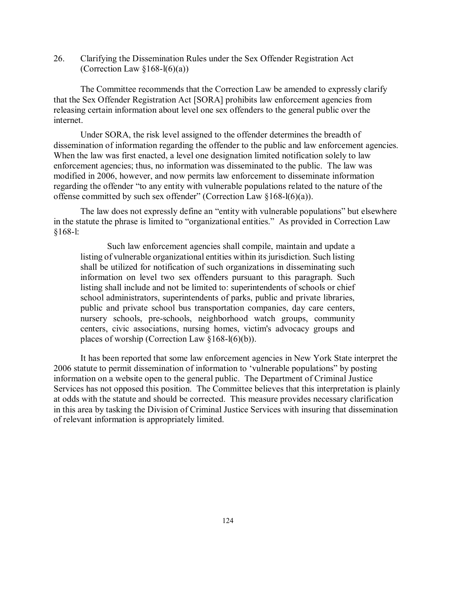26. Clarifying the Dissemination Rules under the Sex Offender Registration Act (Correction Law  $§168-1(6)(a)$ )

The Committee recommends that the Correction Law be amended to expressly clarify that the Sex Offender Registration Act [SORA] prohibits law enforcement agencies from releasing certain information about level one sex offenders to the general public over the internet.

Under SORA, the risk level assigned to the offender determines the breadth of dissemination of information regarding the offender to the public and law enforcement agencies. When the law was first enacted, a level one designation limited notification solely to law enforcement agencies; thus, no information was disseminated to the public. The law was modified in 2006, however, and now permits law enforcement to disseminate information regarding the offender "to any entity with vulnerable populations related to the nature of the offense committed by such sex offender" (Correction Law §168-l(6)(a)).

The law does not expressly define an "entity with vulnerable populations" but elsewhere in the statute the phrase is limited to "organizational entities." As provided in Correction Law §168-l:

Such law enforcement agencies shall compile, maintain and update a listing of vulnerable organizational entities within its jurisdiction. Such listing shall be utilized for notification of such organizations in disseminating such information on level two sex offenders pursuant to this paragraph. Such listing shall include and not be limited to: superintendents of schools or chief school administrators, superintendents of parks, public and private libraries, public and private school bus transportation companies, day care centers, nursery schools, pre-schools, neighborhood watch groups, community centers, civic associations, nursing homes, victim's advocacy groups and places of worship (Correction Law §168-l(6)(b)).

It has been reported that some law enforcement agencies in New York State interpret the 2006 statute to permit dissemination of information to 'vulnerable populations" by posting information on a website open to the general public. The Department of Criminal Justice Services has not opposed this position. The Committee believes that this interpretation is plainly at odds with the statute and should be corrected. This measure provides necessary clarification in this area by tasking the Division of Criminal Justice Services with insuring that dissemination of relevant information is appropriately limited.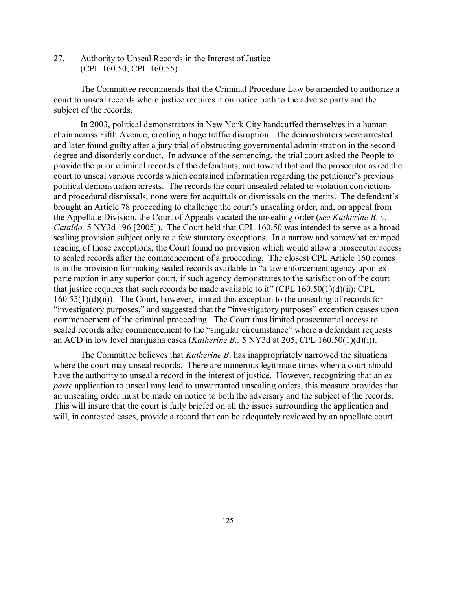27. Authority to Unseal Records in the Interest of Justice (CPL 160.50; CPL 160.55)

The Committee recommends that the Criminal Procedure Law be amended to authorize a court to unseal records where justice requires it on notice both to the adverse party and the subject of the records.

In 2003, political demonstrators in New York City handcuffed themselves in a human chain across Fifth Avenue, creating a huge traffic disruption. The demonstrators were arrested and later found guilty after a jury trial of obstructing governmental administration in the second degree and disorderly conduct. In advance of the sentencing, the trial court asked the People to provide the prior criminal records of the defendants, and toward that end the prosecutor asked the court to unseal various records which contained information regarding the petitioner's previous political demonstration arrests. The records the court unsealed related to violation convictions and procedural dismissals; none were for acquittals or dismissals on the merits. The defendant's brought an Article 78 proceeding to challenge the court's unsealing order, and, on appeal from the Appellate Division, the Court of Appeals vacated the unsealing order (*see Katherine B. v. Cataldo,* 5 NY3d 196 [2005]). The Court held that CPL 160.50 was intended to serve as a broad sealing provision subject only to a few statutory exceptions. In a narrow and somewhat cramped reading of those exceptions, the Court found no provision which would allow a prosecutor access to sealed records after the commencement of a proceeding. The closest CPL Article 160 comes is in the provision for making sealed records available to "a law enforcement agency upon ex parte motion in any superior court, if such agency demonstrates to the satisfaction of the court that justice requires that such records be made available to it" (CPL  $160.50(1)(d)(ii)$ ; CPL 160.55(1)(d)(ii)). The Court, however, limited this exception to the unsealing of records for "investigatory purposes," and suggested that the "investigatory purposes" exception ceases upon commencement of the criminal proceeding. The Court thus limited prosecutorial access to sealed records after commencement to the "singular circumstance" where a defendant requests an ACD in low level marijuana cases (*Katherine B.,* 5 NY3d at 205; CPL 160.50(1)(d)(i)).

The Committee believes that *Katherine B*. has inappropriately narrowed the situations where the court may unseal records. There are numerous legitimate times when a court should have the authority to unseal a record in the interest of justice. However, recognizing that an *ex parte* application to unseal may lead to unwarranted unsealing orders, this measure provides that an unsealing order must be made on notice to both the adversary and the subject of the records. This will insure that the court is fully briefed on all the issues surrounding the application and will, in contested cases, provide a record that can be adequately reviewed by an appellate court.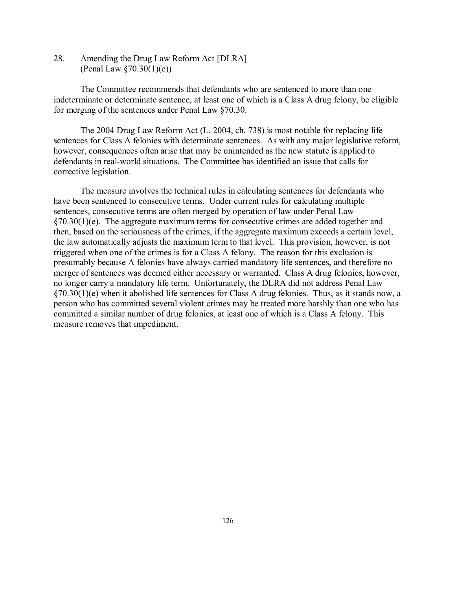28. Amending the Drug Law Reform Act [DLRA] (Penal Law  $\S 70.30(1)(e)$ )

The Committee recommends that defendants who are sentenced to more than one indeterminate or determinate sentence, at least one of which is a Class A drug felony, be eligible for merging of the sentences under Penal Law §70.30.

The 2004 Drug Law Reform Act (L. 2004, ch. 738) is most notable for replacing life sentences for Class A felonies with determinate sentences. As with any major legislative reform, however, consequences often arise that may be unintended as the new statute is applied to defendants in real-world situations. The Committee has identified an issue that calls for corrective legislation.

The measure involves the technical rules in calculating sentences for defendants who have been sentenced to consecutive terms. Under current rules for calculating multiple sentences, consecutive terms are often merged by operation of law under Penal Law §70.30(1)(e). The aggregate maximum terms for consecutive crimes are added together and then, based on the seriousness of the crimes, if the aggregate maximum exceeds a certain level, the law automatically adjusts the maximum term to that level. This provision, however, is not triggered when one of the crimes is for a Class A felony. The reason for this exclusion is presumably because A felonies have always carried mandatory life sentences, and therefore no merger of sentences was deemed either necessary or warranted. Class A drug felonies, however, no longer carry a mandatory life term. Unfortunately, the DLRA did not address Penal Law §70.30(1)(e) when it abolished life sentences for Class A drug felonies. Thus, as it stands now, a person who has committed several violent crimes may be treated more harshly than one who has committed a similar number of drug felonies, at least one of which is a Class A felony. This measure removes that impediment.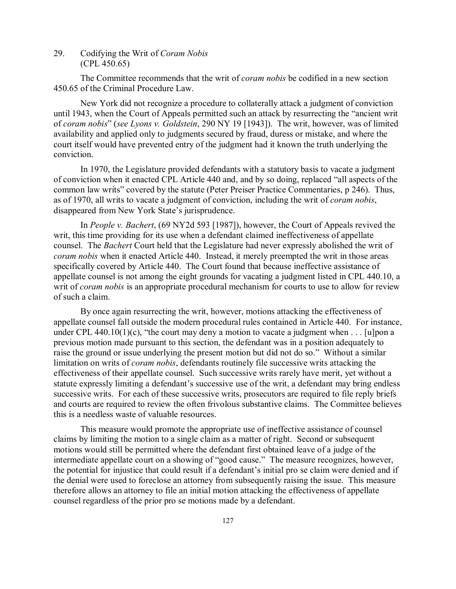## 29. Codifying the Writ of *Coram Nobis* (CPL 450.65)

The Committee recommends that the writ of *coram nobis* be codified in a new section 450.65 of the Criminal Procedure Law.

New York did not recognize a procedure to collaterally attack a judgment of conviction until 1943, when the Court of Appeals permitted such an attack by resurrecting the "ancient writ of *coram nobis*" (*see Lyons v. Goldstein*, 290 NY 19 [1943]). The writ, however, was of limited availability and applied only to judgments secured by fraud, duress or mistake, and where the court itself would have prevented entry of the judgment had it known the truth underlying the conviction.

In 1970, the Legislature provided defendants with a statutory basis to vacate a judgment of conviction when it enacted CPL Article 440 and, and by so doing, replaced "all aspects of the common law writs" covered by the statute (Peter Preiser Practice Commentaries, p 246). Thus, as of 1970, all writs to vacate a judgment of conviction, including the writ of *coram nobis*, disappeared from New York State's jurisprudence.

In *People v. Bachert*, (69 NY2d 593 [1987]), however, the Court of Appeals revived the writ, this time providing for its use when a defendant claimed ineffectiveness of appellate counsel. The *Bachert* Court held that the Legislature had never expressly abolished the writ of *coram nobis* when it enacted Article 440. Instead, it merely preempted the writ in those areas specifically covered by Article 440. The Court found that because ineffective assistance of appellate counsel is not among the eight grounds for vacating a judgment listed in CPL 440.10, a writ of *coram nobis* is an appropriate procedural mechanism for courts to use to allow for review of such a claim.

By once again resurrecting the writ, however, motions attacking the effectiveness of appellate counsel fall outside the modern procedural rules contained in Article 440. For instance, under CPL 440.10(1)(c), "the court may deny a motion to vacate a judgment when  $\dots$  [u]pon a previous motion made pursuant to this section, the defendant was in a position adequately to raise the ground or issue underlying the present motion but did not do so." Without a similar limitation on writs of *coram nobis*, defendants routinely file successive writs attacking the effectiveness of their appellate counsel. Such successive writs rarely have merit, yet without a statute expressly limiting a defendant's successive use of the writ, a defendant may bring endless successive writs. For each of these successive writs, prosecutors are required to file reply briefs and courts are required to review the often frivolous substantive claims. The Committee believes this is a needless waste of valuable resources.

This measure would promote the appropriate use of ineffective assistance of counsel claims by limiting the motion to a single claim as a matter of right. Second or subsequent motions would still be permitted where the defendant first obtained leave of a judge of the intermediate appellate court on a showing of "good cause." The measure recognizes, however, the potential for injustice that could result if a defendant's initial pro se claim were denied and if the denial were used to foreclose an attorney from subsequently raising the issue. This measure therefore allows an attorney to file an initial motion attacking the effectiveness of appellate counsel regardless of the prior pro se motions made by a defendant.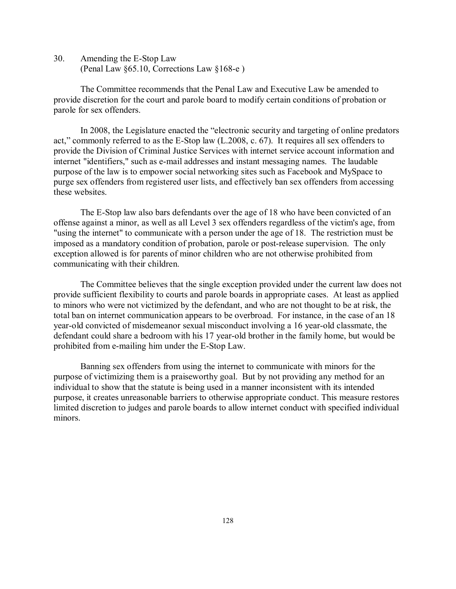30. Amending the E-Stop Law (Penal Law §65.10, Corrections Law §168-e )

The Committee recommends that the Penal Law and Executive Law be amended to provide discretion for the court and parole board to modify certain conditions of probation or parole for sex offenders.

In 2008, the Legislature enacted the "electronic security and targeting of online predators act," commonly referred to as the E-Stop law (L.2008, c. 67). It requires all sex offenders to provide the Division of Criminal Justice Services with internet service account information and internet "identifiers," such as e-mail addresses and instant messaging names. The laudable purpose of the law is to empower social networking sites such as Facebook and MySpace to purge sex offenders from registered user lists, and effectively ban sex offenders from accessing these websites.

The E-Stop law also bars defendants over the age of 18 who have been convicted of an offense against a minor, as well as all Level 3 sex offenders regardless of the victim's age, from "using the internet" to communicate with a person under the age of 18. The restriction must be imposed as a mandatory condition of probation, parole or post-release supervision. The only exception allowed is for parents of minor children who are not otherwise prohibited from communicating with their children.

The Committee believes that the single exception provided under the current law does not provide sufficient flexibility to courts and parole boards in appropriate cases. At least as applied to minors who were not victimized by the defendant, and who are not thought to be at risk, the total ban on internet communication appears to be overbroad. For instance, in the case of an 18 year-old convicted of misdemeanor sexual misconduct involving a 16 year-old classmate, the defendant could share a bedroom with his 17 year-old brother in the family home, but would be prohibited from e-mailing him under the E-Stop Law.

Banning sex offenders from using the internet to communicate with minors for the purpose of victimizing them is a praiseworthy goal. But by not providing any method for an individual to show that the statute is being used in a manner inconsistent with its intended purpose, it creates unreasonable barriers to otherwise appropriate conduct. This measure restores limited discretion to judges and parole boards to allow internet conduct with specified individual minors.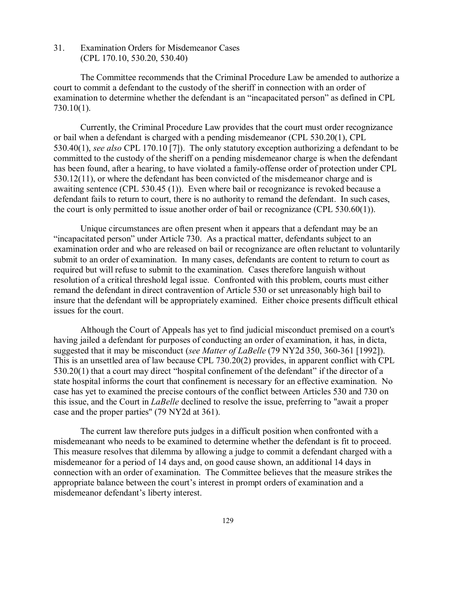31. Examination Orders for Misdemeanor Cases (CPL 170.10, 530.20, 530.40)

The Committee recommends that the Criminal Procedure Law be amended to authorize a court to commit a defendant to the custody of the sheriff in connection with an order of examination to determine whether the defendant is an "incapacitated person" as defined in CPL 730.10(1).

Currently, the Criminal Procedure Law provides that the court must order recognizance or bail when a defendant is charged with a pending misdemeanor (CPL 530.20(1), CPL 530.40(1), *see also* CPL 170.10 [7]). The only statutory exception authorizing a defendant to be committed to the custody of the sheriff on a pending misdemeanor charge is when the defendant has been found, after a hearing, to have violated a family-offense order of protection under CPL 530.12(11), or where the defendant has been convicted of the misdemeanor charge and is awaiting sentence (CPL 530.45 (1)). Even where bail or recognizance is revoked because a defendant fails to return to court, there is no authority to remand the defendant. In such cases, the court is only permitted to issue another order of bail or recognizance (CPL 530.60(1)).

Unique circumstances are often present when it appears that a defendant may be an "incapacitated person" under Article 730. As a practical matter, defendants subject to an examination order and who are released on bail or recognizance are often reluctant to voluntarily submit to an order of examination. In many cases, defendants are content to return to court as required but will refuse to submit to the examination. Cases therefore languish without resolution of a critical threshold legal issue. Confronted with this problem, courts must either remand the defendant in direct contravention of Article 530 or set unreasonably high bail to insure that the defendant will be appropriately examined. Either choice presents difficult ethical issues for the court.

Although the Court of Appeals has yet to find judicial misconduct premised on a court's having jailed a defendant for purposes of conducting an order of examination, it has, in dicta, suggested that it may be misconduct (*see Matter of LaBelle* (79 NY2d 350, 360-361 [1992]). This is an unsettled area of law because CPL 730.20(2) provides, in apparent conflict with CPL 530.20(1) that a court may direct "hospital confinement of the defendant" if the director of a state hospital informs the court that confinement is necessary for an effective examination. No case has yet to examined the precise contours of the conflict between Articles 530 and 730 on this issue, and the Court in *LaBelle* declined to resolve the issue, preferring to "await a proper case and the proper parties" (79 NY2d at 361).

The current law therefore puts judges in a difficult position when confronted with a misdemeanant who needs to be examined to determine whether the defendant is fit to proceed. This measure resolves that dilemma by allowing a judge to commit a defendant charged with a misdemeanor for a period of 14 days and, on good cause shown, an additional 14 days in connection with an order of examination. The Committee believes that the measure strikes the appropriate balance between the court's interest in prompt orders of examination and a misdemeanor defendant's liberty interest.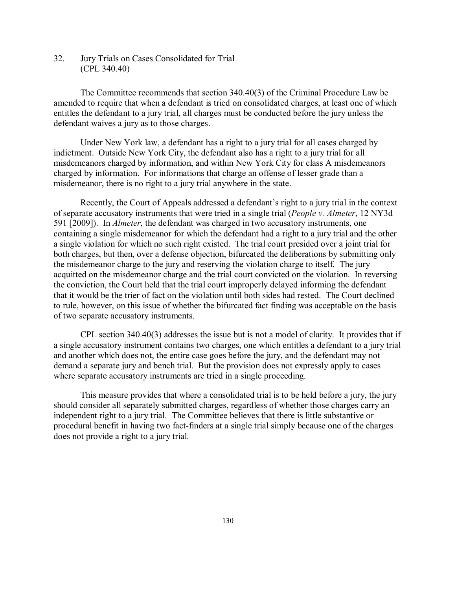32. Jury Trials on Cases Consolidated for Trial (CPL 340.40)

The Committee recommends that section 340.40(3) of the Criminal Procedure Law be amended to require that when a defendant is tried on consolidated charges, at least one of which entitles the defendant to a jury trial, all charges must be conducted before the jury unless the defendant waives a jury as to those charges.

Under New York law, a defendant has a right to a jury trial for all cases charged by indictment. Outside New York City, the defendant also has a right to a jury trial for all misdemeanors charged by information, and within New York City for class A misdemeanors charged by information. For informations that charge an offense of lesser grade than a misdemeanor, there is no right to a jury trial anywhere in the state.

Recently, the Court of Appeals addressed a defendant's right to a jury trial in the context of separate accusatory instruments that were tried in a single trial (*People v. Almeter*, 12 NY3d 591 [2009]). In *Almeter*, the defendant was charged in two accusatory instruments, one containing a single misdemeanor for which the defendant had a right to a jury trial and the other a single violation for which no such right existed. The trial court presided over a joint trial for both charges, but then, over a defense objection, bifurcated the deliberations by submitting only the misdemeanor charge to the jury and reserving the violation charge to itself. The jury acquitted on the misdemeanor charge and the trial court convicted on the violation. In reversing the conviction, the Court held that the trial court improperly delayed informing the defendant that it would be the trier of fact on the violation until both sides had rested. The Court declined to rule, however, on this issue of whether the bifurcated fact finding was acceptable on the basis of two separate accusatory instruments.

CPL section 340.40(3) addresses the issue but is not a model of clarity. It provides that if a single accusatory instrument contains two charges, one which entitles a defendant to a jury trial and another which does not, the entire case goes before the jury, and the defendant may not demand a separate jury and bench trial. But the provision does not expressly apply to cases where separate accusatory instruments are tried in a single proceeding.

This measure provides that where a consolidated trial is to be held before a jury, the jury should consider all separately submitted charges, regardless of whether those charges carry an independent right to a jury trial. The Committee believes that there is little substantive or procedural benefit in having two fact-finders at a single trial simply because one of the charges does not provide a right to a jury trial.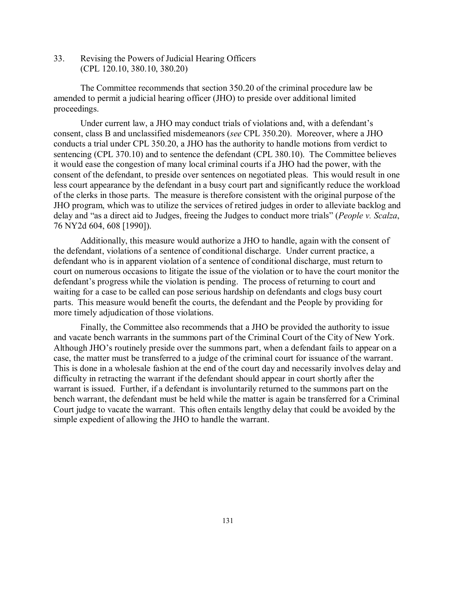33. Revising the Powers of Judicial Hearing Officers (CPL 120.10, 380.10, 380.20)

The Committee recommends that section 350.20 of the criminal procedure law be amended to permit a judicial hearing officer (JHO) to preside over additional limited proceedings.

Under current law, a JHO may conduct trials of violations and, with a defendant's consent, class B and unclassified misdemeanors (*see* CPL 350.20). Moreover, where a JHO conducts a trial under CPL 350.20, a JHO has the authority to handle motions from verdict to sentencing (CPL 370.10) and to sentence the defendant (CPL 380.10). The Committee believes it would ease the congestion of many local criminal courts if a JHO had the power, with the consent of the defendant, to preside over sentences on negotiated pleas. This would result in one less court appearance by the defendant in a busy court part and significantly reduce the workload of the clerks in those parts. The measure is therefore consistent with the original purpose of the JHO program, which was to utilize the services of retired judges in order to alleviate backlog and delay and "as a direct aid to Judges, freeing the Judges to conduct more trials" (*People v. Scalza*, 76 NY2d 604, 608 [1990]).

Additionally, this measure would authorize a JHO to handle, again with the consent of the defendant, violations of a sentence of conditional discharge. Under current practice, a defendant who is in apparent violation of a sentence of conditional discharge, must return to court on numerous occasions to litigate the issue of the violation or to have the court monitor the defendant's progress while the violation is pending. The process of returning to court and waiting for a case to be called can pose serious hardship on defendants and clogs busy court parts. This measure would benefit the courts, the defendant and the People by providing for more timely adjudication of those violations.

Finally, the Committee also recommends that a JHO be provided the authority to issue and vacate bench warrants in the summons part of the Criminal Court of the City of New York. Although JHO's routinely preside over the summons part, when a defendant fails to appear on a case, the matter must be transferred to a judge of the criminal court for issuance of the warrant. This is done in a wholesale fashion at the end of the court day and necessarily involves delay and difficulty in retracting the warrant if the defendant should appear in court shortly after the warrant is issued. Further, if a defendant is involuntarily returned to the summons part on the bench warrant, the defendant must be held while the matter is again be transferred for a Criminal Court judge to vacate the warrant. This often entails lengthy delay that could be avoided by the simple expedient of allowing the JHO to handle the warrant.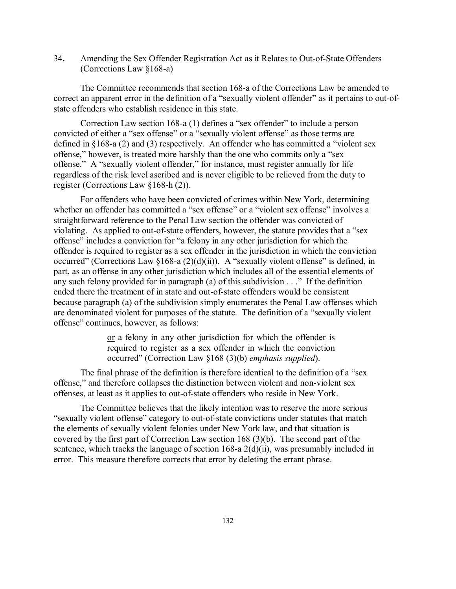34**.** Amending the Sex Offender Registration Act as it Relates to Out-of-State Offenders (Corrections Law §168-a)

The Committee recommends that section 168-a of the Corrections Law be amended to correct an apparent error in the definition of a "sexually violent offender" as it pertains to out-ofstate offenders who establish residence in this state.

Correction Law section 168-a (1) defines a "sex offender" to include a person convicted of either a "sex offense" or a "sexually violent offense" as those terms are defined in §168-a (2) and (3) respectively. An offender who has committed a "violent sex offense," however, is treated more harshly than the one who commits only a "sex offense." A "sexually violent offender," for instance, must register annually for life regardless of the risk level ascribed and is never eligible to be relieved from the duty to register (Corrections Law §168-h (2)).

For offenders who have been convicted of crimes within New York, determining whether an offender has committed a "sex offense" or a "violent sex offense" involves a straightforward reference to the Penal Law section the offender was convicted of violating. As applied to out-of-state offenders, however, the statute provides that a "sex offense" includes a conviction for "a felony in any other jurisdiction for which the offender is required to register as a sex offender in the jurisdiction in which the conviction occurred" (Corrections Law §168-a  $(2)(d)(ii)$ ). A "sexually violent offense" is defined, in part, as an offense in any other jurisdiction which includes all of the essential elements of any such felony provided for in paragraph (a) of this subdivision . . ." If the definition ended there the treatment of in state and out-of-state offenders would be consistent because paragraph (a) of the subdivision simply enumerates the Penal Law offenses which are denominated violent for purposes of the statute. The definition of a "sexually violent offense" continues, however, as follows:

> or a felony in any other jurisdiction for which the offender is required to register as a sex offender in which the conviction occurred" (Correction Law §168 (3)(b) *emphasis supplied*).

The final phrase of the definition is therefore identical to the definition of a "sex offense," and therefore collapses the distinction between violent and non-violent sex offenses, at least as it applies to out-of-state offenders who reside in New York.

The Committee believes that the likely intention was to reserve the more serious "sexually violent offense" category to out-of-state convictions under statutes that match the elements of sexually violent felonies under New York law, and that situation is covered by the first part of Correction Law section 168 (3)(b). The second part of the sentence, which tracks the language of section 168-a 2(d)(ii), was presumably included in error. This measure therefore corrects that error by deleting the errant phrase.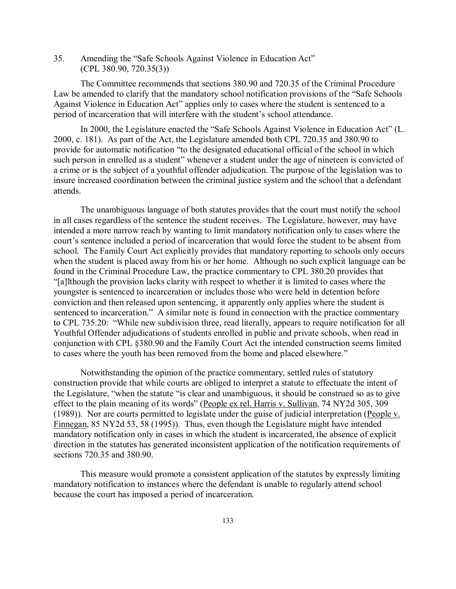35. Amending the "Safe Schools Against Violence in Education Act" (CPL 380.90, 720.35(3))

The Committee recommends that sections 380.90 and 720.35 of the Criminal Procedure Law be amended to clarify that the mandatory school notification provisions of the "Safe Schools Against Violence in Education Act" applies only to cases where the student is sentenced to a period of incarceration that will interfere with the student's school attendance.

In 2000, the Legislature enacted the "Safe Schools Against Violence in Education Act" (L. 2000, c. 181). As part of the Act, the Legislature amended both CPL 720.35 and 380.90 to provide for automatic notification "to the designated educational official of the school in which such person in enrolled as a student" whenever a student under the age of nineteen is convicted of a crime or is the subject of a youthful offender adjudication. The purpose of the legislation was to insure increased coordination between the criminal justice system and the school that a defendant attends.

The unambiguous language of both statutes provides that the court must notify the school in all cases regardless of the sentence the student receives. The Legislature, however, may have intended a more narrow reach by wanting to limit mandatory notification only to cases where the court's sentence included a period of incarceration that would force the student to be absent from school. The Family Court Act explicitly provides that mandatory reporting to schools only occurs when the student is placed away from his or her home. Although no such explicit language can be found in the Criminal Procedure Law, the practice commentary to CPL 380.20 provides that "[a]lthough the provision lacks clarity with respect to whether it is limited to cases where the youngster is sentenced to incarceration or includes those who were held in detention before conviction and then released upon sentencing, it apparently only applies where the student is sentenced to incarceration." A similar note is found in connection with the practice commentary to CPL 735.20: "While new subdivision three, read literally, appears to require notification for all Youthful Offender adjudications of students enrolled in public and private schools, when read in conjunction with CPL §380.90 and the Family Court Act the intended construction seems limited to cases where the youth has been removed from the home and placed elsewhere."

Notwithstanding the opinion of the practice commentary, settled rules of statutory construction provide that while courts are obliged to interpret a statute to effectuate the intent of the Legislature, "when the statute "is clear and unambiguous, it should be construed so as to give effect to the plain meaning of its words" (People ex rel. Harris v. Sullivan, 74 NY2d 305, 309 (1989)). Nor are courts permitted to legislate under the guise of judicial interpretation (People v. Finnegan, 85 NY2d 53, 58 (1995)). Thus, even though the Legislature might have intended mandatory notification only in cases in which the student is incarcerated, the absence of explicit direction in the statutes has generated inconsistent application of the notification requirements of sections 720.35 and 380.90.

This measure would promote a consistent application of the statutes by expressly limiting mandatory notification to instances where the defendant is unable to regularly attend school because the court has imposed a period of incarceration.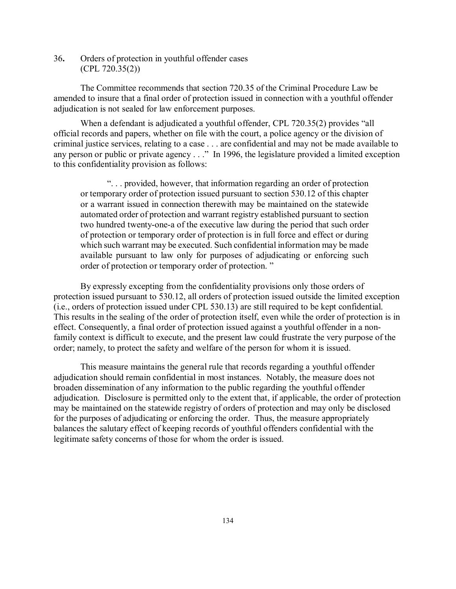36**.** Orders of protection in youthful offender cases (CPL 720.35(2))

The Committee recommends that section 720.35 of the Criminal Procedure Law be amended to insure that a final order of protection issued in connection with a youthful offender adjudication is not sealed for law enforcement purposes.

When a defendant is adjudicated a youthful offender, CPL 720.35(2) provides "all official records and papers, whether on file with the court, a police agency or the division of criminal justice services, relating to a case . . . are confidential and may not be made available to any person or public or private agency . . ." In 1996, the legislature provided a limited exception to this confidentiality provision as follows:

". . . provided, however, that information regarding an order of protection or temporary order of protection issued pursuant to section 530.12 of this chapter or a warrant issued in connection therewith may be maintained on the statewide automated order of protection and warrant registry established pursuant to section two hundred twenty-one-a of the executive law during the period that such order of protection or temporary order of protection is in full force and effect or during which such warrant may be executed. Such confidential information may be made available pursuant to law only for purposes of adjudicating or enforcing such order of protection or temporary order of protection. "

By expressly excepting from the confidentiality provisions only those orders of protection issued pursuant to 530.12, all orders of protection issued outside the limited exception (i.e., orders of protection issued under CPL 530.13) are still required to be kept confidential. This results in the sealing of the order of protection itself, even while the order of protection is in effect. Consequently, a final order of protection issued against a youthful offender in a nonfamily context is difficult to execute, and the present law could frustrate the very purpose of the order; namely, to protect the safety and welfare of the person for whom it is issued.

This measure maintains the general rule that records regarding a youthful offender adjudication should remain confidential in most instances. Notably, the measure does not broaden dissemination of any information to the public regarding the youthful offender adjudication. Disclosure is permitted only to the extent that, if applicable, the order of protection may be maintained on the statewide registry of orders of protection and may only be disclosed for the purposes of adjudicating or enforcing the order. Thus, the measure appropriately balances the salutary effect of keeping records of youthful offenders confidential with the legitimate safety concerns of those for whom the order is issued.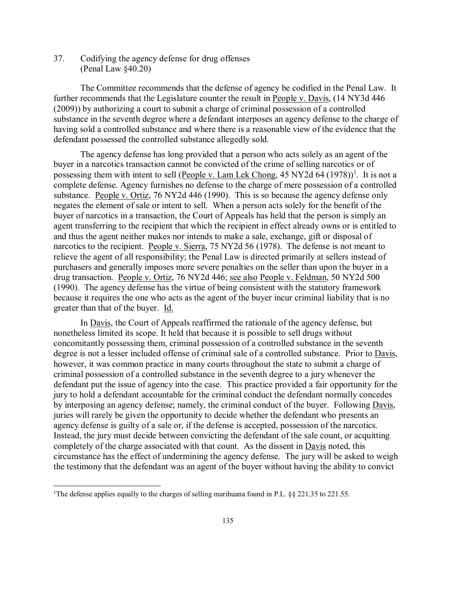37. Codifying the agency defense for drug offenses (Penal Law §40.20)

The Committee recommends that the defense of agency be codified in the Penal Law. It further recommends that the Legislature counter the result in People v. Davis, (14 NY3d 446 (2009)) by authorizing a court to submit a charge of criminal possession of a controlled substance in the seventh degree where a defendant interposes an agency defense to the charge of having sold a controlled substance and where there is a reasonable view of the evidence that the defendant possessed the controlled substance allegedly sold.

The agency defense has long provided that a person who acts solely as an agent of the buyer in a narcotics transaction cannot be convicted of the crime of selling narcotics or of possessing them with intent to sell (People v. Lam Lek Chong, 45 NY2d 64 (1978))<sup>1</sup>. It is not a complete defense. Agency furnishes no defense to the charge of mere possession of a controlled substance. People v. Ortiz, 76 NY2d 446 (1990). This is so because the agency defense only negates the element of sale or intent to sell. When a person acts solely for the benefit of the buyer of narcotics in a transaction, the Court of Appeals has held that the person is simply an agent transferring to the recipient that which the recipient in effect already owns or is entitled to and thus the agent neither makes nor intends to make a sale, exchange, gift or disposal of narcotics to the recipient. People v. Sierra, 75 NY2d 56 (1978). The defense is not meant to relieve the agent of all responsibility; the Penal Law is directed primarily at sellers instead of purchasers and generally imposes more severe penalties on the seller than upon the buyer in a drug transaction. People v. Ortiz, 76 NY2d 446; see also People v. Feldman, 50 NY2d 500 (1990). The agency defense has the virtue of being consistent with the statutory framework because it requires the one who acts as the agent of the buyer incur criminal liability that is no greater than that of the buyer. Id.

In Davis, the Court of Appeals reaffirmed the rationale of the agency defense, but nonetheless limited its scope. It held that because it is possible to sell drugs without concomitantly possessing them, criminal possession of a controlled substance in the seventh degree is not a lesser included offense of criminal sale of a controlled substance. Prior to Davis, however, it was common practice in many courts throughout the state to submit a charge of criminal possession of a controlled substance in the seventh degree to a jury whenever the defendant put the issue of agency into the case. This practice provided a fair opportunity for the jury to hold a defendant accountable for the criminal conduct the defendant normally concedes by interposing an agency defense; namely, the criminal conduct of the buyer. Following Davis, juries will rarely be given the opportunity to decide whether the defendant who presents an agency defense is guilty of a sale or, if the defense is accepted, possession of the narcotics. Instead, the jury must decide between convicting the defendant of the sale count, or acquitting completely of the charge associated with that count. As the dissent in Davis noted, this circumstance has the effect of undermining the agency defense. The jury will be asked to weigh the testimony that the defendant was an agent of the buyer without having the ability to convict

 $\frac{1}{1}$ <sup>1</sup>The defense applies equally to the charges of selling marihuana found in P.L. §§ 221.35 to 221.55.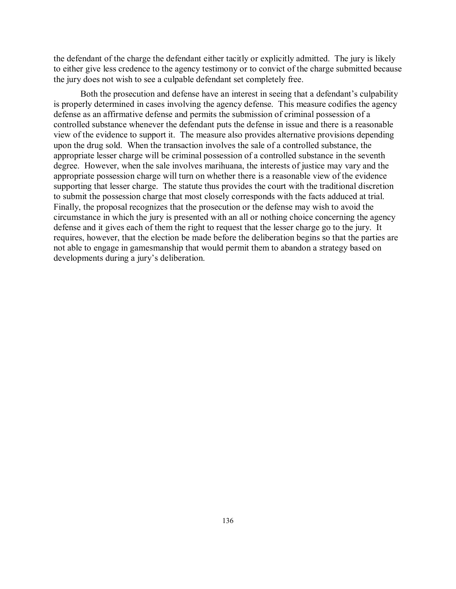the defendant of the charge the defendant either tacitly or explicitly admitted. The jury is likely to either give less credence to the agency testimony or to convict of the charge submitted because the jury does not wish to see a culpable defendant set completely free.

Both the prosecution and defense have an interest in seeing that a defendant's culpability is properly determined in cases involving the agency defense. This measure codifies the agency defense as an affirmative defense and permits the submission of criminal possession of a controlled substance whenever the defendant puts the defense in issue and there is a reasonable view of the evidence to support it. The measure also provides alternative provisions depending upon the drug sold. When the transaction involves the sale of a controlled substance, the appropriate lesser charge will be criminal possession of a controlled substance in the seventh degree. However, when the sale involves marihuana, the interests of justice may vary and the appropriate possession charge will turn on whether there is a reasonable view of the evidence supporting that lesser charge. The statute thus provides the court with the traditional discretion to submit the possession charge that most closely corresponds with the facts adduced at trial. Finally, the proposal recognizes that the prosecution or the defense may wish to avoid the circumstance in which the jury is presented with an all or nothing choice concerning the agency defense and it gives each of them the right to request that the lesser charge go to the jury. It requires, however, that the election be made before the deliberation begins so that the parties are not able to engage in gamesmanship that would permit them to abandon a strategy based on developments during a jury's deliberation.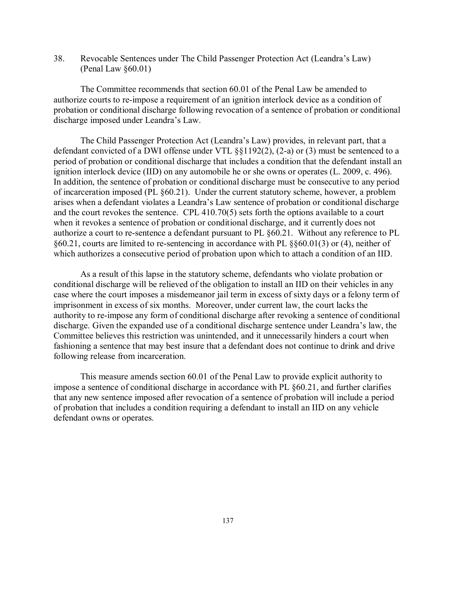38. Revocable Sentences under The Child Passenger Protection Act (Leandra's Law) (Penal Law §60.01)

The Committee recommends that section 60.01 of the Penal Law be amended to authorize courts to re-impose a requirement of an ignition interlock device as a condition of probation or conditional discharge following revocation of a sentence of probation or conditional discharge imposed under Leandra's Law.

The Child Passenger Protection Act (Leandra's Law) provides, in relevant part, that a defendant convicted of a DWI offense under VTL §§1192(2), (2-a) or (3) must be sentenced to a period of probation or conditional discharge that includes a condition that the defendant install an ignition interlock device (IID) on any automobile he or she owns or operates (L. 2009, c. 496). In addition, the sentence of probation or conditional discharge must be consecutive to any period of incarceration imposed (PL §60.21). Under the current statutory scheme, however, a problem arises when a defendant violates a Leandra's Law sentence of probation or conditional discharge and the court revokes the sentence. CPL 410.70(5) sets forth the options available to a court when it revokes a sentence of probation or conditional discharge, and it currently does not authorize a court to re-sentence a defendant pursuant to PL §60.21. Without any reference to PL §60.21, courts are limited to re-sentencing in accordance with PL §§60.01(3) or (4), neither of which authorizes a consecutive period of probation upon which to attach a condition of an IID.

As a result of this lapse in the statutory scheme, defendants who violate probation or conditional discharge will be relieved of the obligation to install an IID on their vehicles in any case where the court imposes a misdemeanor jail term in excess of sixty days or a felony term of imprisonment in excess of six months. Moreover, under current law, the court lacks the authority to re-impose any form of conditional discharge after revoking a sentence of conditional discharge. Given the expanded use of a conditional discharge sentence under Leandra's law, the Committee believes this restriction was unintended, and it unnecessarily hinders a court when fashioning a sentence that may best insure that a defendant does not continue to drink and drive following release from incarceration.

This measure amends section 60.01 of the Penal Law to provide explicit authority to impose a sentence of conditional discharge in accordance with PL §60.21, and further clarifies that any new sentence imposed after revocation of a sentence of probation will include a period of probation that includes a condition requiring a defendant to install an IID on any vehicle defendant owns or operates.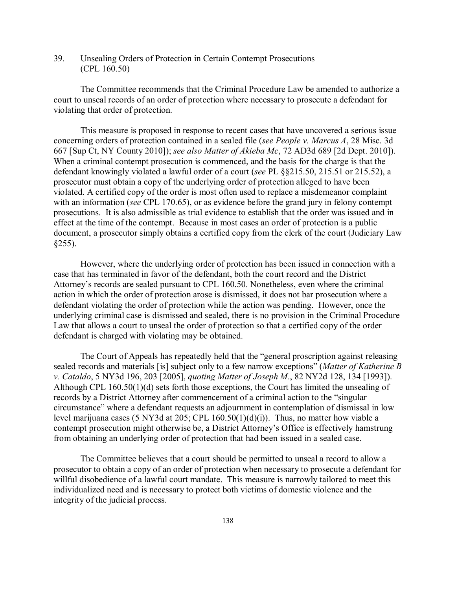39. Unsealing Orders of Protection in Certain Contempt Prosecutions (CPL 160.50)

The Committee recommends that the Criminal Procedure Law be amended to authorize a court to unseal records of an order of protection where necessary to prosecute a defendant for violating that order of protection.

This measure is proposed in response to recent cases that have uncovered a serious issue concerning orders of protection contained in a sealed file (*see People v. Marcus A*, 28 Misc. 3d 667 [Sup Ct, NY County 2010]); *see also Matter of Akieba Mc*, 72 AD3d 689 [2d Dept. 2010]). When a criminal contempt prosecution is commenced, and the basis for the charge is that the defendant knowingly violated a lawful order of a court (*see* PL §§215.50, 215.51 or 215.52), a prosecutor must obtain a copy of the underlying order of protection alleged to have been violated. A certified copy of the order is most often used to replace a misdemeanor complaint with an information (*see* CPL 170.65), or as evidence before the grand jury in felony contempt prosecutions. It is also admissible as trial evidence to establish that the order was issued and in effect at the time of the contempt. Because in most cases an order of protection is a public document, a prosecutor simply obtains a certified copy from the clerk of the court (Judiciary Law  $§255$ ).

However, where the underlying order of protection has been issued in connection with a case that has terminated in favor of the defendant, both the court record and the District Attorney's records are sealed pursuant to CPL 160.50. Nonetheless, even where the criminal action in which the order of protection arose is dismissed, it does not bar prosecution where a defendant violating the order of protection while the action was pending. However, once the underlying criminal case is dismissed and sealed, there is no provision in the Criminal Procedure Law that allows a court to unseal the order of protection so that a certified copy of the order defendant is charged with violating may be obtained.

The Court of Appeals has repeatedly held that the "general proscription against releasing sealed records and materials [is] subject only to a few narrow exceptions" (*Matter of Katherine B v. Cataldo*, 5 NY3d 196, 203 [2005], *quoting Matter of Joseph M*., 82 NY2d 128, 134 [1993]). Although CPL 160.50(1)(d) sets forth those exceptions, the Court has limited the unsealing of records by a District Attorney after commencement of a criminal action to the "singular circumstance" where a defendant requests an adjournment in contemplation of dismissal in low level marijuana cases (5 NY3d at 205; CPL 160.50(1)(d)(i)). Thus, no matter how viable a contempt prosecution might otherwise be, a District Attorney's Office is effectively hamstrung from obtaining an underlying order of protection that had been issued in a sealed case.

The Committee believes that a court should be permitted to unseal a record to allow a prosecutor to obtain a copy of an order of protection when necessary to prosecute a defendant for willful disobedience of a lawful court mandate. This measure is narrowly tailored to meet this individualized need and is necessary to protect both victims of domestic violence and the integrity of the judicial process.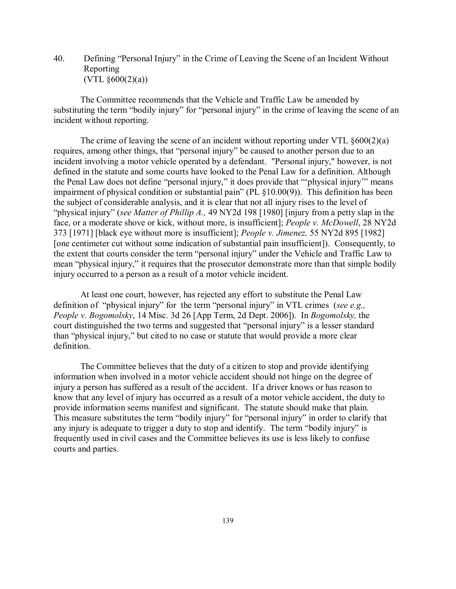40. Defining "Personal Injury" in the Crime of Leaving the Scene of an Incident Without Reporting  $(VTL \S 600(2)(a))$ 

The Committee recommends that the Vehicle and Traffic Law be amended by substituting the term "bodily injury" for "personal injury" in the crime of leaving the scene of an incident without reporting.

The crime of leaving the scene of an incident without reporting under VTL §600(2)(a) requires, among other things, that "personal injury" be caused to another person due to an incident involving a motor vehicle operated by a defendant. "Personal injury," however, is not defined in the statute and some courts have looked to the Penal Law for a definition. Although the Penal Law does not define "personal injury," it does provide that "'physical injury'" means impairment of physical condition or substantial pain" (PL §10.00(9)). This definition has been the subject of considerable analysis, and it is clear that not all injury rises to the level of "physical injury" (*see Matter of Phillip A.,* 49 NY2d 198 [1980] [injury from a petty slap in the face, or a moderate shove or kick, without more, is insufficient]; *People v. McDowell*, 28 NY2d 373 [1971] [black eye without more is insufficient]; *People v. Jimenez,* 55 NY2d 895 [1982] [one centimeter cut without some indication of substantial pain insufficient]). Consequently, to the extent that courts consider the term "personal injury" under the Vehicle and Traffic Law to mean "physical injury," it requires that the prosecutor demonstrate more than that simple bodily injury occurred to a person as a result of a motor vehicle incident.

At least one court, however, has rejected any effort to substitute the Penal Law definition of "physical injury" for the term "personal injury" in VTL crimes (*see e.g., People v. Bogomolsky*, 14 Misc. 3d 26 [App Term, 2d Dept. 2006]). In *Bogomolsky,* the court distinguished the two terms and suggested that "personal injury" is a lesser standard than "physical injury," but cited to no case or statute that would provide a more clear definition.

The Committee believes that the duty of a citizen to stop and provide identifying information when involved in a motor vehicle accident should not hinge on the degree of injury a person has suffered as a result of the accident. If a driver knows or has reason to know that any level of injury has occurred as a result of a motor vehicle accident, the duty to provide information seems manifest and significant. The statute should make that plain. This measure substitutes the term "bodily injury" for "personal injury" in order to clarify that any injury is adequate to trigger a duty to stop and identify. The term "bodily injury" is frequently used in civil cases and the Committee believes its use is less likely to confuse courts and parties.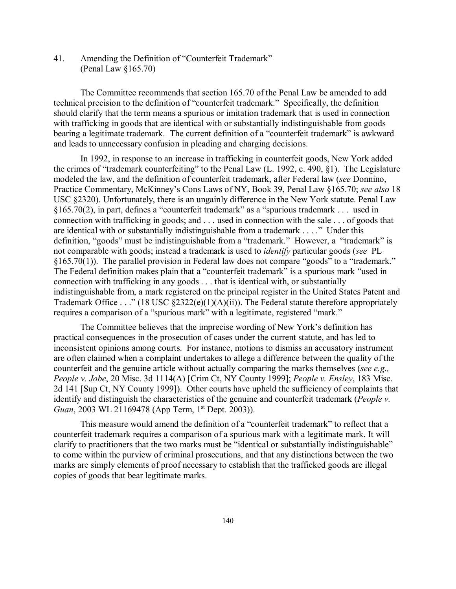41. Amending the Definition of "Counterfeit Trademark" (Penal Law §165.70)

The Committee recommends that section 165.70 of the Penal Law be amended to add technical precision to the definition of "counterfeit trademark." Specifically, the definition should clarify that the term means a spurious or imitation trademark that is used in connection with trafficking in goods that are identical with or substantially indistinguishable from goods bearing a legitimate trademark. The current definition of a "counterfeit trademark" is awkward and leads to unnecessary confusion in pleading and charging decisions.

In 1992, in response to an increase in trafficking in counterfeit goods, New York added the crimes of "trademark counterfeiting" to the Penal Law (L. 1992, c. 490, §1). The Legislature modeled the law, and the definition of counterfeit trademark, after Federal law (*see* Donnino, Practice Commentary, McKinney's Cons Laws of NY, Book 39, Penal Law §165.70; *see also* 18 USC §2320). Unfortunately, there is an ungainly difference in the New York statute. Penal Law §165.70(2), in part, defines a "counterfeit trademark" as a "spurious trademark . . . used in connection with trafficking in goods; and . . . used in connection with the sale . . . of goods that are identical with or substantially indistinguishable from a trademark . . . ." Under this definition, "goods" must be indistinguishable from a "trademark." However, a "trademark" is not comparable with goods; instead a trademark is used to *identify* particular goods (*see* PL §165.70(1)). The parallel provision in Federal law does not compare "goods" to a "trademark." The Federal definition makes plain that a "counterfeit trademark" is a spurious mark "used in connection with trafficking in any goods . . . that is identical with, or substantially indistinguishable from, a mark registered on the principal register in the United States Patent and Trademark Office . . ." (18 USC  $\S2322(e)(1)(A)(ii)$ ). The Federal statute therefore appropriately requires a comparison of a "spurious mark" with a legitimate, registered "mark."

The Committee believes that the imprecise wording of New York's definition has practical consequences in the prosecution of cases under the current statute, and has led to inconsistent opinions among courts. For instance, motions to dismiss an accusatory instrument are often claimed when a complaint undertakes to allege a difference between the quality of the counterfeit and the genuine article without actually comparing the marks themselves (*see e.g., People v. Jobe*, 20 Misc. 3d 1114(A) [Crim Ct, NY County 1999]; *People v. Ensley*, 183 Misc. 2d 141 [Sup Ct, NY County 1999]). Other courts have upheld the sufficiency of complaints that identify and distinguish the characteristics of the genuine and counterfeit trademark (*People v. Guan*, 2003 WL 21169478 (App Term, 1<sup>st</sup> Dept. 2003)).

This measure would amend the definition of a "counterfeit trademark" to reflect that a counterfeit trademark requires a comparison of a spurious mark with a legitimate mark. It will clarify to practitioners that the two marks must be "identical or substantially indistinguishable" to come within the purview of criminal prosecutions, and that any distinctions between the two marks are simply elements of proof necessary to establish that the trafficked goods are illegal copies of goods that bear legitimate marks.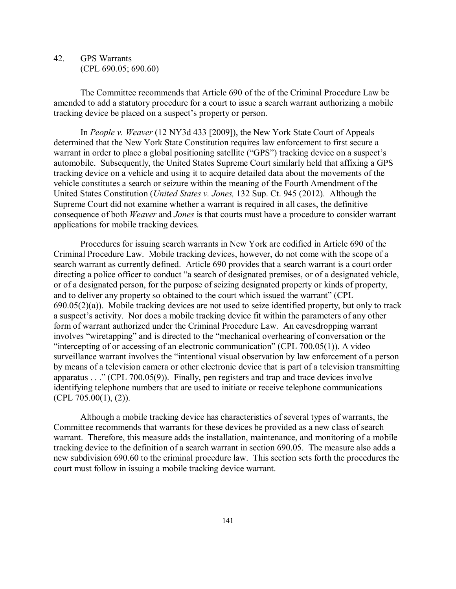## 42. GPS Warrants (CPL 690.05; 690.60)

The Committee recommends that Article 690 of the of the Criminal Procedure Law be amended to add a statutory procedure for a court to issue a search warrant authorizing a mobile tracking device be placed on a suspect's property or person.

In *People v. Weaver* (12 NY3d 433 [2009]), the New York State Court of Appeals determined that the New York State Constitution requires law enforcement to first secure a warrant in order to place a global positioning satellite ("GPS") tracking device on a suspect's automobile. Subsequently, the United States Supreme Court similarly held that affixing a GPS tracking device on a vehicle and using it to acquire detailed data about the movements of the vehicle constitutes a search or seizure within the meaning of the Fourth Amendment of the United States Constitution (*United States v. Jones,* 132 Sup. Ct. 945 (2012). Although the Supreme Court did not examine whether a warrant is required in all cases, the definitive consequence of both *Weaver* and *Jones* is that courts must have a procedure to consider warrant applications for mobile tracking devices.

Procedures for issuing search warrants in New York are codified in Article 690 of the Criminal Procedure Law. Mobile tracking devices, however, do not come with the scope of a search warrant as currently defined. Article 690 provides that a search warrant is a court order directing a police officer to conduct "a search of designated premises, or of a designated vehicle, or of a designated person, for the purpose of seizing designated property or kinds of property, and to deliver any property so obtained to the court which issued the warrant" (CPL 690.05(2)(a)). Mobile tracking devices are not used to seize identified property, but only to track a suspect's activity. Nor does a mobile tracking device fit within the parameters of any other form of warrant authorized under the Criminal Procedure Law. An eavesdropping warrant involves "wiretapping" and is directed to the "mechanical overhearing of conversation or the "intercepting of or accessing of an electronic communication" (CPL 700.05(1)). A video surveillance warrant involves the "intentional visual observation by law enforcement of a person by means of a television camera or other electronic device that is part of a television transmitting apparatus . . ." (CPL 700.05(9)). Finally, pen registers and trap and trace devices involve identifying telephone numbers that are used to initiate or receive telephone communications (CPL 705.00(1), (2)).

Although a mobile tracking device has characteristics of several types of warrants, the Committee recommends that warrants for these devices be provided as a new class of search warrant. Therefore, this measure adds the installation, maintenance, and monitoring of a mobile tracking device to the definition of a search warrant in section 690.05. The measure also adds a new subdivision 690.60 to the criminal procedure law. This section sets forth the procedures the court must follow in issuing a mobile tracking device warrant.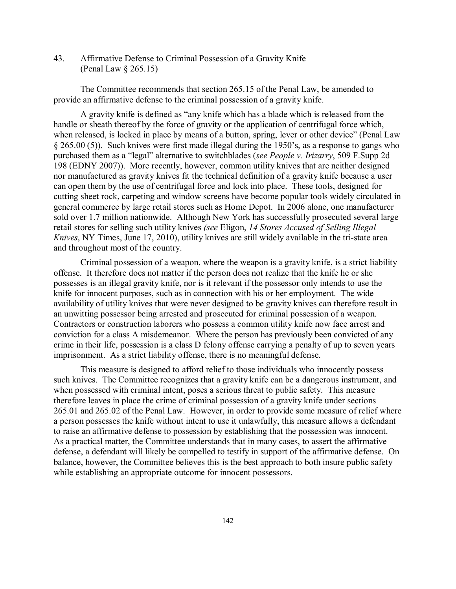43. Affirmative Defense to Criminal Possession of a Gravity Knife (Penal Law § 265.15)

The Committee recommends that section 265.15 of the Penal Law, be amended to provide an affirmative defense to the criminal possession of a gravity knife.

A gravity knife is defined as "any knife which has a blade which is released from the handle or sheath thereof by the force of gravity or the application of centrifugal force which, when released, is locked in place by means of a button, spring, lever or other device" (Penal Law § 265.00 (5)). Such knives were first made illegal during the 1950's, as a response to gangs who purchased them as a "legal" alternative to switchblades (*see People v. Irizarry*, 509 F.Supp 2d 198 (EDNY 2007)). More recently, however, common utility knives that are neither designed nor manufactured as gravity knives fit the technical definition of a gravity knife because a user can open them by the use of centrifugal force and lock into place. These tools, designed for cutting sheet rock, carpeting and window screens have become popular tools widely circulated in general commerce by large retail stores such as Home Depot. In 2006 alone, one manufacturer sold over 1.7 million nationwide. Although New York has successfully prosecuted several large retail stores for selling such utility knives *(see* Eligon, *14 Stores Accused of Selling Illegal Knives*, NY Times, June 17, 2010), utility knives are still widely available in the tri-state area and throughout most of the country.

Criminal possession of a weapon, where the weapon is a gravity knife, is a strict liability offense. It therefore does not matter if the person does not realize that the knife he or she possesses is an illegal gravity knife, nor is it relevant if the possessor only intends to use the knife for innocent purposes, such as in connection with his or her employment. The wide availability of utility knives that were never designed to be gravity knives can therefore result in an unwitting possessor being arrested and prosecuted for criminal possession of a weapon. Contractors or construction laborers who possess a common utility knife now face arrest and conviction for a class A misdemeanor. Where the person has previously been convicted of any crime in their life, possession is a class D felony offense carrying a penalty of up to seven years imprisonment. As a strict liability offense, there is no meaningful defense.

This measure is designed to afford relief to those individuals who innocently possess such knives. The Committee recognizes that a gravity knife can be a dangerous instrument, and when possessed with criminal intent, poses a serious threat to public safety. This measure therefore leaves in place the crime of criminal possession of a gravity knife under sections 265.01 and 265.02 of the Penal Law. However, in order to provide some measure of relief where a person possesses the knife without intent to use it unlawfully, this measure allows a defendant to raise an affirmative defense to possession by establishing that the possession was innocent. As a practical matter, the Committee understands that in many cases, to assert the affirmative defense, a defendant will likely be compelled to testify in support of the affirmative defense. On balance, however, the Committee believes this is the best approach to both insure public safety while establishing an appropriate outcome for innocent possessors.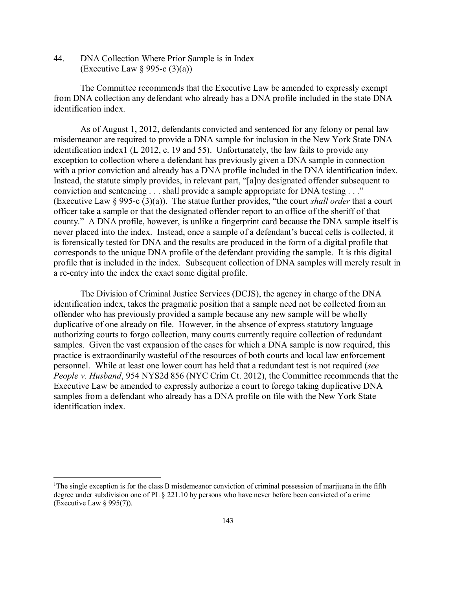44. DNA Collection Where Prior Sample is in Index (Executive Law  $\S$  995-c (3)(a))

The Committee recommends that the Executive Law be amended to expressly exempt from DNA collection any defendant who already has a DNA profile included in the state DNA identification index.

As of August 1, 2012, defendants convicted and sentenced for any felony or penal law misdemeanor are required to provide a DNA sample for inclusion in the New York State DNA identification index1 (L 2012, c. 19 and 55). Unfortunately, the law fails to provide any exception to collection where a defendant has previously given a DNA sample in connection with a prior conviction and already has a DNA profile included in the DNA identification index. Instead, the statute simply provides, in relevant part, "[a]ny designated offender subsequent to conviction and sentencing . . . shall provide a sample appropriate for DNA testing . . ." (Executive Law § 995-c (3)(a)). The statue further provides, "the court *shall order* that a court officer take a sample or that the designated offender report to an office of the sheriff of that county." A DNA profile, however, is unlike a fingerprint card because the DNA sample itself is never placed into the index. Instead, once a sample of a defendant's buccal cells is collected, it is forensically tested for DNA and the results are produced in the form of a digital profile that corresponds to the unique DNA profile of the defendant providing the sample. It is this digital profile that is included in the index. Subsequent collection of DNA samples will merely result in a re-entry into the index the exact some digital profile.

The Division of Criminal Justice Services (DCJS), the agency in charge of the DNA identification index, takes the pragmatic position that a sample need not be collected from an offender who has previously provided a sample because any new sample will be wholly duplicative of one already on file. However, in the absence of express statutory language authorizing courts to forgo collection, many courts currently require collection of redundant samples. Given the vast expansion of the cases for which a DNA sample is now required, this practice is extraordinarily wasteful of the resources of both courts and local law enforcement personnel. While at least one lower court has held that a redundant test is not required (*see People v. Husband*, 954 NYS2d 856 (NYC Crim Ct. 2012), the Committee recommends that the Executive Law be amended to expressly authorize a court to forego taking duplicative DNA samples from a defendant who already has a DNA profile on file with the New York State identification index.

 $\frac{1}{1}$ <sup>1</sup>The single exception is for the class B misdemeanor conviction of criminal possession of marijuana in the fifth degree under subdivision one of PL § 221.10 by persons who have never before been convicted of a crime (Executive Law § 995(7)).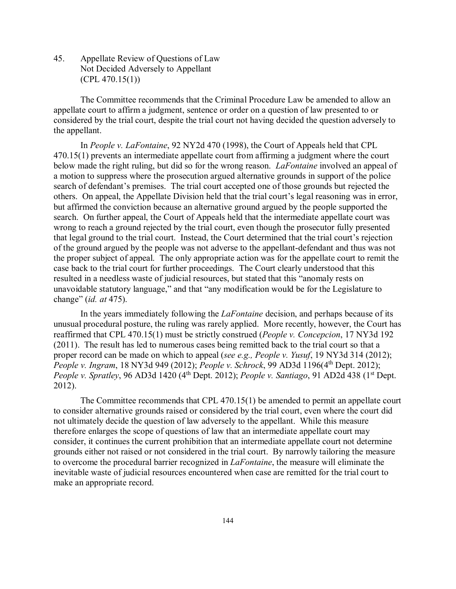45. Appellate Review of Questions of Law Not Decided Adversely to Appellant  $(CPL 470.15(1))$ 

The Committee recommends that the Criminal Procedure Law be amended to allow an appellate court to affirm a judgment, sentence or order on a question of law presented to or considered by the trial court, despite the trial court not having decided the question adversely to the appellant.

In *People v. LaFontaine*, 92 NY2d 470 (1998), the Court of Appeals held that CPL 470.15(1) prevents an intermediate appellate court from affirming a judgment where the court below made the right ruling, but did so for the wrong reason. *LaFontaine* involved an appeal of a motion to suppress where the prosecution argued alternative grounds in support of the police search of defendant's premises. The trial court accepted one of those grounds but rejected the others. On appeal, the Appellate Division held that the trial court's legal reasoning was in error, but affirmed the conviction because an alternative ground argued by the people supported the search. On further appeal, the Court of Appeals held that the intermediate appellate court was wrong to reach a ground rejected by the trial court, even though the prosecutor fully presented that legal ground to the trial court. Instead, the Court determined that the trial court's rejection of the ground argued by the people was not adverse to the appellant-defendant and thus was not the proper subject of appeal. The only appropriate action was for the appellate court to remit the case back to the trial court for further proceedings. The Court clearly understood that this resulted in a needless waste of judicial resources, but stated that this "anomaly rests on unavoidable statutory language," and that "any modification would be for the Legislature to change" (*id. at* 475).

In the years immediately following the *LaFontaine* decision, and perhaps because of its unusual procedural posture, the ruling was rarely applied. More recently, however, the Court has reaffirmed that CPL 470.15(1) must be strictly construed (*People v. Concepcion*, 17 NY3d 192 (2011). The result has led to numerous cases being remitted back to the trial court so that a proper record can be made on which to appeal (*see e.g., People v. Yusuf*, 19 NY3d 314 (2012); *People v. Ingram*, 18 NY3d 949 (2012); *People v. Schrock*, 99 AD3d 1196(4th Dept. 2012); *People v. Spratley*, 96 AD3d 1420 (4<sup>th</sup> Dept. 2012); *People v. Santiago*, 91 AD2d 438 (1<sup>st</sup> Dept. 2012).

The Committee recommends that CPL 470.15(1) be amended to permit an appellate court to consider alternative grounds raised or considered by the trial court, even where the court did not ultimately decide the question of law adversely to the appellant. While this measure therefore enlarges the scope of questions of law that an intermediate appellate court may consider, it continues the current prohibition that an intermediate appellate court not determine grounds either not raised or not considered in the trial court. By narrowly tailoring the measure to overcome the procedural barrier recognized in *LaFontaine*, the measure will eliminate the inevitable waste of judicial resources encountered when case are remitted for the trial court to make an appropriate record.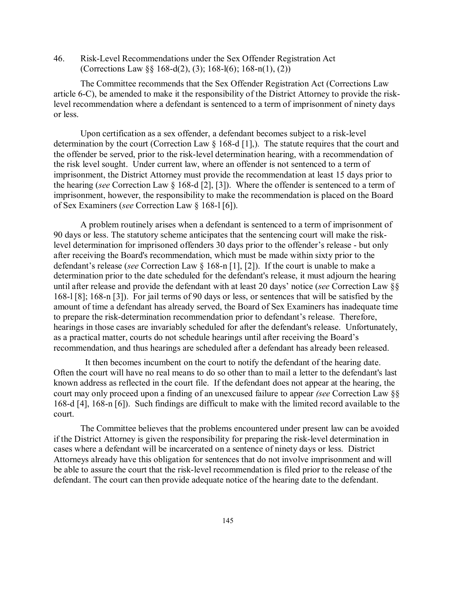46. Risk-Level Recommendations under the Sex Offender Registration Act (Corrections Law §§ 168-d(2), (3); 168-l(6); 168-n(1), (2))

The Committee recommends that the Sex Offender Registration Act (Corrections Law article 6-C), be amended to make it the responsibility of the District Attorney to provide the risklevel recommendation where a defendant is sentenced to a term of imprisonment of ninety days or less.

Upon certification as a sex offender, a defendant becomes subject to a risk-level determination by the court (Correction Law § 168-d [1],). The statute requires that the court and the offender be served, prior to the risk-level determination hearing, with a recommendation of the risk level sought. Under current law, where an offender is not sentenced to a term of imprisonment, the District Attorney must provide the recommendation at least 15 days prior to the hearing (*see* Correction Law § 168-d [2], [3]). Where the offender is sentenced to a term of imprisonment, however, the responsibility to make the recommendation is placed on the Board of Sex Examiners (*see* Correction Law § 168-l [6]).

A problem routinely arises when a defendant is sentenced to a term of imprisonment of 90 days or less. The statutory scheme anticipates that the sentencing court will make the risklevel determination for imprisoned offenders 30 days prior to the offender's release - but only after receiving the Board's recommendation, which must be made within sixty prior to the defendant's release (*see* Correction Law § 168-n [1], [2]). If the court is unable to make a determination prior to the date scheduled for the defendant's release, it must adjourn the hearing until after release and provide the defendant with at least 20 days' notice (*see* Correction Law §§ 168-l [8]; 168-n [3]). For jail terms of 90 days or less, or sentences that will be satisfied by the amount of time a defendant has already served, the Board of Sex Examiners has inadequate time to prepare the risk-determination recommendation prior to defendant's release. Therefore, hearings in those cases are invariably scheduled for after the defendant's release. Unfortunately, as a practical matter, courts do not schedule hearings until after receiving the Board's recommendation, and thus hearings are scheduled after a defendant has already been released.

 It then becomes incumbent on the court to notify the defendant of the hearing date. Often the court will have no real means to do so other than to mail a letter to the defendant's last known address as reflected in the court file. If the defendant does not appear at the hearing, the court may only proceed upon a finding of an unexcused failure to appear *(see* Correction Law §§ 168-d [4], 168-n [6]). Such findings are difficult to make with the limited record available to the court.

The Committee believes that the problems encountered under present law can be avoided if the District Attorney is given the responsibility for preparing the risk-level determination in cases where a defendant will be incarcerated on a sentence of ninety days or less. District Attorneys already have this obligation for sentences that do not involve imprisonment and will be able to assure the court that the risk-level recommendation is filed prior to the release of the defendant. The court can then provide adequate notice of the hearing date to the defendant.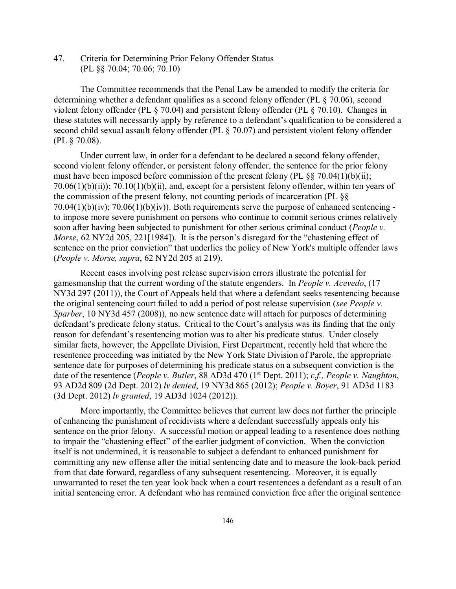47. Criteria for Determining Prior Felony Offender Status (PL §§ 70.04; 70.06; 70.10)

The Committee recommends that the Penal Law be amended to modify the criteria for determining whether a defendant qualifies as a second felony offender (PL § 70.06), second violent felony offender (PL § 70.04) and persistent felony offender (PL § 70.10). Changes in these statutes will necessarily apply by reference to a defendant's qualification to be considered a second child sexual assault felony offender (PL § 70.07) and persistent violent felony offender (PL § 70.08).

Under current law, in order for a defendant to be declared a second felony offender, second violent felony offender, or persistent felony offender, the sentence for the prior felony must have been imposed before commission of the present felony (PL  $\S$ § 70.04(1)(b)(ii);  $70.06(1)(b)(ii)$ ;  $70.10(1)(b)(ii)$ , and, except for a persistent felony offender, within ten years of the commission of the present felony, not counting periods of incarceration (PL §§ 70.04(1)(b)(iv); 70.06(1)(b)(iv)). Both requirements serve the purpose of enhanced sentencing to impose more severe punishment on persons who continue to commit serious crimes relatively soon after having been subjected to punishment for other serious criminal conduct (*People v. Morse*, 62 NY2d 205, 221<sup>[1984]). It is the person's disregard for the "chastening effect of</sup> sentence on the prior conviction" that underlies the policy of New York's multiple offender laws (*People v. Morse, supra*, 62 NY2d 205 at 219).

Recent cases involving post release supervision errors illustrate the potential for gamesmanship that the current wording of the statute engenders. In *People v. Acevedo*, (17 NY3d 297 (2011)), the Court of Appeals held that where a defendant seeks resentencing because the original sentencing court failed to add a period of post release supervision (*see People v. Sparber*, 10 NY3d 457 (2008)), no new sentence date will attach for purposes of determining defendant's predicate felony status. Critical to the Court's analysis was its finding that the only reason for defendant's resentencing motion was to alter his predicate status. Under closely similar facts, however, the Appellate Division, First Department, recently held that where the resentence proceeding was initiated by the New York State Division of Parole, the appropriate sentence date for purposes of determining his predicate status on a subsequent conviction is the date of the resentence (*People v. Butler*, 88 AD3d 470 (1st Dept. 2011); *c.f., People v. Naughton*, 93 AD2d 809 (2d Dept. 2012) *lv denied*, 19 NY3d 865 (2012); *People v. Boyer*, 91 AD3d 1183 (3d Dept. 2012) *lv granted*, 19 AD3d 1024 (2012)).

More importantly, the Committee believes that current law does not further the principle of enhancing the punishment of recidivists where a defendant successfully appeals only his sentence on the prior felony. A successful motion or appeal leading to a resentence does nothing to impair the "chastening effect" of the earlier judgment of conviction. When the conviction itself is not undermined, it is reasonable to subject a defendant to enhanced punishment for committing any new offense after the initial sentencing date and to measure the look-back period from that date forward, regardless of any subsequent resentencing. Moreover, it is equally unwarranted to reset the ten year look back when a court resentences a defendant as a result of an initial sentencing error. A defendant who has remained conviction free after the original sentence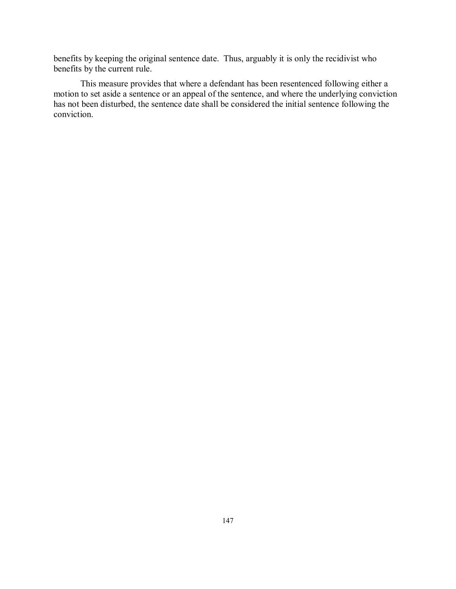benefits by keeping the original sentence date. Thus, arguably it is only the recidivist who benefits by the current rule.

This measure provides that where a defendant has been resentenced following either a motion to set aside a sentence or an appeal of the sentence, and where the underlying conviction has not been disturbed, the sentence date shall be considered the initial sentence following the conviction.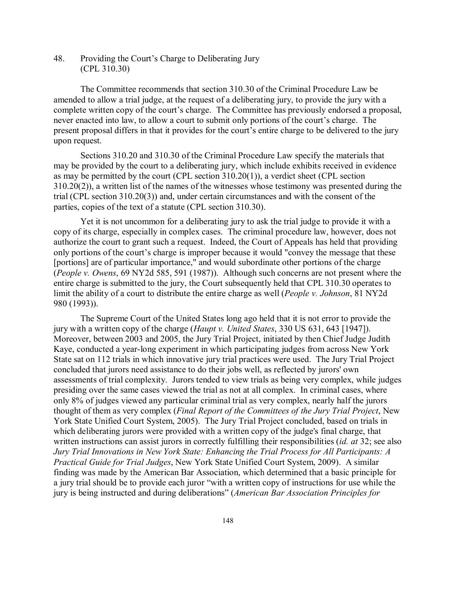48. Providing the Court's Charge to Deliberating Jury (CPL 310.30)

The Committee recommends that section 310.30 of the Criminal Procedure Law be amended to allow a trial judge, at the request of a deliberating jury, to provide the jury with a complete written copy of the court's charge. The Committee has previously endorsed a proposal, never enacted into law, to allow a court to submit only portions of the court's charge. The present proposal differs in that it provides for the court's entire charge to be delivered to the jury upon request.

Sections 310.20 and 310.30 of the Criminal Procedure Law specify the materials that may be provided by the court to a deliberating jury, which include exhibits received in evidence as may be permitted by the court (CPL section 310.20(1)), a verdict sheet (CPL section 310.20(2)), a written list of the names of the witnesses whose testimony was presented during the trial (CPL section 310.20(3)) and, under certain circumstances and with the consent of the parties, copies of the text of a statute (CPL section 310.30).

Yet it is not uncommon for a deliberating jury to ask the trial judge to provide it with a copy of its charge, especially in complex cases. The criminal procedure law, however, does not authorize the court to grant such a request. Indeed, the Court of Appeals has held that providing only portions of the court's charge is improper because it would "convey the message that these [portions] are of particular importance," and would subordinate other portions of the charge (*People v. Owens*, 69 NY2d 585, 591 (1987)). Although such concerns are not present where the entire charge is submitted to the jury, the Court subsequently held that CPL 310.30 operates to limit the ability of a court to distribute the entire charge as well (*People v. Johnson*, 81 NY2d 980 (1993)).

The Supreme Court of the United States long ago held that it is not error to provide the jury with a written copy of the charge (*Haupt v. United States*, 330 US 631, 643 [1947]). Moreover, between 2003 and 2005, the Jury Trial Project, initiated by then Chief Judge Judith Kaye, conducted a year-long experiment in which participating judges from across New York State sat on 112 trials in which innovative jury trial practices were used. The Jury Trial Project concluded that jurors need assistance to do their jobs well, as reflected by jurors' own assessments of trial complexity. Jurors tended to view trials as being very complex, while judges presiding over the same cases viewed the trial as not at all complex. In criminal cases, where only 8% of judges viewed any particular criminal trial as very complex, nearly half the jurors thought of them as very complex (*Final Report of the Committees of the Jury Trial Project*, New York State Unified Court System, 2005). The Jury Trial Project concluded, based on trials in which deliberating jurors were provided with a written copy of the judge's final charge, that written instructions can assist jurors in correctly fulfilling their responsibilities (*id. at* 32; see also *Jury Trial Innovations in New York State: Enhancing the Trial Process for All Participants: A Practical Guide for Trial Judges*, New York State Unified Court System, 2009). A similar finding was made by the American Bar Association, which determined that a basic principle for a jury trial should be to provide each juror "with a written copy of instructions for use while the jury is being instructed and during deliberations" (*American Bar Association Principles for*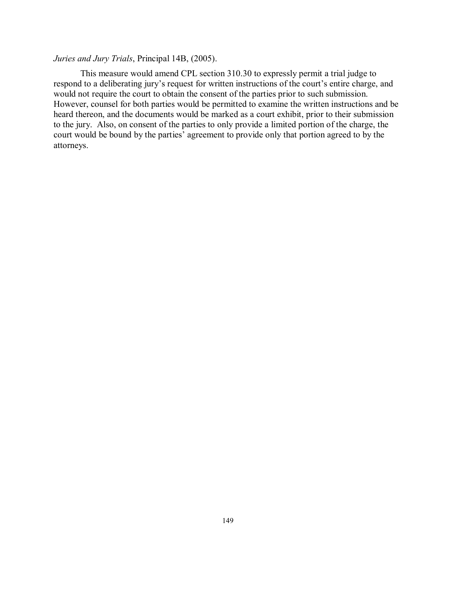## *Juries and Jury Trials*, Principal 14B, (2005).

This measure would amend CPL section 310.30 to expressly permit a trial judge to respond to a deliberating jury's request for written instructions of the court's entire charge, and would not require the court to obtain the consent of the parties prior to such submission. However, counsel for both parties would be permitted to examine the written instructions and be heard thereon, and the documents would be marked as a court exhibit, prior to their submission to the jury. Also, on consent of the parties to only provide a limited portion of the charge, the court would be bound by the parties' agreement to provide only that portion agreed to by the attorneys.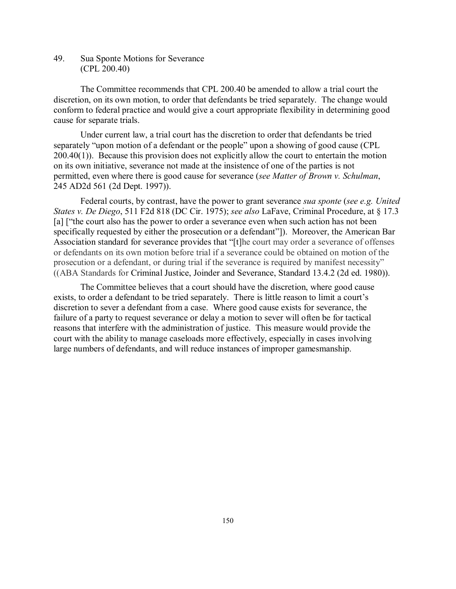49. Sua Sponte Motions for Severance (CPL 200.40)

The Committee recommends that CPL 200.40 be amended to allow a trial court the discretion, on its own motion, to order that defendants be tried separately. The change would conform to federal practice and would give a court appropriate flexibility in determining good cause for separate trials.

Under current law, a trial court has the discretion to order that defendants be tried separately "upon motion of a defendant or the people" upon a showing of good cause (CPL 200.40(1)). Because this provision does not explicitly allow the court to entertain the motion on its own initiative, severance not made at the insistence of one of the parties is not permitted, even where there is good cause for severance (*see Matter of Brown v. Schulman*, 245 AD2d 561 (2d Dept. 1997)).

Federal courts, by contrast, have the power to grant severance *sua sponte* (*see e.g. United States v. De Diego*, 511 F2d 818 (DC Cir. 1975); *see also* LaFave, Criminal Procedure, at § 17.3 [a] ["the court also has the power to order a severance even when such action has not been specifically requested by either the prosecution or a defendant"]). Moreover, the American Bar Association standard for severance provides that "[t]he court may order a severance of offenses or defendants on its own motion before trial if a severance could be obtained on motion of the prosecution or a defendant, or during trial if the severance is required by manifest necessity" ((ABA Standards for Criminal Justice, Joinder and Severance, Standard 13.4.2 (2d ed. 1980)).

The Committee believes that a court should have the discretion, where good cause exists, to order a defendant to be tried separately. There is little reason to limit a court's discretion to sever a defendant from a case. Where good cause exists for severance, the failure of a party to request severance or delay a motion to sever will often be for tactical reasons that interfere with the administration of justice. This measure would provide the court with the ability to manage caseloads more effectively, especially in cases involving large numbers of defendants, and will reduce instances of improper gamesmanship.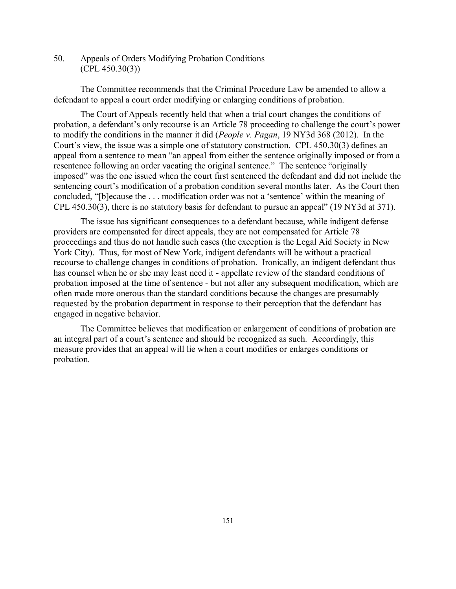50. Appeals of Orders Modifying Probation Conditions (CPL 450.30(3))

The Committee recommends that the Criminal Procedure Law be amended to allow a defendant to appeal a court order modifying or enlarging conditions of probation.

The Court of Appeals recently held that when a trial court changes the conditions of probation, a defendant's only recourse is an Article 78 proceeding to challenge the court's power to modify the conditions in the manner it did (*People v. Pagan*, 19 NY3d 368 (2012). In the Court's view, the issue was a simple one of statutory construction. CPL 450.30(3) defines an appeal from a sentence to mean "an appeal from either the sentence originally imposed or from a resentence following an order vacating the original sentence." The sentence "originally imposed" was the one issued when the court first sentenced the defendant and did not include the sentencing court's modification of a probation condition several months later. As the Court then concluded, "[b]ecause the . . . modification order was not a 'sentence' within the meaning of CPL 450.30(3), there is no statutory basis for defendant to pursue an appeal" (19 NY3d at 371).

The issue has significant consequences to a defendant because, while indigent defense providers are compensated for direct appeals, they are not compensated for Article 78 proceedings and thus do not handle such cases (the exception is the Legal Aid Society in New York City). Thus, for most of New York, indigent defendants will be without a practical recourse to challenge changes in conditions of probation. Ironically, an indigent defendant thus has counsel when he or she may least need it - appellate review of the standard conditions of probation imposed at the time of sentence - but not after any subsequent modification, which are often made more onerous than the standard conditions because the changes are presumably requested by the probation department in response to their perception that the defendant has engaged in negative behavior.

The Committee believes that modification or enlargement of conditions of probation are an integral part of a court's sentence and should be recognized as such. Accordingly, this measure provides that an appeal will lie when a court modifies or enlarges conditions or probation.